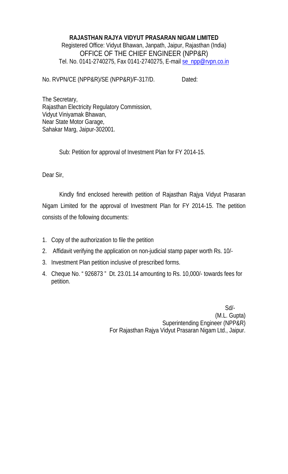### **RAJASTHAN RAJYA VIDYUT PRASARAN NIGAM LIMITED**  Registered Office: Vidyut Bhawan, Janpath, Jaipur, Rajasthan (India) OFFICE OF THE CHIEF ENGINEER (NPP&R) Tel. No. 0141-2740275, Fax 0141-2740275, E-mail se\_npp@rvpn.co.in

No. RVPN/CE (NPP&R)/SE (NPP&R)/F-317/D. Dated:

The Secretary, Rajasthan Electricity Regulatory Commission, Vidyut Viniyamak Bhawan, Near State Motor Garage, Sahakar Marg, Jaipur-302001.

Sub: Petition for approval of Investment Plan for FY 2014-15.

Dear Sir,

Kindly find enclosed herewith petition of Rajasthan Rajya Vidyut Prasaran Nigam Limited for the approval of Investment Plan for FY 2014-15. The petition consists of the following documents:

- 1. Copy of the authorization to file the petition
- 2. Affidavit verifying the application on non-judicial stamp paper worth Rs. 10/-
- 3. Investment Plan petition inclusive of prescribed forms.
- 4. Cheque No. " 926873 " Dt. 23.01.14 amounting to Rs. 10,000/- towards fees for petition.

 Sd/- (M.L. Gupta) Superintending Engineer (NPP&R) For Rajasthan Rajya Vidyut Prasaran Nigam Ltd., Jaipur.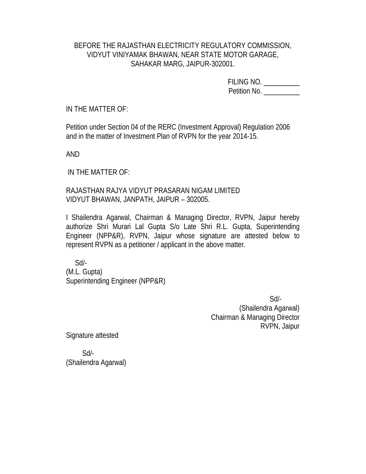### BEFORE THE RAJASTHAN ELECTRICITY REGULATORY COMMISSION, VIDYUT VINIYAMAK BHAWAN, NEAR STATE MOTOR GARAGE, SAHAKAR MARG, JAIPUR-302001.

FILING NO. \_\_\_\_\_\_\_\_\_\_ Petition No. \_\_\_\_\_\_\_

IN THE MATTER OF:

Petition under Section 04 of the RERC (Investment Approval) Regulation 2006 and in the matter of Investment Plan of RVPN for the year 2014-15.

AND

IN THE MATTER OF:

RAJASTHAN RAJYA VIDYUT PRASARAN NIGAM LIMITED VIDYUT BHAWAN, JANPATH, JAIPUR – 302005.

I Shailendra Agarwal, Chairman & Managing Director, RVPN, Jaipur hereby authorize Shri Murari Lal Gupta S/o Late Shri R.L. Gupta, Superintending Engineer (NPP&R), RVPN, Jaipur whose signature are attested below to represent RVPN as a petitioner / applicant in the above matter.

 Sd/- (M.L. Gupta) Superintending Engineer (NPP&R)

 Sd/- (Shailendra Agarwal) Chairman & Managing Director RVPN, Jaipur

Signature attested

 Sd/- (Shailendra Agarwal)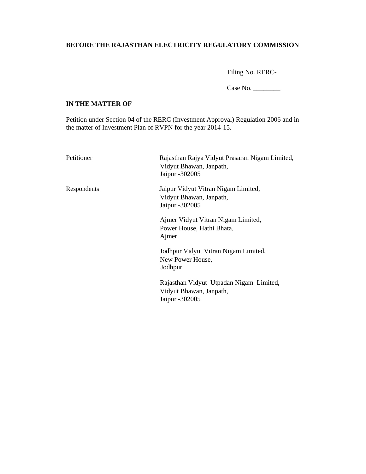#### **BEFORE THE RAJASTHAN ELECTRICITY REGULATORY COMMISSION**

Filing No. RERC-

Case No. \_\_\_\_\_\_\_\_

#### **IN THE MATTER OF**

Petition under Section 04 of the RERC (Investment Approval) Regulation 2006 and in the matter of Investment Plan of RVPN for the year 2014-15.

| Petitioner  | Rajasthan Rajya Vidyut Prasaran Nigam Limited,<br>Vidyut Bhawan, Janpath,<br>Jaipur - 302005 |
|-------------|----------------------------------------------------------------------------------------------|
| Respondents | Jaipur Vidyut Vitran Nigam Limited,<br>Vidyut Bhawan, Janpath,<br>Jaipur - 302005            |
|             | Ajmer Vidyut Vitran Nigam Limited,<br>Power House, Hathi Bhata,<br>Ajmer                     |
|             | Jodhpur Vidyut Vitran Nigam Limited,<br>New Power House,<br>Jodhpur                          |
|             | Rajasthan Vidyut Utpadan Nigam Limited,<br>Vidyut Bhawan, Janpath,<br>Jaipur -302005         |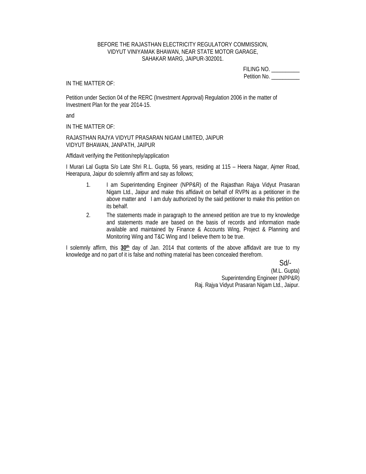#### BEFORE THE RAJASTHAN ELECTRICITY REGULATORY COMMISSION, VIDYUT VINIYAMAK BHAWAN, NEAR STATE MOTOR GARAGE, SAHAKAR MARG, JAIPUR-302001.

FILING NO. \_\_\_\_\_\_\_\_\_\_ Petition No. \_\_\_\_\_\_\_\_\_\_\_

#### IN THE MATTER OF:

Petition under Section 04 of the RERC (Investment Approval) Regulation 2006 in the matter of Investment Plan for the year 2014-15.

and

IN THE MATTER OF:

RAJASTHAN RAJYA VIDYUT PRASARAN NIGAM LIMITED, JAIPUR VIDYUT BHAWAN, JANPATH, JAIPUR

Affidavit verifying the Petition/reply/application

I Murari Lal Gupta S/o Late Shri R.L. Gupta, 56 years, residing at 115 – Heera Nagar, Ajmer Road, Heerapura, Jaipur do solemnly affirm and say as follows;

- 1. I am Superintending Engineer (NPP&R) of the Rajasthan Rajya Vidyut Prasaran Nigam Ltd., Jaipur and make this affidavit on behalf of RVPN as a petitioner in the above matter and I am duly authorized by the said petitioner to make this petition on its behalf.
- 2. The statements made in paragraph to the annexed petition are true to my knowledge and statements made are based on the basis of records and information made available and maintained by Finance & Accounts Wing, Project & Planning and Monitoring Wing and T&C Wing and I believe them to be true.

I solemnly affirm, this **30th** day of Jan. 2014 that contents of the above affidavit are true to my knowledge and no part of it is false and nothing material has been concealed therefrom.

Sd/-

(M.L. Gupta) Superintending Engineer (NPP&R) Raj. Rajya Vidyut Prasaran Nigam Ltd., Jaipur.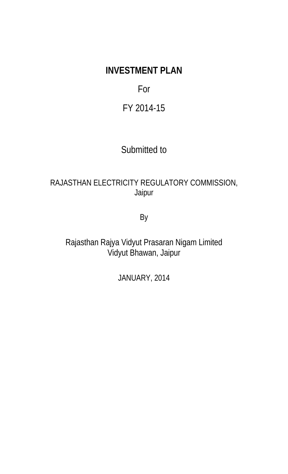# **INVESTMENT PLAN**

## For

## FY 2014-15

## Submitted to

## RAJASTHAN ELECTRICITY REGULATORY COMMISSION, Jaipur

By

Rajasthan Rajya Vidyut Prasaran Nigam Limited Vidyut Bhawan, Jaipur

JANUARY, 2014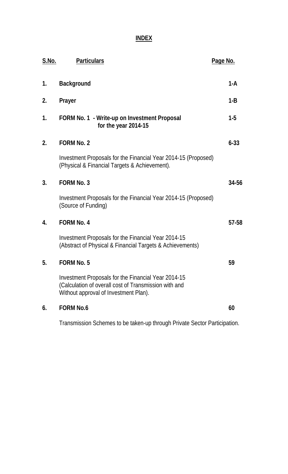**INDEX**

| <u>S.No.</u>   | <b>Particulars</b>                                                                                                                                    | <b>Page No.</b> |
|----------------|-------------------------------------------------------------------------------------------------------------------------------------------------------|-----------------|
| 1.             | <b>Background</b>                                                                                                                                     | 1-A             |
| 2.             | Prayer                                                                                                                                                | $1 - B$         |
| 1.             | FORM No. 1 - Write-up on Investment Proposal<br>for the year 2014-15                                                                                  | $1-5$           |
| 2.             | <b>FORM No. 2</b>                                                                                                                                     | $6 - 33$        |
|                | Investment Proposals for the Financial Year 2014-15 (Proposed)<br>(Physical & Financial Targets & Achievement).                                       |                 |
| 3 <sub>1</sub> | <b>FORM No. 3</b>                                                                                                                                     | 34-56           |
|                | Investment Proposals for the Financial Year 2014-15 (Proposed)<br>(Source of Funding)                                                                 |                 |
| 4.             | <b>FORM No. 4</b>                                                                                                                                     | 57-58           |
|                | Investment Proposals for the Financial Year 2014-15<br>(Abstract of Physical & Financial Targets & Achievements)                                      |                 |
| 5.             | <b>FORM No. 5</b>                                                                                                                                     | 59              |
|                | Investment Proposals for the Financial Year 2014-15<br>(Calculation of overall cost of Transmission with and<br>Without approval of Investment Plan). |                 |
| 6.             | <b>FORM No.6</b>                                                                                                                                      | 60              |
|                |                                                                                                                                                       |                 |

Transmission Schemes to be taken-up through Private Sector Participation.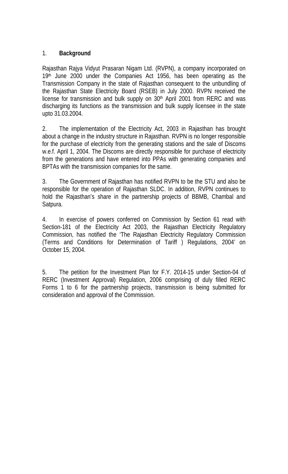### 1. **Background**

Rajasthan Rajya Vidyut Prasaran Nigam Ltd. (RVPN), a company incorporated on 19<sup>th</sup> June 2000 under the Companies Act 1956, has been operating as the Transmission Company in the state of Rajasthan consequent to the unbundling of the Rajasthan State Electricity Board (RSEB) in July 2000. RVPN received the license for transmission and bulk supply on  $30<sup>th</sup>$  April 2001 from RERC and was discharging its functions as the transmission and bulk supply licensee in the state upto 31.03.2004.

2. The implementation of the Electricity Act, 2003 in Rajasthan has brought about a change in the industry structure in Rajasthan. RVPN is no longer responsible for the purchase of electricity from the generating stations and the sale of Discoms w.e.f. April 1, 2004. The Discoms are directly responsible for purchase of electricity from the generations and have entered into PPAs with generating companies and BPTAs with the transmission companies for the same.

3. The Government of Rajasthan has notified RVPN to be the STU and also be responsible for the operation of Rajasthan SLDC. In addition, RVPN continues to hold the Rajasthan's share in the partnership projects of BBMB, Chambal and Satpura.

4. In exercise of powers conferred on Commission by Section 61 read with Section-181 of the Electricity Act 2003, the Rajasthan Electricity Regulatory Commission, has notified the 'The Rajasthan Electricity Regulatory Commission (Terms and Conditions for Determination of Tariff ) Regulations, 2004' on October 15, 2004.

5. The petition for the Investment Plan for F.Y. 2014-15 under Section-04 of RERC (Investment Approval) Regulation, 2006 comprising of duly filled RERC Forms 1 to 6 for the partnership projects, transmission is being submitted for consideration and approval of the Commission.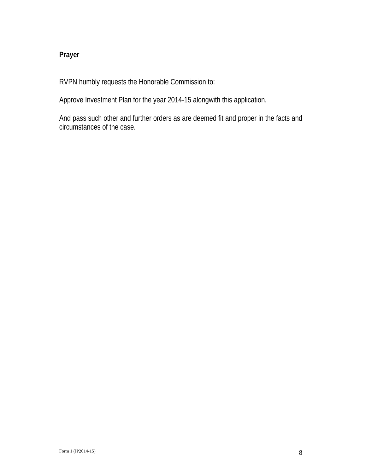### **Prayer**

RVPN humbly requests the Honorable Commission to:

Approve Investment Plan for the year 2014-15 alongwith this application.

And pass such other and further orders as are deemed fit and proper in the facts and circumstances of the case.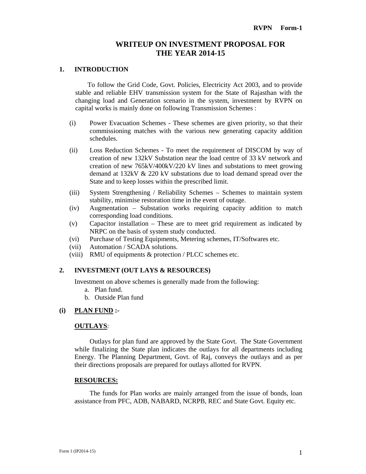#### **WRITEUP ON INVESTMENT PROPOSAL FOR THE YEAR 2014-15**

#### **1. INTRODUCTION**

To follow the Grid Code, Govt. Policies, Electricity Act 2003, and to provide stable and reliable EHV transmission system for the State of Rajasthan with the changing load and Generation scenario in the system, investment by RVPN on capital works is mainly done on following Transmission Schemes :

- (i) Power Evacuation Schemes These schemes are given priority, so that their commissioning matches with the various new generating capacity addition schedules.
- (ii) Loss Reduction Schemes To meet the requirement of DISCOM by way of creation of new 132kV Substation near the load centre of 33 kV network and creation of new 765kV/400kV/220 kV lines and substations to meet growing demand at 132kV & 220 kV substations due to load demand spread over the State and to keep losses within the prescribed limit.
- (iii) System Strengthening / Reliability Schemes Schemes to maintain system stability, minimise restoration time in the event of outage.
- (iv) Augmentation Substation works requiring capacity addition to match corresponding load conditions.
- (v) Capacitor installation These are to meet grid requirement as indicated by NRPC on the basis of system study conducted.
- (vi) Purchase of Testing Equipments, Metering schemes, IT/Softwares etc.
- (vii) Automation / SCADA solutions.
- (viii) RMU of equipments & protection / PLCC schemes etc.

#### **2. INVESTMENT (OUT LAYS & RESOURCES)**

Investment on above schemes is generally made from the following:

- a. Plan fund.
- b. Outside Plan fund

#### **(i) PLAN FUND :-**

#### **OUTLAYS**:

Outlays for plan fund are approved by the State Govt. The State Government while finalizing the State plan indicates the outlays for all departments including Energy. The Planning Department, Govt. of Raj, conveys the outlays and as per their directions proposals are prepared for outlays allotted for RVPN.

#### **RESOURCES:**

The funds for Plan works are mainly arranged from the issue of bonds, loan assistance from PFC, ADB, NABARD, NCRPB, REC and State Govt. Equity etc.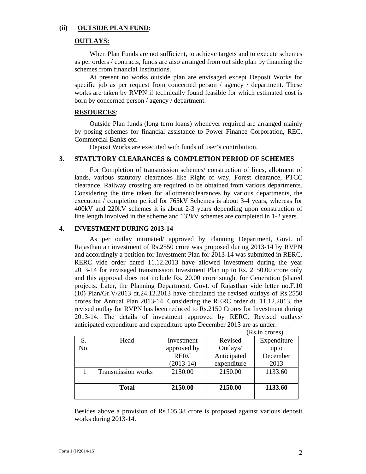#### **(ii) OUTSIDE PLAN FUND:**

#### **OUTLAYS:**

When Plan Funds are not sufficient, to achieve targets and to execute schemes as per orders / contracts, funds are also arranged from out side plan by financing the schemes from financial Institutions.

At present no works outside plan are envisaged except Deposit Works for specific job as per request from concerned person  $\ell$  agency  $\ell$  department. These works are taken by RVPN if technically found feasible for which estimated cost is born by concerned person / agency / department.

#### **RESOURCES**:

Outside Plan funds (long term loans) whenever required are arranged mainly by posing schemes for financial assistance to Power Finance Corporation, REC, Commercial Banks etc.

Deposit Works are executed with funds of user's contribution.

#### **3. STATUTORY CLEARANCES & COMPLETION PERIOD OF SCHEMES**

For Completion of transmission schemes/ construction of lines, allotment of lands, various statutory clearances like Right of way, Forest clearance, PTCC clearance, Railway crossing are required to be obtained from various departments. Considering the time taken for allotment/clearances by various departments, the execution / completion period for 765kV Schemes is about 3-4 years, whereas for 400kV and 220kV schemes it is about 2-3 years depending upon construction of line length involved in the scheme and 132kV schemes are completed in 1-2 years.

#### **4. INVESTMENT DURING 2013-14**

As per outlay intimated/ approved by Planning Department, Govt. of Rajasthan an investment of Rs.2550 crore was proposed during 2013-14 by RVPN and accordingly a petition for Investment Plan for 2013-14 was submitted in RERC. RERC vide order dated 11.12.2013 have allowed investment during the year 2013-14 for envisaged transmission Investment Plan up to Rs. 2150.00 crore only and this approval does not include Rs. 20.00 crore sought for Generation (shared projects. Later, the Planning Department, Govt. of Rajasthan vide letter no.F.10 (10) Plan/Gr.V/2013 dt.24.12.2013 have circulated the revised outlays of Rs.2550 crores for Annual Plan 2013-14. Considering the RERC order dt. 11.12.2013, the revised outlay for RVPN has been reduced to Rs.2150 Crores for Investment during 2013-14. The details of investment approved by RERC, Revised outlays/ anticipated expenditure and expenditure upto December 2013 are as under:

|     |                    |             |             | (Rs.in crores) |
|-----|--------------------|-------------|-------------|----------------|
| S.  | Head               | Investment  | Revised     | Expenditure    |
| No. |                    | approved by | Outlays/    | upto           |
|     |                    | <b>RERC</b> | Anticipated | December       |
|     |                    | $(2013-14)$ | expenditure | 2013           |
|     | Transmission works | 2150.00     | 2150.00     | 1133.60        |
|     | <b>Total</b>       | 2150.00     | 2150.00     | 1133.60        |
|     |                    |             |             |                |

Besides above a provision of Rs.105.38 crore is proposed against various deposit works during 2013-14.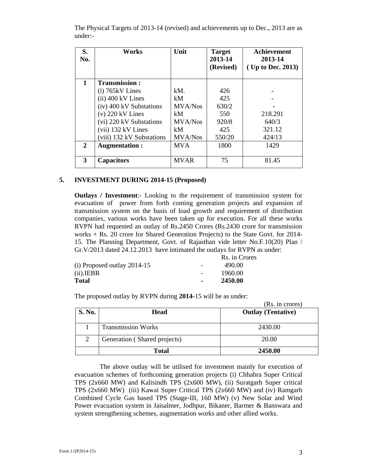| S.<br>No.    | Works                     | Unit           | <b>Target</b><br>2013-14<br>(Revised) | Achievement<br>2013-14<br>(Up to Dec. 2013) |
|--------------|---------------------------|----------------|---------------------------------------|---------------------------------------------|
| $\mathbf{1}$ | <b>Transmission:</b>      |                |                                       |                                             |
|              | $(i)$ 765 $kV$ Lines      | kM.            | 426                                   |                                             |
|              | $(ii)$ 400 kV Lines       | kM             | 425                                   |                                             |
|              | (iv) 400 kV Substations   | MVA/Nos        | 630/2                                 |                                             |
|              | $(v)$ 220 kV Lines        | kM             | 550                                   | 218.291                                     |
|              | (vi) 220 kV Substations   | MVA/Nos        | 920/8                                 | 640/3                                       |
|              | (vii) 132 kV Lines        | kM             | 425                                   | 321.12                                      |
|              | (viii) 132 kV Substations | <b>MVA/Nos</b> | 550/20                                | 424/13                                      |
| 2            | Augmentation:             | <b>MVA</b>     | 1800                                  | 1429                                        |
|              |                           |                |                                       |                                             |
| 3            | <b>Capacitors</b>         | <b>MVAR</b>    | 75                                    | 81.45                                       |

The Physical Targets of 2013-14 (revised) and achievements up to Dec., 2013 are as under:-

#### **5. INVESTMENT DURING 2014-15 (Proposed)**

**Outlays / Investment**:- Looking to the requirement of transmission system for evacuation of power from forth coming generation projects and expansion of transmission system on the basis of load growth and requirement of distribution companies, various works have been taken up for execution. For all these works RVPN had requested an outlay of Rs.2450 Crores (Rs.2430 crore for transmission works + Rs. 20 crore for Shared Generation Projects) to the State Govt. for 2014- 15. The Planning Department, Govt. of Rajasthan vide letter No.F.10(20) Plan / Gr.V/2013 dated 24.12.2013 have intimated the outlays for RVPN as under:

|                               |                          | Rs. in Crores |
|-------------------------------|--------------------------|---------------|
| (i) Proposed outlay $2014-15$ | $\overline{\phantom{a}}$ | 490.00        |
| (ii). <b>IER</b>              |                          | 1960.00       |
| Total                         | $\blacksquare$           | 2450.00       |

The proposed outlay by RVPN during **2014-**15 will be as under:

|               |                              | (Rs. in crores)           |
|---------------|------------------------------|---------------------------|
| <b>S. No.</b> | <b>Head</b>                  | <b>Outlay (Tentative)</b> |
|               | <b>Transmission Works</b>    | 2430.00                   |
| 2             | Generation (Shared projects) | 20.00                     |
|               | <b>Total</b>                 | 2450.00                   |

The above outlay will be utilised for investment mainly for execution of evacuation schemes of forthcoming generation projects (i) Chhabra Super Critical TPS (2x660 MW) and Kalisindh TPS (2x600 MW), (ii) Suratgarh Super critical TPS (2x660 MW) (iii) Kawai Super Critical TPS (2x660 MW) and (iv) Ramgarh Combined Cycle Gas based TPS (Stage-III, 160 MW) (v) New Solar and Wind Power evacuation system in Jaisalmer, Jodhpur, Bikaner, Barmer & Banswara and system strengthening schemes, augmentation works and other allied works.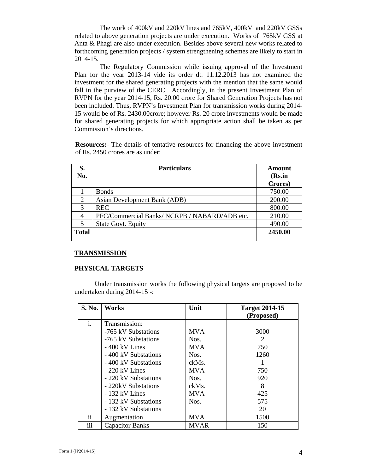The work of 400kV and 220kV lines and 765kV, 400kV and 220kV GSSs related to above generation projects are under execution. Works of 765kV GSS at Anta & Phagi are also under execution. Besides above several new works related to forthcoming generation projects / system strengthening schemes are likely to start in 2014-15.

The Regulatory Commission while issuing approval of the Investment Plan for the year 2013-14 vide its order dt. 11.12.2013 has not examined the investment for the shared generating projects with the mention that the same would fall in the purview of the CERC. Accordingly, in the present Investment Plan of RVPN for the year 2014-15, Rs. 20.00 crore for Shared Generation Projects has not been included. Thus, RVPN's Investment Plan for transmission works during 2014- 15 would be of Rs. 2430.00crore; however Rs. 20 crore investments would be made for shared generating projects for which appropriate action shall be taken as per Commission's directions.

**Resources:**- The details of tentative resources for financing the above investment of Rs. 2450 crores are as under:

| S.<br>No.    | <b>Particulars</b>                            | Amount<br>(Rs.in |
|--------------|-----------------------------------------------|------------------|
|              |                                               | Crores)          |
|              | <b>Bonds</b>                                  | 750.00           |
| 2            | Asian Development Bank (ADB)                  | 200.00           |
| 3            | <b>REC</b>                                    | 800.00           |
|              | PFC/Commercial Banks/ NCRPB / NABARD/ADB etc. | 210.00           |
|              | <b>State Govt. Equity</b>                     | 490.00           |
| <b>Total</b> |                                               | 2450.00          |

#### **TRANSMISSION**

#### **PHYSICAL TARGETS**

Under transmission works the following physical targets are proposed to be undertaken during 2014-15 -:

| <b>S. No.</b> | <b>Works</b>           | Unit        | <b>Target 2014-15</b><br>(Proposed) |
|---------------|------------------------|-------------|-------------------------------------|
| i.            | Transmission:          |             |                                     |
|               | -765 kV Substations    | <b>MVA</b>  | 3000                                |
|               | -765 kV Substations    | Nos.        | 2                                   |
|               | $-400$ kV Lines        | <b>MVA</b>  | 750                                 |
|               | - 400 kV Substations   | Nos.        | 1260                                |
|               | - 400 kV Substations   | ckMs.       |                                     |
|               | $-220$ kV Lines        | <b>MVA</b>  | 750                                 |
|               | - 220 kV Substations   | Nos.        | 920                                 |
|               | - 220kV Substations    | ckMs.       | 8                                   |
|               | $-132$ kV Lines        | <b>MVA</b>  | 425                                 |
|               | - 132 kV Substations   | Nos.        | 575                                 |
|               | - 132 kV Substations   |             | 20                                  |
| ii            | Augmentation           | <b>MVA</b>  | 1500                                |
| iii           | <b>Capacitor Banks</b> | <b>MVAR</b> | 150                                 |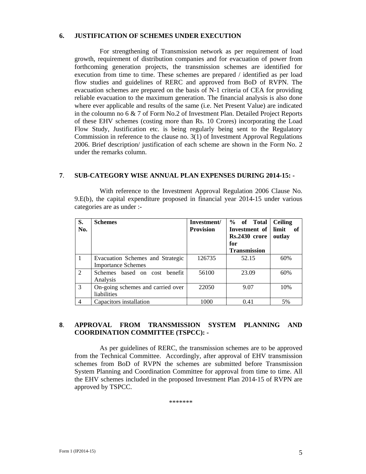#### **6. JUSTIFICATION OF SCHEMES UNDER EXECUTION**

For strengthening of Transmission network as per requirement of load growth, requirement of distribution companies and for evacuation of power from forthcoming generation projects, the transmission schemes are identified for execution from time to time. These schemes are prepared / identified as per load flow studies and guidelines of RERC and approved from BoD of RVPN. The evacuation schemes are prepared on the basis of N-1 criteria of CEA for providing reliable evacuation to the maximum generation. The financial analysis is also done where ever applicable and results of the same (i.e. Net Present Value) are indicated in the coloumn no 6 & 7 of Form No.2 of Investment Plan. Detailed Project Reports of these EHV schemes (costing more than Rs. 10 Crores) incorporating the Load Flow Study, Justification etc. is being regularly being sent to the Regulatory Commission in reference to the clause no. 3(1) of Investment Approval Regulations 2006. Brief description/ justification of each scheme are shown in the Form No. 2 under the remarks column.

#### **7**. **SUB-CATEGORY WISE ANNUAL PLAN EXPENSES DURING 2014-15: -**

With reference to the Investment Approval Regulation 2006 Clause No. 9.E(b), the capital expenditure proposed in financial year 2014-15 under various categories are as under :-

| S.<br>No.      | <b>Schemes</b>                    | Investment/<br><b>Provision</b> | % of Total<br>Investment of | <b>Ceiling</b><br>limit<br>- of |
|----------------|-----------------------------------|---------------------------------|-----------------------------|---------------------------------|
|                |                                   |                                 | Rs.2430 crore               | outlay                          |
|                |                                   |                                 | for                         |                                 |
|                |                                   |                                 | <b>Transmission</b>         |                                 |
|                | Evacuation Schemes and Strategic  | 126735                          | 52.15                       | 60%                             |
|                | <b>Importance Schemes</b>         |                                 |                             |                                 |
| $\overline{2}$ | Schemes based on cost benefit     | 56100                           | 23.09                       | 60%                             |
|                | Analysis                          |                                 |                             |                                 |
| $\mathcal{E}$  | On-going schemes and carried over | 22050                           | 9.07                        | 10%                             |
|                | liabilities                       |                                 |                             |                                 |
| 4              | Capacitors installation           | 1000                            | 0.41                        | 5%                              |

#### **8**. **APPROVAL FROM TRANSMISSION SYSTEM PLANNING AND COORDINATION COMMITTEE (TSPCC): -**

As per guidelines of RERC, the transmission schemes are to be approved from the Technical Committee. Accordingly, after approval of EHV transmission schemes from BoD of RVPN the schemes are submitted before Transmission System Planning and Coordination Committee for approval from time to time. All the EHV schemes included in the proposed Investment Plan 2014-15 of RVPN are approved by TSPCC.

\*\*\*\*\*\*\*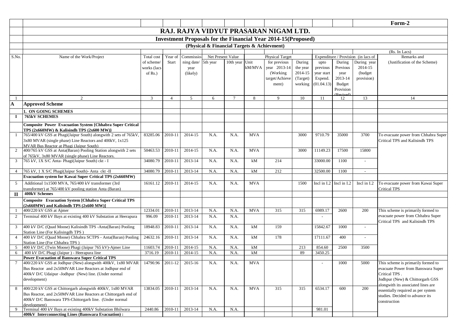|                |                                                                                                            |                     |                    |                     |              |                   |            |                                                                       |                     |                       |                             |                                     | Form-2                                                                   |
|----------------|------------------------------------------------------------------------------------------------------------|---------------------|--------------------|---------------------|--------------|-------------------|------------|-----------------------------------------------------------------------|---------------------|-----------------------|-----------------------------|-------------------------------------|--------------------------------------------------------------------------|
|                |                                                                                                            |                     |                    |                     |              |                   |            | RAJ. RAJYA VIDYUT PRASARAN NIGAM LTD.                                 |                     |                       |                             |                                     |                                                                          |
|                |                                                                                                            |                     |                    |                     |              |                   |            | <b>Investment Proposals for the Financial Year 2014-15 (Proposed)</b> |                     |                       |                             |                                     |                                                                          |
|                |                                                                                                            |                     |                    |                     |              |                   |            | (Physical & Financial Targets & Achievment)                           |                     |                       |                             |                                     |                                                                          |
|                |                                                                                                            |                     |                    |                     |              |                   |            |                                                                       |                     |                       |                             |                                     | (Rs. In Lacs)                                                            |
| S.No.          | Name of the Work/Project                                                                                   | Total cost          | Year of            | Commissio           |              | Net Present Value |            | <b>Physical Target</b>                                                |                     |                       |                             | Expenditure / Provision (in lacs of | Remarks and                                                              |
|                |                                                                                                            | of scheme/          | Start              | ning date/ 5th year |              | 10th year Unit    |            | for previous                                                          | During              | upto                  | During                      | During year                         | (Justification of the Scheme)                                            |
|                |                                                                                                            | works (lacs         |                    | year                |              |                   | kM/MVA     | year 2013-14                                                          | the year            | previous              | Previous                    | 2014-15                             |                                                                          |
|                |                                                                                                            | of $Rs.$ )          |                    | (likely)            |              |                   |            | (Working)                                                             | 2014-15             | year start            | year                        | (budget)                            |                                                                          |
|                |                                                                                                            |                     |                    |                     |              |                   |            | target/Achieve<br>ment)                                               | (Target)<br>working | Expend.<br>(01.04.13) | 2013-14<br><b>Budget</b>    | provision)                          |                                                                          |
|                |                                                                                                            |                     |                    |                     |              |                   |            |                                                                       |                     |                       | Provision                   |                                     |                                                                          |
|                | 2                                                                                                          | $\mathbf{3}$        | $\overline{4}$     | 5                   | 6            | $7\phantom{.0}$   | 8          | 9                                                                     | 10                  | -11                   | 12                          | 13                                  | 14                                                                       |
| A              | <b>Approved Scheme</b>                                                                                     |                     |                    |                     |              |                   |            |                                                                       |                     |                       |                             |                                     |                                                                          |
|                |                                                                                                            |                     |                    |                     |              |                   |            |                                                                       |                     |                       |                             |                                     |                                                                          |
| $\bf{I}$       | 1. ON GOING SCHEMES<br><b>765kV SCHEMES</b>                                                                |                     |                    |                     |              |                   |            |                                                                       |                     |                       |                             |                                     |                                                                          |
|                |                                                                                                            |                     |                    |                     |              |                   |            |                                                                       |                     |                       |                             |                                     |                                                                          |
|                | Composite Power Evacuation System {Chhabra Super Critical<br>TPS (2x660MW) & Kalisindh TPS (2x600 MW)}     |                     |                    |                     |              |                   |            |                                                                       |                     |                       |                             |                                     |                                                                          |
| -1             | 765/400 kV GSS at Phagi(Jaipur South) alongwith 2 sets of 765kV,                                           | 83285.06            | 2010-11            | 2014-15             | N.A.         | N.A.              | <b>MVA</b> |                                                                       | 3000                | 9710.79               | 35000                       | 3700                                | To evacuate power from Chhabra Super                                     |
|                | 3x80 MVAR (single phase) Line Reactors and 400kV, 1x125                                                    |                     |                    |                     |              |                   |            |                                                                       |                     |                       |                             |                                     | Critical TPS and Kalisindh TPS                                           |
| 2              | MVAR Bus Reactor at Phagi (Jaipur South)<br>400/765 kV GSS at Anta(Baran) Pooling Station alongwith 2 sets | 50463.53            | 2010-11            | 2014-15             | N.A.         | N.A.              | <b>MVA</b> |                                                                       | 3000                | 11149.23              | 17500                       | 15800                               |                                                                          |
|                | of 765kV, 3x80 MVAR (single phase) Line Reactors.                                                          |                     |                    |                     |              |                   |            |                                                                       |                     |                       |                             |                                     |                                                                          |
| 3              | 765 kV, 1X S/C Anta- Phagi(Jaipur South) ckt - I                                                           | 34080.79            | 2010-11            | 2013-14             | N.A.         | N.A.              | kM         | 214                                                                   |                     | 33000.00              | 1100                        |                                     |                                                                          |
| $\overline{4}$ | 765 kV, 1 X S/C Phagi(Jaipur South)- Anta ckt -II                                                          | 34080.79            | 2010-11            | 2013-14             | N.A.         | N.A.              | kM         | 212                                                                   |                     | 32500.00              | 1100                        | $\sim$                              |                                                                          |
|                | Evacuation system for Kawai Super Critical TPS (2x660MW)                                                   |                     |                    |                     |              |                   |            |                                                                       |                     |                       |                             |                                     |                                                                          |
| 5              | Additional 1x1500 MVA, 765/400 kV transformer (3rd                                                         | 16161.12            | 2010-11            | 2014-15             | N.A.         | N.A.              | <b>MVA</b> |                                                                       | 1500                |                       | Incl in $I.2$ Incl in $I.2$ | Incl in I.2                         | To evacuate power from Kawai Super                                       |
|                | transformer) at 765/400 kV pooling station Anta (Baran)                                                    |                     |                    |                     |              |                   |            |                                                                       |                     |                       |                             |                                     | <b>Critical TPS</b>                                                      |
| $\mathbf{I}$   | 400kV Schemes                                                                                              |                     |                    |                     |              |                   |            |                                                                       |                     |                       |                             |                                     |                                                                          |
|                | Composite Evacuation System [Chhabra Super Critical TPS<br>$(2x660MW)$ and Kalisindh TPS $(2x600MW)$ ]     |                     |                    |                     |              |                   |            |                                                                       |                     |                       |                             |                                     |                                                                          |
|                | 400/220 kV GSS at Ajmer                                                                                    | 12334.01            | 2010-11            | 2013-14             | N.A.         | N.A.              | <b>MVA</b> | 315                                                                   | 315                 | 6989.17               | 2600                        | 200                                 | This scheme is primarily formed to                                       |
| $\overline{2}$ | Terminal 400 kV Bays at existing 400 kV Substation at Heerapura                                            | 996.09              | 2010-11            | 2013-14             | N.A.         | N.A.              |            |                                                                       |                     |                       |                             |                                     | evacuate power from Chhabra Super<br>Critical TPS and Kalisindh TPS      |
| 3              | 400 kV D/C (Quad Moose) Kalisindh TPS -Anta(Baran) Pooling<br>Station Line (For Kalisingdh TPS)            | 18948.83            | 2010-11            | 2013-14             | N.A.         | N.A.              | kM         | 159                                                                   |                     | 15842.67              | 1000                        |                                     |                                                                          |
| $\overline{4}$ | 400 kV D/C (Quad Moose) Chhabra SCTPS - Anta(Baran) Pooling                                                | 24632.16            | 2010-11            | 2013-14             | N.A.         | N.A.              | kM         | 178                                                                   |                     | 17111.67              | 400                         |                                     |                                                                          |
|                | Station Line (For Chhabra TPS)                                                                             |                     |                    |                     |              |                   |            |                                                                       |                     |                       |                             |                                     |                                                                          |
| 5<br>6         | 400 kV D/C (Twin Moose) Phagi (Jaipur 765 kV)-Ajmer Line<br>400 kV D/C Phagi (Jaipur ) - Heerapura line    | 11603.74<br>3716.19 | 2010-11<br>2010-11 | 2014-15<br>2014-15  | N.A.<br>N.A. | N.A.<br>N.A.      | kM<br>kM   |                                                                       | 213<br>89           | 854.60<br>3450.25     | 2500                        | 3500                                |                                                                          |
|                | <b>Power Evacuation of Banswara Super Critical TPS</b>                                                     |                     |                    |                     |              |                   |            |                                                                       |                     |                       |                             |                                     |                                                                          |
|                | 400/220 kV GSS at Jodhpur (New) alongwith 400kV, 1x80 MVAR                                                 | 14790.96            | 2011-12            | 2015-16             | N.A.         | N.A.              | <b>MVA</b> |                                                                       |                     |                       | 1000                        | 5000                                | This scheme is primarily formed to                                       |
|                | Bus Reactor and 2x50MVAR Line Reactors at Jodhpur end of                                                   |                     |                    |                     |              |                   |            |                                                                       |                     |                       |                             |                                     | evacuate Power from Banswara Super                                       |
|                | 400kV D/C Udaipur -Jodhpur (New) line. (Under normal                                                       |                     |                    |                     |              |                   |            |                                                                       |                     |                       |                             |                                     | Critical TPS.                                                            |
|                | development)                                                                                               |                     |                    |                     |              |                   |            |                                                                       |                     |                       |                             |                                     | Jodhpur (New) & Chittorgarh GSS                                          |
| 8              | 400/220 kV GSS at Chittorgarh alongwith 400kV, 1x80 MVAR                                                   | 13834.05            | 2010-11            | 2013-14             | N.A.         | N.A.              | <b>MVA</b> | 315                                                                   | 315                 | 6534.17               | 600                         | 200                                 | alongwith its associated lines are<br>essentially required as per system |
|                | Bus Reactor, and 2x50MVAR Line Reactors at Chittorgarh end of                                              |                     |                    |                     |              |                   |            |                                                                       |                     |                       |                             |                                     | studies. Decided to advance its                                          |
|                | 400kV D/C Banswara TPS-Chittorgarh line. (Under normal                                                     |                     |                    |                     |              |                   |            |                                                                       |                     |                       |                             |                                     | construction                                                             |
| 9              | development)<br>Terminal 400 kV Bays at existing 400kV Substation Bhilwara                                 | 2440.86             | 2010-11            | 2013-14             | N.A.         | N.A.              |            |                                                                       |                     | 981.01                |                             |                                     |                                                                          |
|                | 400kV Interconnecting Lines (Banswara Evacuation) :                                                        |                     |                    |                     |              |                   |            |                                                                       |                     |                       |                             |                                     |                                                                          |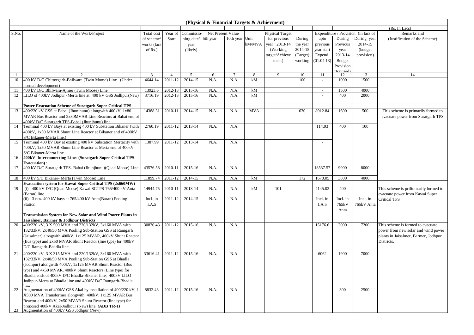|       |                                                                                                                     |             |                |            | (Physical & Financial Targets & Achievment) |                |            |                        |          |                          |           |                                     |                                       |
|-------|---------------------------------------------------------------------------------------------------------------------|-------------|----------------|------------|---------------------------------------------|----------------|------------|------------------------|----------|--------------------------|-----------|-------------------------------------|---------------------------------------|
|       |                                                                                                                     |             |                |            |                                             |                |            |                        |          |                          |           |                                     | (Rs. In Lacs)                         |
| S.No. | Name of the Work/Project                                                                                            | Total cost  | Year of        | Commissio- | Net Present Value                           |                |            | <b>Physical Target</b> |          |                          |           | Expenditure / Provision (in lacs of | Remarks and                           |
|       |                                                                                                                     | of scheme/  | Start          | ning date/ | 5th year                                    | 10th year Unit |            | for previous           | During   | upto                     | During    | During year                         | (Justification of the Scheme)         |
|       |                                                                                                                     | works (lacs |                | year       |                                             |                | kM/MVA     | year 2013-14           | the year | previous                 | Previous  | 2014-15                             |                                       |
|       |                                                                                                                     | of $Rs.$ )  |                | (likely)   |                                             |                |            | (Working)              | 2014-15  | year start               | year      | (budget                             |                                       |
|       |                                                                                                                     |             |                |            |                                             |                |            | target/Achieve         | (Target) | Expend.                  | 2013-14   | provision)                          |                                       |
|       |                                                                                                                     |             |                |            |                                             |                |            | ment)                  | working  | (01.04.13)               | Budget    |                                     |                                       |
|       |                                                                                                                     |             |                |            |                                             |                |            |                        |          |                          | Provision |                                     |                                       |
|       | $\mathfrak{D}$                                                                                                      | 3           | $\overline{4}$ | 5          | 6                                           | $\tau$         | 8          | 9                      | 10       | 11                       | 12        | 13                                  | 14                                    |
| 10    | 400 kV D/C Chittorgarh-Bhilwara (Twin Moose) Line (Under                                                            | 4644.14     | 2011-12        | 2014-15    | N.A.                                        | N.A.           | kM         |                        | 100      |                          | 1000      | 1500                                |                                       |
|       | normal development)                                                                                                 |             |                |            |                                             |                |            |                        |          |                          |           |                                     |                                       |
| 11    | 400 kV D/C Bhilwara-Ajmer (Twin Moose) Line                                                                         | 13923.6     | 2012-13        | 2015-16    | N.A.                                        | N.A.           | kM         |                        |          | $\overline{\phantom{a}}$ | 1500      | 4000                                |                                       |
| 12    | LILO of 400kV Jodhpur -Merta line at 400 kV GSS Jodhpur(New)                                                        | 3716.19     | 2012-13        | 2015-16    | N.A.                                        | N.A.           | kM         |                        |          |                          | 400       | 2000                                |                                       |
|       |                                                                                                                     |             |                |            |                                             |                |            |                        |          |                          |           |                                     |                                       |
|       | <b>Power Evacuation Scheme of Suratgarh Super Critical TPS</b>                                                      |             |                |            |                                             |                |            |                        |          |                          |           |                                     |                                       |
| 13    | 400/220 kV GSS at Babai (Jhunjhunu) alongwith 400kV, 1x80                                                           | 14388.31    | 2010-11        | 2014-15    | N.A.                                        | N.A.           | <b>MVA</b> |                        | 630      | 8912.84                  | 1600      | 500                                 | This scheme is primarily formed to    |
|       | MVAR Bus Reactor and 2x80MVAR Line Reactors at Babai end of                                                         |             |                |            |                                             |                |            |                        |          |                          |           |                                     | evacuate power from Suratgarh TPS     |
| 14    | 400kV D/C Suratgarh TPS-Babai (Jhunjhunu) line.<br>Terminal 400 kV Bays at existing 400 kV Substation Bikaner (with | 2760.19     | 2011-12        | 2013-14    | N.A.                                        | N.A.           |            |                        |          | 114.93                   | 400       | 100                                 |                                       |
|       | 400kV, 1x50 MVAR Shunt Line Reactor at Bikaner end of 400kV                                                         |             |                |            |                                             |                |            |                        |          |                          |           |                                     |                                       |
|       | S/C Bikaner-Merta line.)                                                                                            |             |                |            |                                             |                |            |                        |          |                          |           |                                     |                                       |
| 15    | Terminal 400 kV Bay at existing 400 kV Substation Mertacity with                                                    | 1387.99     | 2011-12        | 2013-14    | N.A.                                        | N.A.           |            |                        |          |                          |           |                                     |                                       |
|       | 400kV, 1x50 MVAR Shunt Line Reactor at Merta end of 400kV                                                           |             |                |            |                                             |                |            |                        |          |                          |           |                                     |                                       |
|       | S/C Bikaner-Merta line.                                                                                             |             |                |            |                                             |                |            |                        |          |                          |           |                                     |                                       |
| 16    | 400kV Interconnecting Lines (Suratgarh Super Critical TPS                                                           |             |                |            |                                             |                |            |                        |          |                          |           |                                     |                                       |
|       | Evacuation) :                                                                                                       |             |                |            |                                             |                |            |                        |          |                          |           |                                     |                                       |
| 17    | 400 kV D/C Suratgarh TPS- Babai (Jhunjhunu)(Quad Moose) Line                                                        | 43576.58    | 2010-11        | 2015-16    | N.A.                                        | N.A.           |            |                        |          | 18537.57                 | 9000      | 8000                                |                                       |
|       |                                                                                                                     |             |                |            |                                             |                |            |                        |          |                          |           |                                     |                                       |
| 18    | 400 kV S/C Bikaner- Merta (Twin Moose) Line<br>Evacuation system for Kawai Super Critical TPS (2x660MW)             | 11899.74    | 2011-12        | 2014-15    | N.A.                                        | N.A.           | kM         |                        | 172      | 1670.05                  | 3800      | 4000                                |                                       |
| 19    | (i) 400 kV D/C (Quad Moose) Kawai SCTPS-765/400 kV Anta                                                             | 14944.75    | 2010-11        | 2013-14    | N.A.                                        | N.A.           | kM         | 101                    |          | 4145.02                  | 400       | $\blacksquare$                      | This scheme is prilimnarily formed to |
|       | (Baran) line                                                                                                        |             |                |            |                                             |                |            |                        |          |                          |           |                                     | evacuate power from Kawai Super       |
|       | (ii) 3 nos. 400 kV bays at 765/400 kV Anta(Baran) Pooling                                                           | Incl. in    | $2011 - 12$    | 2014-15    | N.A.                                        | N.A.           |            |                        |          | Incl. in                 | Incl. in  | Incl. in                            | <b>Critical TPS</b>                   |
|       | Station                                                                                                             | I.A.5       |                |            |                                             |                |            |                        |          | I.A.5                    | 765kV     | 765kV Anta                          |                                       |
|       |                                                                                                                     |             |                |            |                                             |                |            |                        |          |                          | Anta      |                                     |                                       |
|       | <b>Transmission System for New Solar and Wind Power Plants in</b>                                                   |             |                |            |                                             |                |            |                        |          |                          |           |                                     |                                       |
|       | Jaisalmer, Barmer & Jodhpur Districts                                                                               |             |                |            |                                             |                |            |                        |          |                          |           |                                     |                                       |
| 20    | 400/220 kV, 3 X 500 MVA and 220/132kV, 3x160 MVA with                                                               | 30820.43    | 2011-12        | 2015-16    | N.A.                                        | N.A.           |            |                        |          | 15176.6                  | 2000      | 7200                                | This scheme is formed to evacuate     |
|       | 132/33kV, 2x40/50 MVA Pooling Sub-Station GSS at Ramgarh                                                            |             |                |            |                                             |                |            |                        |          |                          |           |                                     | power from new solar and wind power   |
|       | (Jaisalmer) alongwith 400kV, 1x125 MVAR, 400kV Shunt Reactor                                                        |             |                |            |                                             |                |            |                        |          |                          |           |                                     | plants in Jaisalmer, Barmer, Jodhpur  |
|       | (Bus type) and 2x50 MVAR Shunt Reactor (line type) for 400kV                                                        |             |                |            |                                             |                |            |                        |          |                          |           |                                     | Districts.                            |
|       | D/C Ramgarh-Bhadla line                                                                                             |             |                |            |                                             |                |            |                        |          |                          |           |                                     |                                       |
| 21    | 400/220 kV, 3 X 315 MVA and 220/132kV, 3x160 MVA with                                                               | 33616.41    | 2011-12        | 2015-16    | N.A.                                        | N.A.           |            |                        |          | 6062                     | 1900      | 7000                                |                                       |
|       | 132/33kV, 2x40/50 MVA Pooling Sub-Station GSS at Bhadla                                                             |             |                |            |                                             |                |            |                        |          |                          |           |                                     |                                       |
|       | (Jodhpur) alongwith 400kV, 1x125 MVAR Shunt Reactor (Bus                                                            |             |                |            |                                             |                |            |                        |          |                          |           |                                     |                                       |
|       | type) and 4x50 MVAR, 400kV Shunt Reactors (Line type) for                                                           |             |                |            |                                             |                |            |                        |          |                          |           |                                     |                                       |
|       | Bhadla ends of 400kV D/C Bhadla-Bikaner line, 400kV LILO                                                            |             |                |            |                                             |                |            |                        |          |                          |           |                                     |                                       |
|       | Jodhpur-Merta at Bhadla line and 400kV D/C Ramgarh-Bhadla                                                           |             |                |            |                                             |                |            |                        |          |                          |           |                                     |                                       |
| 22    | Augmentation of 400kV GSS Akal by installation of 400/220 kV, 1                                                     | 8832.48     | 2011-12        | 2015-16    | N.A.                                        | N.A.           |            |                        |          |                          | 300       | 2500                                |                                       |
|       | X500 MVA Transformer alongwith 400kV, 1x125 MVAR Bus                                                                |             |                |            |                                             |                |            |                        |          |                          |           |                                     |                                       |
|       | Reactor and 400kV, 2x50 MVAR Shunt Reactor (line type) for                                                          |             |                |            |                                             |                |            |                        |          |                          |           |                                     |                                       |
|       | proposed 400kV Akal-Jodhnur (New) line. (ADB TR-1)                                                                  |             |                |            |                                             |                |            |                        |          |                          |           |                                     |                                       |
|       | 23 Augmentation of 400kV GSS Jodhpur (New)                                                                          |             |                |            |                                             |                |            |                        |          |                          |           |                                     |                                       |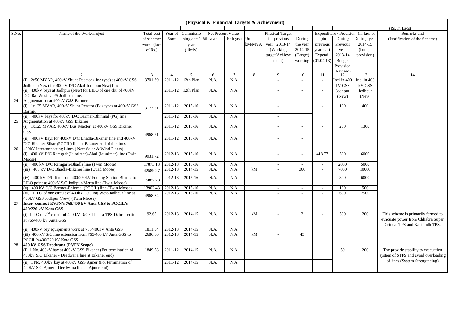|       |                                                                                                        |             |                      |                     | (Physical & Financial Targets & Achievment) |                   |        |                        |                          |                          |             |                                     |                                      |
|-------|--------------------------------------------------------------------------------------------------------|-------------|----------------------|---------------------|---------------------------------------------|-------------------|--------|------------------------|--------------------------|--------------------------|-------------|-------------------------------------|--------------------------------------|
|       |                                                                                                        |             |                      |                     |                                             |                   |        |                        |                          |                          |             |                                     | (Rs. In Lacs)                        |
| S.No. | Name of the Work/Project                                                                               | Total cost  | Year of              | Commissio-          |                                             | Net Present Value |        | <b>Physical Target</b> |                          |                          |             | Expenditure / Provision (in lacs of | Remarks and                          |
|       |                                                                                                        | of scheme/  | Start                | ning date/ 5th year |                                             | 10th year Unit    |        | for previous           | During                   | upto                     | During      | During year                         | (Justification of the Scheme)        |
|       |                                                                                                        | works (lacs |                      | year                |                                             |                   | kM/MVA | vear 2013-14           | the year                 | previous                 | Previous    | 2014-15                             |                                      |
|       |                                                                                                        | of $Rs.$ )  |                      | (likely)            |                                             |                   |        | (Working               | 2014-15                  | year start               | year        | (budget                             |                                      |
|       |                                                                                                        |             |                      |                     |                                             |                   |        | target/Achieve         | (Target)                 | Expend.                  | 2013-14     | provision)                          |                                      |
|       |                                                                                                        |             |                      |                     |                                             |                   |        | ment)                  |                          | working (01.04.13)       | Budget      |                                     |                                      |
|       |                                                                                                        |             |                      |                     |                                             |                   |        |                        |                          |                          | Provision   |                                     |                                      |
|       |                                                                                                        |             |                      |                     |                                             |                   |        |                        |                          |                          |             |                                     |                                      |
|       |                                                                                                        | 3           | $\overline{4}$       | 5                   | 6                                           | $\tau$            | 8      | 9                      | 10                       | 11                       | 12          | 13                                  | 14                                   |
|       | (i) 2x50 MVAR, 400kV Shunt Reactor (line type) at 400kV GSS                                            | 3701.39     | 2011-12              | 12th Plan           | N.A.                                        | N.A.              |        |                        |                          | $\sim$                   | Incl in 400 | Incl in 400                         |                                      |
|       | Jodhpur (New) for 400kV D/C Akal-Jodhpur(New) line                                                     |             |                      |                     |                                             |                   |        |                        |                          |                          | kV GSS      | kV GSS                              |                                      |
|       | (ii) 400kV bays at Jodhpur (New) for LILO of one ckt. of 400kV                                         |             | 2011-12              | 12th Plan           | N.A.                                        | N.A.              |        |                        |                          | $\sim$                   | Jodhpur     | Jodhpur                             |                                      |
|       | D/C Raj West LTPS-Jodhpur line.                                                                        |             |                      |                     |                                             |                   |        |                        |                          |                          | (New)       | (New)                               |                                      |
| 24    | Augmentation at 400kV GSS Barmer                                                                       |             |                      |                     |                                             |                   |        |                        |                          | $\sim$                   |             |                                     |                                      |
|       | (i) 1x125 MVAR, 400kV Shunt Reactor (Bus type) at 400kV GSS                                            | 3177.51     | 2011-12              | 2015-16             | N.A.                                        | N.A.              |        |                        |                          |                          | 100         | 400                                 |                                      |
|       | Barmer                                                                                                 |             |                      |                     |                                             |                   |        |                        |                          |                          |             |                                     |                                      |
|       | (ii) 400kV bays for 400kV D/C Barmer-Bhinmal (PG) line                                                 |             | $\overline{2011-12}$ | 2015-16             | N.A.                                        | N.A.              |        | $\sim$                 |                          |                          |             |                                     |                                      |
| 25    | Augmentation at 400kV GSS Bikaner                                                                      |             |                      |                     |                                             |                   |        |                        |                          |                          |             |                                     |                                      |
|       | (i) 1x125 MVAR, 400kV Bus Reactor at 400kV GSS Bikaner                                                 |             | 2011-12              | 2015-16             | N.A.                                        | N.A.              |        | $\sim$                 |                          |                          | 200         | 1300                                |                                      |
|       | <b>GSS</b>                                                                                             | 4968.21     |                      |                     |                                             |                   |        |                        |                          |                          |             |                                     |                                      |
|       | (ii) 400kV Bays for 400kV D/C Bhadla-Bikaner line and 400kV                                            |             | 2011-12              | 2015-16             | N.A.                                        | N.A.              |        |                        |                          |                          |             |                                     |                                      |
|       | D/C Bikaner-Sikar (PGCIL) line at Bikaner end of the lines                                             |             |                      |                     |                                             |                   |        |                        |                          |                          |             |                                     |                                      |
| 26    | 400kV Interconnecting Lines (New Solar & Wind Plants):                                                 |             |                      |                     |                                             |                   |        |                        | $\sim$                   |                          |             |                                     |                                      |
|       | (i) 400 kV D/C Ramgarh(Jaisalmer)-Akal (Jaisalmer) line (Twin                                          | 9931.72     | $2012 - 13$          | 2015-16             | N.A.                                        | N.A.              |        |                        | $\sim$                   | 418.77                   | 500         | 6000                                |                                      |
|       | Moose)                                                                                                 |             |                      |                     |                                             |                   |        |                        |                          |                          |             |                                     |                                      |
|       | (ii) 400 kV D/C Ramgarh-Bhadla line (Twin Moose)                                                       | 17873.13    | 2012-13              | 2015-16             | N.A.                                        | N.A.              |        | $\sim$                 | $\sim$                   | $\sim$                   | 2000        | 5000                                |                                      |
|       | (iii) 400 kV D/C Bhadla-Bikaner line (Quad Moose)                                                      | 42589.27    | $2012 - 13$          | 2014-15             | N.A.                                        | N.A.              | kM     |                        | 360                      |                          | 7000        | 10000                               |                                      |
|       |                                                                                                        |             |                      |                     |                                             |                   |        |                        |                          |                          |             |                                     |                                      |
|       | (iv) 400 kV D/C line from 400/220kV Pooling Station Bhadla to                                          | 15887.78    | 2012-13              | 2015-16             | N.A.                                        | N.A.              |        | $\sim$                 | $\overline{\phantom{a}}$ | $\sim$                   | 800         | 6000                                |                                      |
|       | LILO point at 400kV S/C Jodhpur-Merta line (Twin Moose)                                                |             |                      |                     |                                             |                   |        |                        |                          |                          |             |                                     |                                      |
|       | (v) 400 kV D/C Barmer-Bhinmal (PGCIL) line (Twin Moose)                                                | 13902.43    | 2012-13              | 2015-16             | N.A.                                        | N.A.              |        | $\sim$                 | $\overline{\phantom{a}}$ | $\overline{\phantom{a}}$ | 100         | 500                                 |                                      |
|       | (vi) LILO of one circuit of 400kV D/C Raj West-Jodhpur line at<br>400kV GSS Jodhpur (New) (Twin Moose) | 4968.34     | 2012-13              | 2015-16             | N.A.                                        | N.A.              |        |                        |                          |                          | 600         | 2500                                |                                      |
| 27    | Inter-connect RVPN's 765/400 kV Anta GSS to PGCIL's                                                    |             |                      |                     |                                             |                   |        |                        |                          |                          |             |                                     |                                      |
|       | 400/220 kV Kota GSS                                                                                    |             |                      |                     |                                             |                   |        |                        |                          |                          |             |                                     |                                      |
|       | (i) LILO of 2 <sup>nd</sup> circuit of 400 kV D/C Chhabra TPS-Dahra section                            | 92.65       | 2012-13              | 2014-15             | N.A.                                        | N.A.              | kM     |                        | 2                        |                          | 500         | 200                                 | This scheme is primarily formed to   |
|       | at 765/400 kV Anta GSS                                                                                 |             |                      |                     |                                             |                   |        |                        |                          |                          |             |                                     | evacuate power from Chhabra Super    |
|       |                                                                                                        |             |                      |                     |                                             |                   |        |                        |                          |                          |             |                                     | Critical TPS and Kalisindh TPS.      |
|       | (ii) 400kV bay equipments work at 765/400kV Anta GSS                                                   | 1811.54     | 2012-13              | 2014-15             | N.A.                                        | N.A.              |        |                        |                          |                          |             |                                     |                                      |
|       | (iii) 400 kV S/C line extension from 765/400 kV Anta GSS to                                            | 2686.80     | 2012-13              | 2014-15             | N.A.                                        | N.A.              | kM     |                        | 45                       |                          |             |                                     |                                      |
|       | PGCIL's 400/220 kV Kota GSS                                                                            |             |                      |                     |                                             |                   |        |                        |                          |                          |             |                                     |                                      |
| 28    | 400 kV GSS Deedwana (RVPN Scope)                                                                       |             |                      |                     |                                             |                   |        |                        |                          |                          |             |                                     |                                      |
|       | (i) 1 No. 400kV bay at 400kV GSS Bikaner (For termination of                                           | 1849.58     | 2011-12              | 2014-15             | N.A.                                        | N.A.              |        |                        |                          |                          | 50          | 200                                 | The provide stability to evacuation  |
|       | 400kV S/C Bikaner - Deedwana line at Bikaner end)                                                      |             |                      |                     |                                             |                   |        |                        |                          |                          |             |                                     | system of STPS and avoid overloading |
|       | (ii) 1 No. 400kV bay at 400kV GSS Ajmer (For termination of                                            |             | 2011-12              | 2014-15             | N.A.                                        | N.A.              |        |                        |                          |                          |             |                                     | of lines (System Strengtheing)       |
|       |                                                                                                        |             |                      |                     |                                             |                   |        |                        |                          |                          |             |                                     |                                      |
|       | 400kV S/C Ajmer - Deedwana line at Ajmer end)                                                          |             |                      |                     |                                             |                   |        |                        |                          |                          |             |                                     |                                      |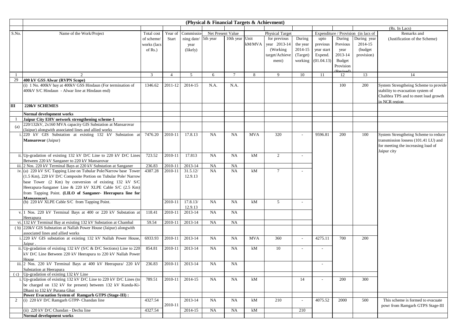|                |                                                                                   |              |                |            | (Physical & Financial Targets & Achievment) |                |            |                        |                          |            |           |                                     |                                       |
|----------------|-----------------------------------------------------------------------------------|--------------|----------------|------------|---------------------------------------------|----------------|------------|------------------------|--------------------------|------------|-----------|-------------------------------------|---------------------------------------|
|                |                                                                                   |              |                |            |                                             |                |            |                        |                          |            |           |                                     | (Rs. In Lacs)                         |
| S.No.          | Name of the Work/Project                                                          | Total cost   | Year of        | Commissio  | Net Present Value                           |                |            | <b>Physical Target</b> |                          |            |           | Expenditure / Provision (in lacs of | Remarks and                           |
|                |                                                                                   | of scheme/   | Start          | ning date/ | 5th year                                    | 10th year Unit |            | for previous           | During                   | upto       | During    | During year                         | (Justification of the Scheme)         |
|                |                                                                                   | works (lacs  |                | year       |                                             |                | kM/MVA     | year 2013-14           | the year                 | previous   | Previous  | 2014-15                             |                                       |
|                |                                                                                   | of $Rs.$ )   |                | (likely)   |                                             |                |            | (Working)              | 2014-15                  | year start | year      | (budget)                            |                                       |
|                |                                                                                   |              |                |            |                                             |                |            | target/Achieve         | (Target)                 | Expend.    | 2013-14   | provision)                          |                                       |
|                |                                                                                   |              |                |            |                                             |                |            | ment)                  | working                  | (01.04.13) | Budget    |                                     |                                       |
|                |                                                                                   |              |                |            |                                             |                |            |                        |                          |            | Provision |                                     |                                       |
|                | $\mathcal{L}$                                                                     |              | $\overline{4}$ | 5          |                                             | $\tau$         |            | 9                      |                          |            |           |                                     |                                       |
| 29             | 400 kV GSS Alwar (RVPN Scope)                                                     | $\mathbf{3}$ |                |            | 6                                           |                | 8          |                        | 10                       | 11         | 12        | 13                                  | 14                                    |
|                | (i) 1 No. 400kV bay at 400kV GSS Hindaun (For termination of                      | 1346.62      | 2011-12        | 2014-15    | N.A.                                        | N.A.           |            |                        |                          |            | 100       | 200                                 | System Strengtheing Scheme to provide |
|                | 400kV S/C Hindaun - Alwar line at Hindaun end)                                    |              |                |            |                                             |                |            |                        |                          |            |           |                                     | stability to evacuation system of     |
|                |                                                                                   |              |                |            |                                             |                |            |                        |                          |            |           |                                     | Chahbra TPS and to meet load growth   |
|                |                                                                                   |              |                |            |                                             |                |            |                        |                          |            |           |                                     | in NCR region                         |
| $\mathbf{m}$   | <b>220kV SCHEMES</b>                                                              |              |                |            |                                             |                |            |                        |                          |            |           |                                     |                                       |
|                |                                                                                   |              |                |            |                                             |                |            |                        |                          |            |           |                                     |                                       |
|                | Normal development works<br>Jaipur City EHV network strengthening scheme-1        |              |                |            |                                             |                |            |                        |                          |            |           |                                     |                                       |
|                | 220/132kV, 2x160 MVA capacity GIS Substation at Mansarovar                        |              |                |            |                                             |                |            |                        |                          |            |           |                                     |                                       |
| (a)            | (Jaipur) alongwith associated lines and allied works                              |              |                |            |                                             |                |            |                        |                          |            |           |                                     |                                       |
|                | i. 220 kV GIS Substation at existing 132 kV Substation at                         | 7476.20      | 2010-11        | 17.8.13    | <b>NA</b>                                   | <b>NA</b>      | <b>MVA</b> | 320                    |                          | 9596.81    | 200       | 100                                 | System Strengtheing Scheme to reduce  |
|                | Mansarovar (Jaipur)                                                               |              |                |            |                                             |                |            |                        |                          |            |           |                                     | transmission lossess (101.41 LU) and  |
|                |                                                                                   |              |                |            |                                             |                |            |                        |                          |            |           |                                     | for meeting the increasing load of    |
|                |                                                                                   |              |                |            |                                             |                |            |                        |                          |            |           |                                     | Jaipur city                           |
|                | ii. Up-gradation of existing 132 kV D/C Line to 220 kV D/C Lines                  | 723.52       | 2010-11        | 17.813     | <b>NA</b>                                   | <b>NA</b>      | kM         | 2                      |                          |            |           |                                     |                                       |
|                | Between 220 kV Sanganer to 220 kV Mansarovar                                      |              |                |            |                                             |                |            |                        |                          |            |           |                                     |                                       |
|                | iii. 2 Nos. 220 kV Terminal Bays at 220 kV Substation at Sanganer                 | 236.83       | 2010-11        | 2013-14    | <b>NA</b>                                   | <b>NA</b>      |            |                        |                          |            |           |                                     |                                       |
|                | iv. (a) $220 \text{ kV}$ S/C Tapping Line on Tubular Pole/Narrow base Tower       | 4387.28      | 2010-11        | 31.5.12/   | NA                                          | <b>NA</b>      | kM         | $\tau$                 |                          |            |           |                                     |                                       |
|                | (1.5 Km), 220 kV D/C Composite Portion on Tubular Pole/ Narrow                    |              |                | 12.9.13    |                                             |                |            |                        |                          |            |           |                                     |                                       |
|                | base Tower (2 Km) by conversion of existing 132 kV S/C                            |              |                |            |                                             |                |            |                        |                          |            |           |                                     |                                       |
|                | Heerapura-Sanganer Line & 220 kV XLPE Cable S/C (2.5 Km)                          |              |                |            |                                             |                |            |                        |                          |            |           |                                     |                                       |
|                | from Tapping Point. (LILO of Sanganer- Heerapura line for                         |              |                |            |                                             |                |            |                        |                          |            |           |                                     |                                       |
|                | Mansarovar)<br>(b) 220 kV XLPE Cable S/C from Tapping Point.                      |              | 2010-11        | 17.8.13/   | NA                                          | <b>NA</b>      | kM         | 5                      | $\overline{\phantom{a}}$ |            |           |                                     |                                       |
|                |                                                                                   |              |                | 12.9.13    |                                             |                |            |                        |                          |            |           |                                     |                                       |
|                | v. 1 Nos. 220 kV Terminal Bays at 400 or 220 kV Substation at                     | 118.41       | 2010-11        | 2013-14    | <b>NA</b>                                   | <b>NA</b>      |            |                        |                          |            |           |                                     |                                       |
|                | Heerapura                                                                         |              |                |            |                                             |                |            |                        |                          |            |           |                                     |                                       |
|                | vi. 132 kV Terminal Bay at existing 132 kV Substation at Chambal                  | 59.54        | 2010-11        | 2013-14    | <b>NA</b>                                   | <b>NA</b>      |            |                        |                          |            |           |                                     |                                       |
|                | (b) 220kV GIS Substation at Nallah Power House (Jaipur) alongwith                 |              |                |            |                                             |                |            |                        |                          |            |           |                                     |                                       |
|                | associated lines and allied works                                                 |              |                |            |                                             |                |            |                        |                          |            |           |                                     |                                       |
|                | i. 220 kV GIS substation at existing 132 kV Nallah Power House                    | 6933.93      | 2010-11        | 2013-14    | <b>NA</b>                                   | <b>NA</b>      | <b>MVA</b> | 360                    | $\sim$                   | 4275.11    | 700       | 200                                 |                                       |
|                | Jaipur<br>ii. Up-gradation of existing 132 kV ( $S/C & D/C$ Sections) Line to 220 | 854.81       | 2010-11        | 2013-14    | <b>NA</b>                                   | <b>NA</b>      | kM         | 10                     |                          |            |           |                                     |                                       |
|                | kV D/C Line Between 220 kV Heerapura to 220 kV Nallah Power                       |              |                |            |                                             |                |            |                        | $\sim$                   |            |           |                                     |                                       |
|                | House                                                                             |              |                |            |                                             |                |            |                        |                          |            |           |                                     |                                       |
|                | iii. 2 Nos. 220 kV Terminal Bays at 400 kV Heerapura/ 220 kV                      | 236.83       | 2010-11        | 2013-14    | <b>NA</b>                                   | NA             |            |                        |                          |            |           |                                     |                                       |
|                | Substation at Heerapura                                                           |              |                |            |                                             |                |            |                        |                          |            |           |                                     |                                       |
|                | (c) Up-gradation of existing 132 kV Line                                          |              |                |            |                                             |                |            |                        |                          |            |           |                                     |                                       |
|                | i. Up-gradation of existing 132 kV D/C Line to 220 kV D/C Lines (to               | 789.51       | 2010-11        | 2014-15    | NA                                          | <b>NA</b>      | kM         |                        | 14                       |            | 200       | 300                                 |                                       |
|                | be charged on 132 kV for present) between 132 kV Kunda-Ki-                        |              |                |            |                                             |                |            |                        |                          |            |           |                                     |                                       |
|                | Dhani to 132 kV Purana Ghat                                                       |              |                |            |                                             |                |            |                        |                          |            |           |                                     |                                       |
|                | Power Evacuation System of Ramgarh GTPS (Stage-III) :                             |              |                |            |                                             |                |            |                        |                          |            |           |                                     |                                       |
| $\overline{2}$ | (i) 220 kV D/C Ramgarh GTPP- Chandan line                                         | 4327.54      | 2010-11        | 2013-14    | <b>NA</b>                                   | <b>NA</b>      | kM         | 210                    | $\sim$                   | 4075.52    | 2000      | 500                                 | This scheme is formed to evacuate     |
|                | (ii) 220 kV D/C Chandan - Dechu line                                              | 4327.54      |                | 2014-15    | NA                                          | NA             | kM         |                        | 210                      |            |           |                                     | powr from Ramgarh GTPS Stage-III      |
|                | Normal development works                                                          |              |                |            |                                             |                |            |                        |                          |            |           |                                     |                                       |
|                |                                                                                   |              |                |            |                                             |                |            |                        |                          |            |           |                                     |                                       |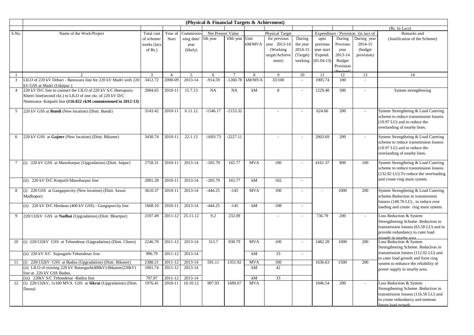|                 |                                                                     |              |                |                     | (Physical & Financial Targets & Achievment) |                |            |                        |                          |            |           |                                     |                                                   |
|-----------------|---------------------------------------------------------------------|--------------|----------------|---------------------|---------------------------------------------|----------------|------------|------------------------|--------------------------|------------|-----------|-------------------------------------|---------------------------------------------------|
|                 |                                                                     |              |                |                     |                                             |                |            |                        |                          |            |           |                                     | (Rs. In Lacs)                                     |
| S.No.           | Name of the Work/Project                                            | Total cost   | Year of        | Commissio           | Net Present Value                           |                |            | <b>Physical Target</b> |                          |            |           | Expenditure / Provision (in lacs of | Remarks and                                       |
|                 |                                                                     | of scheme/   | Start          | ning date/ 5th year |                                             | 10th year Unit |            | for previous           | During                   | upto       | During    | During year                         | (Justification of the Scheme)                     |
|                 |                                                                     | works (lacs  |                | year                |                                             |                | kM/MVA     | year 2013-14           | the year                 | previous   | Previous  | 2014-15                             |                                                   |
|                 |                                                                     | of $Rs.$ )   |                | (likely)            |                                             |                |            | (Working)              | 2014-15                  | year start | year      | (budget                             |                                                   |
|                 |                                                                     |              |                |                     |                                             |                |            | target/Achieve         | (Target)                 | Expend.    | 2013-14   | provision)                          |                                                   |
|                 |                                                                     |              |                |                     |                                             |                |            | ment)                  | working                  | (01.04.13) | Budget    |                                     |                                                   |
|                 |                                                                     |              |                |                     |                                             |                |            |                        |                          |            | Provision |                                     |                                                   |
| $\mathbf{1}$    | $\mathcal{D}$                                                       | $\mathbf{3}$ | $\overline{4}$ | 5                   | 6                                           | $\tau$         | 8          | $\mathbf{Q}$           | 10                       | 11         | 12        | 13                                  | 14                                                |
| 3               | LILO of 220 kV Debari - Banswara line for 220 kV Madri with 220     | 3412.72      | 2008-09        | 2013-14             | $-914.59$                                   | $-1260.78$     | kM/MVA     | 33/100                 | $\overline{a}$           | 1905.74    | 100       |                                     |                                                   |
|                 | kV GSS at Madri (Udaipur)                                           |              |                |                     |                                             |                |            |                        |                          |            |           |                                     |                                                   |
| $\overline{4}$  | 220 kV D/C line to connect the LILO of 220 kV S/C Heerapura-        | 2004.65      | 2010-11        | 15.7.13             | NA                                          | <b>NA</b>      | kM         | 8                      | $\sim$                   | 1229.48    | 500       | $\overline{\phantom{a}}$            | System strengthening                              |
|                 | Khetri line(second ckt.) to LILO of one ckt. of 220 kV D/C          |              |                |                     |                                             |                |            |                        |                          |            |           |                                     |                                                   |
|                 | Neemrana- Kotputli line (116.822 ckM commissioned in 2012-13)       |              |                |                     |                                             |                |            |                        |                          |            |           |                                     |                                                   |
| 5               | 220 kV GSS at <b>Bundi</b> (New location) (Distt. Bundi)            | 3143.42      | 2010-11        | 6.11.12             | $-1546.17$                                  | $-2153.32$     |            |                        |                          | 624.66     | 200       |                                     | System Strengtheing & Load Catering               |
|                 |                                                                     |              |                |                     |                                             |                |            |                        |                          |            |           |                                     | scheme to reduce transmission lossess             |
|                 |                                                                     |              |                |                     |                                             |                |            |                        |                          |            |           |                                     | (10.97 LU) and to reduce the                      |
|                 |                                                                     |              |                |                     |                                             |                |            |                        |                          |            |           |                                     | overlaoding of nearby lines.                      |
|                 |                                                                     |              |                |                     |                                             |                |            |                        |                          |            |           |                                     |                                                   |
| 6               | 220 kV GSS at Gajner (New location) (Distt. Bikaner)                | 3430.74      | 2010-11        | 22.1.13             | $-1693.73$                                  | $-2227.11$     |            |                        | $\sim$                   | 2003.69    | 200       |                                     | System Strengtheing & Load Catering               |
|                 |                                                                     |              |                |                     |                                             |                |            |                        |                          |            |           |                                     | scheme to reduce transmission lossess             |
|                 |                                                                     |              |                |                     |                                             |                |            |                        |                          |            |           |                                     | (10.97 LU) and to reduce the                      |
|                 |                                                                     |              |                |                     |                                             |                |            |                        |                          |            |           |                                     | overlaoding of nearby lines.                      |
| $7\overline{ }$ | (i) 220 kV GSS at Manoharpur (Upgradation) (Distt. Jaipur)          | 2758.31      | 2010-11        | 2013-14             | $-205.79$                                   | 165.77         | <b>MVA</b> | 100                    | $\sim$                   | 4161.37    | 800       | 100                                 | System Strengtheing & Load Catering               |
|                 |                                                                     |              |                |                     |                                             |                |            |                        |                          |            |           |                                     | scheme to reduce transmission lossess             |
|                 |                                                                     |              |                |                     |                                             |                |            |                        |                          |            |           |                                     | (132.82 LU). To reduce the overloading            |
|                 | (ii) 220 kV D/C Kotputli-Manoharpur line                            | 2001.28      | 2010-11        | 2013-14             | $-205.79$                                   | 165.77         | kM         | 102                    | $\sim$                   |            |           |                                     | and create ring main system.                      |
|                 |                                                                     |              |                |                     |                                             |                |            |                        |                          |            |           |                                     |                                                   |
| 8               | (i) 220 GSS at Gangapurcity (New location) (Distt. Sawai            | 3610.37      | 2010-11        | 2013-14             | $-444.25$                                   | $-145$         | <b>MVA</b> | 100                    | $\sim$                   |            | 1000      | 200                                 | System Strengtheing & Load Catering               |
|                 | Madhopur)                                                           |              |                |                     |                                             |                |            |                        |                          |            |           |                                     | scheme.Reduction in transmission                  |
|                 | (ii) 220 kV D/C Hindaun (400 kV GSS) - Gangapurcity line            | 1668.10      | 2010-11        | 2013-14             | $-444.25$                                   | $-145$         | kM         | 108                    | $\overline{a}$           |            |           |                                     | lossess (140.76 LU), to reduce over               |
|                 |                                                                     |              |                |                     |                                             |                |            |                        |                          |            |           |                                     | loading and create ring main system.              |
| 9               | 220/132kV GSS at Nadbai (Upgradation) (Distt. Bhartpur)             | 2107.49      | 2011-12        | 25.11.12            | 9.2                                         | 232.09         |            |                        | $\sim$                   | 736.79     | 200       | $\overline{a}$                      | Loss Reduction & System                           |
|                 |                                                                     |              |                |                     |                                             |                |            |                        |                          |            |           |                                     | Strengthening Scheme .Reduction in                |
|                 |                                                                     |              |                |                     |                                             |                |            |                        |                          |            |           |                                     | transmission lossess (63.58 LU) and to            |
|                 |                                                                     |              |                |                     |                                             |                |            |                        |                          |            |           |                                     | provide redundancy to cater load                  |
| 10              | (i) 220/132kV GSS at Tehandesar (Upgradation) (Distt. Churu)        | 2246.70      | 2011-12        | 2013-14             | 313.7                                       | 830.79         | <b>MVA</b> | 100                    | $\overline{a}$           | 1482.28    | 1000      | 200                                 | growth in nearby area.<br>Loss Reduction & System |
|                 |                                                                     |              |                |                     |                                             |                |            |                        |                          |            |           |                                     | Strengthening Scheme. Reduction in                |
|                 | (ii) 220 kV S/C Sujangarh-Tehandesar line.                          | 996.79       | 2011-12        | 2013-14             |                                             |                | kM         | 33                     | $\overline{\phantom{a}}$ |            |           |                                     | transmission lossess (112.02 LU) and              |
|                 |                                                                     |              |                |                     |                                             |                |            |                        |                          |            |           |                                     | to cater load growth and form ring                |
| 11              | (i) 220/132kV GSS at Badnu (Upgradation) (Distt. Bikaner)           | 2388.21      | 2011-12        | 2013-14             | 591.11                                      | 1351.92        | <b>MVA</b> | 100                    |                          | 1636.63    | 1500      | 200                                 | system to enhance the reliability of              |
|                 | (ii) LILO of existing 220 kV Ratangarh(400kV)-Bikaner(220kV)        | 1001.74      | 2011-12        | 2013-14             |                                             |                | kM         | 42                     |                          |            |           |                                     | power supply in nearby area.                      |
|                 | line at 220 kV GSS Badnu.<br>(iii) 220kV S/C Tehandesar -Badnu line | 797.87       | 2011-12        | 2013-14             |                                             |                | kM         | 33                     |                          |            |           |                                     |                                                   |
| 12              | (i) 220/132kV, 1x100 MVA GSS at Sikrai (Upgradation) (Distt.        | 1976.41      | 2010-11        | 16.10.12            | 907.93                                      | 1689.07        | <b>MVA</b> |                        |                          | 1046.54    | 200       |                                     | Loss Reduction & System                           |
|                 | Dausa)                                                              |              |                |                     |                                             |                |            |                        |                          |            |           |                                     | Strengthening Scheme .Reduction in                |
|                 |                                                                     |              |                |                     |                                             |                |            |                        |                          |            |           |                                     | transmission lossess (116.56 LU) and              |
|                 |                                                                     |              |                |                     |                                             |                |            |                        |                          |            |           |                                     | to create redundancy and meetout                  |
|                 |                                                                     |              |                |                     |                                             |                |            |                        |                          |            |           |                                     | future load growth                                |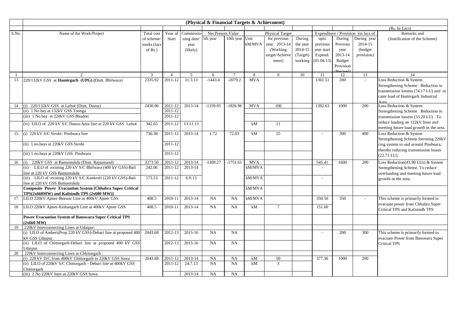|       |                                                                          |             |                    |                     | (Physical & Financial Targets & Achievment) |                |            |                        |          |            |           |                                     |                                         |
|-------|--------------------------------------------------------------------------|-------------|--------------------|---------------------|---------------------------------------------|----------------|------------|------------------------|----------|------------|-----------|-------------------------------------|-----------------------------------------|
|       |                                                                          |             |                    |                     |                                             |                |            |                        |          |            |           |                                     | (Rs. In Lacs)                           |
| S.No. | Name of the Work/Project                                                 | Total cost  | Year of            | Commissio           | Net Present Value                           |                |            | <b>Physical Target</b> |          |            |           | Expenditure / Provision (in lacs of | Remarks and                             |
|       |                                                                          | of scheme/  | Start              | ning date/ 5th year |                                             | 10th year Unit |            | for previous           | During   | upto       | During    | During year                         | (Justification of the Scheme)           |
|       |                                                                          | works (lacs |                    | year                |                                             |                | kM/MVA     | year 2013-14           | the year | previous   | Previous  | 2014-15                             |                                         |
|       |                                                                          | of $Rs.$ )  |                    | (likely)            |                                             |                |            | (Working)              | 2014-15  | year start | year      | (budget                             |                                         |
|       |                                                                          |             |                    |                     |                                             |                |            | target/Achieve         | (Target) | Expend.    | 2013-14   | provision)                          |                                         |
|       |                                                                          |             |                    |                     |                                             |                |            | ment)                  | working  | (01.04.13) | Budget    |                                     |                                         |
|       |                                                                          |             |                    |                     |                                             |                |            |                        |          |            | Provision |                                     |                                         |
|       |                                                                          |             |                    |                     |                                             |                |            |                        |          |            |           |                                     |                                         |
|       | $\overline{2}$                                                           | 3           | $\overline{4}$     | 5                   | 6                                           | $\overline{7}$ | 8          | 9                      | 10       | 11         | 12        | 13                                  | 14                                      |
| 13    | 220/132kV GSS at Hamirgarh (UPG) (Distt. Bhilwara)                       | 2335.92     | 2011-12            | 31.3.13             | $-1443.4$                                   | $-2079.2$      | <b>MVA</b> |                        |          | 1361.51    | 200       | $\sim$                              | Loss Reduction & System                 |
|       |                                                                          |             |                    |                     |                                             |                |            |                        |          |            |           |                                     | Strengthening Scheme . Reduction in     |
|       |                                                                          |             |                    |                     |                                             |                |            |                        |          |            |           |                                     | transmission lossess (74.17 LU) and to  |
|       |                                                                          |             |                    |                     |                                             |                |            |                        |          |            |           |                                     | cater load of Hamirgarh Industrial      |
|       |                                                                          |             | 2011-12            | 2013-14             | $-1339.05$                                  | $-1826.96$     | <b>MVA</b> |                        |          | 1392.63    |           | 200                                 | Area<br>Loss Reduction & System         |
| 14    | (i) 220/132kV GSS at Lalsot (Distt. Dausa)                               | 2430.96     |                    |                     |                                             |                |            | 100                    |          |            | 1000      |                                     |                                         |
|       | (ii) 1 No bay at 132kV GSS Toonga<br>(iii) 1 No bay at 220kV GSS Bhadoti |             | 2011-12<br>2011-12 |                     |                                             |                |            |                        |          |            |           |                                     | Strengthening Scheme . Reduction in     |
|       |                                                                          |             |                    |                     |                                             |                |            |                        |          |            |           |                                     | transmission lossess (33.20 LU). To     |
|       | (iv) LILO of 220 kV S/C Dausa-Anta line at 220 kV GSS Lalsot             | 342.65      | 2011-12            | 13.11.13            |                                             |                | kM         | 21                     |          |            |           |                                     | reduce loading on 132kV lines and       |
|       |                                                                          |             |                    |                     |                                             |                |            |                        |          |            |           |                                     | meeting future load growth in the area. |
| 15    | (i) 220 kV S/C Sirohi- Pindwara line                                     | 736.38      | 2011-12            | 2013-14             | 1.72                                        | 72.03          | kM         | 25                     |          |            | 300       | 400                                 | Loss Reduction & System                 |
|       |                                                                          |             |                    |                     |                                             |                |            |                        |          |            |           |                                     | Strengthening Scheme forrming 220kV     |
|       | (ii) 1 no.bays at 220kV GSS Sirohi                                       |             | 2011-12            |                     |                                             |                |            |                        |          |            |           |                                     | ring system in and around Pindwara,     |
|       | (iii) 1 no.bays at 220kV GSS Pindwara                                    |             | 2011-12            |                     |                                             |                |            |                        |          |            |           |                                     | thereby reducing transmission losses    |
|       |                                                                          |             |                    |                     |                                             |                |            |                        |          |            |           |                                     | $(22.71 \text{ LU}).$                   |
| 16    | 220kV GSS at Bamantukda (Distt. Rajsamand)<br>(i)                        | 3273.50     | 2011-12            | 2013-14             | $-1309.27$                                  | $-1751.61$     | <b>MVA</b> |                        |          | 545.41     | 1600      | 200                                 | Loss Reduction(43.90 LUs) & System      |
|       | (ii) LILO of existing 220 kV S/C Bhilwara (400 kV GSS)-Bali              | 242.06      | 2011-12            | 2013-14             |                                             |                | kM/MVA     |                        |          |            |           |                                     | Strengthening Scheme. To reduce         |
|       | line at 220 kV GSS Bamantukda                                            |             |                    |                     |                                             |                |            |                        |          |            |           |                                     | overloading and meeting future load     |
|       | (iii) LILO of existing 220 kV S/C Kankroli (220 kV GSS)-Bali             | 173.53      | 2011-12            | 6.9.13              |                                             |                | kM/MVA     |                        |          |            |           |                                     | growth in the area.                     |
|       | line at 220 kV GSS Bamantukda                                            |             |                    |                     |                                             |                |            |                        |          |            |           |                                     |                                         |
|       | <b>Composite Power Evacuation System [Chhabra Super Critical</b>         |             |                    |                     |                                             |                | kM/MVA     |                        |          |            |           |                                     |                                         |
|       | TPS(2x660MW) and Kalisindh TPS (2x600 MW)]                               |             |                    |                     |                                             |                |            |                        |          |            |           |                                     |                                         |
| 17    | LILO 220kV Ajmer-Beawar Line at 400kV Ajmer GSS                          | 408.5       | 2010-11            | 2013-14             | NA                                          | NA             | kM/MVA     |                        |          | 350.50     | 350       |                                     | This scheme is primarily formed to      |
| 18    | LILO 220kV Ajmer-Kishangarh Line at 400kV Ajmer GSS                      | 408.5       | 2010-11            | 2013-14             | NA                                          | NA             | kM         | $\tau$                 |          | 151.60     |           |                                     | evacuate power from Chhabra Super       |
|       |                                                                          |             |                    |                     |                                             |                |            |                        |          |            |           |                                     | Critical TPS and Kalisindh TPS          |
|       | <b>Power Evacuation System of Banswara Super Critical TPS</b>            |             |                    |                     |                                             |                |            |                        |          |            |           |                                     |                                         |
|       | (2x660 MW)                                                               |             |                    |                     |                                             |                |            |                        |          |            |           |                                     |                                         |
| 19    | 220kV Interconnecting Lines at Udaipur:                                  |             |                    |                     |                                             |                |            |                        |          |            |           |                                     |                                         |
|       | (i) LILO of Amberi(Prop 220 kV GSS)-Debari line at proposed 400          | 2043.68     | 2012-13            | 2015-16             | NA                                          | <b>NA</b>      |            |                        |          |            | 200       | 300                                 | This scheme is primarily formed to      |
|       | kV GSS Udaipur.                                                          |             |                    |                     |                                             |                |            |                        |          |            |           |                                     | evacuate Power from Banswara Super      |
|       | (ii) LILO of Chittorgarh-Debari line at proposed 400 kV GSS              |             | 2012-13            | 2015-16             | NA                                          | <b>NA</b>      |            |                        |          |            |           |                                     | <b>Critical TPS</b>                     |
|       | Udaipur.                                                                 |             |                    |                     |                                             |                |            |                        |          |            |           |                                     |                                         |
| 20    | 220kV Interconnecting Lines at Chhitorgarh:                              |             |                    |                     |                                             |                |            |                        |          |            |           |                                     |                                         |
|       | (i) 220 kV D/C from 400kV Chittorgarh to 220kV GSS Sawa                  | 2043.68     | 2011-12            | 2013-14             | NA                                          | <b>NA</b>      | kM         | 50                     |          | 377.36     | 1000      | 200                                 |                                         |
|       | (ii) LILO of 220kV S/C Chittorgarh - Debari line at 400kV GSS            |             | 2011-12            | 24.7.13             | NA                                          | NA             | kM         | 3                      |          |            |           |                                     |                                         |
|       | Chittorgarh                                                              |             |                    |                     |                                             |                |            |                        |          |            |           |                                     |                                         |
|       | (iii) 2 No 220kV bays at 220kV GSS Sawa                                  |             |                    | 2013-14             | NA                                          | NA             |            |                        |          |            |           |                                     |                                         |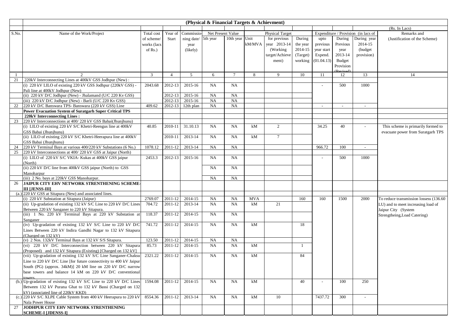|       |                                                                                                                         |                |                |                 | (Physical & Financial Targets & Achievment) |                |            |                        |          |            |           |                                     |                                         |
|-------|-------------------------------------------------------------------------------------------------------------------------|----------------|----------------|-----------------|---------------------------------------------|----------------|------------|------------------------|----------|------------|-----------|-------------------------------------|-----------------------------------------|
|       |                                                                                                                         |                |                |                 |                                             |                |            |                        |          |            |           |                                     | (Rs. In Lacs)                           |
| S.No. | Name of the Work/Project                                                                                                | Total cost     | Year of        | Commissio-      | Net Present Value                           |                |            | <b>Physical Target</b> |          |            |           | Expenditure / Provision (in lacs of | Remarks and                             |
|       |                                                                                                                         | of scheme/     | Start          | ning date/      | 5th year                                    | 10th year Unit |            | for previous           | During   | upto       | During    | During year                         | (Justification of the Scheme)           |
|       |                                                                                                                         | works (lacs    |                | year            |                                             |                | kM/MVA     | year 2013-14           | the year | previous   | Previous  | 2014-15                             |                                         |
|       |                                                                                                                         | of $Rs.$ )     |                | (likely)        |                                             |                |            | (Working)              | 2014-15  | year start | year      | (budget)                            |                                         |
|       |                                                                                                                         |                |                |                 |                                             |                |            | target/Achieve         | (Target) | Expend.    | 2013-14   | provision)                          |                                         |
|       |                                                                                                                         |                |                |                 |                                             |                |            | ment)                  | working  | (01.04.13) | Budget    |                                     |                                         |
|       |                                                                                                                         |                |                |                 |                                             |                |            |                        |          |            | Provision |                                     |                                         |
|       |                                                                                                                         |                |                |                 |                                             |                |            |                        |          |            |           |                                     |                                         |
| 21    | 2                                                                                                                       | $\overline{3}$ | $\overline{4}$ | $5\overline{)}$ | 6                                           | $\tau$         | 8          | 9                      | 10       | -11        | 12        | 13                                  | 14                                      |
|       | 220kV Interconnecting Lines at 400kV GSS Jodhpur (New):<br>(i) 220 kV LILO of existing 220 kV GSS Jodhpur (220kV GSS) - | 2043.68        | 2012-13        | 2015-16         | NA                                          | <b>NA</b>      |            |                        |          |            | 500       | 1000                                |                                         |
|       | Pali line at 400kV Jodhpur (New)                                                                                        |                |                |                 |                                             |                |            |                        |          |            |           |                                     |                                         |
|       | (ii) 220 kV D/C Jodhpur (New) - Jhalamand (U/C 220 Kv GSS)                                                              |                | 2012-13        | 2015-16         | NA                                          | <b>NA</b>      |            |                        |          |            |           |                                     |                                         |
|       | (iii) 220 kV D/C Jodhpur (New) - Barli (U/C 220 Kv GSS)                                                                 |                | 2012-13        | 2015-16         | NA                                          | NA             |            |                        |          |            |           |                                     |                                         |
| 22    | 220 kV D/C Banswara TPS- Banswara (220 kV GSS) Line                                                                     | 409.62         | 2012-13        | 12th plan       | NA                                          | NA             |            |                        |          | $\sim$     | $\sim$    | $\sim$                              |                                         |
|       | Power Evacuation System of Suratgarh Super Critical TPS                                                                 |                |                |                 |                                             |                |            |                        |          |            |           |                                     |                                         |
|       | 220kV Interconnecting Lines:                                                                                            |                |                |                 |                                             |                |            |                        |          |            |           |                                     |                                         |
| 23    | 220 kV Interconnections at 400/220 kV GSS Babai(Jhunjhunu)                                                              |                |                |                 |                                             |                |            |                        |          |            |           |                                     |                                         |
|       | (i) LILO of existing 220 kV S/C Khetri-Reengus line at 400kV                                                            | 40.85          | 2010-11        | 31.10.13        | NA                                          | <b>NA</b>      | kM         | $\overline{2}$         |          | 34.25      | 40        |                                     | This scheme is primarily formed to      |
|       | GSS Babai (Jhunjhunu)                                                                                                   |                |                |                 |                                             |                |            |                        |          |            |           |                                     | evacuate power from Suratgarh TPS       |
|       | (ii) LILO of existing 220 kV S/C Khetri-Heerapura line at 400kV                                                         |                | 2010-11        | 2013-14         | NA                                          | <b>NA</b>      | kM         | $7\overline{ }$        |          |            |           |                                     |                                         |
|       | GSS Babai (Jhunjhunu)                                                                                                   |                |                |                 |                                             |                |            |                        |          |            |           |                                     |                                         |
| 24    | 220 kV Terminal Bays at various 400/220 kV Substations (6 No.)                                                          | 1078.12        | 2011-12        | 2013-14         | <b>NA</b>                                   | <b>NA</b>      |            |                        |          | 966.72     | 100       | $\sim$                              |                                         |
| 25    | 220 kV Interconnections at 400/220 kV GSS at Jaipur (North)                                                             |                |                |                 |                                             |                |            |                        |          |            |           |                                     |                                         |
|       | (i) LILO of 220 kV S/C VKIA- Kukas at 400kV GSS jaipur                                                                  | 2453.3         | 2012-13        | 2015-16         | <b>NA</b>                                   | NA             |            |                        |          |            | 500       | 1000                                |                                         |
|       | (North)                                                                                                                 |                |                |                 |                                             |                |            |                        |          |            |           |                                     |                                         |
|       | (ii) 220 kV D/C line from 400kV GSS jaipur (North) to GSS                                                               |                |                |                 | <b>NA</b>                                   | <b>NA</b>      |            |                        |          |            |           |                                     |                                         |
|       | Manoharpur                                                                                                              |                |                |                 |                                             |                |            |                        |          |            |           |                                     |                                         |
|       | (iii) 2 No. bays at 220kV GSS Manoharpur.                                                                               |                |                |                 | NA                                          | <b>NA</b>      |            |                        |          |            |           |                                     |                                         |
| 26    | JAIPUR CITY EHV NETWORK STRENTHENING SCHEME-                                                                            |                |                |                 |                                             |                |            |                        |          |            |           |                                     |                                         |
|       | <b>III LJENSS-III</b>                                                                                                   |                |                |                 |                                             |                |            |                        |          |            |           |                                     |                                         |
|       | $(a.)$ 220 kV GSS at Sitapura (New) and associated lines.                                                               |                |                |                 |                                             |                |            |                        |          |            |           |                                     |                                         |
|       | (i) 220 kV Substation at Sitapura (Jaipur)                                                                              | 2769.07        | 2011-12        | 2014-15         | <b>NA</b>                                   | <b>NA</b>      | <b>MVA</b> |                        | 160      | 160        | 1500      | 2000                                | To reduce transmission lossess (136.60) |
|       | (ii) Up-gradation of existing 132 kV S/C Line to 220 kV D/C Lines                                                       | 704.72         | 2011-12        | 2013-14         | NA                                          | NA             | kM         | 21                     |          |            |           |                                     | LU) and to meet increasing load of      |
|       | Between 220 kV Sanganer to 220 kV Sitapura.                                                                             |                |                |                 |                                             |                |            |                        |          |            |           |                                     | Jaipur City (System                     |
|       | (iii) 1 No. 220 kV Terminal Bays at 220 kV Substation at                                                                | 118.37         | 2011-12        | 2014-15         | <b>NA</b>                                   | NA             |            |                        |          |            |           |                                     | Strengtheing, Load Catering)            |
|       | Sanganer<br>(iv) Up-gradation of existing 132 kV S/C Line to 220 kV D/C                                                 | 741.72         | 2011-12        | 2014-15         |                                             | <b>NA</b>      |            |                        | 18       |            |           |                                     |                                         |
|       | Lines Between 220 kV Indira Gandhi Nagar to 132 kV Sitapura                                                             |                |                |                 | <b>NA</b>                                   |                | kM         |                        |          |            |           |                                     |                                         |
|       | (Charged on 132 kV)                                                                                                     |                |                |                 |                                             |                |            |                        |          |            |           |                                     |                                         |
|       | (v) 2 Nos. 132kV Terminal Bays at 132 kV S/S Sitapura.                                                                  | 123.50         | 2011-12        | 2014-15         | <b>NA</b>                                   | NA             |            |                        |          |            |           |                                     |                                         |
|       | (vi) 220 kV D/C Interconnection between 220 kV Sitapura                                                                 | 85.73          | 2011-12        | 2014-15         | <b>NA</b>                                   | <b>NA</b>      | kM         |                        |          |            |           |                                     |                                         |
|       | (Proposed) and 132 kV Sitapura (Existing) [Charged on 132 kV]                                                           |                |                |                 |                                             |                |            |                        |          |            |           |                                     |                                         |
|       | (vii) Up-gradation of existing 132 kV S/C Line Sanganer-Chaksu                                                          | 2321.22        | 2011-12        | 2014-15         | NA                                          | <b>NA</b>      | kM         |                        | 84       |            |           |                                     |                                         |
|       | Line to 220 kV D/C Line [for future connectivity to 400 kV Jaipur                                                       |                |                |                 |                                             |                |            |                        |          |            |           |                                     |                                         |
|       | South (PG) (approx. 34kM)] 20 kM line on 220 kV D/C narrow                                                              |                |                |                 |                                             |                |            |                        |          |            |           |                                     |                                         |
|       | base towers and balance 14 kM on 220 kV D/C conventional                                                                |                |                |                 |                                             |                |            |                        |          |            |           |                                     |                                         |
|       |                                                                                                                         |                |                |                 |                                             |                |            |                        |          |            |           |                                     |                                         |
|       | (b.) Up-gradation of existing 132 kV S/C Line to 220 kV D/C Lines                                                       | 1594.08        | 2011-12        | 2014-15         | NA                                          | <b>NA</b>      | kM         |                        | 40       |            | 100       | 250                                 |                                         |
|       | Between 132 kV Purana Ghat to 132 kV Bassi (Charged on 132                                                              |                |                |                 |                                             |                |            |                        |          |            |           |                                     |                                         |
|       | kV) (associated line of 220kV KKD)                                                                                      |                |                |                 |                                             |                |            |                        |          |            |           |                                     |                                         |
|       | (c.) 220 kV S/C XLPE Cable System from 400 kV Heerapura to 220 kV                                                       | 8554.36        | 2011-12        | 2013-14         | NA                                          | <b>NA</b>      | kM         | 10                     |          | 7437.72    | 300       | $\sim$                              |                                         |
|       | Nala Power House                                                                                                        |                |                |                 |                                             |                |            |                        |          |            |           |                                     |                                         |
| 27    | JODHPUR CITY EHV NETWORK STRENTHENING                                                                                   |                |                |                 |                                             |                |            |                        |          |            |           |                                     |                                         |
|       | <b>SCHEME-I [JDENSS-I]</b>                                                                                              |                |                |                 |                                             |                |            |                        |          |            |           |                                     |                                         |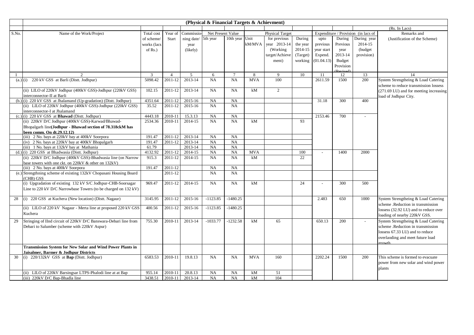|            |                                                                    |              |                |                     | (Physical & Financial Targets & Achievment) |                 |            |                        |          |            |           |                                     |                                            |
|------------|--------------------------------------------------------------------|--------------|----------------|---------------------|---------------------------------------------|-----------------|------------|------------------------|----------|------------|-----------|-------------------------------------|--------------------------------------------|
|            |                                                                    |              |                |                     |                                             |                 |            |                        |          |            |           |                                     | (Rs. In Lacs)                              |
| S.No.      | Name of the Work/Project                                           | Total cost   | Year of        | <b>Commissio-</b>   | Net Present Value                           |                 |            | <b>Physical Target</b> |          |            |           | Expenditure / Provision (in lacs of | Remarks and                                |
|            |                                                                    | of scheme/   | Start          | ning date/ 5th year |                                             | 10th year Unit  |            | for previous           | During   | upto       | During    | During year                         | (Justification of the Scheme)              |
|            |                                                                    | works (lacs  |                | year                |                                             |                 | kM/MVA     | year 2013-14           | the year | previous   | Previous  | 2014-15                             |                                            |
|            |                                                                    | of $Rs.$ )   |                | (likely)            |                                             |                 |            | (Working)              | 2014-15  | year start | year      | (budget)                            |                                            |
|            |                                                                    |              |                |                     |                                             |                 |            | target/Achieve         | (Target) | Expend.    | 2013-14   | provision)                          |                                            |
|            |                                                                    |              |                |                     |                                             |                 |            | ment)                  | working  | (01.04.13) | Budget    |                                     |                                            |
|            |                                                                    |              |                |                     |                                             |                 |            |                        |          |            | Provision |                                     |                                            |
|            |                                                                    |              |                |                     |                                             |                 |            |                        |          |            |           |                                     |                                            |
| -1         | 2                                                                  | $\mathbf{3}$ | $\overline{4}$ | 5                   | 6                                           | $7\phantom{.0}$ | 8          | 9                      | 10       | 11         | 12        | 13                                  | 14                                         |
| $(a.)$ (i) | 220 kV GSS at Barli (Distt. Jodhpur)                               | 5098.42      | 2011-12        | 2013-14             | NA                                          | NA              | <b>MVA</b> | 100                    |          | 2611.59    | 1500      | 200                                 | System Strengtheing & Load Catering        |
|            |                                                                    |              |                |                     |                                             |                 |            |                        |          |            |           |                                     | scheme to reduce transmission lossess      |
|            | (ii) LILO of 220kV Jodhpur (400kV GSS)-Jodhpur (220kV GSS)         | 102.15       | 2011-12        | 2013-14             | NA                                          | NA              | kM         | $\overline{2}$         |          |            |           |                                     | (271.69 LU) and for meeting increasing     |
|            | interconnector-II at Barli                                         |              |                |                     |                                             |                 |            |                        |          |            |           |                                     | load of Jodhpur City.                      |
|            | (b.) (i) 220 kV GSS at Jhalamand (Up-gradation) (Distt. Jodhpur)   | 4351.64      | 2011-12        | 2015-16             | NA                                          | <b>NA</b>       |            |                        |          | 31.18      | 300       | 400                                 |                                            |
|            | (ii) LILO of 220kV Jodhpur (400kV GSS)-Jodhpur (220kV GSS)         | 35.52        | 2011-12        | 2015-16             | NA                                          | <b>NA</b>       |            |                        |          |            |           |                                     |                                            |
|            | interconnector-I at Jhalamand                                      |              |                |                     |                                             |                 |            |                        |          |            |           |                                     |                                            |
|            | $(c.)$ (i) 220 kV GSS at <b>Bhawad</b> (Dist. Jodhpur)             | 4443.18      | 2010-11        | 15.3.13             | NA                                          | <b>NA</b>       |            |                        |          | 2153.46    | 700       |                                     |                                            |
|            | (ii) 220kV D/C Jodhpur (400kV GSS)-Karwad/Bhawad-                  | 2534.36      | 2010-11        | 2014-15             | NA                                          | NA              | kM         |                        | 93       |            |           |                                     |                                            |
|            | Bhopalgarh line(Jodhpur - Bhawad section of 78.318ckM has          |              |                |                     |                                             |                 |            |                        |          |            |           |                                     |                                            |
|            | been comm. On dt.29.12.12)                                         |              |                |                     |                                             |                 |            |                        |          |            |           |                                     |                                            |
|            | (iii) 2 No. bays at 220kV bay at 400kV Soorpora                    | 191.47       | 2011-12        | 2013-14             | NA                                          | <b>NA</b>       |            |                        |          |            |           |                                     |                                            |
|            | (iv) 2 No. bays at 220kV bay at 400kV Bhopalgarh                   | 191.47       | 2011-12        | 2013-14             | NA                                          | NA              |            |                        |          |            |           |                                     |                                            |
|            | (iii) 1 No. bays at 132kV bay at Mathania                          | 61.79        |                | 2013-14             | NA                                          | <b>NA</b>       |            |                        |          |            |           |                                     |                                            |
|            | $(d.)$ (i) 220 GSS at Bhadwasia (Dist. Jodhpur)                    | 4132.92      | 2011-12        | 2014-15             | NA                                          | NA              | <b>MVA</b> |                        | 100      |            | 1400      | 2000                                |                                            |
|            | (ii) 220kV D/C Jodhpur (400kV GSS)-Bhadwasia line (on Narrow       | 915.3        | 2011-12        | 2014-15             | NA                                          | <b>NA</b>       | kM         |                        | 22       |            |           |                                     |                                            |
|            | base towers with one ckt. on 220kV & other on 132kV)               |              |                |                     |                                             |                 |            |                        |          |            |           |                                     |                                            |
|            | (iii) 2 No. bays at 400kV Soorpora                                 | 191.47       | 2011-12        |                     | NA                                          | NA              |            |                        |          |            |           |                                     |                                            |
|            | (e.) Strengthning scheme of existing 132kV Chopasani Housing Board |              | 2011-12        |                     | NA                                          | <b>NA</b>       |            |                        |          |            |           |                                     |                                            |
|            | (CHB) GSS                                                          |              |                |                     |                                             |                 |            |                        |          |            |           |                                     |                                            |
|            | (i) Upgradation of existing 132 kV S/C Jodhpur-CHB-Soorsagar       | 969.47       | 2011-12        | 2014-15             | NA                                          | NA              | kM         |                        | 24       |            | 300       | 500                                 |                                            |
|            | Line to 220 kV D/C Narrowbase Towers (to be charged on 132 kV)     |              |                |                     |                                             |                 |            |                        |          |            |           |                                     |                                            |
|            |                                                                    |              |                |                     |                                             |                 |            |                        |          |            |           |                                     |                                            |
| 28         | (i) 220 GSS at Kuchera (New location) (Distt. Nagaur)              | 3145.95      | 2011-12        | 2015-16             | $-1123.85$                                  | $-1480.25$      |            |                        |          | 2.483      | 650       | 1000                                | System Strengtheing & Load Catering        |
|            |                                                                    |              |                |                     |                                             |                 |            |                        |          |            |           |                                     | scheme .Reduction in transmission          |
|            | (ii) LILO of 220 kV Nagaur - Merta line at proposed 220 kV GSS     | 400.56       | 2011-12        | 2015-16             | $-1123.85$                                  | $-1480.25$      |            |                        |          |            |           |                                     | lossess (32.92 LU) and to reduce over      |
|            | Kuchera                                                            |              |                |                     |                                             |                 |            |                        |          |            |           |                                     | loading of nearby 220kV GSS.               |
| 29         | Stringing of IInd circuit of 220kV D/C Banswara-Debari line from   | 755.30       | 2010-11        | 2013-14             | $-1033.77$                                  | $-1232.58$      | kM         | 65                     |          | 650.13     | 200       |                                     | System Strengtheing & Load Catering        |
|            | Debari to Salumber (scheme with 220kV Aspur)                       |              |                |                     |                                             |                 |            |                        |          |            |           |                                     | scheme .Reduction in transmission          |
|            |                                                                    |              |                |                     |                                             |                 |            |                        |          |            |           |                                     | lossess 67.33 LU) and to reduce            |
|            |                                                                    |              |                |                     |                                             |                 |            |                        |          |            |           |                                     |                                            |
|            |                                                                    |              |                |                     |                                             |                 |            |                        |          |            |           |                                     | overlaoding and meet future load<br>orowth |
|            | <b>Transmission System for New Solar and Wind Power Plants in</b>  |              |                |                     |                                             |                 |            |                        |          |            |           |                                     |                                            |
|            | Jaisalmer, Barmer & Jodhpur Districts                              |              |                |                     |                                             |                 |            |                        |          |            |           |                                     |                                            |
| 30         | (i) $220/132kV$ GSS at <b>Bap</b> (Dist. Jodhpur)                  | 6583.53      | 2010-11        | 19.8.13             | NA                                          | <b>NA</b>       | <b>MVA</b> | 160                    |          | 2202.24    | 1500      | 200                                 | This scheme is formed to evacuate          |
|            |                                                                    |              |                |                     |                                             |                 |            |                        |          |            |           |                                     | power from new solar and wind power        |
|            |                                                                    |              |                |                     |                                             |                 |            |                        |          |            |           |                                     | plants                                     |
|            | (ii) LILO of 220kV Barsingsar LTPS-Phalodi line at at Bap          | 955.14       | 2010-11        | 20.8.13             | NA                                          | NA              | kM         | 51                     |          |            |           |                                     |                                            |
|            | (iii) 220kV D/C Bap-Bhadla line                                    | 3438.51      | 2010-11        | 2013-14             | NA                                          | <b>NA</b>       | kM         | 104                    |          |            |           |                                     |                                            |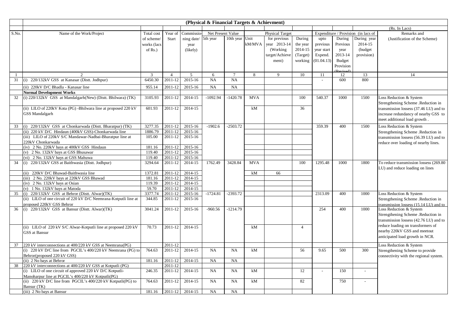|              |                                                                  |             |                |            | (Physical & Financial Targets & Achievment) |                 |            |                        |                |                          |           |                                     |                                         |
|--------------|------------------------------------------------------------------|-------------|----------------|------------|---------------------------------------------|-----------------|------------|------------------------|----------------|--------------------------|-----------|-------------------------------------|-----------------------------------------|
|              |                                                                  |             |                |            |                                             |                 |            |                        |                |                          |           |                                     | (Rs. In Lacs)                           |
| S.No.        | Name of the Work/Project                                         | Total cost  | Year of        | Commissic  | Net Present Value                           |                 |            | <b>Physical Target</b> |                |                          |           | Expenditure / Provision (in lacs of | Remarks and                             |
|              |                                                                  | of scheme/  | Start          | ning date/ | 5th year                                    | 10th year Unit  |            | for previous           | During         | upto                     | During    | During year                         | (Justification of the Scheme)           |
|              |                                                                  | works (lacs |                | year       |                                             |                 | kM/MVA     | year 2013-14           | the year       | previous                 | Previous  | 2014-15                             |                                         |
|              |                                                                  | of $Rs.$ )  |                | (likely)   |                                             |                 |            | (Working)              | 2014-15        | year start               | year      | (budget)                            |                                         |
|              |                                                                  |             |                |            |                                             |                 |            | target/Achieve         | (Target)       | Expend.                  | 2013-14   | provision)                          |                                         |
|              |                                                                  |             |                |            |                                             |                 |            | ment)                  | working        | (01.04.13)               | Budget    |                                     |                                         |
|              |                                                                  |             |                |            |                                             |                 |            |                        |                |                          | Provision |                                     |                                         |
|              |                                                                  |             |                |            |                                             |                 |            |                        |                |                          |           |                                     |                                         |
| $\mathbf{1}$ | $\mathcal{D}$                                                    | 3           | $\overline{4}$ | 5          | 6                                           | $7\phantom{.0}$ | 8          | 9                      | 10             | 11                       | 12        | 13                                  | 14                                      |
| 31           | (i) 220/132kV GSS at Kanasar (Distt. Jodhpur)                    | 6450.30     | 2011-12        | 2015-16    | NA                                          | NA              |            |                        |                | $\overline{\phantom{a}}$ | 600       | 800                                 |                                         |
|              | (ii) 220kV D/C Bhadla - Kanasar line                             | 955.14      | 2011-12        | 2015-16    | NA                                          | <b>NA</b>       |            |                        |                |                          |           |                                     |                                         |
|              | <b>Normal Development Works</b>                                  |             |                |            |                                             |                 |            |                        |                |                          |           |                                     |                                         |
| 32           | (i) 220/132kV GSS at Mandalgarh(New) (Distt. Bhilwara) (TK)      | 3105.93     | 2011-12        | 2014-15    | $-1092.94$                                  | $-1420.78$      | <b>MVA</b> |                        | 100            | 540.37                   | 1000      | 1500                                | Loss Reduction & System                 |
|              |                                                                  |             |                |            |                                             |                 |            |                        |                |                          |           |                                     | Strengthening Scheme .Reduction in      |
|              | (ii) LILO of 220kV Kota (PG) -Bhilwara line at proposed 220 kV   | 601.93      | 2011-12        | 2014-15    |                                             |                 | kM         |                        | 36             |                          |           |                                     | transmission lossess (37.46 LU) and to  |
|              | <b>GSS Mandalgarh</b>                                            |             |                |            |                                             |                 |            |                        |                |                          |           |                                     | increase redundancy of nearby GSS to    |
|              |                                                                  |             |                |            |                                             |                 |            |                        |                |                          |           |                                     | meet additional load growth.            |
| 33           | (i) 220/132kV GSS at Chonkarwada (Distt. Bharatpur) (TK)         | 3277.35     | 2011-12        | 2015-16    | $-1902.6$                                   | $-2503.72$      |            |                        |                | 359.39                   | 400       | 1500                                | Loss Reduction & System                 |
|              | (ii) 220 kV D/C Hindaun (400kV GSS)-Chonkarwada line             | 1886.79     | 2011-12        | 2015-16    |                                             |                 |            |                        |                |                          |           |                                     | Strengthening Scheme .Reduction in      |
|              | (iii) LILO of 220kV S/C Mandawar-Nadbai-Bharatpur line at        | 105.00      | 2011-12        | 2015-16    |                                             |                 |            |                        |                |                          |           |                                     | transmission lossess (56.39 LU) and to  |
|              | 220kV Chonkarwada                                                |             |                |            |                                             |                 |            |                        |                |                          |           |                                     | reduce over loading of nearby lines.    |
|              | (iv) 2 No. 220kV bays at 400kV GSS Hindaun                       | 181.16      | 2011-12        | 2015-16    |                                             |                 |            |                        |                |                          |           |                                     |                                         |
|              | (v) 2 No. 132kV bays at GSS Bhusawar                             | 119.40      | 2011-12        | 2015-16    |                                             |                 |            |                        |                |                          |           |                                     |                                         |
|              | (vi) 2 No. 132kV bays at GSS Mahuwa                              | 119.40      | 2011-12        | 2015-16    |                                             |                 |            |                        |                |                          |           |                                     |                                         |
| 34           | (i) 220/132kV GSS at Baithwasia (Distt. Jodhpur)                 | 3294.64     | 2011-12        | 2014-15    | 1762.49                                     | 3428.84         | <b>MVA</b> |                        | 100            | 1295.48                  | 1000      | 1800                                | To reduce transmission lossess (269.80) |
|              |                                                                  |             |                |            |                                             |                 |            |                        |                |                          |           |                                     | LU) and reduce loading on lines         |
|              | (ii) 220kV D/C Bhawad-Baithwasia line                            | 1372.81     | 2011-12        | 2014-15    |                                             |                 | kM         | 66                     |                |                          |           |                                     |                                         |
|              | (iii) 2 No. 220kV bays at 220kV GSS Bhawad                       | 181.16      | 2011-12        | 2014-15    |                                             |                 |            |                        |                |                          |           |                                     |                                         |
|              | (iv) 2 No. 132kV bays at Osian                                   | 119.39      | 2011-12        | 2014-15    |                                             |                 |            |                        |                |                          |           |                                     |                                         |
|              | (v) 1 No. 132kV bays at Matoda                                   | 59.70       | 2011-12        | 2014-15    |                                             |                 |            |                        |                |                          |           |                                     |                                         |
| 35           | (i) $220/132kV$ GSS at Behror (Distt. Alwar)(TK)                 | 3377.74     | 2011-12        | 2015-16    | $-1724.81$                                  | $-2393.72$      |            |                        |                | 2313.09                  | 400       | 1000                                | Loss Reduction & System                 |
|              | (ii) LILO of one circuit of 220 kV D/C Neemrana-Kotputli line at | 344.85      | 2011-12        | 2015-16    |                                             |                 |            |                        |                |                          |           |                                     | Strengthening Scheme .Reduction in      |
|              | proposed 220kV GSS Behror                                        |             |                |            |                                             |                 |            |                        |                |                          |           |                                     | transmission lossess (15.14 LU) and to  |
| 36           | $(i)$ 220/132kV GSS at Bansur (Distt. Alwar)(TK)                 | 3041.24     | 2011-12        | 2015-16    | $-960.56$                                   | $-1214.79$      |            |                        |                | 254                      | 400       | 1000                                | Loss Reduction & System                 |
|              |                                                                  |             |                |            |                                             |                 |            |                        |                |                          |           |                                     | Strengthening Scheme .Reduction in      |
|              |                                                                  |             |                |            |                                             |                 |            |                        |                |                          |           |                                     | transmission lossess (42.76 LU) and to  |
|              | (ii) LILO of 220 kV S/C Alwar-Kotputli line at proposed 220 kV   | 70.73       | 2011-12        | 2014-15    |                                             |                 | kM         |                        | $\overline{4}$ |                          |           |                                     | reduce loading on transformers of       |
|              | <b>GSS</b> at Bansur                                             |             |                |            |                                             |                 |            |                        |                |                          |           |                                     | nearby 220kV GSS and meetout            |
|              |                                                                  |             |                |            |                                             |                 |            |                        |                |                          |           |                                     | anticipated load growth in NCR.         |
| 37           | 220 kV interconnections at 400/220 kV GSS at Neemrana(PG)        |             | 2011-12        |            |                                             |                 |            |                        |                |                          |           |                                     | Loss Reduction & System                 |
|              | (i) 220 kV D/C line from PGCIL's 400/220 kV Neemrana (PG) to     | 764.63      | 2011-12        | 2014-15    | NA                                          | <b>NA</b>       | kM         |                        | 56             | 9.65                     | 500       | 300                                 | Strengthening Scheme to provide         |
|              | Behror(proposed 220 kV GSS)                                      |             |                |            |                                             |                 |            |                        |                |                          |           |                                     | connectivity with the regional system.  |
|              | (ii) 2 No bays at Behror                                         | 181.16      | 2011-12        | 2014-15    | NA                                          | NA              |            |                        |                |                          |           |                                     |                                         |
| 38           | 220 kV interconnections at 400/220 kV GSS at Kotputli (PG)       |             | 2011-12        |            |                                             |                 |            |                        |                |                          |           |                                     |                                         |
|              | (i) LILO of one circuit of approved 220 kV D/C Kotputli-         | 246.35      | 2011-12        | 2014-15    | NA                                          | NA              | kM         |                        | 12             | $\sim$                   | 150       |                                     |                                         |
|              | Manoharpur line at PGCIL's 400/220 kV Kotputli(PG)               |             |                |            |                                             |                 |            |                        |                |                          |           |                                     |                                         |
|              | (ii) 220 kV D/C line from PGCIL's 400/220 kV Kotputli(PG) to     | 764.63      | 2011-12        | 2014-15    | NA                                          | NA              | kM         |                        | 82             |                          | 750       |                                     |                                         |
|              | Bansur (TK)                                                      |             |                |            |                                             |                 |            |                        |                |                          |           |                                     |                                         |
|              | (iii) 2 No bays at Bansur                                        | 181.16      | $2011 - 12$    | 2014-15    | NA                                          | <b>NA</b>       |            |                        |                |                          |           |                                     |                                         |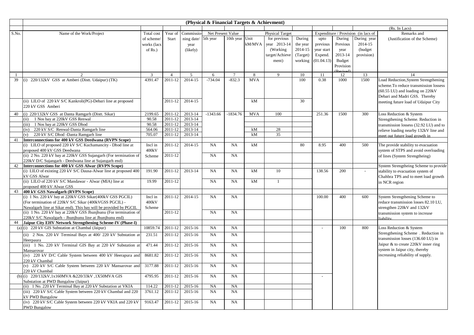|       |                                                                                               |             |                |                     | (Physical & Financial Targets & Achievment) |                |            |                        |          |            |           |                                     |                                           |
|-------|-----------------------------------------------------------------------------------------------|-------------|----------------|---------------------|---------------------------------------------|----------------|------------|------------------------|----------|------------|-----------|-------------------------------------|-------------------------------------------|
|       |                                                                                               |             |                |                     |                                             |                |            |                        |          |            |           |                                     | (Rs. In Lacs)                             |
| S.No. | Name of the Work/Project                                                                      | Total cost  | Year of        | Commissio-          | Net Present Value                           |                |            | <b>Physical Target</b> |          |            |           | Expenditure / Provision (in lacs of | Remarks and                               |
|       |                                                                                               | of scheme/  | Start          | ning date/ 5th year |                                             | 10th year Unit |            | for previous           | During   | upto       | During    | During year                         | (Justification of the Scheme)             |
|       |                                                                                               | works (lacs |                | year                |                                             |                | kM/MVA     | year 2013-14           | the year | previous   | Previous  | 2014-15                             |                                           |
|       |                                                                                               | of $Rs.$ )  |                | (likely)            |                                             |                |            | (Working)              | 2014-15  | year start | year      | (budget)                            |                                           |
|       |                                                                                               |             |                |                     |                                             |                |            | target/Achieve         | (Target) | Expend.    | 2013-14   | provision)                          |                                           |
|       |                                                                                               |             |                |                     |                                             |                |            | ment)                  | working  | (01.04.13) | Budget    |                                     |                                           |
|       |                                                                                               |             |                |                     |                                             |                |            |                        |          |            | Provision |                                     |                                           |
|       |                                                                                               |             |                |                     |                                             |                |            |                        |          |            |           |                                     |                                           |
|       |                                                                                               | 3           | $\overline{4}$ | 5                   | 6                                           | $\tau$         | 8          | 9                      | 10       | 11         | 12        | 13                                  | 14                                        |
| 39    | (i) 220/132kV GSS at Amberi (Distt. Udaipur) (TK)                                             | 4391.47     | 2011-12        | 2014-15             | $-734.04$                                   | $-832.3$       | <b>MVA</b> |                        | 100      | 0.38       | 1000      | 1500                                | Load Reduction, System Strengthening      |
|       |                                                                                               |             |                |                     |                                             |                |            |                        |          |            |           |                                     | scheme. To reduce transmission lossess    |
|       |                                                                                               |             |                |                     |                                             |                |            |                        |          |            |           |                                     | $(60.55 \text{ LU})$ and loading on 220kV |
|       |                                                                                               |             |                |                     |                                             |                |            |                        |          |            |           |                                     | Debari and Madri GSS. Thereby             |
|       | (ii) LILO of 220 kV S/C Kankroli(PG)-Debari line at proposed                                  |             | 2011-12        | 2014-15             |                                             |                | kM         |                        | 30       |            |           |                                     | meeting future load of Udaipur City       |
|       | 220 kV GSS Amberi                                                                             |             |                |                     |                                             |                |            |                        |          |            |           |                                     |                                           |
| 40    | (i) 220/132kV GSS at Danta Ramgarh (Distt. Sikar)                                             | 2199.65     | 2011-12        | 2013-14             | $-1343.66$                                  | $-1834.76$     | <b>MVA</b> | 100                    |          | 251.36     | 1500      | 300                                 | Loss Reduction & System                   |
|       | 1 Nos bay at 220kV GSS Renwal<br>(ii)                                                         | 90.58       | 2011-12        | 2013-14             |                                             |                |            |                        |          |            |           |                                     | Strengthening Scheme. Reduction in        |
|       | (iii) 1 Nos bay at 220kV GSS Dhod                                                             | 90.58       | 2011-12        | 2013-14             |                                             |                |            |                        |          |            |           |                                     | transmission lossess (32.92 LU) and to    |
|       | (iv) 220 kV S/C Renwal-Danta Ramgarh line                                                     | 564.06      | 2011-12        | 2013-14             |                                             |                | kM         | 28                     |          |            |           |                                     | relieve loading nearby 132kV line and     |
|       | 220 kV S/C Dhod -Danta Ramgarh line<br>(v)                                                    | 705.07      | 2011-12        | 2013-14             |                                             |                | kM         | 35                     |          |            |           |                                     | meet out future load growth in            |
| 41    | Interconnections for 400 kV GSS Deedwana (RVPN Scope)                                         |             |                |                     |                                             |                |            |                        |          |            |           |                                     |                                           |
|       | (i) LILO of proposed 220 kV S/C Kuchamancity - Dhod line at                                   | Incl in     | 2011-12        | 2014-15             | NA                                          | <b>NA</b>      | kM         |                        | 80       | 8.95       | 400       | 500                                 | The provide stability to evacuation       |
|       | proposed 400 kV GSS Deedwana                                                                  | 400kV       |                |                     |                                             |                |            |                        |          |            |           |                                     | system of STPS and avoid overloading      |
|       | (ii) 2 No. 220 kV bay at 220kV GSS Sujangarh (For termination of                              | Scheme      | 2011-12        |                     | NA                                          | <b>NA</b>      |            |                        |          |            |           |                                     | of lines (System Strengtheing)            |
|       | 220kV D/C Sujangarh - Deedwana line at Sujangarh end)                                         |             |                |                     |                                             |                |            |                        |          |            |           |                                     |                                           |
| 42    | Interconnections for 400 kV GSS Alwar (RVPN Scope)                                            |             |                |                     |                                             |                |            |                        |          |            |           |                                     | System Strengtheing Scheme to provide     |
|       | (i) LILO of existing 220 kV S/C Dausa-Alwar line at proposed 400                              | 191.90      | 2011-12        | 2013-14             | NA                                          | <b>NA</b>      | kM         | 10                     |          | 138.56     | 200       |                                     | stability to evacuation system of         |
|       | kV GSS Alwar                                                                                  |             |                |                     |                                             |                |            | $\mathbf{1}$           |          |            |           |                                     | Chahbra TPS and to meet load growth       |
|       | (ii) LILO of 220 kV S/C Mandawar - Alwar (MIA) line at                                        | 19.99       | 2011-12        |                     | NA                                          | <b>NA</b>      | kM         |                        |          |            |           |                                     | in NCR region                             |
| 43    | proposed 400 kV Alwar GSS                                                                     |             |                |                     |                                             |                |            |                        |          |            |           |                                     |                                           |
|       | 400 kV GSS Nawalgarh (RVPN Scope)<br>(i) 1 No. 220 kV bay at 220kV GSS Sikar(400kV GSS PGCIL) | Incl in     | 2011-12        | 2014-15             | NA                                          | <b>NA</b>      |            |                        |          | 100.00     | 400       | 600                                 | System Strengthening Scheme to            |
|       | (For termination of 220kV S/C Sikar (400kVGSS PGCIL) -                                        | 400kV       |                |                     |                                             |                |            |                        |          |            |           |                                     | reduce transmission losses 82.10 LU,      |
|       | Nawalgarh line at Sikar end). This bay will be provided by PGCIL                              | Scheme      |                |                     |                                             |                |            |                        |          |            |           |                                     | strengthen 220kV and 132kV                |
|       | (ii) 1 No. 220 kV bay at 220kV GSS Jhunjhunu (For termination of                              |             | 2011-12        |                     | NA                                          | <b>NA</b>      |            |                        |          |            |           |                                     | transmission system to increase           |
|       | 220kV S/C Nawalgarh - Jhunjhunu line at Jhunjhunu end)                                        |             |                |                     |                                             |                |            |                        |          |            |           |                                     | liability                                 |
| 44    | Jaipur City EHV Network Strengthening Scheme-IV (Phase-I)                                     |             |                |                     |                                             |                |            |                        |          |            |           |                                     |                                           |
|       | (a) $(i)$ 220 kV GIS Substation at Chambal (Jaipur)                                           | 10859.74    | 2011-12        | 2015-16             | NA                                          | <b>NA</b>      |            |                        |          |            | 100       | 800                                 | Loss Reduction & System                   |
|       | (ii) 2 Nos. 220 kV Terminal Bays at 400/220 kV Substation at                                  | 231.51      | 2011-12        | 2015-16             | NA                                          | <b>NA</b>      |            |                        |          |            |           |                                     | Strengthening Scheme . Reduction in       |
|       | Heerpaura                                                                                     |             |                |                     |                                             |                |            |                        |          |            |           |                                     | transmission losses (136.60 LU) in        |
|       | (iii) 1 No. 220 kV Terminal GIS Bay at 220 kV Substation at                                   | 471.44      | 2011-12        | 2015-16             | NA                                          | <b>NA</b>      |            |                        |          |            |           |                                     | Jaipur & to create 220kV inner ring       |
|       | Mansarovar                                                                                    |             |                |                     |                                             |                |            |                        |          |            |           |                                     | system in Jaipur city, thereby            |
|       | (iv) 220 kV D/C Cable System between 400 kV Heerapura and                                     | 8681.82     | 2011-12        | 2015-16             | NA                                          | <b>NA</b>      |            |                        |          |            |           |                                     | increasing reliability of supply.         |
|       | 220 kV Chambal                                                                                |             |                |                     |                                             |                |            |                        |          |            |           |                                     |                                           |
|       | (v) 220 kV S/C Cable System between 220 kV Mansarovar and                                     | 3177.88     | 2011-12        | 2015-16             | NA                                          | <b>NA</b>      |            |                        |          |            |           |                                     |                                           |
|       | 220 kV Chambal                                                                                |             |                |                     |                                             |                |            |                        |          |            |           |                                     |                                           |
| (b)   | (i) 220/132kV,1x160MVA &220/33kV,1X50MVA GIS                                                  | 4795.95     | 2011-12        | 2015-16             | NA                                          | <b>NA</b>      |            |                        |          |            |           |                                     |                                           |
|       | Substation at PWD Bungalow (Jaipur)                                                           |             |                |                     |                                             |                |            |                        |          |            |           |                                     |                                           |
|       | (ii) 1 No. 220 kV Terminal Bay at 220 kV Substation at VKIA                                   | 114.22      | 2011-12        | 2015-16             | NA                                          | <b>NA</b>      |            |                        |          |            |           |                                     |                                           |
|       | (iii) 220 kV S/C Cable System between 220 kV Chambal and 220                                  | 3761.12     | 2011-12        | 2015-16             | NA                                          | NA             |            |                        |          |            |           |                                     |                                           |
|       | <b>KV PWD Bungalow</b>                                                                        |             |                |                     |                                             |                |            |                        |          |            |           |                                     |                                           |
|       | (iv) 220 kV S/C Cable System between 220 kV VKIA and 220 kV                                   | 9163.47     | 2011-12        | 2015-16             | NA                                          | <b>NA</b>      |            |                        |          |            |           |                                     |                                           |
|       | <b>PWD Bungalow</b>                                                                           |             |                |                     |                                             |                |            |                        |          |            |           |                                     |                                           |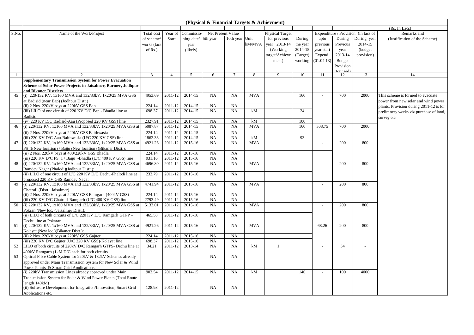|              |                                                                  |                |                |            | (Physical & Financial Targets & Achievment) |                 |            |                        |          |            |           |                                     |                                         |
|--------------|------------------------------------------------------------------|----------------|----------------|------------|---------------------------------------------|-----------------|------------|------------------------|----------|------------|-----------|-------------------------------------|-----------------------------------------|
|              |                                                                  |                |                |            |                                             |                 |            |                        |          |            |           |                                     | (Rs. In Lacs)                           |
| S.No.        | Name of the Work/Project                                         | Total cost     | Year of        | Commissio  | Net Present Value                           |                 |            | <b>Physical Target</b> |          |            |           | Expenditure / Provision (in lacs of | Remarks and                             |
|              |                                                                  | of scheme/     | <b>Start</b>   | ning date/ | 5th year                                    | 10th year Unit  |            | for previous           | During   | upto       | During    | During year                         | (Justification of the Scheme)           |
|              |                                                                  | works (lacs    |                | year       |                                             |                 | kM/MVA     | year 2013-14           | the year | previous   | Previous  | 2014-15                             |                                         |
|              |                                                                  | of $Rs.$ )     |                | (likely)   |                                             |                 |            | (Working)              | 2014-15  | year start | year      | (budget)                            |                                         |
|              |                                                                  |                |                |            |                                             |                 |            | target/Achieve         | (Target) | Expend.    | 2013-14   | provision)                          |                                         |
|              |                                                                  |                |                |            |                                             |                 |            | ment)                  | working  | (01.04.13) | Budget    |                                     |                                         |
|              |                                                                  |                |                |            |                                             |                 |            |                        |          |            | Provision |                                     |                                         |
|              |                                                                  |                |                |            |                                             |                 |            |                        |          |            |           |                                     |                                         |
| $\mathbf{1}$ | 2                                                                | $\overline{3}$ | $\overline{4}$ | 5          | 6                                           | $7\phantom{.0}$ | 8          | 9                      | 10       | 11         | 12        | 13                                  | 14                                      |
|              | <b>Supplementary Transmission System for Power Evacuation</b>    |                |                |            |                                             |                 |            |                        |          |            |           |                                     |                                         |
|              | Scheme of Solar Power Projects in Jaisalmer, Barmer, Jodhpur     |                |                |            |                                             |                 |            |                        |          |            |           |                                     |                                         |
|              | and Bikaner Districts                                            |                |                |            |                                             |                 |            |                        |          |            |           |                                     |                                         |
| 45           | (i) 220/132 KV, 1x160 MVA and 132/33kV, 1x20/25 MVA GSS          | 4953.69        | 2011-12        | 2014-15    | NA                                          | NA              | <b>MVA</b> |                        | 160      |            | 700       | 2000                                | This scheme is formed to evacuate       |
|              | at Badisid (near Bap) (Jodhpur Distt.)                           |                |                |            |                                             |                 |            |                        |          |            |           |                                     | power from new solar and wind power     |
|              | (ii) 2 Nos. 220kV bays at 220kV GSS Bap                          | 224.14         | 2011-12        | 2014-15    | NA                                          | NA              |            |                        |          |            |           |                                     | plants. Provision during 2011-12 is for |
|              | (iii) LILO of one circuit of 220 KV D/C Bap - Bhadla line at     | 698.37         | 2011-12        | 2014-15    | NA                                          | <b>NA</b>       | kM         |                        | 24       |            |           |                                     | prelimnery works viz purchase of land,  |
|              | <b>Badisid</b>                                                   |                |                |            |                                             |                 |            |                        |          |            |           |                                     | survey etc.                             |
|              | (iv) 220 KV D/C Badisid-Aau (Proposed 220 KV GSS) line           | 2327.91        | 2011-12        | 2014-15    | NA                                          | NA              | kM         |                        | 100      |            |           |                                     |                                         |
| 46           | (i) 220/132 KV, 1x160 MVA and 132/33kV, 1x20/25 MVA GSS at       | 5087.87        | 2011-12        | 2014-15    | NA                                          | <b>NA</b>       | <b>MVA</b> |                        | 160      | 308.75     | 700       | 2000                                |                                         |
|              | (ii) 2 Nos. 220kV bays at 220kV GSS Baithwasia                   | 224.14         | 2011-12        | 2014-15    | NA                                          | <b>NA</b>       |            |                        |          |            |           |                                     |                                         |
|              | (iii) 220 KV D/C Aau-Baithwasia (U/C 220 KV GSS) line            | 1862.33        | 2011-12        | 2014-15    | NA                                          | NA              | kM         |                        | 93       |            |           |                                     |                                         |
| 47           | (i) 220/132 KV, 1x160 MVA and 132/33kV, 1x20/25 MVA GSS at       | 4921.26        | 2011-12        | 2015-16    | NA                                          | NA              | <b>MVA</b> |                        |          | $\sim$     | 200       | 800                                 |                                         |
|              | PS_1(New location) / Bajju (New location) (Bikaner Distt.):      |                |                |            |                                             |                 |            |                        |          |            |           |                                     |                                         |
|              | (ii) 2 Nos. 220kV bays at 400/220kV GSS Bhadla                   | 224.14         | 2011-12        | 2015-16    | NA                                          | <b>NA</b>       |            |                        |          |            |           |                                     |                                         |
|              | (iii) 220 KV D/C PS_1 / Bajju -Bhadla (U/C 400 KV GSS) line      | 931.16         | 2011-12        | 2015-16    | NA                                          | <b>NA</b>       |            |                        |          |            |           |                                     |                                         |
| 48           | (i) 220/132 KV, 1x160 MVA and 132/33kV, 1x20/25 MVA GSS at       | 4696.80        | 2011-12        | 2015-16    | NA                                          | NA              | <b>MVA</b> |                        |          |            | 200       | 800                                 |                                         |
|              | Ramdev Nagar (Phalodi)(Jodhpur Distt.):                          |                |                |            |                                             |                 |            |                        |          |            |           |                                     |                                         |
|              | (ii) LILO of one circuit of U/C 220 KV D/C Dechu-Phalodi line at | 232.79         | 2011-12        | 2015-16    | NA                                          | NA              |            |                        |          |            |           |                                     |                                         |
|              | proposed 220 KV GSS Ramdev Nagar                                 |                |                |            |                                             |                 |            |                        |          |            |           |                                     |                                         |
| 49           | (i) 220/132 KV, 1x160 MVA and 132/33kV, 1x20/25 MVA GSS at       | 4741.94        | 2011-12        | 2015-16    | NA                                          | NA              | <b>MVA</b> |                        |          |            | 200       | 800                                 |                                         |
|              | Chatrail (Distt. Jaisalmer)                                      |                |                |            |                                             |                 |            |                        |          |            |           |                                     |                                         |
|              | (ii) 2 Nos. 220kV bays at 220kV GSS Ramgarh (400kV GSS)          | 224.14         | 2011-12        | 2015-16    | NA                                          | <b>NA</b>       |            |                        |          |            |           |                                     |                                         |
|              | (iii) 220 KV D/C Chatrail-Ramgarh (U/C 400 KV GSS) line          | 2793.49        | 2011-12        | 2015-16    | NA                                          | <b>NA</b>       |            |                        |          |            |           |                                     |                                         |
| 50           | (i) 220/132 KV, 1x160 MVA and 132/33kV, 1x20/25 MVA GSS at       | 5133.01        | 2011-12        | 2015-16    | NA                                          | NA              | <b>MVA</b> |                        |          | $\sim$     | 200       | 800                                 |                                         |
|              | Pokran (New loc.)(Jaisalmer Distt.):                             |                |                |            |                                             |                 |            |                        |          |            |           |                                     |                                         |
|              | (ii) LILO of both circuits of U/C 220 KV D/C Ramgarh GTPP -      | 465.58         | 2011-12        | 2015-16    | NA                                          | <b>NA</b>       |            |                        |          |            |           |                                     |                                         |
|              | Dechu line at Pokaran                                            |                |                |            |                                             |                 |            |                        |          |            |           |                                     |                                         |
| 51           | (i) 220/132 KV, 1x160 MVA and 132/33kV, 1x20/25 MVA GSS at       | 4921.26        | 2011-12        | 2015-16    | NA                                          | <b>NA</b>       | <b>MVA</b> |                        |          | 68.26      | 200       | 800                                 |                                         |
|              | Kolayat (New loc.)(Bikaner Distt.):                              |                |                |            |                                             |                 |            |                        |          |            |           |                                     |                                         |
|              | (ii) 2 Nos. 220kV bays at 220kV GSS Gajner                       | 224.14         | 2011-12        | 2015-16    | NA                                          | NA              |            |                        |          |            |           |                                     |                                         |
|              | (iii) 220 KV D/C Gajner (U/C 220 KV GSS)-Kolayat line            | 698.37         | 2011-12        | 2015-16    | NA                                          | NA              |            |                        |          |            |           |                                     |                                         |
| 52           | LILO of both circuits of 220kV D/C Ramgarh GTPS- Dechu line at   | 34.21          | 2011-12        | 2013-14    | <b>NA</b>                                   | NA              | kM         | $\mathbf{1}$           |          |            | 34        |                                     |                                         |
|              | 400kV Ramgarh (1kM D/C each for both circuits                    |                |                |            |                                             |                 |            |                        |          |            |           |                                     |                                         |
| 53           | Optical Fibre Cable System for 220kV & 132kV Schemes already     |                |                |            | <b>NA</b>                                   | NA              |            |                        |          |            |           |                                     |                                         |
|              | approved under Main Transmission System for New Solar & Wind     |                |                |            |                                             |                 |            |                        |          |            |           |                                     |                                         |
|              | Power Plants & Smart Grid Applications.                          |                |                |            |                                             |                 |            |                        |          |            |           |                                     |                                         |
|              | (i) 220kV Transmission Lines already approved under Main         | 902.54         | 2011-12        | 2014-15    | NA                                          | NA              | kM         |                        | 140      |            | 100       | 4000                                |                                         |
|              | Transmission System for Solar & Wind Power Plants (Total Route   |                |                |            |                                             |                 |            |                        |          |            |           |                                     |                                         |
|              | length 140kM)                                                    |                |                |            |                                             |                 |            |                        |          |            |           |                                     |                                         |
|              | (ii) Software Development for Integration/Innovation, Smart Grid | 128.93         | 2011-12        |            | NA                                          | NA              |            |                        |          |            |           |                                     |                                         |
|              | Applications etc.                                                |                |                |            |                                             |                 |            |                        |          |            |           |                                     |                                         |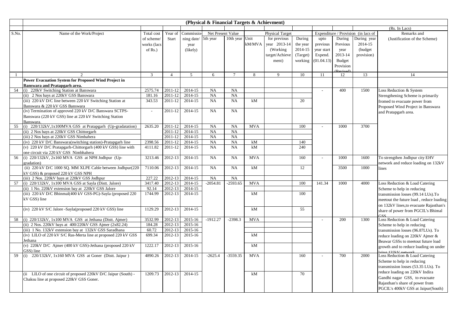|       |                                                                                  |                |                |             | (Physical & Financial Targets & Achievment) |                |            |                        |          |                          |           |                                     |                                         |
|-------|----------------------------------------------------------------------------------|----------------|----------------|-------------|---------------------------------------------|----------------|------------|------------------------|----------|--------------------------|-----------|-------------------------------------|-----------------------------------------|
|       |                                                                                  |                |                |             |                                             |                |            |                        |          |                          |           |                                     | (Rs. In Lacs)                           |
| S.No. | Name of the Work/Project                                                         | Total cost     | Year of        | Commissio   | Net Present Value                           |                |            | <b>Physical Target</b> |          |                          |           | Expenditure / Provision (in lacs of | Remarks and                             |
|       |                                                                                  | of scheme/     | Start          | ning date/  | 5th year                                    | 10th year Unit |            | for previous           | During   | upto                     | During    | During year                         | (Justification of the Scheme)           |
|       |                                                                                  | works (lacs    |                | year        |                                             |                | kM/MVA     | year 2013-14           | the year | previous                 | Previous  | 2014-15                             |                                         |
|       |                                                                                  | of $Rs.$ )     |                | (likely)    |                                             |                |            | (Working)              | 2014-15  | year start               | year      | (budget)                            |                                         |
|       |                                                                                  |                |                |             |                                             |                |            | target/Achieve         | (Target) | Expend.                  | 2013-14   | provision)                          |                                         |
|       |                                                                                  |                |                |             |                                             |                |            | ment)                  | working  | (01.04.13)               | Budget    |                                     |                                         |
|       |                                                                                  |                |                |             |                                             |                |            |                        |          |                          | Provision |                                     |                                         |
|       |                                                                                  |                |                |             |                                             |                |            |                        |          |                          |           |                                     |                                         |
|       |                                                                                  | $\mathfrak{Z}$ | $\overline{4}$ | $5^{\circ}$ | 6                                           | $\overline{7}$ | 8          | $\mathbf Q$            | 10       | 11                       | 12        | 13                                  | 14                                      |
|       | <b>Power Evacuation System for Proposed Wind Project in</b>                      |                |                |             |                                             |                |            |                        |          |                          |           |                                     |                                         |
|       | Banswara and Pratapgarh area.                                                    |                |                |             |                                             |                |            |                        |          |                          |           |                                     |                                         |
| 54    | (i) 220kV Switching Station at Banswara                                          | 2575.74        | 2011-12        | 2014-15     | NA                                          | NA             |            |                        |          | $\sim$                   | 400       | 1500                                | Loss Reduction & System                 |
|       | (ii) 2 Nos bays at 220kV GSS Banswara                                            | 181.16         | 2011-12        | 2014-15     | NA                                          | <b>NA</b>      |            |                        |          |                          |           |                                     | Strengthening Scheme is primarily       |
|       | (iii) 220 kV D/C line between 220 kV Switching Station at                        | 343.53         | 2011-12        | 2014-15     | NA                                          | <b>NA</b>      | kM         |                        | 20       |                          |           |                                     | fromed to evacuate power from           |
|       | Banswara & 220 kV GSS Banswara                                                   |                |                |             |                                             |                |            |                        |          |                          |           |                                     | Proposed Wind Project in Banswara       |
|       | (iv) Termination of approved 220 kV D/C Banswara SCTPS-                          | $\sim$         | 2011-12        | 2014-15     | NA                                          | <b>NA</b>      |            |                        |          |                          |           |                                     | and Pratapgarh area.                    |
|       | Banswara (220 kV GSS) line at 220 kV Switching Station                           |                |                |             |                                             |                |            |                        |          |                          |           |                                     |                                         |
| 55    | <b>Banswara</b><br>(i) $220/132kV$ , 1x100MVA GSS at Pratapgarh (Up-gradatation) | 2635.20        | 2011-12        | 2014-15     | NA                                          | NA             | <b>MVA</b> |                        | 100      | $\overline{\phantom{a}}$ | 1000      | 3700                                |                                         |
|       | (ii) 2 Nos bays at 220kV GSS Chittorgarh                                         |                | 2011-12        | 2014-15     | NA                                          | NA             |            |                        |          |                          |           |                                     |                                         |
|       | (iii) 2 Nos bays at 220kV GSS Nimbahera                                          |                | 2011-12        | 2014-15     | NA                                          | NA             |            |                        |          |                          |           |                                     |                                         |
|       | (iv) 220 kV D/C Banswara(switching station)-Pratapgarh line                      | 2398.56        | 2011-12        | 2014-15     | NA                                          | NA             | kM         |                        | 140      |                          |           |                                     |                                         |
|       | (v) 220 kV D/C Pratapgarh-Chittorgarh (400 kV GSS) line with                     | 4111.82        | 2011-12        | 2014-15     | NA                                          | <b>NA</b>      | kM         |                        | 240      |                          |           |                                     |                                         |
|       | one circuit via 220 kV GSS Nimbhahera                                            |                |                |             |                                             |                |            |                        |          |                          |           |                                     |                                         |
| 56    | (i) $220/132kV$ , $2x160$ MVA GSS at NPH Jodhpur (Up-                            | 3213.46        | 2012-13        | 2014-15     | NA                                          | <b>NA</b>      | <b>MVA</b> |                        | 160      | $\sim$                   | 1000      | 1600                                | To strengthen Jodhpur city EHV          |
|       | gradation)                                                                       |                |                |             |                                             |                |            |                        |          |                          |           |                                     | network and reduce loading on 132kV     |
|       | (ii) 220 kV D/C 1000 SQ. MM XLPE Cable between Jodhpur(220                       | 7110.06        | 2012-13        | 2014-15     | NA                                          | <b>NA</b>      | kM         |                        | 12       |                          | 3500      | 1000                                | lines                                   |
|       | kV GSS) & proposed 220 kV GSS NPH                                                |                |                |             |                                             |                |            |                        |          |                          |           |                                     |                                         |
|       | (iii) 2 Nos. 220kV bays at 220kV GSS Jodhpur                                     | 227.22         | 2012-13        | 2014-15     | NA                                          | <b>NA</b>      |            |                        |          |                          |           |                                     |                                         |
| 57    | (i) $220/132kV$ , $1x100$ MVA GSS at Sayla (Distt. Jalore)                       | 3417.40        | 2012-13        | 2014-15     | $-2054.81$                                  | $-2593.65$     | <b>MVA</b> |                        | 100      | 141.34                   | 1000      | 4000                                | Loss Reduction & Load Catering          |
|       | (ii) 1 No. 220kV extension bay at 220kV GSS Jalore                               | 92.14          | 2012-13        | 2014-15     |                                             |                |            |                        |          |                          |           |                                     | Scheme to help in reducing              |
|       | (iii) 220 kV D/C Bhinmal(400 kV GSS-PG)-Sayla (proposed 220                      | 1744.99        | 2012-13        | 2014-15     |                                             |                | kM         |                        | 100      |                          |           |                                     | transmission losses (99.14 LUs).To      |
|       | kV GSS) line                                                                     |                |                |             |                                             |                |            |                        |          |                          |           |                                     | meetout the future load, reduce loading |
|       |                                                                                  |                |                |             |                                             |                |            |                        |          |                          |           |                                     | on 132kV lines, to evacuate Rajasthan's |
|       | (iv) 220 kV S/C Jalore -Sayla(proposed 220 kV GSS) line                          | 1129.29        | 2012-13        | 2014-15     |                                             |                | kM         |                        | 55       |                          |           |                                     | share of power from PGCIL's Bhimal      |
|       |                                                                                  |                |                |             |                                             |                |            |                        |          |                          |           |                                     | 220                                     |
| 58    | (i) $220/132kV$ , $1x100$ MVA GSS at Jethana (Distt. Ajmer)                      | 3532.99        | 2012-13        | 2015-16     | $-1912.27$                                  | $-2398.3$      | <b>MVA</b> |                        |          | $\sim$                   | 200       | 1300                                | Loss Reduction & Load Catering          |
|       | (ii) 2 Nos. 220kV bays at $400/220$ kV GSS Ajmer (2x82.24)                       | 184.28         | 2012-13        | 2015-16     |                                             |                |            |                        |          |                          |           |                                     | Scheme to help in reducing              |
|       | (iii) 1 No. 132kV extension bay at 132kV GSS Saradhana                           | 60.72          | 2012-13        | 2015-16     |                                             |                |            |                        |          |                          |           |                                     | transmission losses (96.87LUs). To      |
|       | (iv) LILO of 220 kV S/C Ras-Merta line at proposed 220 kV GSS                    | 699.34         | 2012-13        | 2015-16     |                                             |                | kM         |                        |          |                          |           |                                     | reduce loading on 220kV Ajmer &         |
|       | Jethana                                                                          |                |                |             |                                             |                |            |                        |          |                          |           |                                     | Beawar GSSs to meetout future load      |
|       | (v) 220kV D/C Ajmer (400 kV GSS)-Jethana (proposed 220 kV                        | 1222.17        | 2012-13        | 2015-16     |                                             |                | kM         |                        |          |                          |           |                                     | growth and to reduce loading on under   |
|       | GSS) line                                                                        |                |                |             |                                             |                |            |                        |          |                          |           |                                     | ving 132kV network                      |
| 59    | $(i)$ 220/132kV, 1x160 MVA GSS at Goner (Dist. Jaipur)                           | 4890.26        | 2012-13        | 2014-15     | $-2625.4$                                   | $-3559.35$     | <b>MVA</b> |                        | 160      | $\overline{\phantom{a}}$ | 700       | 2000                                | Loss Reduction & Load Catering          |
|       |                                                                                  |                |                |             |                                             |                |            |                        |          |                          |           |                                     | Scheme to help in reducing              |
|       |                                                                                  |                |                |             |                                             |                |            |                        |          |                          |           |                                     | transmission losses (53.35 LUs). To     |
|       | (ii LILO of one circuit of proposed 220kV D/C Jaipur (South) -                   | 1209.73        | 2012-13        | 2014-15     |                                             |                | kM         |                        | 70       |                          |           |                                     | reduce loading on 220kV Indira          |
|       | Chaksu line at proposed 220kV GSS Goner.                                         |                |                |             |                                             |                |            |                        |          |                          |           |                                     | Gandhi nagar GSS, to evacuate           |
|       |                                                                                  |                |                |             |                                             |                |            |                        |          |                          |           |                                     | Rajasthan's share of power from         |
|       |                                                                                  |                |                |             |                                             |                |            |                        |          |                          |           |                                     | PGCIL's 400kV GSS at Jaipur(South)      |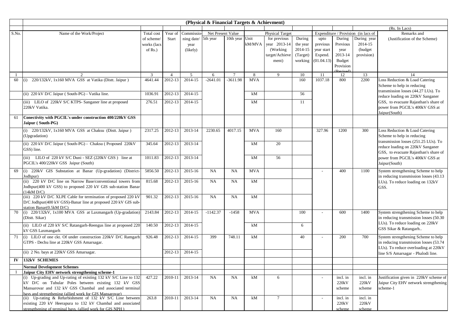|       |                                                                              |             |                |            | (Physical & Financial Targets & Achievment) |                |            |                        |          |            |           |                                     |                                         |
|-------|------------------------------------------------------------------------------|-------------|----------------|------------|---------------------------------------------|----------------|------------|------------------------|----------|------------|-----------|-------------------------------------|-----------------------------------------|
|       |                                                                              |             |                |            |                                             |                |            |                        |          |            |           |                                     | (Rs. In Lacs)                           |
| S.No. | Name of the Work/Project                                                     | Total cost  | Year of        | Commissio  | Net Present Value                           |                |            | <b>Physical Target</b> |          |            |           | Expenditure / Provision (in lacs of | Remarks and                             |
|       |                                                                              | of scheme/  | Start          | ning date/ | 5th year                                    | 10th year      | Unit       | for previous           | During   | upto       | During    | During year                         | (Justification of the Scheme)           |
|       |                                                                              | works (lacs |                | year       |                                             |                | kM/MVA     | year 2013-14           | the year | previous   | Previous  | 2014-15                             |                                         |
|       |                                                                              | of Rs.      |                | (likely)   |                                             |                |            | (Working)              | 2014-15  | year start | year      | (budget)                            |                                         |
|       |                                                                              |             |                |            |                                             |                |            | target/Achieve         | (Target) | Expend.    | 2013-14   | provision)                          |                                         |
|       |                                                                              |             |                |            |                                             |                |            | ment)                  | working  | (01.04.13) | Budget    |                                     |                                         |
|       |                                                                              |             |                |            |                                             |                |            |                        |          |            | Provision |                                     |                                         |
|       | $\mathcal{D}$                                                                | 3           | $\overline{4}$ | 5          | 6                                           | $\overline{7}$ | 8          | $\mathbf Q$            | 10       | 11         | 12        | 13                                  | 14                                      |
| 60    | (i) 220/132kV, 1x160 MVA GSS at Vatika (Distt. Jaipur)                       | 4641.44     | 2012-13        | 2014-15    | $-2641.01$                                  | $-3611.98$     | <b>MVA</b> |                        | 160      | 1037.18    | 800       | 2200                                | Loss Reduction & Load Catering          |
|       |                                                                              |             |                |            |                                             |                |            |                        |          |            |           |                                     | Scheme to help in reducing              |
|       |                                                                              |             |                | 2014-15    |                                             |                | kM         |                        | 56       |            |           |                                     | transmission losses (44.27 LUs). To     |
|       | (ii) 220 kV D/C Jaipur (South-PG) - Vatika line.                             | 1036.91     | 2012-13        |            |                                             |                |            |                        |          |            |           |                                     | reduce loading on 220kV Sanganer        |
|       | (iii) LILO of 220kV S/C KTPS- Sanganer line at proposed                      | 276.51      | 2012-13        | 2014-15    |                                             |                | kM         |                        | 11       |            |           |                                     | GSS, to evacuate Rajasthan's share of   |
|       | 220kV Vatika.                                                                |             |                |            |                                             |                |            |                        |          |            |           |                                     | power from PGCIL's 400kV GSS at         |
|       |                                                                              |             |                |            |                                             |                |            |                        |          |            |           |                                     | Jaipur(South)                           |
| 61    | Conectivity with PGCIL's under construction 400/220kV GSS                    |             |                |            |                                             |                |            |                        |          |            |           |                                     |                                         |
|       | Jaipur (South-PG)                                                            |             |                |            |                                             |                |            |                        |          |            |           |                                     |                                         |
|       | (i) 220/132kV, 1x160 MVA GSS at Chaksu (Distt. Jaipur)                       | 2317.25     | 2012-13        | 2013-14    | 2230.65                                     | 4017.15        | <b>MVA</b> | 160                    |          | 327.96     | 1200      | 300                                 | Loss Reduction & Load Catering          |
|       | (Upgradation)                                                                |             |                |            |                                             |                |            |                        |          |            |           |                                     | Scheme to help in reducing              |
|       | (ii) 220 kV D/C Jaipur (South-PG) - Chaksu (Proposed 220kV                   | 345.64      | 2012-13        | 2013-14    |                                             |                | kM         | 20                     |          |            |           |                                     | transmission losses (251.25 LUs). To    |
|       | GSS) line.                                                                   |             |                |            |                                             |                |            |                        |          |            |           |                                     | reduce loading on 220kV Sanganer        |
|       |                                                                              |             |                |            |                                             |                |            |                        |          |            |           |                                     | GSS, to evacuate Rajasthan's share of   |
|       | (iii) LILO of 220 kV S/C Duni - SEZ (220kV GSS) line at                      | 1011.83     | 2012-13        | 2013-14    |                                             |                | kM         | 56                     |          |            |           |                                     | power from PGCIL's 400kV GSS at         |
|       | PGCIL's 400/220kV GSS Jaipur (South)                                         |             |                |            |                                             |                |            |                        |          |            |           |                                     | Jaipur(South)                           |
| 69    | (i) 220kV GIS Substation at Banar (Up-gradation) (District-                  | 5856.50     | 2012-13        | 2015-16    | NA                                          | NA             | <b>MVA</b> |                        |          |            | 400       | 1100                                | System strengthening Scheme to help     |
|       | Jodhpur)                                                                     |             |                |            |                                             |                |            |                        |          |            |           |                                     | in reducing transmission losses (43.13) |
|       | (ii) 220 kV D/C line on Narrow Base/conventional towers from                 | 815.68      | 2012-13        | 2015-16    | NA                                          | <b>NA</b>      | kM         |                        |          |            |           |                                     | LUs). To reduce loading on 132kV        |
|       | Jodhpur(400 kV GSS) to proposed 220 kV GIS sub-station Banar                 |             |                |            |                                             |                |            |                        |          |            |           |                                     | GSS.                                    |
|       | (14kM D/C)<br>(iii) 220 kV D/C XLPE Cable for termination of proposed 220 kV | 901.32      | 2012-13        | 2015-16    | NA                                          | NA             | kM         |                        |          |            |           |                                     |                                         |
|       | D/C Jodhpur(400 kV GSS)-Banar line at proposed 220 kV GIS sub-               |             |                |            |                                             |                |            |                        |          |            |           |                                     |                                         |
|       | station Banar(0.5kM D/C)                                                     |             |                |            |                                             |                |            |                        |          |            |           |                                     |                                         |
| 70    | (i) 220/132kV, 1x100 MVA GSS at Laxmangarh (Up-gradation                     | 2143.84     | 2012-13        | 2014-15    | $-1142.37$                                  | $-1458$        | <b>MVA</b> |                        | 100      |            | 600       | 1400                                | System strengthening Scheme to help     |
|       | (Distt. Sikar)                                                               |             |                |            |                                             |                |            |                        |          |            |           |                                     | in reducing transmission losses (50.30) |
|       | (ii) LILO of 220 kV S/C Ratangarh-Reengus line at proposed 220               | 140.50      | 2012-13        | 2014-15    |                                             |                | kM         |                        | 6        |            |           |                                     | LUs). To reduce loading on 220kV        |
|       | kV GSS Laxmangarh                                                            |             |                |            |                                             |                |            |                        |          |            |           |                                     | GSS Sikar & Ratangarh                   |
| 71    | (i) LILO of one ckt. Of under construction 220kV D/C Ramgarh                 | 926.48      | 2012-13        | 2014-15    | 399                                         | 748.11         | kM         |                        | 40       |            | 200       | 700                                 | System strengthening Scheme to help     |
|       | GTPS - Dechu line at 220kV GSS Amarsagar.                                    |             |                |            |                                             |                |            |                        |          |            |           |                                     | in reducing transmission losses (53.74  |
|       |                                                                              |             |                |            |                                             |                |            |                        |          |            |           |                                     | LUs). To reduce overloading at 220kV    |
|       | (ii) 2 No. bays at 220kV GSS Amarsagar.                                      |             | 2012-13        | 2014-15    |                                             |                |            |                        |          |            |           |                                     | line S/S Amarsagar - Phalodi line.      |
| IV    | <b>132kV SCHEMES</b>                                                         |             |                |            |                                             |                |            |                        |          |            |           |                                     |                                         |
|       | <b>Normal Development Schemes</b>                                            |             |                |            |                                             |                |            |                        |          |            |           |                                     |                                         |
|       | Jaipur City EHV network strengthening scheme-1                               |             |                |            |                                             |                |            |                        |          |            |           |                                     |                                         |
|       | (i) Up-grading and Up-rating of existing 132 kV S/C Line to 132              | 427.22      | 2010-11        | 2013-14    | NA                                          | NA             | kM         | 6                      |          |            | incl. in  | incl. in                            | Justification given in 220kV scheme of  |
|       | kV D/C on Tubular Poles between existing 132 kV GSS                          |             |                |            |                                             |                |            |                        |          |            | 220kV     | 220kV                               | Jaipur City EHV network strengthening   |
|       | Mansarovar and 132 kV GSS Chambal and associated terminal                    |             |                |            |                                             |                |            |                        |          |            | scheme    | scheme                              | scheme-1                                |
|       | bays and strengthening (allied work for GIS Mansarovar)                      |             |                |            |                                             |                |            |                        |          |            |           |                                     |                                         |
|       | (ii) Up-rating & Refurbishment of 132 kV S/C Line between                    | 263.8       | 2010-11        | 2013-14    | NA                                          | NA             | kM         | $\tau$                 |          |            | incl. in  | incl. in                            |                                         |
|       | existing 220 kV Heerapura to 132 kV Chambal and associated                   |             |                |            |                                             |                |            |                        |          |            | 220kV     | 220kV                               |                                         |
|       | strengthening of terminal bays. (allied work for GIS NPH)                    |             |                |            |                                             |                |            |                        |          |            | scheme    | scheme                              |                                         |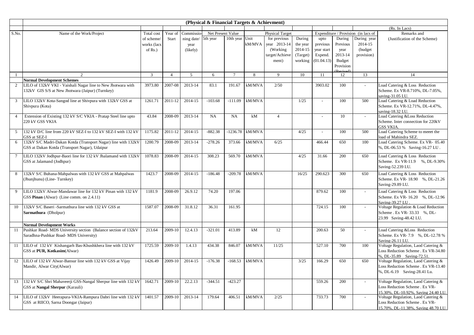| (Rs. In Lacs)<br>Net Present Value<br>Expenditure / Provision (in lacs of<br>Remarks and<br>S.No.<br>Year of<br><b>Physical Target</b><br>Name of the Work/Project<br>Total cost<br>Commissio<br>5th year<br>10th year<br>Unit<br>for previous<br>During<br>During<br>During year<br>upto<br>of scheme/<br>Start<br>ning date/<br>(Justification of the Scheme)<br>kM/MVA<br>year 2013-14<br>the year<br>2014-15<br>previous<br>Previous<br>works (lacs<br>year<br>2014-15<br>(Working)<br>year start<br>(budget)<br>of $Rs.$ )<br>(likely)<br>vear<br>2013-14<br>(Target)<br>Expend.<br>target/Achieve<br>provision)<br>(01.04.13)<br>Budget<br>working<br>ment)<br>Provision<br>$\mathfrak{Z}$<br>11<br>13<br>$\mathfrak{D}$<br>5<br>$\tau$<br>10<br>14<br>$\overline{4}$<br>6<br>8<br>9<br>12<br><b>Normal Development Schemes</b><br>LILO of 132kV VKI - Vaishali Nagar line to New Jhotwara with<br>3973.80<br>2007-08<br>2013-14<br>83.1<br>kM/MVA<br>2/50<br>3903.02<br>100<br>Load Catering & Loss Reduction<br>$\overline{2}$<br>191.67<br>132kV GIS S/S at New Jhotwara (Jaipur) (Turnkey)<br>Scheme. Ex VR-8.710%, DL-7.05%,<br>saving-31.05 LU.<br>LILO 132kV Kota-Sangod line at Shivpura with 132kV GSS at<br>1261.71<br>2011-12<br>2014-15<br>$-103.68$<br>$-111.09$<br>kM/MVA<br>1/25<br>100<br>500<br>Load Catering & Load Reduction<br>3<br>Shivpura (Kota)<br>Scheme. Ex VR-12.71%, DL-4.47%,<br>saving-18.32 LU.<br>Extension of Existing 132 kV S/C VKIA - Pratap Steel line upto<br>43.84<br>2013-14<br>NA<br>NA<br>kM<br>Load Catering &Loss Reduction<br>2008-09<br>$\overline{4}$<br>10<br>$\overline{4}$<br>220 kV GSS VKIA<br>Scheme. Inter connection for 220kV<br>GSS VKIA.<br>Load Catering Scheme to meeet the<br>132 kV D/C line from 220 kV SEZ-I to 132 kV SEZ-I with 132 kV<br>1175.82<br>2011-12<br>2014-15<br>$-882.38$<br>$-1236.78$<br>kM/MVA<br>4/25<br>500<br>5<br>100<br>$\sim$<br>GSS at SEZ-I<br>load of Mahindra SEZ.<br>132kV S/C Madri-Dakan Kotda (Transport Nagar) line with 132kV<br>1200.79<br>2008-09<br>2013-14<br>$-278.26$<br>373.66<br>kM/MVA<br>6/25<br>Load Catering Scheme. Ex VR- 05.40<br>466.44<br>650<br>100<br>6<br>GSS at Dakan Kotda (Transport Nagar), Udaipur<br>%, DL-06.53 % Saving-16.27 LU.<br>LILO 132kV Jodhpur-Baori line for 132 kV Jhalamand with 132kV<br>1078.83<br>2008-09<br>2014-15<br>308.23<br>569.70<br>kM/MVA<br>4/25<br>200<br>Load Catering & Loss Reduction<br>$\tau$<br>31.66<br>650<br>GSS at Jalamand (Jodhpur)<br>Scheme. Ex VR-11.9 %, DL-9.30%<br>Saving-52.239 LU.<br>132kV S/C Buhana-Mahpalwas with 132 kV GSS at Mahpalwas<br>1423.7<br>2008-09<br>2014-15<br>$-186.48$<br>$-209.78$<br>kM/MVA<br>16/25<br>290.623<br>300<br>Load Catering & Loss Reduction<br>8<br>650<br>Scheme. Ex VR-18.90 %, DL-21.26<br>(Jhunjhunu) (Line-Turnkey)<br>Saving-29.89 LU.<br>$\mathbf{Q}$<br>LILO 132kV Alwar-Mandawar line for 132 kV Pinan with 132 kV<br>1181.9<br>2008-09<br>26.9.12<br>74.20<br>197.06<br>879.62<br>100<br>Load Catering & Loss Reduction<br>Scheme. Ex VR-16.20 %, DL-12.96<br>GSS Pinan (Alwar) (Line comm. on 2.4.11)<br>Saving-39.27 LU<br>10<br>132kV S/C Baseri -Sarmathura line with 132 kV GSS at<br>1587.07<br>2008-09<br>31.8.12<br>36.31<br>161.95<br>724.15<br>100<br>Voltage Regulation & Load Reduction<br>Sarmathura (Dholpur)<br>Scheme . Ex VR- 33.33 %, DL-<br>23.99 Saving-48.42 LU.<br><b>Normal Development Works</b><br>Pushkar Road- MDS University section (Balance section of 132kV<br>213.64<br>2009-10<br>12.4.13<br>$-321.01$<br>413.89<br>kM<br>12<br>200.63<br>50<br>Load Catering & Loss Reduction<br>11<br>Saradhna-Pushkar Road- MDS University)<br>Scheme. Ex VR-7.9 %, DL-12.78 %<br>Saving-26.11 LU.<br>LILO of 132 kV Kishangarh Bas-Khushkhera line with 132 kV<br>1725.59<br>2009-10<br>1.4.13<br>434.38<br>kM/MVA<br>11/25<br>527.10<br>700<br>Voltage Regulation, Laod Catering &<br>11<br>846.07<br>100<br>GSS at PUR, Kotkasim(Alwar)<br>Loss Reduction Scheme . Ex VR-34.80<br>%, DL-35.89 Saving-72.51<br>12 LILO of 132 kV Alwar-Bansur line with 132 kV GSS at Vijay<br>2009-10<br>2014-15<br>$-176.38$<br>$-168.53$<br>kM/MVA<br>3/25<br>Voltage Regulation, Laod Catering &<br>1426.49<br>166.29<br>650<br>650<br>Mandir, Alwar City(Alwar)<br>Loss Reduction Scheme . Ex VR-13.40<br>%, DL-6.19 Saving-28.41 Lu.<br>1642.71<br>2009-10<br>22.2.13<br>$-344.51$<br>$-423.27$<br>13<br>132 kV S/C Shri Mahaveerji GSS-Nangal Sherpur line with 132 kV<br>559.26<br>200<br>Voltage Regulation, Laod Catering &<br>Loss Reduction Scheme . Ex VR-<br>GSS at Nangal Sherpur (Karauli)<br>15.30%, DL-10.92%, Saving 24.40 LU.<br>LILO of 132kV Heerapura-VKIA-Rampura Dabri line with 132 kV<br>1401.57<br>2009-10<br>2013-14<br>179.64<br>kM/MVA<br>14<br>406.51<br>2/25<br>733.73<br>700<br>Voltage Regulation, Laod Catering &<br>GSS at RIICO, Sarna Doongar (Jaipur)<br>Loss Reduction Scheme . Ex VR- |  |  | (Physical & Financial Targets & Achievment) |  |  |  |                                     |
|--------------------------------------------------------------------------------------------------------------------------------------------------------------------------------------------------------------------------------------------------------------------------------------------------------------------------------------------------------------------------------------------------------------------------------------------------------------------------------------------------------------------------------------------------------------------------------------------------------------------------------------------------------------------------------------------------------------------------------------------------------------------------------------------------------------------------------------------------------------------------------------------------------------------------------------------------------------------------------------------------------------------------------------------------------------------------------------------------------------------------------------------------------------------------------------------------------------------------------------------------------------------------------------------------------------------------------------------------------------------------------------------------------------------------------------------------------------------------------------------------------------------------------------------------------------------------------------------------------------------------------------------------------------------------------------------------------------------------------------------------------------------------------------------------------------------------------------------------------------------------------------------------------------------------------------------------------------------------------------------------------------------------------------------------------------------------------------------------------------------------------------------------------------------------------------------------------------------------------------------------------------------------------------------------------------------------------------------------------------------------------------------------------------------------------------------------------------------------------------------------------------------------------------------------------------------------------------------------------------------------------------------------------------------------------------------------------------------------------------------------------------------------------------------------------------------------------------------------------------------------------------------------------------------------------------------------------------------------------------------------------------------------------------------------------------------------------------------------------------------------------------------------------------------------------------------------------------------------------------------------------------------------------------------------------------------------------------------------------------------------------------------------------------------------------------------------------------------------------------------------------------------------------------------------------------------------------------------------------------------------------------------------------------------------------------------------------------------------------------------------------------------------------------------------------------------------------------------------------------------------------------------------------------------------------------------------------------------------------------------------------------------------------------------------------------------------------------------------------------------------------------------------------------------------------------------------------------------------------------------------------------------------------------------------------------------------------------------------------------------------------------------------------------------------------------------------------------------------------------------------------------------------------------------------------------------------------------------------------------------------------------------------------------------------------------------------------------------------------------------------------------------------------------------------------------------------------------------------------------------------------------------------------------------------------------------------------------------|--|--|---------------------------------------------|--|--|--|-------------------------------------|
|                                                                                                                                                                                                                                                                                                                                                                                                                                                                                                                                                                                                                                                                                                                                                                                                                                                                                                                                                                                                                                                                                                                                                                                                                                                                                                                                                                                                                                                                                                                                                                                                                                                                                                                                                                                                                                                                                                                                                                                                                                                                                                                                                                                                                                                                                                                                                                                                                                                                                                                                                                                                                                                                                                                                                                                                                                                                                                                                                                                                                                                                                                                                                                                                                                                                                                                                                                                                                                                                                                                                                                                                                                                                                                                                                                                                                                                                                                                                                                                                                                                                                                                                                                                                                                                                                                                                                                                                                                                                                                                                                                                                                                                                                                                                                                                                                                                                                                                                                                    |  |  |                                             |  |  |  |                                     |
|                                                                                                                                                                                                                                                                                                                                                                                                                                                                                                                                                                                                                                                                                                                                                                                                                                                                                                                                                                                                                                                                                                                                                                                                                                                                                                                                                                                                                                                                                                                                                                                                                                                                                                                                                                                                                                                                                                                                                                                                                                                                                                                                                                                                                                                                                                                                                                                                                                                                                                                                                                                                                                                                                                                                                                                                                                                                                                                                                                                                                                                                                                                                                                                                                                                                                                                                                                                                                                                                                                                                                                                                                                                                                                                                                                                                                                                                                                                                                                                                                                                                                                                                                                                                                                                                                                                                                                                                                                                                                                                                                                                                                                                                                                                                                                                                                                                                                                                                                                    |  |  |                                             |  |  |  |                                     |
|                                                                                                                                                                                                                                                                                                                                                                                                                                                                                                                                                                                                                                                                                                                                                                                                                                                                                                                                                                                                                                                                                                                                                                                                                                                                                                                                                                                                                                                                                                                                                                                                                                                                                                                                                                                                                                                                                                                                                                                                                                                                                                                                                                                                                                                                                                                                                                                                                                                                                                                                                                                                                                                                                                                                                                                                                                                                                                                                                                                                                                                                                                                                                                                                                                                                                                                                                                                                                                                                                                                                                                                                                                                                                                                                                                                                                                                                                                                                                                                                                                                                                                                                                                                                                                                                                                                                                                                                                                                                                                                                                                                                                                                                                                                                                                                                                                                                                                                                                                    |  |  |                                             |  |  |  |                                     |
|                                                                                                                                                                                                                                                                                                                                                                                                                                                                                                                                                                                                                                                                                                                                                                                                                                                                                                                                                                                                                                                                                                                                                                                                                                                                                                                                                                                                                                                                                                                                                                                                                                                                                                                                                                                                                                                                                                                                                                                                                                                                                                                                                                                                                                                                                                                                                                                                                                                                                                                                                                                                                                                                                                                                                                                                                                                                                                                                                                                                                                                                                                                                                                                                                                                                                                                                                                                                                                                                                                                                                                                                                                                                                                                                                                                                                                                                                                                                                                                                                                                                                                                                                                                                                                                                                                                                                                                                                                                                                                                                                                                                                                                                                                                                                                                                                                                                                                                                                                    |  |  |                                             |  |  |  |                                     |
|                                                                                                                                                                                                                                                                                                                                                                                                                                                                                                                                                                                                                                                                                                                                                                                                                                                                                                                                                                                                                                                                                                                                                                                                                                                                                                                                                                                                                                                                                                                                                                                                                                                                                                                                                                                                                                                                                                                                                                                                                                                                                                                                                                                                                                                                                                                                                                                                                                                                                                                                                                                                                                                                                                                                                                                                                                                                                                                                                                                                                                                                                                                                                                                                                                                                                                                                                                                                                                                                                                                                                                                                                                                                                                                                                                                                                                                                                                                                                                                                                                                                                                                                                                                                                                                                                                                                                                                                                                                                                                                                                                                                                                                                                                                                                                                                                                                                                                                                                                    |  |  |                                             |  |  |  |                                     |
|                                                                                                                                                                                                                                                                                                                                                                                                                                                                                                                                                                                                                                                                                                                                                                                                                                                                                                                                                                                                                                                                                                                                                                                                                                                                                                                                                                                                                                                                                                                                                                                                                                                                                                                                                                                                                                                                                                                                                                                                                                                                                                                                                                                                                                                                                                                                                                                                                                                                                                                                                                                                                                                                                                                                                                                                                                                                                                                                                                                                                                                                                                                                                                                                                                                                                                                                                                                                                                                                                                                                                                                                                                                                                                                                                                                                                                                                                                                                                                                                                                                                                                                                                                                                                                                                                                                                                                                                                                                                                                                                                                                                                                                                                                                                                                                                                                                                                                                                                                    |  |  |                                             |  |  |  |                                     |
|                                                                                                                                                                                                                                                                                                                                                                                                                                                                                                                                                                                                                                                                                                                                                                                                                                                                                                                                                                                                                                                                                                                                                                                                                                                                                                                                                                                                                                                                                                                                                                                                                                                                                                                                                                                                                                                                                                                                                                                                                                                                                                                                                                                                                                                                                                                                                                                                                                                                                                                                                                                                                                                                                                                                                                                                                                                                                                                                                                                                                                                                                                                                                                                                                                                                                                                                                                                                                                                                                                                                                                                                                                                                                                                                                                                                                                                                                                                                                                                                                                                                                                                                                                                                                                                                                                                                                                                                                                                                                                                                                                                                                                                                                                                                                                                                                                                                                                                                                                    |  |  |                                             |  |  |  |                                     |
|                                                                                                                                                                                                                                                                                                                                                                                                                                                                                                                                                                                                                                                                                                                                                                                                                                                                                                                                                                                                                                                                                                                                                                                                                                                                                                                                                                                                                                                                                                                                                                                                                                                                                                                                                                                                                                                                                                                                                                                                                                                                                                                                                                                                                                                                                                                                                                                                                                                                                                                                                                                                                                                                                                                                                                                                                                                                                                                                                                                                                                                                                                                                                                                                                                                                                                                                                                                                                                                                                                                                                                                                                                                                                                                                                                                                                                                                                                                                                                                                                                                                                                                                                                                                                                                                                                                                                                                                                                                                                                                                                                                                                                                                                                                                                                                                                                                                                                                                                                    |  |  |                                             |  |  |  |                                     |
|                                                                                                                                                                                                                                                                                                                                                                                                                                                                                                                                                                                                                                                                                                                                                                                                                                                                                                                                                                                                                                                                                                                                                                                                                                                                                                                                                                                                                                                                                                                                                                                                                                                                                                                                                                                                                                                                                                                                                                                                                                                                                                                                                                                                                                                                                                                                                                                                                                                                                                                                                                                                                                                                                                                                                                                                                                                                                                                                                                                                                                                                                                                                                                                                                                                                                                                                                                                                                                                                                                                                                                                                                                                                                                                                                                                                                                                                                                                                                                                                                                                                                                                                                                                                                                                                                                                                                                                                                                                                                                                                                                                                                                                                                                                                                                                                                                                                                                                                                                    |  |  |                                             |  |  |  |                                     |
|                                                                                                                                                                                                                                                                                                                                                                                                                                                                                                                                                                                                                                                                                                                                                                                                                                                                                                                                                                                                                                                                                                                                                                                                                                                                                                                                                                                                                                                                                                                                                                                                                                                                                                                                                                                                                                                                                                                                                                                                                                                                                                                                                                                                                                                                                                                                                                                                                                                                                                                                                                                                                                                                                                                                                                                                                                                                                                                                                                                                                                                                                                                                                                                                                                                                                                                                                                                                                                                                                                                                                                                                                                                                                                                                                                                                                                                                                                                                                                                                                                                                                                                                                                                                                                                                                                                                                                                                                                                                                                                                                                                                                                                                                                                                                                                                                                                                                                                                                                    |  |  |                                             |  |  |  |                                     |
|                                                                                                                                                                                                                                                                                                                                                                                                                                                                                                                                                                                                                                                                                                                                                                                                                                                                                                                                                                                                                                                                                                                                                                                                                                                                                                                                                                                                                                                                                                                                                                                                                                                                                                                                                                                                                                                                                                                                                                                                                                                                                                                                                                                                                                                                                                                                                                                                                                                                                                                                                                                                                                                                                                                                                                                                                                                                                                                                                                                                                                                                                                                                                                                                                                                                                                                                                                                                                                                                                                                                                                                                                                                                                                                                                                                                                                                                                                                                                                                                                                                                                                                                                                                                                                                                                                                                                                                                                                                                                                                                                                                                                                                                                                                                                                                                                                                                                                                                                                    |  |  |                                             |  |  |  |                                     |
|                                                                                                                                                                                                                                                                                                                                                                                                                                                                                                                                                                                                                                                                                                                                                                                                                                                                                                                                                                                                                                                                                                                                                                                                                                                                                                                                                                                                                                                                                                                                                                                                                                                                                                                                                                                                                                                                                                                                                                                                                                                                                                                                                                                                                                                                                                                                                                                                                                                                                                                                                                                                                                                                                                                                                                                                                                                                                                                                                                                                                                                                                                                                                                                                                                                                                                                                                                                                                                                                                                                                                                                                                                                                                                                                                                                                                                                                                                                                                                                                                                                                                                                                                                                                                                                                                                                                                                                                                                                                                                                                                                                                                                                                                                                                                                                                                                                                                                                                                                    |  |  |                                             |  |  |  |                                     |
|                                                                                                                                                                                                                                                                                                                                                                                                                                                                                                                                                                                                                                                                                                                                                                                                                                                                                                                                                                                                                                                                                                                                                                                                                                                                                                                                                                                                                                                                                                                                                                                                                                                                                                                                                                                                                                                                                                                                                                                                                                                                                                                                                                                                                                                                                                                                                                                                                                                                                                                                                                                                                                                                                                                                                                                                                                                                                                                                                                                                                                                                                                                                                                                                                                                                                                                                                                                                                                                                                                                                                                                                                                                                                                                                                                                                                                                                                                                                                                                                                                                                                                                                                                                                                                                                                                                                                                                                                                                                                                                                                                                                                                                                                                                                                                                                                                                                                                                                                                    |  |  |                                             |  |  |  |                                     |
|                                                                                                                                                                                                                                                                                                                                                                                                                                                                                                                                                                                                                                                                                                                                                                                                                                                                                                                                                                                                                                                                                                                                                                                                                                                                                                                                                                                                                                                                                                                                                                                                                                                                                                                                                                                                                                                                                                                                                                                                                                                                                                                                                                                                                                                                                                                                                                                                                                                                                                                                                                                                                                                                                                                                                                                                                                                                                                                                                                                                                                                                                                                                                                                                                                                                                                                                                                                                                                                                                                                                                                                                                                                                                                                                                                                                                                                                                                                                                                                                                                                                                                                                                                                                                                                                                                                                                                                                                                                                                                                                                                                                                                                                                                                                                                                                                                                                                                                                                                    |  |  |                                             |  |  |  |                                     |
|                                                                                                                                                                                                                                                                                                                                                                                                                                                                                                                                                                                                                                                                                                                                                                                                                                                                                                                                                                                                                                                                                                                                                                                                                                                                                                                                                                                                                                                                                                                                                                                                                                                                                                                                                                                                                                                                                                                                                                                                                                                                                                                                                                                                                                                                                                                                                                                                                                                                                                                                                                                                                                                                                                                                                                                                                                                                                                                                                                                                                                                                                                                                                                                                                                                                                                                                                                                                                                                                                                                                                                                                                                                                                                                                                                                                                                                                                                                                                                                                                                                                                                                                                                                                                                                                                                                                                                                                                                                                                                                                                                                                                                                                                                                                                                                                                                                                                                                                                                    |  |  |                                             |  |  |  |                                     |
|                                                                                                                                                                                                                                                                                                                                                                                                                                                                                                                                                                                                                                                                                                                                                                                                                                                                                                                                                                                                                                                                                                                                                                                                                                                                                                                                                                                                                                                                                                                                                                                                                                                                                                                                                                                                                                                                                                                                                                                                                                                                                                                                                                                                                                                                                                                                                                                                                                                                                                                                                                                                                                                                                                                                                                                                                                                                                                                                                                                                                                                                                                                                                                                                                                                                                                                                                                                                                                                                                                                                                                                                                                                                                                                                                                                                                                                                                                                                                                                                                                                                                                                                                                                                                                                                                                                                                                                                                                                                                                                                                                                                                                                                                                                                                                                                                                                                                                                                                                    |  |  |                                             |  |  |  |                                     |
|                                                                                                                                                                                                                                                                                                                                                                                                                                                                                                                                                                                                                                                                                                                                                                                                                                                                                                                                                                                                                                                                                                                                                                                                                                                                                                                                                                                                                                                                                                                                                                                                                                                                                                                                                                                                                                                                                                                                                                                                                                                                                                                                                                                                                                                                                                                                                                                                                                                                                                                                                                                                                                                                                                                                                                                                                                                                                                                                                                                                                                                                                                                                                                                                                                                                                                                                                                                                                                                                                                                                                                                                                                                                                                                                                                                                                                                                                                                                                                                                                                                                                                                                                                                                                                                                                                                                                                                                                                                                                                                                                                                                                                                                                                                                                                                                                                                                                                                                                                    |  |  |                                             |  |  |  |                                     |
|                                                                                                                                                                                                                                                                                                                                                                                                                                                                                                                                                                                                                                                                                                                                                                                                                                                                                                                                                                                                                                                                                                                                                                                                                                                                                                                                                                                                                                                                                                                                                                                                                                                                                                                                                                                                                                                                                                                                                                                                                                                                                                                                                                                                                                                                                                                                                                                                                                                                                                                                                                                                                                                                                                                                                                                                                                                                                                                                                                                                                                                                                                                                                                                                                                                                                                                                                                                                                                                                                                                                                                                                                                                                                                                                                                                                                                                                                                                                                                                                                                                                                                                                                                                                                                                                                                                                                                                                                                                                                                                                                                                                                                                                                                                                                                                                                                                                                                                                                                    |  |  |                                             |  |  |  |                                     |
|                                                                                                                                                                                                                                                                                                                                                                                                                                                                                                                                                                                                                                                                                                                                                                                                                                                                                                                                                                                                                                                                                                                                                                                                                                                                                                                                                                                                                                                                                                                                                                                                                                                                                                                                                                                                                                                                                                                                                                                                                                                                                                                                                                                                                                                                                                                                                                                                                                                                                                                                                                                                                                                                                                                                                                                                                                                                                                                                                                                                                                                                                                                                                                                                                                                                                                                                                                                                                                                                                                                                                                                                                                                                                                                                                                                                                                                                                                                                                                                                                                                                                                                                                                                                                                                                                                                                                                                                                                                                                                                                                                                                                                                                                                                                                                                                                                                                                                                                                                    |  |  |                                             |  |  |  |                                     |
|                                                                                                                                                                                                                                                                                                                                                                                                                                                                                                                                                                                                                                                                                                                                                                                                                                                                                                                                                                                                                                                                                                                                                                                                                                                                                                                                                                                                                                                                                                                                                                                                                                                                                                                                                                                                                                                                                                                                                                                                                                                                                                                                                                                                                                                                                                                                                                                                                                                                                                                                                                                                                                                                                                                                                                                                                                                                                                                                                                                                                                                                                                                                                                                                                                                                                                                                                                                                                                                                                                                                                                                                                                                                                                                                                                                                                                                                                                                                                                                                                                                                                                                                                                                                                                                                                                                                                                                                                                                                                                                                                                                                                                                                                                                                                                                                                                                                                                                                                                    |  |  |                                             |  |  |  |                                     |
|                                                                                                                                                                                                                                                                                                                                                                                                                                                                                                                                                                                                                                                                                                                                                                                                                                                                                                                                                                                                                                                                                                                                                                                                                                                                                                                                                                                                                                                                                                                                                                                                                                                                                                                                                                                                                                                                                                                                                                                                                                                                                                                                                                                                                                                                                                                                                                                                                                                                                                                                                                                                                                                                                                                                                                                                                                                                                                                                                                                                                                                                                                                                                                                                                                                                                                                                                                                                                                                                                                                                                                                                                                                                                                                                                                                                                                                                                                                                                                                                                                                                                                                                                                                                                                                                                                                                                                                                                                                                                                                                                                                                                                                                                                                                                                                                                                                                                                                                                                    |  |  |                                             |  |  |  |                                     |
|                                                                                                                                                                                                                                                                                                                                                                                                                                                                                                                                                                                                                                                                                                                                                                                                                                                                                                                                                                                                                                                                                                                                                                                                                                                                                                                                                                                                                                                                                                                                                                                                                                                                                                                                                                                                                                                                                                                                                                                                                                                                                                                                                                                                                                                                                                                                                                                                                                                                                                                                                                                                                                                                                                                                                                                                                                                                                                                                                                                                                                                                                                                                                                                                                                                                                                                                                                                                                                                                                                                                                                                                                                                                                                                                                                                                                                                                                                                                                                                                                                                                                                                                                                                                                                                                                                                                                                                                                                                                                                                                                                                                                                                                                                                                                                                                                                                                                                                                                                    |  |  |                                             |  |  |  |                                     |
|                                                                                                                                                                                                                                                                                                                                                                                                                                                                                                                                                                                                                                                                                                                                                                                                                                                                                                                                                                                                                                                                                                                                                                                                                                                                                                                                                                                                                                                                                                                                                                                                                                                                                                                                                                                                                                                                                                                                                                                                                                                                                                                                                                                                                                                                                                                                                                                                                                                                                                                                                                                                                                                                                                                                                                                                                                                                                                                                                                                                                                                                                                                                                                                                                                                                                                                                                                                                                                                                                                                                                                                                                                                                                                                                                                                                                                                                                                                                                                                                                                                                                                                                                                                                                                                                                                                                                                                                                                                                                                                                                                                                                                                                                                                                                                                                                                                                                                                                                                    |  |  |                                             |  |  |  |                                     |
|                                                                                                                                                                                                                                                                                                                                                                                                                                                                                                                                                                                                                                                                                                                                                                                                                                                                                                                                                                                                                                                                                                                                                                                                                                                                                                                                                                                                                                                                                                                                                                                                                                                                                                                                                                                                                                                                                                                                                                                                                                                                                                                                                                                                                                                                                                                                                                                                                                                                                                                                                                                                                                                                                                                                                                                                                                                                                                                                                                                                                                                                                                                                                                                                                                                                                                                                                                                                                                                                                                                                                                                                                                                                                                                                                                                                                                                                                                                                                                                                                                                                                                                                                                                                                                                                                                                                                                                                                                                                                                                                                                                                                                                                                                                                                                                                                                                                                                                                                                    |  |  |                                             |  |  |  |                                     |
|                                                                                                                                                                                                                                                                                                                                                                                                                                                                                                                                                                                                                                                                                                                                                                                                                                                                                                                                                                                                                                                                                                                                                                                                                                                                                                                                                                                                                                                                                                                                                                                                                                                                                                                                                                                                                                                                                                                                                                                                                                                                                                                                                                                                                                                                                                                                                                                                                                                                                                                                                                                                                                                                                                                                                                                                                                                                                                                                                                                                                                                                                                                                                                                                                                                                                                                                                                                                                                                                                                                                                                                                                                                                                                                                                                                                                                                                                                                                                                                                                                                                                                                                                                                                                                                                                                                                                                                                                                                                                                                                                                                                                                                                                                                                                                                                                                                                                                                                                                    |  |  |                                             |  |  |  |                                     |
|                                                                                                                                                                                                                                                                                                                                                                                                                                                                                                                                                                                                                                                                                                                                                                                                                                                                                                                                                                                                                                                                                                                                                                                                                                                                                                                                                                                                                                                                                                                                                                                                                                                                                                                                                                                                                                                                                                                                                                                                                                                                                                                                                                                                                                                                                                                                                                                                                                                                                                                                                                                                                                                                                                                                                                                                                                                                                                                                                                                                                                                                                                                                                                                                                                                                                                                                                                                                                                                                                                                                                                                                                                                                                                                                                                                                                                                                                                                                                                                                                                                                                                                                                                                                                                                                                                                                                                                                                                                                                                                                                                                                                                                                                                                                                                                                                                                                                                                                                                    |  |  |                                             |  |  |  |                                     |
|                                                                                                                                                                                                                                                                                                                                                                                                                                                                                                                                                                                                                                                                                                                                                                                                                                                                                                                                                                                                                                                                                                                                                                                                                                                                                                                                                                                                                                                                                                                                                                                                                                                                                                                                                                                                                                                                                                                                                                                                                                                                                                                                                                                                                                                                                                                                                                                                                                                                                                                                                                                                                                                                                                                                                                                                                                                                                                                                                                                                                                                                                                                                                                                                                                                                                                                                                                                                                                                                                                                                                                                                                                                                                                                                                                                                                                                                                                                                                                                                                                                                                                                                                                                                                                                                                                                                                                                                                                                                                                                                                                                                                                                                                                                                                                                                                                                                                                                                                                    |  |  |                                             |  |  |  |                                     |
|                                                                                                                                                                                                                                                                                                                                                                                                                                                                                                                                                                                                                                                                                                                                                                                                                                                                                                                                                                                                                                                                                                                                                                                                                                                                                                                                                                                                                                                                                                                                                                                                                                                                                                                                                                                                                                                                                                                                                                                                                                                                                                                                                                                                                                                                                                                                                                                                                                                                                                                                                                                                                                                                                                                                                                                                                                                                                                                                                                                                                                                                                                                                                                                                                                                                                                                                                                                                                                                                                                                                                                                                                                                                                                                                                                                                                                                                                                                                                                                                                                                                                                                                                                                                                                                                                                                                                                                                                                                                                                                                                                                                                                                                                                                                                                                                                                                                                                                                                                    |  |  |                                             |  |  |  |                                     |
|                                                                                                                                                                                                                                                                                                                                                                                                                                                                                                                                                                                                                                                                                                                                                                                                                                                                                                                                                                                                                                                                                                                                                                                                                                                                                                                                                                                                                                                                                                                                                                                                                                                                                                                                                                                                                                                                                                                                                                                                                                                                                                                                                                                                                                                                                                                                                                                                                                                                                                                                                                                                                                                                                                                                                                                                                                                                                                                                                                                                                                                                                                                                                                                                                                                                                                                                                                                                                                                                                                                                                                                                                                                                                                                                                                                                                                                                                                                                                                                                                                                                                                                                                                                                                                                                                                                                                                                                                                                                                                                                                                                                                                                                                                                                                                                                                                                                                                                                                                    |  |  |                                             |  |  |  |                                     |
|                                                                                                                                                                                                                                                                                                                                                                                                                                                                                                                                                                                                                                                                                                                                                                                                                                                                                                                                                                                                                                                                                                                                                                                                                                                                                                                                                                                                                                                                                                                                                                                                                                                                                                                                                                                                                                                                                                                                                                                                                                                                                                                                                                                                                                                                                                                                                                                                                                                                                                                                                                                                                                                                                                                                                                                                                                                                                                                                                                                                                                                                                                                                                                                                                                                                                                                                                                                                                                                                                                                                                                                                                                                                                                                                                                                                                                                                                                                                                                                                                                                                                                                                                                                                                                                                                                                                                                                                                                                                                                                                                                                                                                                                                                                                                                                                                                                                                                                                                                    |  |  |                                             |  |  |  |                                     |
|                                                                                                                                                                                                                                                                                                                                                                                                                                                                                                                                                                                                                                                                                                                                                                                                                                                                                                                                                                                                                                                                                                                                                                                                                                                                                                                                                                                                                                                                                                                                                                                                                                                                                                                                                                                                                                                                                                                                                                                                                                                                                                                                                                                                                                                                                                                                                                                                                                                                                                                                                                                                                                                                                                                                                                                                                                                                                                                                                                                                                                                                                                                                                                                                                                                                                                                                                                                                                                                                                                                                                                                                                                                                                                                                                                                                                                                                                                                                                                                                                                                                                                                                                                                                                                                                                                                                                                                                                                                                                                                                                                                                                                                                                                                                                                                                                                                                                                                                                                    |  |  |                                             |  |  |  |                                     |
|                                                                                                                                                                                                                                                                                                                                                                                                                                                                                                                                                                                                                                                                                                                                                                                                                                                                                                                                                                                                                                                                                                                                                                                                                                                                                                                                                                                                                                                                                                                                                                                                                                                                                                                                                                                                                                                                                                                                                                                                                                                                                                                                                                                                                                                                                                                                                                                                                                                                                                                                                                                                                                                                                                                                                                                                                                                                                                                                                                                                                                                                                                                                                                                                                                                                                                                                                                                                                                                                                                                                                                                                                                                                                                                                                                                                                                                                                                                                                                                                                                                                                                                                                                                                                                                                                                                                                                                                                                                                                                                                                                                                                                                                                                                                                                                                                                                                                                                                                                    |  |  |                                             |  |  |  |                                     |
|                                                                                                                                                                                                                                                                                                                                                                                                                                                                                                                                                                                                                                                                                                                                                                                                                                                                                                                                                                                                                                                                                                                                                                                                                                                                                                                                                                                                                                                                                                                                                                                                                                                                                                                                                                                                                                                                                                                                                                                                                                                                                                                                                                                                                                                                                                                                                                                                                                                                                                                                                                                                                                                                                                                                                                                                                                                                                                                                                                                                                                                                                                                                                                                                                                                                                                                                                                                                                                                                                                                                                                                                                                                                                                                                                                                                                                                                                                                                                                                                                                                                                                                                                                                                                                                                                                                                                                                                                                                                                                                                                                                                                                                                                                                                                                                                                                                                                                                                                                    |  |  |                                             |  |  |  |                                     |
|                                                                                                                                                                                                                                                                                                                                                                                                                                                                                                                                                                                                                                                                                                                                                                                                                                                                                                                                                                                                                                                                                                                                                                                                                                                                                                                                                                                                                                                                                                                                                                                                                                                                                                                                                                                                                                                                                                                                                                                                                                                                                                                                                                                                                                                                                                                                                                                                                                                                                                                                                                                                                                                                                                                                                                                                                                                                                                                                                                                                                                                                                                                                                                                                                                                                                                                                                                                                                                                                                                                                                                                                                                                                                                                                                                                                                                                                                                                                                                                                                                                                                                                                                                                                                                                                                                                                                                                                                                                                                                                                                                                                                                                                                                                                                                                                                                                                                                                                                                    |  |  |                                             |  |  |  |                                     |
|                                                                                                                                                                                                                                                                                                                                                                                                                                                                                                                                                                                                                                                                                                                                                                                                                                                                                                                                                                                                                                                                                                                                                                                                                                                                                                                                                                                                                                                                                                                                                                                                                                                                                                                                                                                                                                                                                                                                                                                                                                                                                                                                                                                                                                                                                                                                                                                                                                                                                                                                                                                                                                                                                                                                                                                                                                                                                                                                                                                                                                                                                                                                                                                                                                                                                                                                                                                                                                                                                                                                                                                                                                                                                                                                                                                                                                                                                                                                                                                                                                                                                                                                                                                                                                                                                                                                                                                                                                                                                                                                                                                                                                                                                                                                                                                                                                                                                                                                                                    |  |  |                                             |  |  |  |                                     |
|                                                                                                                                                                                                                                                                                                                                                                                                                                                                                                                                                                                                                                                                                                                                                                                                                                                                                                                                                                                                                                                                                                                                                                                                                                                                                                                                                                                                                                                                                                                                                                                                                                                                                                                                                                                                                                                                                                                                                                                                                                                                                                                                                                                                                                                                                                                                                                                                                                                                                                                                                                                                                                                                                                                                                                                                                                                                                                                                                                                                                                                                                                                                                                                                                                                                                                                                                                                                                                                                                                                                                                                                                                                                                                                                                                                                                                                                                                                                                                                                                                                                                                                                                                                                                                                                                                                                                                                                                                                                                                                                                                                                                                                                                                                                                                                                                                                                                                                                                                    |  |  |                                             |  |  |  |                                     |
|                                                                                                                                                                                                                                                                                                                                                                                                                                                                                                                                                                                                                                                                                                                                                                                                                                                                                                                                                                                                                                                                                                                                                                                                                                                                                                                                                                                                                                                                                                                                                                                                                                                                                                                                                                                                                                                                                                                                                                                                                                                                                                                                                                                                                                                                                                                                                                                                                                                                                                                                                                                                                                                                                                                                                                                                                                                                                                                                                                                                                                                                                                                                                                                                                                                                                                                                                                                                                                                                                                                                                                                                                                                                                                                                                                                                                                                                                                                                                                                                                                                                                                                                                                                                                                                                                                                                                                                                                                                                                                                                                                                                                                                                                                                                                                                                                                                                                                                                                                    |  |  |                                             |  |  |  |                                     |
|                                                                                                                                                                                                                                                                                                                                                                                                                                                                                                                                                                                                                                                                                                                                                                                                                                                                                                                                                                                                                                                                                                                                                                                                                                                                                                                                                                                                                                                                                                                                                                                                                                                                                                                                                                                                                                                                                                                                                                                                                                                                                                                                                                                                                                                                                                                                                                                                                                                                                                                                                                                                                                                                                                                                                                                                                                                                                                                                                                                                                                                                                                                                                                                                                                                                                                                                                                                                                                                                                                                                                                                                                                                                                                                                                                                                                                                                                                                                                                                                                                                                                                                                                                                                                                                                                                                                                                                                                                                                                                                                                                                                                                                                                                                                                                                                                                                                                                                                                                    |  |  |                                             |  |  |  |                                     |
|                                                                                                                                                                                                                                                                                                                                                                                                                                                                                                                                                                                                                                                                                                                                                                                                                                                                                                                                                                                                                                                                                                                                                                                                                                                                                                                                                                                                                                                                                                                                                                                                                                                                                                                                                                                                                                                                                                                                                                                                                                                                                                                                                                                                                                                                                                                                                                                                                                                                                                                                                                                                                                                                                                                                                                                                                                                                                                                                                                                                                                                                                                                                                                                                                                                                                                                                                                                                                                                                                                                                                                                                                                                                                                                                                                                                                                                                                                                                                                                                                                                                                                                                                                                                                                                                                                                                                                                                                                                                                                                                                                                                                                                                                                                                                                                                                                                                                                                                                                    |  |  |                                             |  |  |  |                                     |
|                                                                                                                                                                                                                                                                                                                                                                                                                                                                                                                                                                                                                                                                                                                                                                                                                                                                                                                                                                                                                                                                                                                                                                                                                                                                                                                                                                                                                                                                                                                                                                                                                                                                                                                                                                                                                                                                                                                                                                                                                                                                                                                                                                                                                                                                                                                                                                                                                                                                                                                                                                                                                                                                                                                                                                                                                                                                                                                                                                                                                                                                                                                                                                                                                                                                                                                                                                                                                                                                                                                                                                                                                                                                                                                                                                                                                                                                                                                                                                                                                                                                                                                                                                                                                                                                                                                                                                                                                                                                                                                                                                                                                                                                                                                                                                                                                                                                                                                                                                    |  |  |                                             |  |  |  |                                     |
|                                                                                                                                                                                                                                                                                                                                                                                                                                                                                                                                                                                                                                                                                                                                                                                                                                                                                                                                                                                                                                                                                                                                                                                                                                                                                                                                                                                                                                                                                                                                                                                                                                                                                                                                                                                                                                                                                                                                                                                                                                                                                                                                                                                                                                                                                                                                                                                                                                                                                                                                                                                                                                                                                                                                                                                                                                                                                                                                                                                                                                                                                                                                                                                                                                                                                                                                                                                                                                                                                                                                                                                                                                                                                                                                                                                                                                                                                                                                                                                                                                                                                                                                                                                                                                                                                                                                                                                                                                                                                                                                                                                                                                                                                                                                                                                                                                                                                                                                                                    |  |  |                                             |  |  |  |                                     |
|                                                                                                                                                                                                                                                                                                                                                                                                                                                                                                                                                                                                                                                                                                                                                                                                                                                                                                                                                                                                                                                                                                                                                                                                                                                                                                                                                                                                                                                                                                                                                                                                                                                                                                                                                                                                                                                                                                                                                                                                                                                                                                                                                                                                                                                                                                                                                                                                                                                                                                                                                                                                                                                                                                                                                                                                                                                                                                                                                                                                                                                                                                                                                                                                                                                                                                                                                                                                                                                                                                                                                                                                                                                                                                                                                                                                                                                                                                                                                                                                                                                                                                                                                                                                                                                                                                                                                                                                                                                                                                                                                                                                                                                                                                                                                                                                                                                                                                                                                                    |  |  |                                             |  |  |  |                                     |
|                                                                                                                                                                                                                                                                                                                                                                                                                                                                                                                                                                                                                                                                                                                                                                                                                                                                                                                                                                                                                                                                                                                                                                                                                                                                                                                                                                                                                                                                                                                                                                                                                                                                                                                                                                                                                                                                                                                                                                                                                                                                                                                                                                                                                                                                                                                                                                                                                                                                                                                                                                                                                                                                                                                                                                                                                                                                                                                                                                                                                                                                                                                                                                                                                                                                                                                                                                                                                                                                                                                                                                                                                                                                                                                                                                                                                                                                                                                                                                                                                                                                                                                                                                                                                                                                                                                                                                                                                                                                                                                                                                                                                                                                                                                                                                                                                                                                                                                                                                    |  |  |                                             |  |  |  |                                     |
|                                                                                                                                                                                                                                                                                                                                                                                                                                                                                                                                                                                                                                                                                                                                                                                                                                                                                                                                                                                                                                                                                                                                                                                                                                                                                                                                                                                                                                                                                                                                                                                                                                                                                                                                                                                                                                                                                                                                                                                                                                                                                                                                                                                                                                                                                                                                                                                                                                                                                                                                                                                                                                                                                                                                                                                                                                                                                                                                                                                                                                                                                                                                                                                                                                                                                                                                                                                                                                                                                                                                                                                                                                                                                                                                                                                                                                                                                                                                                                                                                                                                                                                                                                                                                                                                                                                                                                                                                                                                                                                                                                                                                                                                                                                                                                                                                                                                                                                                                                    |  |  |                                             |  |  |  |                                     |
|                                                                                                                                                                                                                                                                                                                                                                                                                                                                                                                                                                                                                                                                                                                                                                                                                                                                                                                                                                                                                                                                                                                                                                                                                                                                                                                                                                                                                                                                                                                                                                                                                                                                                                                                                                                                                                                                                                                                                                                                                                                                                                                                                                                                                                                                                                                                                                                                                                                                                                                                                                                                                                                                                                                                                                                                                                                                                                                                                                                                                                                                                                                                                                                                                                                                                                                                                                                                                                                                                                                                                                                                                                                                                                                                                                                                                                                                                                                                                                                                                                                                                                                                                                                                                                                                                                                                                                                                                                                                                                                                                                                                                                                                                                                                                                                                                                                                                                                                                                    |  |  |                                             |  |  |  |                                     |
|                                                                                                                                                                                                                                                                                                                                                                                                                                                                                                                                                                                                                                                                                                                                                                                                                                                                                                                                                                                                                                                                                                                                                                                                                                                                                                                                                                                                                                                                                                                                                                                                                                                                                                                                                                                                                                                                                                                                                                                                                                                                                                                                                                                                                                                                                                                                                                                                                                                                                                                                                                                                                                                                                                                                                                                                                                                                                                                                                                                                                                                                                                                                                                                                                                                                                                                                                                                                                                                                                                                                                                                                                                                                                                                                                                                                                                                                                                                                                                                                                                                                                                                                                                                                                                                                                                                                                                                                                                                                                                                                                                                                                                                                                                                                                                                                                                                                                                                                                                    |  |  |                                             |  |  |  |                                     |
|                                                                                                                                                                                                                                                                                                                                                                                                                                                                                                                                                                                                                                                                                                                                                                                                                                                                                                                                                                                                                                                                                                                                                                                                                                                                                                                                                                                                                                                                                                                                                                                                                                                                                                                                                                                                                                                                                                                                                                                                                                                                                                                                                                                                                                                                                                                                                                                                                                                                                                                                                                                                                                                                                                                                                                                                                                                                                                                                                                                                                                                                                                                                                                                                                                                                                                                                                                                                                                                                                                                                                                                                                                                                                                                                                                                                                                                                                                                                                                                                                                                                                                                                                                                                                                                                                                                                                                                                                                                                                                                                                                                                                                                                                                                                                                                                                                                                                                                                                                    |  |  |                                             |  |  |  |                                     |
|                                                                                                                                                                                                                                                                                                                                                                                                                                                                                                                                                                                                                                                                                                                                                                                                                                                                                                                                                                                                                                                                                                                                                                                                                                                                                                                                                                                                                                                                                                                                                                                                                                                                                                                                                                                                                                                                                                                                                                                                                                                                                                                                                                                                                                                                                                                                                                                                                                                                                                                                                                                                                                                                                                                                                                                                                                                                                                                                                                                                                                                                                                                                                                                                                                                                                                                                                                                                                                                                                                                                                                                                                                                                                                                                                                                                                                                                                                                                                                                                                                                                                                                                                                                                                                                                                                                                                                                                                                                                                                                                                                                                                                                                                                                                                                                                                                                                                                                                                                    |  |  |                                             |  |  |  |                                     |
|                                                                                                                                                                                                                                                                                                                                                                                                                                                                                                                                                                                                                                                                                                                                                                                                                                                                                                                                                                                                                                                                                                                                                                                                                                                                                                                                                                                                                                                                                                                                                                                                                                                                                                                                                                                                                                                                                                                                                                                                                                                                                                                                                                                                                                                                                                                                                                                                                                                                                                                                                                                                                                                                                                                                                                                                                                                                                                                                                                                                                                                                                                                                                                                                                                                                                                                                                                                                                                                                                                                                                                                                                                                                                                                                                                                                                                                                                                                                                                                                                                                                                                                                                                                                                                                                                                                                                                                                                                                                                                                                                                                                                                                                                                                                                                                                                                                                                                                                                                    |  |  |                                             |  |  |  |                                     |
|                                                                                                                                                                                                                                                                                                                                                                                                                                                                                                                                                                                                                                                                                                                                                                                                                                                                                                                                                                                                                                                                                                                                                                                                                                                                                                                                                                                                                                                                                                                                                                                                                                                                                                                                                                                                                                                                                                                                                                                                                                                                                                                                                                                                                                                                                                                                                                                                                                                                                                                                                                                                                                                                                                                                                                                                                                                                                                                                                                                                                                                                                                                                                                                                                                                                                                                                                                                                                                                                                                                                                                                                                                                                                                                                                                                                                                                                                                                                                                                                                                                                                                                                                                                                                                                                                                                                                                                                                                                                                                                                                                                                                                                                                                                                                                                                                                                                                                                                                                    |  |  |                                             |  |  |  |                                     |
|                                                                                                                                                                                                                                                                                                                                                                                                                                                                                                                                                                                                                                                                                                                                                                                                                                                                                                                                                                                                                                                                                                                                                                                                                                                                                                                                                                                                                                                                                                                                                                                                                                                                                                                                                                                                                                                                                                                                                                                                                                                                                                                                                                                                                                                                                                                                                                                                                                                                                                                                                                                                                                                                                                                                                                                                                                                                                                                                                                                                                                                                                                                                                                                                                                                                                                                                                                                                                                                                                                                                                                                                                                                                                                                                                                                                                                                                                                                                                                                                                                                                                                                                                                                                                                                                                                                                                                                                                                                                                                                                                                                                                                                                                                                                                                                                                                                                                                                                                                    |  |  |                                             |  |  |  | 15.70%, DL-11.38%, Saving 48.70 LU. |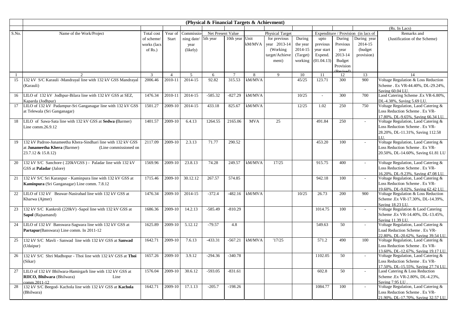|       |                                                              |             |                |            | (Physical & Financial Targets & Achievment) |                |            |                        |          |                          |           |                                     |                                                         |
|-------|--------------------------------------------------------------|-------------|----------------|------------|---------------------------------------------|----------------|------------|------------------------|----------|--------------------------|-----------|-------------------------------------|---------------------------------------------------------|
|       |                                                              |             |                |            |                                             |                |            |                        |          |                          |           |                                     | (Rs. In Lacs)                                           |
| S.No. | Name of the Work/Project                                     | Total cost  | Year of        | Commissio  | Net Present Value                           |                |            | <b>Physical Target</b> |          |                          |           | Expenditure / Provision (in lacs of | Remarks and                                             |
|       |                                                              | of scheme/  | Start          | ning date/ | 5th year                                    | 10th year Unit |            | for previous           | During   | upto                     | During    | During year                         | (Justification of the Scheme)                           |
|       |                                                              | works (lacs |                | year       |                                             |                | kM/MVA     | year 2013-14           | the year | previous                 | Previous  | 2014-15                             |                                                         |
|       |                                                              | of $Rs.$ )  |                | (likely)   |                                             |                |            | (Working)              | 2014-15  | year start               | year      | (budget                             |                                                         |
|       |                                                              |             |                |            |                                             |                |            | target/Achieve         | (Target) | Expend.                  | 2013-14   | provision)                          |                                                         |
|       |                                                              |             |                |            |                                             |                |            | ment)                  | working  | (01.04.13)               | Budget    |                                     |                                                         |
|       |                                                              |             |                |            |                                             |                |            |                        |          |                          | Provision |                                     |                                                         |
|       |                                                              | 3           | $\overline{4}$ | .5         | 6                                           |                | 8          | $\mathbf{Q}$           | 10       | 11                       | 12        | 13                                  | 14                                                      |
| 15    | 132 kV S/C Karauli -Mandrayal line with 132 kV GSS Mandrayal | 2006.46     | 2010-11        | 2014-15    | 92.82                                       | 315.53         | kM/MVA     |                        | 45/25    | 123.71                   | 300       | 900                                 | Voltage Regulation & Loss Reduction                     |
|       | (Karauli)                                                    |             |                |            |                                             |                |            |                        |          |                          |           |                                     | Scheme . Ex VR-44.40%, DL-29.24%,                       |
|       |                                                              |             |                |            |                                             |                |            |                        |          |                          |           |                                     | Saving 60.04 LU.                                        |
| 16    | LILO of 132 kV Jodhpur-Bilara line with 132 kV GSS at SEZ,   | 1476.34     | 2010-11        | 2014-15    | $-585.32$                                   | $-827.29$      | kM/MVA     |                        | 10/25    | $\overline{\phantom{a}}$ | 300       | 700                                 | Laod Catering Scheme .Ex VR-6.80%,                      |
|       | Kaparda (Jodhpur)                                            |             |                |            |                                             |                |            |                        |          |                          |           |                                     | DL-4.38%, Saving 5.69 LU.                               |
| 17    | LILO of 132 kV Padampur-Sri Ganganagar line with 132 kV GSS  | 1501.27     | 2009-10        | 2014-15    | 433.18                                      | 825.67         | kM/MVA     |                        | 12/25    | 1.02                     | 250       | 750                                 | Voltage Regulation, Laod Catering &                     |
|       | at Telewala (Sri Ganganagar)                                 |             |                |            |                                             |                |            |                        |          |                          |           |                                     | Loss Reduction Scheme . Ex VR-                          |
|       |                                                              |             |                |            |                                             |                |            |                        |          |                          |           |                                     | 17.80%, DL-9.65%, Saving 66.34 LU.                      |
| 18    | LILO of Sawa-Sata line with 132 kV GSS at Sedwa (Barmer)     | 1401.57     | 2009-10        | 6.4.13     | 1264.55                                     | 2165.06        | <b>MVA</b> | 25                     |          | 491.84                   | 250       | $\sim$                              | Voltage Regulation, Laod Catering &                     |
|       | Line comm.26.9.12                                            |             |                |            |                                             |                |            |                        |          |                          |           |                                     | Loss Reduction Scheme . Ex VR-                          |
|       |                                                              |             |                |            |                                             |                |            |                        |          |                          |           |                                     | 28.20%, DL-11.31%, Saving 112.58                        |
|       |                                                              |             |                |            |                                             |                |            |                        |          |                          |           |                                     | H                                                       |
| 19    | 132 kV Padroo-Junameetha Khera-Sindhari line with 132 kV GSS | 2117.09     | 2009-10        | 2.3.13     | 71.77                                       | 290.52         |            |                        |          | 453.20                   | 100       |                                     | Voltage Regulation, Laod Catering &                     |
|       | at Junameetha Khera (Barmer)<br>(Line commissioned on        |             |                |            |                                             |                |            |                        |          |                          |           |                                     | Loss Reduction Scheme . Ex VR-                          |
|       | 23.7.12 & 15.8.12)                                           |             |                |            |                                             |                |            |                        |          |                          |           |                                     | 20.50%, DL-14.60%, Saving 61.81 LU                      |
|       |                                                              |             |                |            |                                             |                |            |                        |          |                          |           |                                     |                                                         |
| 20    | 132 kV S/C Sanchore (220kVGSS) - Paladar line with 132 kV    | 1569.96     | 2009-10        | 23.8.13    | 74.28                                       | 249.57         | kM/MVA     | 17/25                  |          | 915.75                   | 400       |                                     | Voltage Regulation, Laod Catering &                     |
|       | GSS at <b>Paladar</b> (Jalore)                               |             |                |            |                                             |                |            |                        |          |                          |           |                                     | Loss Reduction Scheme . Ex VR-                          |
|       |                                                              |             |                |            |                                             |                |            |                        |          |                          |           |                                     | 16.20%, DL-9.23%, Saving 47.08 LU.                      |
| 21    | 132 kV S/C Sri Karanpur - Kaminpura line with 132 kV GSS at  | 1715.46     | 2009-10        | 30.12.12   | 267.57                                      | 574.85         |            |                        |          | 942.18                   | 100       | $\sim$                              | Voltage Regulation, Laod Catering &                     |
|       | Kaminpura (Sri Ganganagar) Line comm. 7.8.12                 |             |                |            |                                             |                |            |                        |          |                          |           |                                     | Loss Reduction Scheme . Ex VR-                          |
|       |                                                              |             |                |            |                                             |                |            |                        |          |                          |           |                                     | 19.60%, DL-9.02%, Saving 62.42 LU.                      |
| 22    | LILO of 132 kV Beawar-Nasirabad line with 132 kV GSS at      | 1476.34     | 2009-10        | 2014-15    | $-372.4$                                    | $-482.16$      | kM/MVA     |                        | 10/25    | 26.73                    | 200       | 900                                 | Voltage Regulation & Loss Reduction                     |
|       | Kharwa (Ajmer)                                               |             |                |            |                                             |                |            |                        |          |                          |           |                                     | Scheme .Ex VR-17.30%, DL-14.39%,                        |
|       |                                                              |             |                |            |                                             |                |            |                        |          |                          |           |                                     | Saving 18.23 LU.                                        |
| 23    | 132 kV S/C Kankroli (220kV) -Sapol line with 132 kV GSS at   | 1686.36     | 2009-10        | 14.2.13    | $-585.49$                                   | $-810.29$      |            |                        |          | 1014.75                  | 100       |                                     | Voltage Regulation & Laod Catering                      |
|       | Sapol (Rajsamand)                                            |             |                |            |                                             |                |            |                        |          |                          |           |                                     | Scheme .Ex VR-14.40%, DL-13.45%,                        |
| 24    |                                                              | 1625.89     | 2009-10        | 5.12.12    | $-79.57$                                    | 4.8            |            |                        |          | 549.63                   | 50        |                                     | Saving 11.39 LU.<br>Voltage Regulation, Laod Catering & |
|       | LILO of 132 kV Banswara-Sagwara line with 132 kV GSS at      |             |                |            |                                             |                |            |                        |          |                          |           |                                     | Load Reduction Scheme . Ex VR-                          |
|       | Partapur(Banswara) Line comm. In 2011-12                     |             |                |            |                                             |                |            |                        |          |                          |           |                                     | 22.80%, DL-20.62%, Saving 39.54 LU.                     |
| 25    | 132 kV S/C Mavli - Sanwad line with 132 kV GSS at Sanwad     | 1642.71     | 2009-10        | 7.6.13     | $-433.31$                                   | $-567.21$      | kM/MVA     | '17/25                 |          | 571.2                    | 490       | 100                                 | Voltage Regulation, Laod Catering &                     |
|       | (Udaipur)                                                    |             |                |            |                                             |                |            |                        |          |                          |           |                                     | Loss Reduction Scheme . Ex VR-                          |
|       |                                                              |             |                |            |                                             |                |            |                        |          |                          |           |                                     | 13.60%, DL-12.67%, Saving 19.17 LU.                     |
| 26    | 132 kV S/C Shri Madhopur - Thoi line with 132 kV GSS at Thoi | 1657.26     | 2009-10        | 3.9.12     | $-294.36$                                   | $-340.78$      |            |                        |          | 1102.05                  | 50        |                                     | Voltage Regulation, Laod Catering &                     |
|       | (Sikar)                                                      |             |                |            |                                             |                |            |                        |          |                          |           |                                     | Loss Reduction Scheme . Ex VR-                          |
|       |                                                              |             |                |            |                                             |                |            |                        |          |                          |           |                                     | 17.50%, DL-15.55%, Saving 27.74 LU.                     |
| 27    | LILO of 132 kV Bhilwara-Hamirgarh line with 132 kV GSS at    | 1576.04     | 2009-10        | 30.6.12    | $-593.05$                                   | $-831.61$      |            |                        |          | 602.8                    | 50        |                                     | Laod Catering & Loss Reduction                          |
|       | RIICO, Bhilwara (Bhilwara)<br>Line                           |             |                |            |                                             |                |            |                        |          |                          |           |                                     | Scheme .Ex VR-2.80%, DL-4.23%,                          |
|       | comm.2011-12                                                 |             |                |            |                                             |                |            |                        |          |                          |           |                                     | Saving 7.95 LU.                                         |
| 28    | 132 kV S/C Beegod- Kachola line with 132 kV GSS at Kachola   | 1642.71     | 2009-10        | 17.1.13    | $-205.7$                                    | $-198.26$      |            |                        |          | 1084.77                  | 100       |                                     | Voltage Regulation, Laod Catering &                     |
|       | (Bhilwara)                                                   |             |                |            |                                             |                |            |                        |          |                          |           |                                     | Loss Reduction Scheme . Ex VR-                          |
|       |                                                              |             |                |            |                                             |                |            |                        |          |                          |           |                                     | 21.90%, DL-17.70%, Saving 32.57 LU.                     |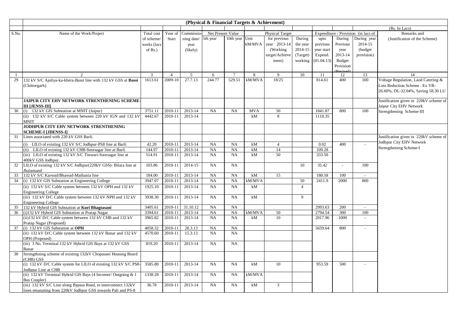|       |                                                                                   |                |                |                | (Physical & Financial Targets & Achievment) |                 |            |                        |                |                  |           |                                     |                                        |
|-------|-----------------------------------------------------------------------------------|----------------|----------------|----------------|---------------------------------------------|-----------------|------------|------------------------|----------------|------------------|-----------|-------------------------------------|----------------------------------------|
|       |                                                                                   |                |                |                |                                             |                 |            |                        |                |                  |           |                                     | (Rs. In Lacs)                          |
| S.No. | Name of the Work/Project                                                          | Total cost     | Year of        | Commissic      | Net Present Value                           |                 |            | <b>Physical Target</b> |                |                  |           | Expenditure / Provision (in lacs of | Remarks and                            |
|       |                                                                                   | of scheme/     | Start          | ning date/     | 5th year                                    | 10th year Unit  |            | for previous           | During         | upto             | During    | During year                         | (Justification of the Scheme)          |
|       |                                                                                   | works (lacs    |                | year           |                                             |                 | kM/MVA     | year 2013-14           | the year       | previous         | Previous  | 2014-15                             |                                        |
|       |                                                                                   | of $Rs.$ )     |                | (likely)       |                                             |                 |            | (Working)              | 2014-15        | year start       | year      | (budget)                            |                                        |
|       |                                                                                   |                |                |                |                                             |                 |            | target/Achieve         | (Target)       | Expend.          | 2013-14   | provision)                          |                                        |
|       |                                                                                   |                |                |                |                                             |                 |            | ment)                  | working        | (01.04.13)       | Budget    |                                     |                                        |
|       |                                                                                   |                |                |                |                                             |                 |            |                        |                |                  | Provision |                                     |                                        |
|       |                                                                                   |                |                |                |                                             |                 |            |                        |                |                  |           |                                     |                                        |
|       |                                                                                   | $\overline{3}$ | $\overline{4}$ | 5 <sup>5</sup> | 6                                           | $\overline{7}$  | 8          | $\mathbf{Q}$           | 10             | 11               | 12        | 13                                  | 14                                     |
| 29    | 132 kV S/C Ajoliya-ka-khera-Bassi line with 132 kV GSS at Bassi                   | 1613.61        | 2009-10        | 27.7.13        | 244.77                                      | 529.51          | kM/MVA     | 18/25                  |                | 814.61           | 400       | 100                                 | Voltage Regulation, Laod Catering &    |
|       | (Chittorgarh)                                                                     |                |                |                |                                             |                 |            |                        |                |                  |           |                                     | Loss Reduction Scheme . Ex VR-         |
|       |                                                                                   |                |                |                |                                             |                 |            |                        |                |                  |           |                                     | 26.60%, DL-32.04%, Saving 58.30 LU     |
|       | JAIPUR CITY EHV NETWORK STRENTHENING SCHEME-                                      |                |                |                |                                             |                 |            |                        |                |                  |           |                                     | Justification given in 220kV scheme of |
|       | <b>III LJENSS-III</b>                                                             |                |                |                |                                             |                 |            |                        |                |                  |           |                                     | Jaipur City EHV Network                |
| 30    | (i) 132 kV GIS Substation at MNIT (Jaipur)                                        | 3751.11        | 2010-11        | 2013-14        | NA                                          | <b>NA</b>       | <b>MVA</b> | 50                     |                | 1841.87          | 800       | 100                                 |                                        |
|       | (ii) 132 kV S/C Cable system between 220 kV IGN and 132 kV                        | 4442.67        | 2010-11        | 2013-14        |                                             |                 | kM         | 8                      |                | 1110.35          |           |                                     | Strengthening Scheme-III               |
|       | <b>MNIT</b>                                                                       |                |                |                |                                             |                 |            |                        |                |                  |           |                                     |                                        |
|       | JODHPUR CITY EHV NETWORK STRENTHENING                                             |                |                |                |                                             |                 |            |                        |                |                  |           |                                     |                                        |
|       | <b>SCHEME-I [JDENSS-I]</b>                                                        |                |                |                |                                             |                 |            |                        |                |                  |           |                                     |                                        |
| 31    | Lines associated with 220 kV GSS Barli.                                           |                |                |                |                                             |                 |            |                        |                |                  |           |                                     | Justification given in 220kV scheme of |
|       |                                                                                   |                |                |                |                                             |                 |            |                        |                |                  | 400       |                                     | Jodhpur City EHV Network               |
|       | (i) LILO of existing 132 kV S/C Jodhpur-PS8 line at Barli                         | 42.20          | 2010-11        | 2013-14        | NA                                          | NA              | kM         | $\overline{4}$         |                | 0.02             |           |                                     | Strengthening Scheme-I                 |
|       | (ii) LILO of existing 132 kV CHB-Soorsagar line at Barli                          | 144.97         | 2010-11        | 2013-14        | NA<br>NA                                    | <b>NA</b><br>NA | kM<br>kM   | 14<br>50               |                | 109.28<br>333.50 |           |                                     |                                        |
|       | (iii) LILO of existing 132 kV S/C Tinwari-Soorsagar line at<br>400kV GSS Jodhpur. | 514.91         | 2010-11        | 2013-14        |                                             |                 |            |                        |                |                  |           |                                     |                                        |
| 32    | LILO of existing 132 kV S/C Jodhpur(220kV GSS)- Bilara line at                    | 103.86         | 2010-11        | 2014-15        | NA                                          | NA              |            |                        | 10             | 35.42            |           | 100                                 |                                        |
|       | Jhalamand                                                                         |                |                |                |                                             |                 |            |                        |                |                  |           |                                     |                                        |
| 33    | 132 kV S/C Karwad/Bhawad-Mathania line                                            | 184.00         | 2010-11        | 2013-14        | NA                                          | <b>NA</b>       | kM         | 15                     |                | 180.58           | 100       |                                     |                                        |
| 34    | (i) 132 kV GIS Substation at Engineering College                                  | 3947.07        | 2010-11        | 2013-14        | NA                                          | NA              | kM/MVA     |                        | 50             | 2411.9           | 2000      | 800                                 |                                        |
|       | (ii) 132 kV S/C Cable system between 132 kV OPH and 132 kV                        | 1925.10        | 2010-11        | 2013-14        | NA                                          | NA              | kM         |                        | $\overline{4}$ |                  |           |                                     |                                        |
|       | <b>Engineering College</b>                                                        |                |                |                |                                             |                 |            |                        |                |                  |           |                                     |                                        |
|       | (iii) 132 kV D/C Cable system between 132 kV NPH and 132 kV                       | 3938.30        | 2010-11        | 2013-14        | NA                                          | <b>NA</b>       | kM         |                        | 9              |                  |           |                                     |                                        |
|       | <b>Engineering College</b>                                                        |                |                |                |                                             |                 |            |                        |                |                  |           |                                     |                                        |
| 35    | 132 kV Hybrid GIS Substation at Kuri Bhagtasani                                   | 3405.61        | 2010-11        | 31.10.12       | NA                                          | <b>NA</b>       |            |                        |                | 2993.63          | 200       | $\sim$                              |                                        |
| 36    | (i)132 kV Hybrid GIS Substation at Pratap Nagar                                   | 3394.61        | 2010-11        | 2013-14        | NA                                          | <b>NA</b>       | kM/MVA     | 50                     |                | 2794.54          | 300       | 100                                 |                                        |
|       | (ii) 132 kV D/C Cable system between 132 kV CHB and 132 kV                        | 3965.82        | 2010-11        | 2013-14        | NA                                          | <b>NA</b>       | kM         | 10                     |                | 2017.96          | 1000      |                                     |                                        |
|       | Pratap Nagar (Proposed)                                                           |                |                |                |                                             |                 |            |                        |                |                  |           |                                     |                                        |
| 37    | (i) 132 kV GIS Substation at OPH                                                  | 4058.32        | 2010-11        | 28.3.13        | <b>NA</b>                                   | <b>NA</b>       |            |                        |                | 5659.64          | 800       |                                     |                                        |
|       | (ii) 132 kV D/C Cable system between 132 kV Banar and 132 kV                      | 4570.60        | 2010-11        | 15.3.13        | NA                                          | <b>NA</b>       |            |                        |                |                  |           |                                     |                                        |
|       | OPH (Proposed)                                                                    |                |                |                |                                             |                 |            |                        |                |                  |           |                                     |                                        |
|       | (iii) 3 No. Terminal 132 kV Hybrid GIS Bays at 132 kV GSS                         | 819.20         | 2010-11        | 2013-14        | NA                                          | <b>NA</b>       |            |                        |                |                  |           |                                     |                                        |
|       | Banar                                                                             |                |                |                |                                             |                 |            |                        |                |                  |           |                                     |                                        |
| 38    | Strengthning scheme of existing 132kV Chopasani Housing Board                     |                |                |                |                                             |                 |            |                        |                |                  |           |                                     |                                        |
|       | (CHB) GSS                                                                         |                |                |                |                                             |                 |            |                        |                |                  |           |                                     |                                        |
|       | (i) 132 kV D/C Cable system for LILO of existing 132 kV S/C PS8-                  | 3585.80        | 2010-11        | 2013-14        | NA                                          | NA              | kM         | 10                     |                | 953.59           | 500       |                                     |                                        |
|       | Jodhpur Line at CHB                                                               |                |                |                |                                             |                 |            |                        |                |                  |           |                                     |                                        |
|       | (ii) 132 kV Terminal Hybrid GIS Bays (4 Incomer/ Outgoing & 1                     | 1338.28        | 2010-11        | 2013-14        | NA                                          | <b>NA</b>       | kM/MVA     |                        |                |                  |           |                                     |                                        |
|       | <b>Bus Coupler)</b>                                                               |                |                |                |                                             |                 |            |                        |                |                  |           |                                     |                                        |
|       | (iii) 132 kV S/C Line along Bypass Road, to interconnect 132kV                    | 36.78          | 2010-11        | 2013-14        | NA                                          | <b>NA</b>       | kM         | $\mathbf{3}$           |                |                  |           |                                     |                                        |
|       | lines emanating from 220kV Jodhpur GSS towards Pali and PS-8                      |                |                |                |                                             |                 |            |                        |                |                  |           |                                     |                                        |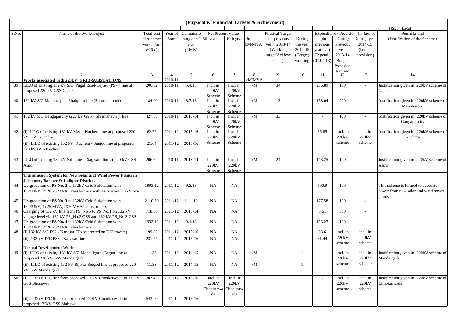| (Rs. In Lacs)<br>Net Present Value<br>Expenditure / Provision (in lacs of<br>Name of the Work/Project<br>Total cost<br>Year of<br>Commissio<br><b>Physical Target</b><br>Remarks and<br>5th year<br>10th year Unit<br>for previous<br>During year<br>During<br>During<br>of scheme/<br>Start<br>ning date/<br>upto<br>(Justification of the Scheme)<br>2014-15<br>$kM/MVA$ year 2013-14<br>the year<br>previous<br>Previous<br>works (lacs<br>year<br>2014-15<br>(Working)<br>(budget<br>of $Rs.$ )<br>(likely)<br>year start<br>year<br>2013-14<br>provision)<br>target/Achieve<br>(Target)<br>Expend.<br>(01.04.13)<br>Budget<br>working<br>ment)<br>Provision<br>$\overline{3}$<br>$5\overline{)}$<br>$7\overline{ }$<br>9<br>10<br>11<br>13<br>14<br>2<br>$\overline{4}$<br>6<br>8<br>12<br>$\overline{1}$<br>Works associated with 220kV GRID-SUBSTATIONS<br>kM/MVA<br>2010-11<br>34<br>39<br>206.62<br>5.4.13<br>236.89<br>100<br>Justification given in 220kV scheme of<br>LILO of existing 132 kV S/C Pugal Road-Gajner (PS-4) line at<br>2010-11<br>Incl. in<br>Incl. in<br>kM<br>$\overline{\phantom{a}}$<br>proposed 220 kV GSS Gajner.<br>220kV<br>220kV<br>Gajner<br>Scheme<br>Scheme<br>8.7.13<br>kM<br>13<br>200<br>132 kV S/C Manoharpur- Shahpura line (Second circuit)<br>184.00<br>2010-11<br>158.04<br>Justification given in 220kV scheme of<br>40<br>Incl. in<br>Incl. in<br>$\overline{a}$<br>220kV<br>220kV<br>Manoharpur<br>Scheme<br>Scheme<br>132 kV S/C Gangapurcity (220 kV GSS)- Shrimahavir ji line<br>2013-14<br>kM<br>33<br>427.85<br>2010-11<br>100<br>Justification given in 220kV scheme of<br>41<br>Incl. in<br>Incl. in<br>$\sim$<br>$\sim$<br>220kV<br>220kV<br>Gangapurcity<br>Scheme<br>Scheme<br>2015-16<br>42<br>(i) LILO of existing 132 kV Merta-Kuchera line at proposed 220<br>62.76<br>2011-12<br>Incl. in<br>36.85<br>incl. in<br>incl. in<br>Justification given in 220kV scheme of<br>Incl. in<br>kV GSS Kuchera<br>220kV<br>220kV<br>220kV<br>220kV<br>Kuchera<br>Scheme<br>Scheme<br>scheme<br>scheme<br>(ii) LILO of existing 132 kV Kuchera - Sanjoo line at proposed<br>2015-16<br>21.64<br>2011-12<br>220 kV GSS Kuchera<br>LILO of existing 132 kV Salumber - Sagwara line at 220 kV GSS<br>2013-14<br>Incl. in<br>Incl. in<br>kM<br>24<br>148.25<br>100<br>Justification given in 220kV scheme of<br>43<br>206.62<br>2010-11<br>220kV<br>220kV<br>Aspur<br>Aspur<br>Scheme<br>Scheme<br><b>Transmission System for New Solar and Wind Power Plants in</b><br>Jaisalmer, Barmer & Jodhpur Districts<br>1993.12<br>2011-12<br>9.3.13<br>NA<br>NA<br>44<br>190.9<br>100<br>Up-gradation of PS No. 2 to 132kV Grid Substation with<br>This scheme is formed to evacuate<br>132/33kV, 2x20/25 MVA Transformers with associated 132kV line<br>power from new solar and wind power<br>plants<br>NA<br>177.58<br>100<br>2110.39<br>2011-12<br>11.1.13<br>NA<br>45<br>Up-gradation of PS No. 3 to 132kV Grid Substation with<br>$\overline{a}$<br>132/33kV, 1x25 MVA,1X50MVA Transformers<br>2013-14<br>Charging of 132 kV line from PS_No.5 to PS_No.1 on 132 kV<br>718.88<br>2011-12<br>NA<br>NA<br>0.61<br>300<br>46<br>$\overline{a}$<br>voltage level via 132 kV PS No.2 GSS and 132 kV PS No.3 GSS<br>2011-12<br>9.1.13<br>100<br>Up-gradation of PS No. 4 to 132kV Grid Substation with<br>1993.12<br>NA<br><b>NA</b><br>156.27<br>47<br>$\overline{\phantom{a}}$<br>132/33kV, 2x20/25 MVA Transformers<br>199.82<br>2011-12<br>2015-16<br>(i) 132 kV S/C PS2 - Kanasar (To be erected on D/C towers)<br>NA<br><b>NA</b><br>38.6<br>incl. in<br>incl. in<br>48<br>220kV<br>220kV<br>31.44<br>(ii) 132 kV D/C PS3 - Kanasar line<br>231.54<br>2011-12<br>2015-16<br>NA<br><b>NA</b><br>scheme<br>scheme<br><b>Normal Development Works</b><br>(i) LILO of existing 132 kV S/C Mandalgarh- Begun line at<br>2011-12<br>2014-15<br>NA<br>kM<br>Justification given in 220kV scheme of<br>11.38<br>NA<br>$\overline{1}$<br>incl. in<br>incl. in<br>49<br>$\sim$<br>proposed 220 kV GSS Mandalgarh<br>220kV<br>220kV<br>Mandalgarh<br>scheme<br>scheme<br>(ii) LILO of existing 132 kV Bijolia-Beegod line at proposed 220<br>2011-12<br>2014-15<br>11.38<br>NA<br>NA<br>kM<br>$\overline{1}$<br>kV GSS Mandalgarh<br>(i) 132kV D/C line from proposed 220kV Chonkarwada to 132kV<br>2011-12<br>2015-16<br>Justification given in 220kV scheme of<br>50<br>303.42<br>Incl.in<br>Incl.in<br>incl. in<br>incl. in<br><b>GSS Bhusawar</b><br>220kV<br>220kV<br>220kV<br>220kV<br>Chhokarwada<br>Chonkarwa<br>Chonkarw<br>scheme<br>scheme<br>da<br>ada<br>(ii) 132kV D/C line from proposed 220kV Chonkarwada to<br>2011-12<br>2015-16<br>543.20<br>proposed 132kV GSS Mahuwa |       |  |  | (Physical & Financial Targets & Achievment) |  |  |  |  |
|--------------------------------------------------------------------------------------------------------------------------------------------------------------------------------------------------------------------------------------------------------------------------------------------------------------------------------------------------------------------------------------------------------------------------------------------------------------------------------------------------------------------------------------------------------------------------------------------------------------------------------------------------------------------------------------------------------------------------------------------------------------------------------------------------------------------------------------------------------------------------------------------------------------------------------------------------------------------------------------------------------------------------------------------------------------------------------------------------------------------------------------------------------------------------------------------------------------------------------------------------------------------------------------------------------------------------------------------------------------------------------------------------------------------------------------------------------------------------------------------------------------------------------------------------------------------------------------------------------------------------------------------------------------------------------------------------------------------------------------------------------------------------------------------------------------------------------------------------------------------------------------------------------------------------------------------------------------------------------------------------------------------------------------------------------------------------------------------------------------------------------------------------------------------------------------------------------------------------------------------------------------------------------------------------------------------------------------------------------------------------------------------------------------------------------------------------------------------------------------------------------------------------------------------------------------------------------------------------------------------------------------------------------------------------------------------------------------------------------------------------------------------------------------------------------------------------------------------------------------------------------------------------------------------------------------------------------------------------------------------------------------------------------------------------------------------------------------------------------------------------------------------------------------------------------------------------------------------------------------------------------------------------------------------------------------------------------------------------------------------------------------------------------------------------------------------------------------------------------------------------------------------------------------------------------------------------------------------------------------------------------------------------------------------------------------------------------------------------------------------------------------------------------------------------------------------------------------------------------------------------------------------------------------------------------------------------------------------------------------------------------------------------------------------------------------------------------------------------------------------------------------------------------------------------------------------------------------------------------------------------------------------------------------------------------------------------------------------------------------------------------------------------------------------------------------------------------------------------------------------------------------------------------------------------------------------------------------------------------------------------------------------------------------------------------------------------------------------------------|-------|--|--|---------------------------------------------|--|--|--|--|
|                                                                                                                                                                                                                                                                                                                                                                                                                                                                                                                                                                                                                                                                                                                                                                                                                                                                                                                                                                                                                                                                                                                                                                                                                                                                                                                                                                                                                                                                                                                                                                                                                                                                                                                                                                                                                                                                                                                                                                                                                                                                                                                                                                                                                                                                                                                                                                                                                                                                                                                                                                                                                                                                                                                                                                                                                                                                                                                                                                                                                                                                                                                                                                                                                                                                                                                                                                                                                                                                                                                                                                                                                                                                                                                                                                                                                                                                                                                                                                                                                                                                                                                                                                                                                                                                                                                                                                                                                                                                                                                                                                                                                                                                                                                                |       |  |  |                                             |  |  |  |  |
|                                                                                                                                                                                                                                                                                                                                                                                                                                                                                                                                                                                                                                                                                                                                                                                                                                                                                                                                                                                                                                                                                                                                                                                                                                                                                                                                                                                                                                                                                                                                                                                                                                                                                                                                                                                                                                                                                                                                                                                                                                                                                                                                                                                                                                                                                                                                                                                                                                                                                                                                                                                                                                                                                                                                                                                                                                                                                                                                                                                                                                                                                                                                                                                                                                                                                                                                                                                                                                                                                                                                                                                                                                                                                                                                                                                                                                                                                                                                                                                                                                                                                                                                                                                                                                                                                                                                                                                                                                                                                                                                                                                                                                                                                                                                | S.No. |  |  |                                             |  |  |  |  |
|                                                                                                                                                                                                                                                                                                                                                                                                                                                                                                                                                                                                                                                                                                                                                                                                                                                                                                                                                                                                                                                                                                                                                                                                                                                                                                                                                                                                                                                                                                                                                                                                                                                                                                                                                                                                                                                                                                                                                                                                                                                                                                                                                                                                                                                                                                                                                                                                                                                                                                                                                                                                                                                                                                                                                                                                                                                                                                                                                                                                                                                                                                                                                                                                                                                                                                                                                                                                                                                                                                                                                                                                                                                                                                                                                                                                                                                                                                                                                                                                                                                                                                                                                                                                                                                                                                                                                                                                                                                                                                                                                                                                                                                                                                                                |       |  |  |                                             |  |  |  |  |
|                                                                                                                                                                                                                                                                                                                                                                                                                                                                                                                                                                                                                                                                                                                                                                                                                                                                                                                                                                                                                                                                                                                                                                                                                                                                                                                                                                                                                                                                                                                                                                                                                                                                                                                                                                                                                                                                                                                                                                                                                                                                                                                                                                                                                                                                                                                                                                                                                                                                                                                                                                                                                                                                                                                                                                                                                                                                                                                                                                                                                                                                                                                                                                                                                                                                                                                                                                                                                                                                                                                                                                                                                                                                                                                                                                                                                                                                                                                                                                                                                                                                                                                                                                                                                                                                                                                                                                                                                                                                                                                                                                                                                                                                                                                                |       |  |  |                                             |  |  |  |  |
|                                                                                                                                                                                                                                                                                                                                                                                                                                                                                                                                                                                                                                                                                                                                                                                                                                                                                                                                                                                                                                                                                                                                                                                                                                                                                                                                                                                                                                                                                                                                                                                                                                                                                                                                                                                                                                                                                                                                                                                                                                                                                                                                                                                                                                                                                                                                                                                                                                                                                                                                                                                                                                                                                                                                                                                                                                                                                                                                                                                                                                                                                                                                                                                                                                                                                                                                                                                                                                                                                                                                                                                                                                                                                                                                                                                                                                                                                                                                                                                                                                                                                                                                                                                                                                                                                                                                                                                                                                                                                                                                                                                                                                                                                                                                |       |  |  |                                             |  |  |  |  |
|                                                                                                                                                                                                                                                                                                                                                                                                                                                                                                                                                                                                                                                                                                                                                                                                                                                                                                                                                                                                                                                                                                                                                                                                                                                                                                                                                                                                                                                                                                                                                                                                                                                                                                                                                                                                                                                                                                                                                                                                                                                                                                                                                                                                                                                                                                                                                                                                                                                                                                                                                                                                                                                                                                                                                                                                                                                                                                                                                                                                                                                                                                                                                                                                                                                                                                                                                                                                                                                                                                                                                                                                                                                                                                                                                                                                                                                                                                                                                                                                                                                                                                                                                                                                                                                                                                                                                                                                                                                                                                                                                                                                                                                                                                                                |       |  |  |                                             |  |  |  |  |
|                                                                                                                                                                                                                                                                                                                                                                                                                                                                                                                                                                                                                                                                                                                                                                                                                                                                                                                                                                                                                                                                                                                                                                                                                                                                                                                                                                                                                                                                                                                                                                                                                                                                                                                                                                                                                                                                                                                                                                                                                                                                                                                                                                                                                                                                                                                                                                                                                                                                                                                                                                                                                                                                                                                                                                                                                                                                                                                                                                                                                                                                                                                                                                                                                                                                                                                                                                                                                                                                                                                                                                                                                                                                                                                                                                                                                                                                                                                                                                                                                                                                                                                                                                                                                                                                                                                                                                                                                                                                                                                                                                                                                                                                                                                                |       |  |  |                                             |  |  |  |  |
|                                                                                                                                                                                                                                                                                                                                                                                                                                                                                                                                                                                                                                                                                                                                                                                                                                                                                                                                                                                                                                                                                                                                                                                                                                                                                                                                                                                                                                                                                                                                                                                                                                                                                                                                                                                                                                                                                                                                                                                                                                                                                                                                                                                                                                                                                                                                                                                                                                                                                                                                                                                                                                                                                                                                                                                                                                                                                                                                                                                                                                                                                                                                                                                                                                                                                                                                                                                                                                                                                                                                                                                                                                                                                                                                                                                                                                                                                                                                                                                                                                                                                                                                                                                                                                                                                                                                                                                                                                                                                                                                                                                                                                                                                                                                |       |  |  |                                             |  |  |  |  |
|                                                                                                                                                                                                                                                                                                                                                                                                                                                                                                                                                                                                                                                                                                                                                                                                                                                                                                                                                                                                                                                                                                                                                                                                                                                                                                                                                                                                                                                                                                                                                                                                                                                                                                                                                                                                                                                                                                                                                                                                                                                                                                                                                                                                                                                                                                                                                                                                                                                                                                                                                                                                                                                                                                                                                                                                                                                                                                                                                                                                                                                                                                                                                                                                                                                                                                                                                                                                                                                                                                                                                                                                                                                                                                                                                                                                                                                                                                                                                                                                                                                                                                                                                                                                                                                                                                                                                                                                                                                                                                                                                                                                                                                                                                                                |       |  |  |                                             |  |  |  |  |
|                                                                                                                                                                                                                                                                                                                                                                                                                                                                                                                                                                                                                                                                                                                                                                                                                                                                                                                                                                                                                                                                                                                                                                                                                                                                                                                                                                                                                                                                                                                                                                                                                                                                                                                                                                                                                                                                                                                                                                                                                                                                                                                                                                                                                                                                                                                                                                                                                                                                                                                                                                                                                                                                                                                                                                                                                                                                                                                                                                                                                                                                                                                                                                                                                                                                                                                                                                                                                                                                                                                                                                                                                                                                                                                                                                                                                                                                                                                                                                                                                                                                                                                                                                                                                                                                                                                                                                                                                                                                                                                                                                                                                                                                                                                                |       |  |  |                                             |  |  |  |  |
|                                                                                                                                                                                                                                                                                                                                                                                                                                                                                                                                                                                                                                                                                                                                                                                                                                                                                                                                                                                                                                                                                                                                                                                                                                                                                                                                                                                                                                                                                                                                                                                                                                                                                                                                                                                                                                                                                                                                                                                                                                                                                                                                                                                                                                                                                                                                                                                                                                                                                                                                                                                                                                                                                                                                                                                                                                                                                                                                                                                                                                                                                                                                                                                                                                                                                                                                                                                                                                                                                                                                                                                                                                                                                                                                                                                                                                                                                                                                                                                                                                                                                                                                                                                                                                                                                                                                                                                                                                                                                                                                                                                                                                                                                                                                |       |  |  |                                             |  |  |  |  |
|                                                                                                                                                                                                                                                                                                                                                                                                                                                                                                                                                                                                                                                                                                                                                                                                                                                                                                                                                                                                                                                                                                                                                                                                                                                                                                                                                                                                                                                                                                                                                                                                                                                                                                                                                                                                                                                                                                                                                                                                                                                                                                                                                                                                                                                                                                                                                                                                                                                                                                                                                                                                                                                                                                                                                                                                                                                                                                                                                                                                                                                                                                                                                                                                                                                                                                                                                                                                                                                                                                                                                                                                                                                                                                                                                                                                                                                                                                                                                                                                                                                                                                                                                                                                                                                                                                                                                                                                                                                                                                                                                                                                                                                                                                                                |       |  |  |                                             |  |  |  |  |
|                                                                                                                                                                                                                                                                                                                                                                                                                                                                                                                                                                                                                                                                                                                                                                                                                                                                                                                                                                                                                                                                                                                                                                                                                                                                                                                                                                                                                                                                                                                                                                                                                                                                                                                                                                                                                                                                                                                                                                                                                                                                                                                                                                                                                                                                                                                                                                                                                                                                                                                                                                                                                                                                                                                                                                                                                                                                                                                                                                                                                                                                                                                                                                                                                                                                                                                                                                                                                                                                                                                                                                                                                                                                                                                                                                                                                                                                                                                                                                                                                                                                                                                                                                                                                                                                                                                                                                                                                                                                                                                                                                                                                                                                                                                                |       |  |  |                                             |  |  |  |  |
|                                                                                                                                                                                                                                                                                                                                                                                                                                                                                                                                                                                                                                                                                                                                                                                                                                                                                                                                                                                                                                                                                                                                                                                                                                                                                                                                                                                                                                                                                                                                                                                                                                                                                                                                                                                                                                                                                                                                                                                                                                                                                                                                                                                                                                                                                                                                                                                                                                                                                                                                                                                                                                                                                                                                                                                                                                                                                                                                                                                                                                                                                                                                                                                                                                                                                                                                                                                                                                                                                                                                                                                                                                                                                                                                                                                                                                                                                                                                                                                                                                                                                                                                                                                                                                                                                                                                                                                                                                                                                                                                                                                                                                                                                                                                |       |  |  |                                             |  |  |  |  |
|                                                                                                                                                                                                                                                                                                                                                                                                                                                                                                                                                                                                                                                                                                                                                                                                                                                                                                                                                                                                                                                                                                                                                                                                                                                                                                                                                                                                                                                                                                                                                                                                                                                                                                                                                                                                                                                                                                                                                                                                                                                                                                                                                                                                                                                                                                                                                                                                                                                                                                                                                                                                                                                                                                                                                                                                                                                                                                                                                                                                                                                                                                                                                                                                                                                                                                                                                                                                                                                                                                                                                                                                                                                                                                                                                                                                                                                                                                                                                                                                                                                                                                                                                                                                                                                                                                                                                                                                                                                                                                                                                                                                                                                                                                                                |       |  |  |                                             |  |  |  |  |
|                                                                                                                                                                                                                                                                                                                                                                                                                                                                                                                                                                                                                                                                                                                                                                                                                                                                                                                                                                                                                                                                                                                                                                                                                                                                                                                                                                                                                                                                                                                                                                                                                                                                                                                                                                                                                                                                                                                                                                                                                                                                                                                                                                                                                                                                                                                                                                                                                                                                                                                                                                                                                                                                                                                                                                                                                                                                                                                                                                                                                                                                                                                                                                                                                                                                                                                                                                                                                                                                                                                                                                                                                                                                                                                                                                                                                                                                                                                                                                                                                                                                                                                                                                                                                                                                                                                                                                                                                                                                                                                                                                                                                                                                                                                                |       |  |  |                                             |  |  |  |  |
|                                                                                                                                                                                                                                                                                                                                                                                                                                                                                                                                                                                                                                                                                                                                                                                                                                                                                                                                                                                                                                                                                                                                                                                                                                                                                                                                                                                                                                                                                                                                                                                                                                                                                                                                                                                                                                                                                                                                                                                                                                                                                                                                                                                                                                                                                                                                                                                                                                                                                                                                                                                                                                                                                                                                                                                                                                                                                                                                                                                                                                                                                                                                                                                                                                                                                                                                                                                                                                                                                                                                                                                                                                                                                                                                                                                                                                                                                                                                                                                                                                                                                                                                                                                                                                                                                                                                                                                                                                                                                                                                                                                                                                                                                                                                |       |  |  |                                             |  |  |  |  |
|                                                                                                                                                                                                                                                                                                                                                                                                                                                                                                                                                                                                                                                                                                                                                                                                                                                                                                                                                                                                                                                                                                                                                                                                                                                                                                                                                                                                                                                                                                                                                                                                                                                                                                                                                                                                                                                                                                                                                                                                                                                                                                                                                                                                                                                                                                                                                                                                                                                                                                                                                                                                                                                                                                                                                                                                                                                                                                                                                                                                                                                                                                                                                                                                                                                                                                                                                                                                                                                                                                                                                                                                                                                                                                                                                                                                                                                                                                                                                                                                                                                                                                                                                                                                                                                                                                                                                                                                                                                                                                                                                                                                                                                                                                                                |       |  |  |                                             |  |  |  |  |
|                                                                                                                                                                                                                                                                                                                                                                                                                                                                                                                                                                                                                                                                                                                                                                                                                                                                                                                                                                                                                                                                                                                                                                                                                                                                                                                                                                                                                                                                                                                                                                                                                                                                                                                                                                                                                                                                                                                                                                                                                                                                                                                                                                                                                                                                                                                                                                                                                                                                                                                                                                                                                                                                                                                                                                                                                                                                                                                                                                                                                                                                                                                                                                                                                                                                                                                                                                                                                                                                                                                                                                                                                                                                                                                                                                                                                                                                                                                                                                                                                                                                                                                                                                                                                                                                                                                                                                                                                                                                                                                                                                                                                                                                                                                                |       |  |  |                                             |  |  |  |  |
|                                                                                                                                                                                                                                                                                                                                                                                                                                                                                                                                                                                                                                                                                                                                                                                                                                                                                                                                                                                                                                                                                                                                                                                                                                                                                                                                                                                                                                                                                                                                                                                                                                                                                                                                                                                                                                                                                                                                                                                                                                                                                                                                                                                                                                                                                                                                                                                                                                                                                                                                                                                                                                                                                                                                                                                                                                                                                                                                                                                                                                                                                                                                                                                                                                                                                                                                                                                                                                                                                                                                                                                                                                                                                                                                                                                                                                                                                                                                                                                                                                                                                                                                                                                                                                                                                                                                                                                                                                                                                                                                                                                                                                                                                                                                |       |  |  |                                             |  |  |  |  |
|                                                                                                                                                                                                                                                                                                                                                                                                                                                                                                                                                                                                                                                                                                                                                                                                                                                                                                                                                                                                                                                                                                                                                                                                                                                                                                                                                                                                                                                                                                                                                                                                                                                                                                                                                                                                                                                                                                                                                                                                                                                                                                                                                                                                                                                                                                                                                                                                                                                                                                                                                                                                                                                                                                                                                                                                                                                                                                                                                                                                                                                                                                                                                                                                                                                                                                                                                                                                                                                                                                                                                                                                                                                                                                                                                                                                                                                                                                                                                                                                                                                                                                                                                                                                                                                                                                                                                                                                                                                                                                                                                                                                                                                                                                                                |       |  |  |                                             |  |  |  |  |
|                                                                                                                                                                                                                                                                                                                                                                                                                                                                                                                                                                                                                                                                                                                                                                                                                                                                                                                                                                                                                                                                                                                                                                                                                                                                                                                                                                                                                                                                                                                                                                                                                                                                                                                                                                                                                                                                                                                                                                                                                                                                                                                                                                                                                                                                                                                                                                                                                                                                                                                                                                                                                                                                                                                                                                                                                                                                                                                                                                                                                                                                                                                                                                                                                                                                                                                                                                                                                                                                                                                                                                                                                                                                                                                                                                                                                                                                                                                                                                                                                                                                                                                                                                                                                                                                                                                                                                                                                                                                                                                                                                                                                                                                                                                                |       |  |  |                                             |  |  |  |  |
|                                                                                                                                                                                                                                                                                                                                                                                                                                                                                                                                                                                                                                                                                                                                                                                                                                                                                                                                                                                                                                                                                                                                                                                                                                                                                                                                                                                                                                                                                                                                                                                                                                                                                                                                                                                                                                                                                                                                                                                                                                                                                                                                                                                                                                                                                                                                                                                                                                                                                                                                                                                                                                                                                                                                                                                                                                                                                                                                                                                                                                                                                                                                                                                                                                                                                                                                                                                                                                                                                                                                                                                                                                                                                                                                                                                                                                                                                                                                                                                                                                                                                                                                                                                                                                                                                                                                                                                                                                                                                                                                                                                                                                                                                                                                |       |  |  |                                             |  |  |  |  |
|                                                                                                                                                                                                                                                                                                                                                                                                                                                                                                                                                                                                                                                                                                                                                                                                                                                                                                                                                                                                                                                                                                                                                                                                                                                                                                                                                                                                                                                                                                                                                                                                                                                                                                                                                                                                                                                                                                                                                                                                                                                                                                                                                                                                                                                                                                                                                                                                                                                                                                                                                                                                                                                                                                                                                                                                                                                                                                                                                                                                                                                                                                                                                                                                                                                                                                                                                                                                                                                                                                                                                                                                                                                                                                                                                                                                                                                                                                                                                                                                                                                                                                                                                                                                                                                                                                                                                                                                                                                                                                                                                                                                                                                                                                                                |       |  |  |                                             |  |  |  |  |
|                                                                                                                                                                                                                                                                                                                                                                                                                                                                                                                                                                                                                                                                                                                                                                                                                                                                                                                                                                                                                                                                                                                                                                                                                                                                                                                                                                                                                                                                                                                                                                                                                                                                                                                                                                                                                                                                                                                                                                                                                                                                                                                                                                                                                                                                                                                                                                                                                                                                                                                                                                                                                                                                                                                                                                                                                                                                                                                                                                                                                                                                                                                                                                                                                                                                                                                                                                                                                                                                                                                                                                                                                                                                                                                                                                                                                                                                                                                                                                                                                                                                                                                                                                                                                                                                                                                                                                                                                                                                                                                                                                                                                                                                                                                                |       |  |  |                                             |  |  |  |  |
|                                                                                                                                                                                                                                                                                                                                                                                                                                                                                                                                                                                                                                                                                                                                                                                                                                                                                                                                                                                                                                                                                                                                                                                                                                                                                                                                                                                                                                                                                                                                                                                                                                                                                                                                                                                                                                                                                                                                                                                                                                                                                                                                                                                                                                                                                                                                                                                                                                                                                                                                                                                                                                                                                                                                                                                                                                                                                                                                                                                                                                                                                                                                                                                                                                                                                                                                                                                                                                                                                                                                                                                                                                                                                                                                                                                                                                                                                                                                                                                                                                                                                                                                                                                                                                                                                                                                                                                                                                                                                                                                                                                                                                                                                                                                |       |  |  |                                             |  |  |  |  |
|                                                                                                                                                                                                                                                                                                                                                                                                                                                                                                                                                                                                                                                                                                                                                                                                                                                                                                                                                                                                                                                                                                                                                                                                                                                                                                                                                                                                                                                                                                                                                                                                                                                                                                                                                                                                                                                                                                                                                                                                                                                                                                                                                                                                                                                                                                                                                                                                                                                                                                                                                                                                                                                                                                                                                                                                                                                                                                                                                                                                                                                                                                                                                                                                                                                                                                                                                                                                                                                                                                                                                                                                                                                                                                                                                                                                                                                                                                                                                                                                                                                                                                                                                                                                                                                                                                                                                                                                                                                                                                                                                                                                                                                                                                                                |       |  |  |                                             |  |  |  |  |
|                                                                                                                                                                                                                                                                                                                                                                                                                                                                                                                                                                                                                                                                                                                                                                                                                                                                                                                                                                                                                                                                                                                                                                                                                                                                                                                                                                                                                                                                                                                                                                                                                                                                                                                                                                                                                                                                                                                                                                                                                                                                                                                                                                                                                                                                                                                                                                                                                                                                                                                                                                                                                                                                                                                                                                                                                                                                                                                                                                                                                                                                                                                                                                                                                                                                                                                                                                                                                                                                                                                                                                                                                                                                                                                                                                                                                                                                                                                                                                                                                                                                                                                                                                                                                                                                                                                                                                                                                                                                                                                                                                                                                                                                                                                                |       |  |  |                                             |  |  |  |  |
|                                                                                                                                                                                                                                                                                                                                                                                                                                                                                                                                                                                                                                                                                                                                                                                                                                                                                                                                                                                                                                                                                                                                                                                                                                                                                                                                                                                                                                                                                                                                                                                                                                                                                                                                                                                                                                                                                                                                                                                                                                                                                                                                                                                                                                                                                                                                                                                                                                                                                                                                                                                                                                                                                                                                                                                                                                                                                                                                                                                                                                                                                                                                                                                                                                                                                                                                                                                                                                                                                                                                                                                                                                                                                                                                                                                                                                                                                                                                                                                                                                                                                                                                                                                                                                                                                                                                                                                                                                                                                                                                                                                                                                                                                                                                |       |  |  |                                             |  |  |  |  |
|                                                                                                                                                                                                                                                                                                                                                                                                                                                                                                                                                                                                                                                                                                                                                                                                                                                                                                                                                                                                                                                                                                                                                                                                                                                                                                                                                                                                                                                                                                                                                                                                                                                                                                                                                                                                                                                                                                                                                                                                                                                                                                                                                                                                                                                                                                                                                                                                                                                                                                                                                                                                                                                                                                                                                                                                                                                                                                                                                                                                                                                                                                                                                                                                                                                                                                                                                                                                                                                                                                                                                                                                                                                                                                                                                                                                                                                                                                                                                                                                                                                                                                                                                                                                                                                                                                                                                                                                                                                                                                                                                                                                                                                                                                                                |       |  |  |                                             |  |  |  |  |
|                                                                                                                                                                                                                                                                                                                                                                                                                                                                                                                                                                                                                                                                                                                                                                                                                                                                                                                                                                                                                                                                                                                                                                                                                                                                                                                                                                                                                                                                                                                                                                                                                                                                                                                                                                                                                                                                                                                                                                                                                                                                                                                                                                                                                                                                                                                                                                                                                                                                                                                                                                                                                                                                                                                                                                                                                                                                                                                                                                                                                                                                                                                                                                                                                                                                                                                                                                                                                                                                                                                                                                                                                                                                                                                                                                                                                                                                                                                                                                                                                                                                                                                                                                                                                                                                                                                                                                                                                                                                                                                                                                                                                                                                                                                                |       |  |  |                                             |  |  |  |  |
|                                                                                                                                                                                                                                                                                                                                                                                                                                                                                                                                                                                                                                                                                                                                                                                                                                                                                                                                                                                                                                                                                                                                                                                                                                                                                                                                                                                                                                                                                                                                                                                                                                                                                                                                                                                                                                                                                                                                                                                                                                                                                                                                                                                                                                                                                                                                                                                                                                                                                                                                                                                                                                                                                                                                                                                                                                                                                                                                                                                                                                                                                                                                                                                                                                                                                                                                                                                                                                                                                                                                                                                                                                                                                                                                                                                                                                                                                                                                                                                                                                                                                                                                                                                                                                                                                                                                                                                                                                                                                                                                                                                                                                                                                                                                |       |  |  |                                             |  |  |  |  |
|                                                                                                                                                                                                                                                                                                                                                                                                                                                                                                                                                                                                                                                                                                                                                                                                                                                                                                                                                                                                                                                                                                                                                                                                                                                                                                                                                                                                                                                                                                                                                                                                                                                                                                                                                                                                                                                                                                                                                                                                                                                                                                                                                                                                                                                                                                                                                                                                                                                                                                                                                                                                                                                                                                                                                                                                                                                                                                                                                                                                                                                                                                                                                                                                                                                                                                                                                                                                                                                                                                                                                                                                                                                                                                                                                                                                                                                                                                                                                                                                                                                                                                                                                                                                                                                                                                                                                                                                                                                                                                                                                                                                                                                                                                                                |       |  |  |                                             |  |  |  |  |
|                                                                                                                                                                                                                                                                                                                                                                                                                                                                                                                                                                                                                                                                                                                                                                                                                                                                                                                                                                                                                                                                                                                                                                                                                                                                                                                                                                                                                                                                                                                                                                                                                                                                                                                                                                                                                                                                                                                                                                                                                                                                                                                                                                                                                                                                                                                                                                                                                                                                                                                                                                                                                                                                                                                                                                                                                                                                                                                                                                                                                                                                                                                                                                                                                                                                                                                                                                                                                                                                                                                                                                                                                                                                                                                                                                                                                                                                                                                                                                                                                                                                                                                                                                                                                                                                                                                                                                                                                                                                                                                                                                                                                                                                                                                                |       |  |  |                                             |  |  |  |  |
|                                                                                                                                                                                                                                                                                                                                                                                                                                                                                                                                                                                                                                                                                                                                                                                                                                                                                                                                                                                                                                                                                                                                                                                                                                                                                                                                                                                                                                                                                                                                                                                                                                                                                                                                                                                                                                                                                                                                                                                                                                                                                                                                                                                                                                                                                                                                                                                                                                                                                                                                                                                                                                                                                                                                                                                                                                                                                                                                                                                                                                                                                                                                                                                                                                                                                                                                                                                                                                                                                                                                                                                                                                                                                                                                                                                                                                                                                                                                                                                                                                                                                                                                                                                                                                                                                                                                                                                                                                                                                                                                                                                                                                                                                                                                |       |  |  |                                             |  |  |  |  |
|                                                                                                                                                                                                                                                                                                                                                                                                                                                                                                                                                                                                                                                                                                                                                                                                                                                                                                                                                                                                                                                                                                                                                                                                                                                                                                                                                                                                                                                                                                                                                                                                                                                                                                                                                                                                                                                                                                                                                                                                                                                                                                                                                                                                                                                                                                                                                                                                                                                                                                                                                                                                                                                                                                                                                                                                                                                                                                                                                                                                                                                                                                                                                                                                                                                                                                                                                                                                                                                                                                                                                                                                                                                                                                                                                                                                                                                                                                                                                                                                                                                                                                                                                                                                                                                                                                                                                                                                                                                                                                                                                                                                                                                                                                                                |       |  |  |                                             |  |  |  |  |
|                                                                                                                                                                                                                                                                                                                                                                                                                                                                                                                                                                                                                                                                                                                                                                                                                                                                                                                                                                                                                                                                                                                                                                                                                                                                                                                                                                                                                                                                                                                                                                                                                                                                                                                                                                                                                                                                                                                                                                                                                                                                                                                                                                                                                                                                                                                                                                                                                                                                                                                                                                                                                                                                                                                                                                                                                                                                                                                                                                                                                                                                                                                                                                                                                                                                                                                                                                                                                                                                                                                                                                                                                                                                                                                                                                                                                                                                                                                                                                                                                                                                                                                                                                                                                                                                                                                                                                                                                                                                                                                                                                                                                                                                                                                                |       |  |  |                                             |  |  |  |  |
|                                                                                                                                                                                                                                                                                                                                                                                                                                                                                                                                                                                                                                                                                                                                                                                                                                                                                                                                                                                                                                                                                                                                                                                                                                                                                                                                                                                                                                                                                                                                                                                                                                                                                                                                                                                                                                                                                                                                                                                                                                                                                                                                                                                                                                                                                                                                                                                                                                                                                                                                                                                                                                                                                                                                                                                                                                                                                                                                                                                                                                                                                                                                                                                                                                                                                                                                                                                                                                                                                                                                                                                                                                                                                                                                                                                                                                                                                                                                                                                                                                                                                                                                                                                                                                                                                                                                                                                                                                                                                                                                                                                                                                                                                                                                |       |  |  |                                             |  |  |  |  |
|                                                                                                                                                                                                                                                                                                                                                                                                                                                                                                                                                                                                                                                                                                                                                                                                                                                                                                                                                                                                                                                                                                                                                                                                                                                                                                                                                                                                                                                                                                                                                                                                                                                                                                                                                                                                                                                                                                                                                                                                                                                                                                                                                                                                                                                                                                                                                                                                                                                                                                                                                                                                                                                                                                                                                                                                                                                                                                                                                                                                                                                                                                                                                                                                                                                                                                                                                                                                                                                                                                                                                                                                                                                                                                                                                                                                                                                                                                                                                                                                                                                                                                                                                                                                                                                                                                                                                                                                                                                                                                                                                                                                                                                                                                                                |       |  |  |                                             |  |  |  |  |
|                                                                                                                                                                                                                                                                                                                                                                                                                                                                                                                                                                                                                                                                                                                                                                                                                                                                                                                                                                                                                                                                                                                                                                                                                                                                                                                                                                                                                                                                                                                                                                                                                                                                                                                                                                                                                                                                                                                                                                                                                                                                                                                                                                                                                                                                                                                                                                                                                                                                                                                                                                                                                                                                                                                                                                                                                                                                                                                                                                                                                                                                                                                                                                                                                                                                                                                                                                                                                                                                                                                                                                                                                                                                                                                                                                                                                                                                                                                                                                                                                                                                                                                                                                                                                                                                                                                                                                                                                                                                                                                                                                                                                                                                                                                                |       |  |  |                                             |  |  |  |  |
|                                                                                                                                                                                                                                                                                                                                                                                                                                                                                                                                                                                                                                                                                                                                                                                                                                                                                                                                                                                                                                                                                                                                                                                                                                                                                                                                                                                                                                                                                                                                                                                                                                                                                                                                                                                                                                                                                                                                                                                                                                                                                                                                                                                                                                                                                                                                                                                                                                                                                                                                                                                                                                                                                                                                                                                                                                                                                                                                                                                                                                                                                                                                                                                                                                                                                                                                                                                                                                                                                                                                                                                                                                                                                                                                                                                                                                                                                                                                                                                                                                                                                                                                                                                                                                                                                                                                                                                                                                                                                                                                                                                                                                                                                                                                |       |  |  |                                             |  |  |  |  |
|                                                                                                                                                                                                                                                                                                                                                                                                                                                                                                                                                                                                                                                                                                                                                                                                                                                                                                                                                                                                                                                                                                                                                                                                                                                                                                                                                                                                                                                                                                                                                                                                                                                                                                                                                                                                                                                                                                                                                                                                                                                                                                                                                                                                                                                                                                                                                                                                                                                                                                                                                                                                                                                                                                                                                                                                                                                                                                                                                                                                                                                                                                                                                                                                                                                                                                                                                                                                                                                                                                                                                                                                                                                                                                                                                                                                                                                                                                                                                                                                                                                                                                                                                                                                                                                                                                                                                                                                                                                                                                                                                                                                                                                                                                                                |       |  |  |                                             |  |  |  |  |
|                                                                                                                                                                                                                                                                                                                                                                                                                                                                                                                                                                                                                                                                                                                                                                                                                                                                                                                                                                                                                                                                                                                                                                                                                                                                                                                                                                                                                                                                                                                                                                                                                                                                                                                                                                                                                                                                                                                                                                                                                                                                                                                                                                                                                                                                                                                                                                                                                                                                                                                                                                                                                                                                                                                                                                                                                                                                                                                                                                                                                                                                                                                                                                                                                                                                                                                                                                                                                                                                                                                                                                                                                                                                                                                                                                                                                                                                                                                                                                                                                                                                                                                                                                                                                                                                                                                                                                                                                                                                                                                                                                                                                                                                                                                                |       |  |  |                                             |  |  |  |  |
|                                                                                                                                                                                                                                                                                                                                                                                                                                                                                                                                                                                                                                                                                                                                                                                                                                                                                                                                                                                                                                                                                                                                                                                                                                                                                                                                                                                                                                                                                                                                                                                                                                                                                                                                                                                                                                                                                                                                                                                                                                                                                                                                                                                                                                                                                                                                                                                                                                                                                                                                                                                                                                                                                                                                                                                                                                                                                                                                                                                                                                                                                                                                                                                                                                                                                                                                                                                                                                                                                                                                                                                                                                                                                                                                                                                                                                                                                                                                                                                                                                                                                                                                                                                                                                                                                                                                                                                                                                                                                                                                                                                                                                                                                                                                |       |  |  |                                             |  |  |  |  |
|                                                                                                                                                                                                                                                                                                                                                                                                                                                                                                                                                                                                                                                                                                                                                                                                                                                                                                                                                                                                                                                                                                                                                                                                                                                                                                                                                                                                                                                                                                                                                                                                                                                                                                                                                                                                                                                                                                                                                                                                                                                                                                                                                                                                                                                                                                                                                                                                                                                                                                                                                                                                                                                                                                                                                                                                                                                                                                                                                                                                                                                                                                                                                                                                                                                                                                                                                                                                                                                                                                                                                                                                                                                                                                                                                                                                                                                                                                                                                                                                                                                                                                                                                                                                                                                                                                                                                                                                                                                                                                                                                                                                                                                                                                                                |       |  |  |                                             |  |  |  |  |
|                                                                                                                                                                                                                                                                                                                                                                                                                                                                                                                                                                                                                                                                                                                                                                                                                                                                                                                                                                                                                                                                                                                                                                                                                                                                                                                                                                                                                                                                                                                                                                                                                                                                                                                                                                                                                                                                                                                                                                                                                                                                                                                                                                                                                                                                                                                                                                                                                                                                                                                                                                                                                                                                                                                                                                                                                                                                                                                                                                                                                                                                                                                                                                                                                                                                                                                                                                                                                                                                                                                                                                                                                                                                                                                                                                                                                                                                                                                                                                                                                                                                                                                                                                                                                                                                                                                                                                                                                                                                                                                                                                                                                                                                                                                                |       |  |  |                                             |  |  |  |  |
|                                                                                                                                                                                                                                                                                                                                                                                                                                                                                                                                                                                                                                                                                                                                                                                                                                                                                                                                                                                                                                                                                                                                                                                                                                                                                                                                                                                                                                                                                                                                                                                                                                                                                                                                                                                                                                                                                                                                                                                                                                                                                                                                                                                                                                                                                                                                                                                                                                                                                                                                                                                                                                                                                                                                                                                                                                                                                                                                                                                                                                                                                                                                                                                                                                                                                                                                                                                                                                                                                                                                                                                                                                                                                                                                                                                                                                                                                                                                                                                                                                                                                                                                                                                                                                                                                                                                                                                                                                                                                                                                                                                                                                                                                                                                |       |  |  |                                             |  |  |  |  |
|                                                                                                                                                                                                                                                                                                                                                                                                                                                                                                                                                                                                                                                                                                                                                                                                                                                                                                                                                                                                                                                                                                                                                                                                                                                                                                                                                                                                                                                                                                                                                                                                                                                                                                                                                                                                                                                                                                                                                                                                                                                                                                                                                                                                                                                                                                                                                                                                                                                                                                                                                                                                                                                                                                                                                                                                                                                                                                                                                                                                                                                                                                                                                                                                                                                                                                                                                                                                                                                                                                                                                                                                                                                                                                                                                                                                                                                                                                                                                                                                                                                                                                                                                                                                                                                                                                                                                                                                                                                                                                                                                                                                                                                                                                                                |       |  |  |                                             |  |  |  |  |
|                                                                                                                                                                                                                                                                                                                                                                                                                                                                                                                                                                                                                                                                                                                                                                                                                                                                                                                                                                                                                                                                                                                                                                                                                                                                                                                                                                                                                                                                                                                                                                                                                                                                                                                                                                                                                                                                                                                                                                                                                                                                                                                                                                                                                                                                                                                                                                                                                                                                                                                                                                                                                                                                                                                                                                                                                                                                                                                                                                                                                                                                                                                                                                                                                                                                                                                                                                                                                                                                                                                                                                                                                                                                                                                                                                                                                                                                                                                                                                                                                                                                                                                                                                                                                                                                                                                                                                                                                                                                                                                                                                                                                                                                                                                                |       |  |  |                                             |  |  |  |  |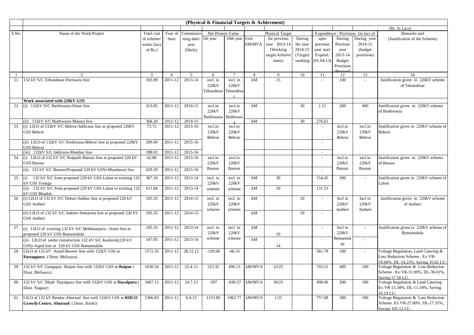|                |                                                                                  |              |                |             | (Physical & Financial Targets & Achievment) |                |        |                        |          |                          |           |                                     |                                                         |
|----------------|----------------------------------------------------------------------------------|--------------|----------------|-------------|---------------------------------------------|----------------|--------|------------------------|----------|--------------------------|-----------|-------------------------------------|---------------------------------------------------------|
|                |                                                                                  |              |                |             |                                             |                |        |                        |          |                          |           |                                     | (Rs. In Lacs)                                           |
| S.No.          | Name of the Work/Project                                                         | Total cost   | Year of        | Commissio   | Net Present Value                           |                |        | <b>Physical Target</b> |          |                          |           | Expenditure / Provision (in lacs of | Remarks and                                             |
|                |                                                                                  | of scheme/   | Start          | ning date/  | 5th year                                    | 10th year      | Unit   | for previous           | During   | upto                     | During    | During year                         | (Justification of the Scheme)                           |
|                |                                                                                  | works (lacs  |                | year        |                                             |                | kM/MVA | year 2013-14           | the year | previous                 | Previous  | 2014-15                             |                                                         |
|                |                                                                                  | of $Rs.$ )   |                | (likely)    |                                             |                |        | (Working)              | 2014-15  | year start               | year      | (budget)                            |                                                         |
|                |                                                                                  |              |                |             |                                             |                |        | target/Achieve         | (Target) | Expend.                  | 2013-14   | provision)                          |                                                         |
|                |                                                                                  |              |                |             |                                             |                |        | ment)                  | working  | (01.04.13)               | Budget    |                                     |                                                         |
|                |                                                                                  |              |                |             |                                             |                |        |                        |          |                          | Provision |                                     |                                                         |
| $\overline{1}$ |                                                                                  | $\mathbf{3}$ | $\overline{4}$ | 5           | 6                                           | $\overline{7}$ | 8      | $\mathbf Q$            | 10       | 11                       | 12        | 13                                  | 14                                                      |
| 51             | 132 kV S/C Tehandesar-Parewara line                                              | 183.99       | 2011-12        | 2013-14     | incl. in                                    | incl. in       | kM     | 15                     |          | $\mathbf{r}$             | 100       |                                     | Justification given in 220kV scheme                     |
|                |                                                                                  |              |                |             | 220kV                                       | 220kV          |        |                        |          |                          |           |                                     | of Tehandesar                                           |
|                |                                                                                  |              |                |             | Tehandesar                                  | Tehandesa      |        |                        |          |                          |           |                                     |                                                         |
|                | Work associated with 220kV GSS                                                   |              |                |             |                                             |                |        |                        |          |                          |           |                                     |                                                         |
| 52             | (i) 132kV D/C Baithwasia-Osian line                                              | 313.85       | 2011-12        | 2014-15     | incl.in                                     | incl.in        | kM     |                        | 30       | 1.11                     | 200       | 400                                 | Justification given in 220kV scheme                     |
|                |                                                                                  |              |                |             | 220kV                                       | 220kV          |        |                        |          |                          |           |                                     | of Baithwasia                                           |
|                |                                                                                  |              |                |             | Baithwasia                                  | Baithwasi      |        |                        |          |                          |           |                                     |                                                         |
|                | (ii) 132kV S/C Baithwasia-Matora line                                            | 368.20       | 2011-12        | 2014-15     |                                             |                | kM     |                        | 30       | 276.61                   |           |                                     |                                                         |
| 53             | (i) LILO of 132kV S/C Behror-Jakhrana line at proposed 220kV                     | 73.72        | 2011-12        | 2015-16     | incl.in                                     | incl.in        |        |                        |          | $\sim$                   | incl.in   | incl.in                             | Justification given in 220kV scheme of                  |
|                | GSS Behror                                                                       |              |                |             | 220kV                                       | 220kV          |        |                        |          |                          | 220kV     | 220kV                               | Behror                                                  |
|                |                                                                                  |              |                |             | Behror                                      | Behror         |        |                        |          |                          | Behror    | Behror                              |                                                         |
|                | (ii) LILO of 132kV S/C Keshwana-Behror line at proposed 220kV                    | 209.60       | 2011-12        | 2015-16     |                                             |                |        |                        |          | $\sim$                   |           |                                     |                                                         |
|                | <b>GSS Behror</b><br>(iii) 132kV S/C Jakhrana-Mandan line                        | 398.03       | 2011-12        | 2015-16     |                                             |                |        |                        |          | $\sim$                   |           |                                     |                                                         |
| 54             | (i) LILO of 132 kV S/C Kotputli-Bansur line at proposed 220 kV                   | 42.80        | 2011-12        | 2015-16     | incl.in                                     | incl.in        |        |                        |          | $\sim$                   | incl.in   | incl.in                             | Justification given in 220kV scheme                     |
|                | <b>GSS Bansur</b>                                                                |              |                |             | 220kV                                       | 220kV          |        |                        |          |                          | 220kV     | 220kV                               | of Bansur                                               |
|                | (ii) 132 kV S/C Bansur(Proposed 220 kV GSS)-Mundawar line                        | 429.39       | 2011-12        | $2015 - 16$ | Bansur                                      | Bansur         |        |                        |          | $\overline{\phantom{a}}$ | Bansur    | Bansur                              |                                                         |
|                |                                                                                  |              |                |             |                                             |                |        |                        |          |                          |           |                                     |                                                         |
| 55             | 132 kV S/C from proposed 220 kV GSS Lalsot to existing 132<br>(i)                | 367.10       | 2011-12        | 2013-14     | incl. in                                    | incl. in       | kM     | 30                     |          | 154.45                   | 500       |                                     | Justification given in 220kV scheme of                  |
|                | kV GSS Toonga<br>(ii) 132 kV S/C from proposed 220 kV GSS Lalsot to existing 132 | 611.84       | 2011-12        | 2013-14     | 220kV                                       | 220kV          | kM     | 50                     |          | 131.53                   |           |                                     | Lalsot                                                  |
|                | kV GSS Bhadoti                                                                   |              |                |             | scheme                                      | scheme         |        |                        |          |                          |           |                                     |                                                         |
| 56             | (i) LILO of 132 kV S/C Debari-Sukher line at proposed 220 kV                     | 105.35       | 2011-12        | 2014-15     | incl. in                                    | incl. in       | kM     |                        | 10       | $\overline{\phantom{a}}$ | Incl in   | Incl in                             | Justification given in 220kV scheme                     |
|                | GSS Amberi                                                                       |              |                |             | 220kV                                       | 220kV          |        |                        |          |                          | 220kV     | 220kV                               | of Amberi                                               |
|                |                                                                                  |              |                |             | scheme                                      | scheme         |        |                        |          |                          | Amberi    | Amberi                              |                                                         |
|                | (ii) LILO of 132 kV S/C Sukher-Seesarma line at proposed 220 kV                  | 105.35       | 2011-12        | 2014-15     |                                             |                | kM     |                        | 10       | $\sim$                   |           |                                     |                                                         |
|                | GSS Amberi                                                                       |              |                |             |                                             |                |        |                        |          |                          |           |                                     |                                                         |
| 57             | (i) LILO of existing 132 kV S/C Mokhampura -Amet line at                         | 105.35       | 2011-12        | 2013-14     | incl. in                                    | incl. in       | kM     |                        |          | $\sim$                   | Incl in   | $\mathcal{L}$                       | Justification given in 220kV scheme of                  |
|                | proposed 220 kV GSS Bamantukda                                                   |              |                |             | 220kV                                       | 220kV          |        | 10                     |          |                          | 220kV     |                                     | Bamantukda                                              |
|                | (ii) LILO of under construction 132 kV S/C Kankroli(220 kV                       | 147.05       | 2011-12        | 2013-14     | scheme                                      | scheme         | kM     |                        |          | $\blacksquare$           | Bamantuk  | $\sim$                              |                                                         |
|                | GSS)-Sapol line at 220 kV GSS Bamantukda                                         |              |                |             |                                             |                |        | 14                     |          |                          | da        |                                     |                                                         |
| 58             | LILO of 132 kV Asind-Beawer line with 132kV GSS at                               | 1572.35      | 2011-12        | 28.12.12    | $-120.68$                                   | $-66.55$       |        |                        |          | 581.78                   | 100       | $\sim$                              | Voltage Regulation, Laod Catering &                     |
|                | Partappura (Disst. Bhilwara)                                                     |              |                |             |                                             |                |        |                        |          |                          |           |                                     | Loss Reduction Scheme . Ex VR-                          |
|                |                                                                                  |              |                |             |                                             |                |        |                        |          |                          |           |                                     | 19.60%, DL-14.23%, Saving 35.65 LU.                     |
| 59             | 132 kV S/C Gangapur- Raipur line with 132kV GSS at Raipur (                      | 1630.54      | 2011-12        | 22.4.13     | 223.32                                      | 496.15         | kM/MVA | 23/25                  |          | 703.21                   | 400       | 100                                 | Voltage Regulation & Loss Reduction                     |
|                | Disst. Bhilwara)                                                                 |              |                |             |                                             |                |        |                        |          |                          |           |                                     | Scheme . Ex VR-31.00%, DL-36.61%,                       |
| 60             | 132 kV S/C Dhod- Dayalpura line with 132kV GSS at Dayalpura (                    | 1667.12      | 2011-12        | 24.7.13     | $-597$                                      | $-830.57$      | kM/MVA | 30/25                  |          | 498.06                   | 500       | 100                                 | Saving 57.50 LU.<br>Voltage Regulation & Laod Catering. |
|                | Disst. Nagaur)                                                                   |              |                |             |                                             |                |        |                        |          |                          |           |                                     | Ex VR-15.50%, DL-11.54%, Saving                         |
|                |                                                                                  |              |                |             |                                             |                |        |                        |          |                          |           |                                     | 10.19 LU.                                               |
| 61             | LILO of 132 kV Reodar-Aburoad line with 132kV GSS at RIICO                       | 1366.83      | 2011-12        | 6.4.13      | 1153.86                                     | 1962.77        | kM/MVA | 1/25                   |          | 757.08                   | 200       | 100                                 | Voltage Regulation & Loss Reduction                     |
|                | Growth Centre, Aburoad (Disst. Sirohi)                                           |              |                |             |                                             |                |        |                        |          |                          |           |                                     | Scheme .Ex VR-27.80%, DL-17.31%,                        |
|                |                                                                                  |              |                |             |                                             |                |        |                        |          |                          |           |                                     | Saving 105.12 LU                                        |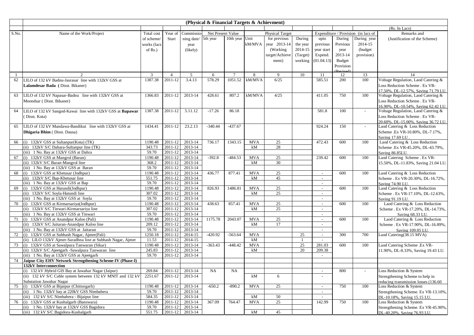|          |                                                                                                            |                   |                    |                    | (Physical & Financial Targets & Achievment) |                 |                  |                        |                    |                  |           |                                     |                                       |
|----------|------------------------------------------------------------------------------------------------------------|-------------------|--------------------|--------------------|---------------------------------------------|-----------------|------------------|------------------------|--------------------|------------------|-----------|-------------------------------------|---------------------------------------|
|          |                                                                                                            |                   |                    |                    |                                             |                 |                  |                        |                    |                  |           |                                     | (Rs. In Lacs)                         |
| S.No.    | Name of the Work/Project                                                                                   | Total cost        | Year of            | Commissio-         | Net Present Value                           |                 |                  | <b>Physical Target</b> |                    |                  |           | Expenditure / Provision (in lacs of | Remarks and                           |
|          |                                                                                                            | of scheme/        | Start              | ning date/         | 5th year                                    | 10th year Unit  |                  | for previous           | During             | upto             | During    | During year                         | (Justification of the Scheme)         |
|          |                                                                                                            | works (lacs       |                    | year               |                                             |                 | kM/MVA           | year 2013-14           | the year           | previous         | Previous  | 2014-15                             |                                       |
|          |                                                                                                            | of $Rs.$ )        |                    | (likely)           |                                             |                 |                  | (Working)              | 2014-15            | year start       | year      | (budget)                            |                                       |
|          |                                                                                                            |                   |                    |                    |                                             |                 |                  | target/Achieve         | (Target)           | Expend.          | 2013-14   | provision)                          |                                       |
|          |                                                                                                            |                   |                    |                    |                                             |                 |                  | ment)                  | working            | (01.04.13)       | Budget    |                                     |                                       |
|          |                                                                                                            |                   |                    |                    |                                             |                 |                  |                        |                    |                  | Provision |                                     |                                       |
|          | 2                                                                                                          | 3                 | $\overline{4}$     | 5                  | 6                                           | $7\phantom{.0}$ | 8                | 9                      | 10                 | 11               | 12        | 13                                  | 14                                    |
| -1<br>62 | LILO of 132 kV Badnu-Jasrasar, line with 132kV GSS at                                                      | 1387.38           | 2011-12            | 3.4.13             | 578.29                                      | 1051.52         | kM/MVA           | 6/25                   |                    | 585.51           | 200       | 100                                 | Voltage Regulation, Laod Catering &   |
|          | Lalamdesar Bada (Disst. Bikaner)                                                                           |                   |                    |                    |                                             |                 |                  |                        |                    |                  |           |                                     | Loss Reduction Scheme . Ex VR-        |
|          |                                                                                                            |                   |                    |                    |                                             |                 |                  |                        |                    |                  |           |                                     | 17.50%, DL-12.57%, Saving 71.79 LU.   |
| 63       | LILO of 132 kV Napasar-Badnu line with 132kV GSS at                                                        | 1366.83           | 2011-12            | 2013-14            | 428.61                                      | 807.2           | kM/MVA           | 4/25                   |                    | 411.05           | 750       | 100                                 | Voltage Regulation, Laod Catering &   |
|          | Moondsar (Disst. Bikaner)                                                                                  |                   |                    |                    |                                             |                 |                  |                        |                    |                  |           |                                     | Loss Reduction Scheme . Ex VR-        |
|          |                                                                                                            |                   |                    |                    |                                             |                 |                  |                        |                    |                  |           |                                     | 16.90%, DL-10.54%, Saving 62.42 LU.   |
| 64       | LILO of 132 kV Sangod-Kawai line with 132kV GSS at Bapawar                                                 | 1387.38           | 2011-12            | 5.11.12            | $-17.26$                                    | 86.18           |                  |                        |                    | 581.8            | 100       | $\sim$                              | Voltage Regulation, Laod Catering &   |
|          | Disst. Kota)                                                                                               |                   |                    |                    |                                             |                 |                  |                        |                    |                  |           |                                     | Loss Reduction Scheme . Ex VR-        |
|          |                                                                                                            |                   |                    |                    |                                             |                 |                  |                        |                    |                  |           |                                     | 20.60%, DL-15.00%, Saving 36.72 LU.   |
| 65       | LILO of 132 kV Mandawa-Bandikui line with 132kV GSS at                                                     | 1434.41           | 2011-12            | 23.2.13            | $-340.44$                                   | $-437.67$       |                  |                        |                    | 924.24           | 150       |                                     | Laod Catering & Loss Reduction        |
|          | <b>Dhigaria Bhim</b> (Disst. Dausa)                                                                        |                   |                    |                    |                                             |                 |                  |                        |                    |                  |           |                                     | Scheme .Ex VR-10.80%, DL-7.17%,       |
|          |                                                                                                            |                   |                    |                    |                                             |                 |                  |                        |                    |                  |           |                                     | Saving 17.69 LU.                      |
| 66       | (i) 132kV GSS at Sultanpur(Kota) (TK)                                                                      | 1190.48           | 2011-12            | 2013-14            | 736.17                                      | 1343.15         | <b>MVA</b>       | 25                     |                    | 472.43           | 600       | 100                                 | Laod Catering & Loss Reduction        |
|          | (ii) 132kV S/C Dahara-Sultanpur line (TK)                                                                  | 343.73            | 2011-12            | 2013-14            |                                             |                 | kM               | 28                     |                    |                  |           |                                     | Scheme .Ex VR-45.20%, DL-43.79%,      |
|          | (iii) 1 No. Bay at 132kV GSS at Dahra                                                                      | 59.70             | 2011-12            | 2013-14            |                                             |                 |                  |                        |                    |                  |           |                                     | Saving 86.85LU.                       |
| 67       | (i) 132kV GSS at Mangrol (Baran)                                                                           | 1190.48           | 2011-12            | 2013-14            | $-392.8$                                    | $-484.53$       | <b>MVA</b>       | 25                     |                    | 239.42           | 600       | 100                                 | Laod Catering Scheme . Ex VR-         |
|          | (ii) 132kV S/C Baran-Mangrol line                                                                          | 368.2             | 2011-12            | 2013-14            |                                             |                 | kM               | 30                     |                    |                  |           |                                     | 15.50%, DL-11.83%, Saving 21.04 LU.   |
|          | (iii) 1 No. Bay at 132kV GSS at Baran<br>(i) 132kV GSS at Khetusar (Jodhpur)                               | 59.70<br>1190.48  | 2011-12<br>2011-12 | 2013-14<br>2013-14 | 436.77                                      | 877.41          | <b>MVA</b>       | 25                     |                    |                  | 600       | 100                                 | Laod Catering & Loss Reduction        |
| 68       | (ii) 132kV S/C Bap-Khetusar line                                                                           | 551.75            | 2011-12            | 2013-14            |                                             |                 | kM               | 45                     |                    | $\sim$<br>$\sim$ |           |                                     | Scheme . Ex VR-20.30%, DL-16.72%,     |
|          | (iii) 1 No. Bay at 132kV GSS at Bap                                                                        | 59.70             | 2011-12            | 2013-14            |                                             |                 |                  |                        |                    | $\mathcal{L}$    |           |                                     | Saving 74.90 LU                       |
| 69       | (i) 132kV GSS at Hatundi(Jodhpur)                                                                          | 1190.48           | 2011-12            | 2013-14            | 826.93                                      | 1486.81         | <b>MVA</b>       | 25                     |                    | $\sim$           | 600       | 100                                 | Laod Catering & Loss Reduction        |
|          | (ii) 132kV S/C Soyla-Hatundi line                                                                          | 307.02            | 2011-12            | 2013-14            |                                             |                 | kM               | 25                     |                    | $\sim$           |           |                                     | Scheme . Ex VR-17.10%, DL-12.63%,     |
|          | (iii) 1 No. Bay at 132kV GSS at Soyla                                                                      | 59.70             | 2011-12            | 2013-14            |                                             |                 |                  |                        |                    | $\sim$           |           |                                     | Saving 91.19 LU.                      |
| 70       | (i) 132kV GSS at Kirmarsariya(Jodhpur)                                                                     | 1190.48           | 2011-12            | 2013-14            | 438.63                                      | 857.41          | <b>MVA</b>       | 25                     |                    | $\sim$           | 600       | 100                                 | Laod Catering & Loss Reduction        |
|          | (ii) 132kV S/C Tinwari-Kirmarsariya line                                                                   | 307.02            | 2011-12            | 2013-14            |                                             |                 | kM               | 25                     |                    | $\sim$           |           |                                     | Scheme . Ex VR-17.20%, DL-14.73%,     |
|          | (iii) 1 No. Bay at 132kV GSS at Tinwari                                                                    | 59.70             | 2011-12            | 2013-14            |                                             |                 |                  |                        |                    | $\sim$           |           |                                     | Saving 68.33 LU.                      |
| 71       | (i) 132kV GSS at Anandpur Kaloo (Pali)                                                                     | 1190.48           | 2011-12            | 2013-14            | 1175.78                                     | 2043.07         | <b>MVA</b>       | 25                     |                    | $\sim$           | 600       | 100                                 | Laod Catering & Loss Reduction        |
|          | (ii) 132kV S/C Jaitaran-Anandpur Kaloo line                                                                | 209.12            | 2011-12            | 2013-14            |                                             |                 | kM               | 17                     |                    | $\sim$           |           |                                     | Scheme . Ex VR-17.90%, DL-16.89%,     |
|          | (iii) 1 No. Bay at 132kV GSS at Jaitaran                                                                   | 59.70             | 2011-12            | 2013-14            |                                             |                 |                  |                        |                    | $\sim$           |           |                                     | Saving 109.05 LU.                     |
| 72       | (i) 132kV GSS at Subhash Nagar, Ajmer(Pali)                                                                | 1250.18           | 2011-12            | 2014-15            | $-420.92$                                   | $-563.64$       | <b>MVA</b>       |                        | 25<br>$\mathbf{1}$ | $\sim$           | 300       | 700                                 | Laod Catering(38.15 MVA)              |
|          | (ii) LILO 132kV Ajmer-Saradhna line at Subhash Nagar, Ajmer<br>(i) 132kV GSS at Sawalpura Tanwaran (Sikar) | 11.53             | 2011-12            | 2014-15            |                                             |                 | kM               |                        |                    | $\sim$           |           |                                     |                                       |
| 73       | (ii) 132kV S/C Ajeetgarh -Sawalpura Tanwaran line                                                          | 1190.48<br>245.83 | 2011-12<br>2011-12 | 2013-14<br>2013-14 | $-363.43$                                   | $-448.42$       | <b>MVA</b><br>kM |                        | 25<br>20           | 281.03<br>209.38 | 600       | 100                                 | Laod Catering Scheme .Ex VR-          |
|          | (iii) 1 No. Bay at 132kV GSS at Ajeetgarh                                                                  | 59.70             | 2011-12            | 2013-14            |                                             |                 |                  |                        |                    | $\sim$           |           |                                     | 11.90%, DL-8.33%, Saving 19.43 LU.    |
| 74       | Jaipur City EHV Network Strengthening Scheme-IV (Phase-I)                                                  |                   |                    |                    |                                             |                 |                  |                        |                    |                  |           |                                     |                                       |
|          | 132kV Interconnection                                                                                      |                   |                    |                    |                                             |                 |                  |                        |                    |                  |           |                                     |                                       |
|          | (i) 132 kV Hybrid GIS Bay at Jawahar Nagar (Jaipur)                                                        | 269.84            | 2011-12            | 2013-14            | $_{\rm NA}$                                 | <b>NA</b>       |                  |                        |                    |                  | 800       |                                     | Loss Reduction & System               |
|          | (ii) 132 kV S/C Cable system between 132 kV MNIT and 132 kV                                                | 2251.67           | 2011-12            | 2013-14            |                                             |                 | kM               | 6                      |                    |                  |           |                                     | Strengthening Scheme to help in       |
|          | Substation Jawahar Nagar                                                                                   |                   |                    |                    |                                             |                 |                  |                        |                    |                  |           |                                     | reducing transmission losses (136.60) |
| 75       | (i) 132kV GSS at Bijaipur (Chittorgarh)                                                                    | 1190.48           | 2011-12            | 2013-14            | $-650.2$                                    | $-890.2$        | <b>MVA</b>       | 25                     |                    | $\sim$           | 750       | 100                                 | Loss Reduction & System               |
|          | (ii) 1 No. 132kV bay at 220kV GSS Nimbahera                                                                | 59.70             | 2011-12            | 2013-14            |                                             |                 |                  |                        |                    | $\sim$           |           |                                     | Strengthening Scheme. Ex VR-13.10%,   |
|          | (iii) 132 kV S/C Nimbahera - Bijaipur line                                                                 | 584.35            | 2011-12            | 2013-14            |                                             |                 | kM               | $50\,$                 |                    | $\sim$           |           |                                     | DL-10.18%, Saving 15.15 LU.           |
| 76       | (i) 132kV GSS at Kushalgarh (Banswara)                                                                     | 1190.48           | 2011-12            | 2013-14            | 367.09                                      | 764.47          | <b>MVA</b>       | 25                     |                    | 142.99           | 750       | 100                                 | Loss Reduction & System               |
|          | (ii) 1 No. 132kV bay at 132kV GSS Bagidora                                                                 | 59.70             | 2011-12            | 2013-14            |                                             |                 |                  |                        |                    |                  |           |                                     | Strengthening Scheme. Ex VR-45.90%,   |
|          | (iii) 132 kV S/C Bagidora-Kushalgarh                                                                       | 551.75            | 2011-12            | 2013-14            |                                             |                 | kM               | 45                     |                    |                  |           |                                     | DL-40.20%, Saving 76.93 LU.           |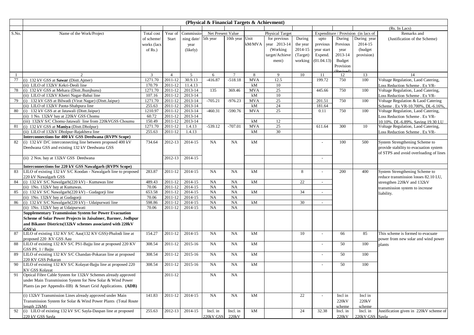|       |                                                                 |                |                      |                   | (Physical & Financial Targets & Achievment) |                 |            |                        |          |                          |           |                                     |                                        |
|-------|-----------------------------------------------------------------|----------------|----------------------|-------------------|---------------------------------------------|-----------------|------------|------------------------|----------|--------------------------|-----------|-------------------------------------|----------------------------------------|
|       |                                                                 |                |                      |                   |                                             |                 |            |                        |          |                          |           |                                     | (Rs. In Lacs)                          |
| S.No. | Name of the Work/Project                                        | Total cost     | Year of              | <b>Commissio-</b> | Net Present Value                           |                 |            | <b>Physical Target</b> |          |                          |           | Expenditure / Provision (in lacs of | Remarks and                            |
|       |                                                                 | of scheme/     | <b>Start</b>         | ning date/        | 5th year                                    | 10th year Unit  |            | for previous           | During   | upto                     | During    | During year                         | (Justification of the Scheme)          |
|       |                                                                 | works (lacs    |                      | year              |                                             |                 | kM/MVA     | year 2013-14           | the year | previous                 | Previous  | 2014-15                             |                                        |
|       |                                                                 | of $Rs.$ )     |                      | (likely)          |                                             |                 |            | (Working)              | 2014-15  | year start               | year      | (budget)                            |                                        |
|       |                                                                 |                |                      |                   |                                             |                 |            | target/Achieve         | (Target) | Expend.                  | 2013-14   | provision)                          |                                        |
|       |                                                                 |                |                      |                   |                                             |                 |            | ment)                  | working  | (01.04.13)               | Budget    |                                     |                                        |
|       |                                                                 |                |                      |                   |                                             |                 |            |                        |          |                          | Provision |                                     |                                        |
|       |                                                                 |                |                      |                   |                                             |                 |            |                        |          |                          |           |                                     |                                        |
| 1     | 2                                                               | $\overline{3}$ | $\overline{4}$       | 5                 | 6                                           | $7\phantom{.0}$ | 8          | 9                      | 10       | 11                       | 12        | 13                                  | 14                                     |
| 77    | (i) 132 kV GSS at Sawar (Distt.Ajmer)                           | 1271.70        | 2011-12              | 30.9.13           | $-416.87$                                   | $-518.18$       | <b>MVA</b> | 12.5                   |          | 199.72                   | 750       | 100                                 | Voltage Regulation, Laod Catering,     |
|       | (ii) LILO of 132kV Kekri-Deoli line                             | 170.79         | 2011-12              | 11.4.13           |                                             |                 | kM         | 10                     |          |                          |           |                                     | Loss Reduction Scheme . Ex VR-         |
| 78    | (i) 132 kV GSS at Mehara (Distt.Jhunjhunu)                      | 1271.70        | 2011-12              | 2013-14           | 135                                         | 369.46          | <b>MVA</b> | $25\,$                 |          | 445.66                   | 750       | 100                                 | Voltage Regulation, Laod Catering,     |
|       | (ii) LILO of 132kV Khetri Nagar-Babai line                      | 107.16         | 2011-12              | 2013-14           |                                             |                 | kM         | 10                     |          |                          |           |                                     | Loss Reduction Scheme . Ex VR-         |
| 79    | (i) 132 kV GSS at Bilwadi (Virat Nagar) (Distt.Jaipur)          | 1271.70        | 2011-12              | 2013-14           | $-705.21$                                   | $-976.23$       | <b>MVA</b> | 25                     |          | 201.51                   | 750       | 100                                 | Voltage Regulation & Laod Catering     |
|       | (ii) LILO of 132kV Paota-Shahpura line                          | 255.63         | 2011-12              | 2013-14           |                                             |                 | kM         | 24                     |          | 181.64                   |           |                                     | Scheme . Ex VR-10.700%, DL-6.16%,      |
| 80    | (i) 132 kV GSS at at Jatawali (Distt.Jaipur)                    | 1210.97        | 2011-12              | 2013-14           | $-460.31$                                   | $-590.76$       | <b>MVA</b> | 25                     |          | 0.11                     | 750       | 100                                 | Voltage Regulation, Laod Catering,     |
|       | (ii) 1 No. 132kV bay at 220kV GSS Chomu                         | 60.72          | 2011-12              | 2013-14           |                                             |                 |            |                        |          |                          |           |                                     | Loss Reduction Scheme . Ex VR-         |
|       | (iii) 132kV S/C Chomu-Jatawali line from 220kVGSS Choumu        | 150.49         | 2011-12              | 2013-14           |                                             |                 | kM         | 12                     |          |                          |           |                                     | 10.10%, DL-6.89%, Saving 19.30 LU      |
| 81    | (i) 132 kV GSS at Maniya (Distt.Dholpur)                        | 1271.70        | 2011-12              | 1.4.13            | $-539.12$                                   | $-707.01$       | <b>MVA</b> | 25                     |          | 611.64                   | 300       | 10                                  | Voltage Regulation, Laod Catering,     |
|       | (ii) LILO of 132kV Dholpur-Rajakhera line                       | 255.63         | 2011-12              | 1.4.13            |                                             |                 | kM         | 30                     |          |                          |           |                                     | Loss Reduction Scheme . Ex VR-         |
|       | Interconnections for 400 kV GSS Deedwana (RVPN Scope)           |                |                      |                   |                                             |                 |            |                        |          |                          |           |                                     |                                        |
| 82    | (i) 132 kV D/C interconnecting line between proposed 400 kV     | 734.64         | 2012-13              | 2014-15           | NA                                          | NA              | kM         |                        |          |                          | 100       | 500                                 | System Strengthening Scheme to         |
|       | Deedwana GSS and existing 132 kV Deedwana GSS                   |                |                      |                   |                                             |                 |            |                        |          |                          |           |                                     | provide stability to evacuation system |
|       |                                                                 |                |                      |                   |                                             |                 |            |                        |          |                          |           |                                     | of STPS and avoid overloading of lines |
|       | (ii) 2 Nos. bay at 132kV GSS Deedwana                           |                | 2012-13              | 2014-15           |                                             |                 |            |                        |          | $\sim$                   |           |                                     |                                        |
|       | Interconnections for 220 kV GSS Nawalgarh (RVPN Scope)          |                |                      |                   |                                             |                 |            |                        |          |                          |           |                                     |                                        |
| 83    | LILO of existing 132 kV S/C Koodan - Nawalgarh line to proposed | 283.87         | 2011-12              | 2014-15           | NA                                          | <b>NA</b>       | kM         |                        | 8        |                          | 200       | 400                                 | System Strengthening Scheme to         |
|       | 220 kV Nawalgarh GSS                                            |                |                      |                   |                                             |                 |            |                        |          |                          |           |                                     | reduce transmission losses 82.10 LU,   |
| 84    | (i) 132 kV S/C Nawalgarh(220 kV) - Kumawas line                 | 489.43         | 2011-12              | 2014-15           | NA                                          | NA              | kM         |                        | 22       | $\overline{\phantom{a}}$ |           |                                     |                                        |
|       | (ii) 1No. 132kV bay at Kumawas.                                 | 70.06          | 2011-12              | 2014-15           | NA                                          | <b>NA</b>       |            |                        |          |                          |           |                                     | strengthen 220kV and 132kV             |
| 85    | (i) 132 kV S/C Nawalgarh(220 kV) - Gudagorji line               | 653.58         | 2011-12              | 2014-15           | NA                                          | <b>NA</b>       | kM         |                        | 34       | $\overline{\phantom{a}}$ |           |                                     | transmission system to increase        |
|       | (ii) 1No. 132kV bay at Gudagorji                                | 70.06          | 2011-12              | 2014-15           | NA                                          | <b>NA</b>       |            |                        |          |                          |           |                                     | liability.                             |
| 86    | (i) 132 kV S/C Nawalgarh(220 kV) - Udaipurwati line             | 598.86         | 2011-12              | 2014-15           | NA                                          | <b>NA</b>       | kM         |                        | 30       | $\overline{\phantom{a}}$ |           |                                     |                                        |
|       | (ii) 1No. 132kV bay at Udaipurwati                              | 70.06          | 2011-12              | 2014-15           | <b>NA</b>                                   | <b>NA</b>       |            |                        |          |                          |           |                                     |                                        |
|       | <b>Supplementary Transmission System for Power Evacuation</b>   |                |                      |                   |                                             |                 |            |                        |          |                          |           |                                     |                                        |
|       | Scheme of Solar Power Projects in Jaisalmer, Barmer, Jodhpur    |                |                      |                   |                                             |                 |            |                        |          |                          |           |                                     |                                        |
|       | and Bikaner Districts(132kV schemes associated with 220kV       |                |                      |                   |                                             |                 |            |                        |          |                          |           |                                     |                                        |
|       | GSS's                                                           |                |                      |                   |                                             |                 |            |                        |          |                          |           |                                     |                                        |
| 87    | LILO of existing 132 KV S/C Aau(132 KV GSS)-Phalodi line at     | 154.27         | 2011-12              | 2014-15           | NA                                          | NA              | kM         |                        | 10       |                          | 66        | 85                                  | This scheme is formed to evacuate      |
|       | proposed 220 KV GSS Aau                                         |                |                      |                   |                                             |                 |            |                        |          |                          |           |                                     | power from new solar and wind power    |
| 88    | LILO of existing 132 KV S/C PS1-Bajju line at proposed 220 KV   | 308.54         | 2011-12              | 2015-16           | NA                                          | <b>NA</b>       | kM         |                        |          |                          | 50        | 100                                 | plants                                 |
|       | GSS PS 1 / Bajju                                                |                |                      |                   |                                             |                 |            |                        |          |                          |           |                                     |                                        |
| 89    | LILO of existing 132 KV S/C Chandan-Pokaran line at proposed    | 308.54         | 2011-12              | 2015-16           | NA                                          | NA              | kM         |                        |          | $\overline{\phantom{a}}$ | 50        | 100                                 |                                        |
|       | 220 KV GSS Pokaran                                              |                |                      |                   |                                             |                 |            |                        |          |                          |           |                                     |                                        |
| 90    | LILO of existing 132 KV S/C Kolayat-Bajju line at proposed 220  | 308.54         | 2011-12              | 2015-16           | NA                                          | NA              | kM         |                        |          |                          | 50        | 100                                 |                                        |
|       | KV GSS Kolavat                                                  |                |                      |                   |                                             |                 |            |                        |          |                          |           |                                     |                                        |
| 91    | Optical Fibre Cable System for 132kV Schemes already approved   |                | $2011 - 12$          |                   | NA                                          | <b>NA</b>       |            |                        |          |                          |           |                                     |                                        |
|       | under Main Transmission System for New Solar & Wind Power       |                |                      |                   |                                             |                 |            |                        |          |                          |           |                                     |                                        |
|       | Plants (as per Appendix-IIB) & Smart Grid Applications. (ADB)   |                |                      |                   |                                             |                 |            |                        |          |                          |           |                                     |                                        |
|       |                                                                 |                |                      |                   |                                             |                 |            |                        |          |                          |           |                                     |                                        |
|       | (i) 132kV Transmission Lines already approved under Main        | 141.83         | $\overline{2011-12}$ | 2014-15           | NA                                          | NA              | kM         |                        | 22       |                          | Incl in   | Incl in                             |                                        |
|       | Transmission System for Solar & Wind Power Plants (Total Route  |                |                      |                   |                                             |                 |            |                        |          |                          | 220kV     | 220kV                               |                                        |
|       | length $22kM$ )                                                 |                |                      |                   |                                             |                 |            |                        |          |                          | scheme    | scheme                              |                                        |
| 92    | (i) LILO of existing 132 kV S/C Sayla-Daspan line at proposed   | 255.63         | 2012-13              | 2014-15           | Incl. in                                    | Incl. in        | kM         |                        | 24       | 32.38                    | Incl. in  | Incl. in                            | Justification given in 220kV scheme of |
|       | 220 kV GSS Sayla                                                |                |                      |                   | 220kV GSS                                   | 220kV           |            |                        |          |                          | 220kV     | 220kV GSS Sayla                     |                                        |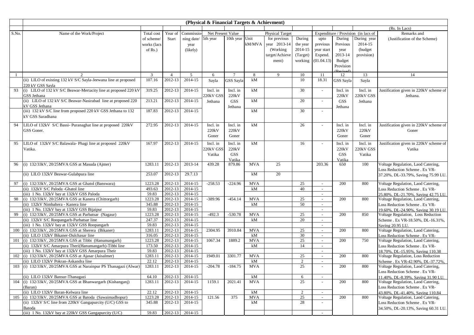|       |                                                                                                                  |                   |                    |                    | (Physical & Financial Targets & Achievment) |                  |                        |                        |                      |                  |               |                                     |                                                                       |
|-------|------------------------------------------------------------------------------------------------------------------|-------------------|--------------------|--------------------|---------------------------------------------|------------------|------------------------|------------------------|----------------------|------------------|---------------|-------------------------------------|-----------------------------------------------------------------------|
|       |                                                                                                                  |                   |                    |                    |                                             |                  |                        |                        |                      |                  |               |                                     | (Rs. In Lacs)                                                         |
| S.No. | Name of the Work/Project                                                                                         | Total cost        | Year of            | Commissio-         | Net Present Value                           |                  |                        | <b>Physical Target</b> |                      |                  |               | Expenditure / Provision (in lacs of | Remarks and                                                           |
|       |                                                                                                                  | of scheme/        | Start              | ning date/         | 5th year                                    | 10th year Unit   |                        | for previous           | During               | upto             | During        | During year                         | (Justification of the Scheme)                                         |
|       |                                                                                                                  | works (lacs       |                    | year               |                                             |                  | kM/MVA                 | year 2013-14           | the year             | previous         | Previous      | 2014-15                             |                                                                       |
|       |                                                                                                                  | of $Rs.$ )        |                    | (likely)           |                                             |                  |                        | (Working)              | 2014-15              | year start       | year          | (budget)                            |                                                                       |
|       |                                                                                                                  |                   |                    |                    |                                             |                  |                        | target/Achieve         | (Target)             | Expend.          | 2013-14       | provision)                          |                                                                       |
|       |                                                                                                                  |                   |                    |                    |                                             |                  |                        | ment)                  | working              | (01.04.13)       | Budget        |                                     |                                                                       |
|       |                                                                                                                  |                   |                    |                    |                                             |                  |                        |                        |                      |                  | Provision     |                                     |                                                                       |
| -1    | $\overline{2}$                                                                                                   | 3                 | $\overline{4}$     | 5                  | 6                                           | $7\phantom{.0}$  | 8                      | 9                      | 10                   | 11               | 12            | 13                                  | 14                                                                    |
|       | (ii) LILO of existing 132 kV S/C Sayla-Jeewana line at proposed                                                  | 107.16            | 2012-13            | 2014-15            | Sayla                                       | GSS Sayla        | kM                     |                        | 10                   | 18.31            | GSS Sayla     | Sayla                               |                                                                       |
|       | 220 kV GSS Savla                                                                                                 |                   |                    |                    |                                             |                  |                        |                        |                      |                  |               |                                     |                                                                       |
| 93    | (i) LILO of 132 kV S/C Beawar-Mertacity line at proposed 220 kV                                                  | 319.25            | 2012-13            | 2014-15            | Incl. in                                    | Incl. in         | kM                     |                        | 30                   | $\sim$           | Incl. in      | Incl. in                            | Justification given in 220kV scheme of                                |
|       | GSS Jethana                                                                                                      |                   |                    |                    | 220kV GSS                                   | 220kV            |                        |                        |                      |                  | 220kV         | <b>220kV GSS</b>                    | Jethana.                                                              |
|       | (ii) LILO of 132 kV S/C Beawar-Nasirabad line at proposed 220                                                    | 213.21            | 2012-13            | 2014-15            | Jethana                                     | GSS              | kM                     |                        | 20                   | $\sim$           | GSS           | Jethana                             |                                                                       |
|       | kV GSS Jethana                                                                                                   |                   |                    |                    |                                             | Jethana          |                        |                        |                      |                  | Jethana       |                                     |                                                                       |
|       | (iii) 132 kV S/C line from proposed 220 kV GSS Jethana to 132                                                    | 187.83            | 2012-13            | 2014-15            |                                             |                  | kM                     |                        | 30                   | $\sim$           |               |                                     |                                                                       |
|       | kV GSS Saradhana                                                                                                 |                   |                    |                    |                                             |                  |                        |                        |                      |                  |               |                                     |                                                                       |
| 94    | LILO of 132kV S/C Bassi- Puranaghat line at proposed 220kV                                                       | 272.95            | 2012-13            | 2014-15            | Incl. in                                    | Incl. in         | kM                     |                        | 26                   | $\sim$           | Incl. in      | Incl. in                            | Justification given in 220kV scheme of                                |
|       | GSS Goner.                                                                                                       |                   |                    |                    | 220kV                                       | 220kV            |                        |                        |                      |                  | 220kV         | 220kV                               | Goner                                                                 |
|       |                                                                                                                  |                   |                    |                    | Goner                                       | Goner            |                        |                        |                      |                  | Goner         | Goner                               |                                                                       |
|       |                                                                                                                  |                   |                    |                    |                                             |                  |                        |                        |                      |                  |               |                                     |                                                                       |
| 95    | LILO of 132kV S/C Balawala- Phagi line at proposed 220kV                                                         | 167.97            | 2012-13            | 2014-15            | Incl. in                                    | Incl. in         | kM                     |                        | 16                   |                  | Incl. in      | Incl. in                            | Justification given in 220kV scheme of                                |
|       | Vatika.                                                                                                          |                   |                    |                    | 220kV GSS                                   | 220kV            |                        |                        |                      |                  | 220kV         | <b>220kV GSS</b>                    | Vatika                                                                |
|       |                                                                                                                  |                   |                    |                    | Vatika                                      | <b>GSS</b>       |                        |                        |                      |                  | GSS           | Vatika                              |                                                                       |
| 96    | (i) 132/33kV, 20/25MVA GSS at Masuda (Ajmer)                                                                     | 1283.11           | 2012-13            | 2013-14            | 439.28                                      | Vatika<br>879.86 | <b>MVA</b>             | 25                     |                      | 203.36           | Vatika<br>650 | 100                                 | Voltage Regulation, Laod Catering,                                    |
|       |                                                                                                                  |                   |                    |                    |                                             |                  |                        |                        |                      |                  |               |                                     | Loss Reduction Scheme . Ex VR-                                        |
|       | (ii) LILO 132kV Beawar-Gulabpura line                                                                            | 253.07            | 2012-13            | 29.7.13            |                                             |                  | kM                     | 20                     |                      |                  |               |                                     | 37.20%, DL-33.79%, Saving 75.99 LU.                                   |
|       |                                                                                                                  |                   |                    |                    |                                             |                  |                        |                        |                      |                  |               |                                     |                                                                       |
| 97    | (i) 132/33kV, 20/25MVA GSS at Ghatol (Banswara)                                                                  | 1223.28           | 2012-13            | 2014-15            | $-258.53$                                   | $-224.96$        | <b>MVA</b>             |                        | 25                   | $\sim$           | 200           | 800                                 | Voltage Regulation, Laod Catering,                                    |
|       | (ii) 132kV S/C Paloda -Ghatol line                                                                               | 493.63            | 2012-13            | 2014-15            |                                             |                  | kM                     |                        | 40                   | $\sim$           |               |                                     | Loss Reduction Scheme . Ex VR-                                        |
|       | (iii) 1 No. 132kV bay at 132kV GSS Paloda                                                                        | 59.83             | 2012-13            | 2014-15            |                                             |                  |                        |                        |                      | $\sim$           |               |                                     | 25.80%, DL-21.70%, Saving 42.75 LU.                                   |
| 98    | (i) 132/33kV, 20/25MVA GSS at Kanera (Chittorgarh)                                                               | 1223.28           | 2012-13            | 2014-15            | $-389.96$                                   | $-454.14$        | <b>MVA</b>             |                        | 25                   | $\sim$           | 200           | 800                                 | Voltage Regulation, Laod Catering,                                    |
|       | (ii) 132kV Nimbahera - Kanera line                                                                               | 345.88            | 2012-13            | 2014-15            |                                             |                  | kM                     |                        | 50                   | $\sim$           |               |                                     | Loss Reduction Scheme . Ex VR-                                        |
| 99    | (iii) 1 No. 132kV bay at 132kV GSS Bijaipur<br>(i) 132/33kV, 20/25MVA GSS at Parbatsar (Nagaur)                  | 59.83             | 2012-13<br>2012-13 | 2014-15<br>2014-15 | $-492.3$                                    | $-530.78$        | <b>MVA</b>             |                        | 25                   | $\sim$           | 200           |                                     | 19.60%, DL-24.90%, Saving 30.19 LU.                                   |
|       | (ii) 132kV S/C Roopangarh-Parbatsar line                                                                         | 1223.28<br>247.37 | 2012-13            | 2014-15            |                                             |                  | kM                     |                        | 20                   | $\sim$<br>$\sim$ |               | 850                                 | Voltage Regulation, Loss Reduction                                    |
|       | (iii) 1 No. 132kV bay at 132kV GSS Roopangarh                                                                    | 59.83             | 2012-13            | 2014-15            |                                             |                  |                        |                        |                      | $\sim$           |               |                                     | Scheme . Ex VR-18.50%, DL-16.31%,<br>Saving 20.95 LU.                 |
| 100   | (i) 132/33kV, 20/25MVA GSS at Sherera (Bikaner)                                                                  | 1283.11           | 2012-13            | 2014-15            | 2304.95                                     | 3910.84          | <b>MVA</b>             |                        | 25                   | $\sim$           | 200           | 800                                 | Voltage Regulation, Laod Catering,                                    |
|       | (ii) LILO 132kV Bikaner-Dulchasar line                                                                           | 316.05            | 2012-13            | 2014-15            |                                             |                  | kM                     |                        | 30                   | $\sim$           |               |                                     | Loss Reduction Scheme . Ex VR-                                        |
| 101   | (i) 132/33kV, 20/25MVA GSS at Tibbi (Hanumangarh)                                                                | 1223.28           | 2012-13            | 2014-15            | 1067.34                                     | 1889.2           | <b>MVA</b>             |                        | 25                   | $\sim$           | 200           | 750                                 | Voltage Regulation, Laod Catering,                                    |
|       | (ii) 132kV S/C Amarpura Theri(Hanumangarh)-Tibbi line                                                            | 173.50            | 2012-13            | 2014-15            |                                             |                  | kM                     |                        | 14                   | $\sim$           |               |                                     | Loss Reduction Scheme . Ex VR-                                        |
|       | (iii) 1 No. 132kV bay at 132kV GSS Amarpura Their                                                                | 59.83             | 2012-13            | 2014-15            |                                             |                  |                        |                        |                      | $\sim$           |               |                                     | 18.70%, DL-15.95%, Saving 110.38                                      |
| 102   | (i) 132/33kV, 20/25MVA GSS at Ajasar (Jaisalmer)                                                                 | 1283.11           | 2012-13            | 2014-15            | 1949.01                                     | 3301.77          | <b>MVA</b>             |                        | 25                   | $\sim$           | 200           | 800                                 | Voltage Regulation, Loss Reduction                                    |
|       | (ii) LILO 132kV Pokran-Askandra line                                                                             | 22.12             | 2012-13            | 2014-15            |                                             |                  | kM                     |                        | 2                    | $\sim$           |               |                                     | Scheme . Ex VR-42.90%, DL-37.72%.                                     |
| 103   | (i) 132/33kV, 20/25MVA GSS at Narainpur PS Thanagazi (Alwar)                                                     | 1283.11           | 2012-13            | 2014-15            | $-204.78$                                   | $-184.75$        | <b>MVA</b>             |                        | 25                   |                  | 200           | 800                                 | Voltage Regulation, Laod Catering,                                    |
|       |                                                                                                                  |                   |                    |                    |                                             |                  |                        |                        |                      |                  |               |                                     | Loss Reduction Scheme . Ex VR-                                        |
|       | (ii) LILO 132kV Bansur-Thanagazi                                                                                 | 64.10             | 2012-13            | 2014-15            |                                             |                  | $\mathbf{k}\mathbf{M}$ |                        | 6                    | $\sim$           |               |                                     | 11.40%, DL-8.39%, Saving 31.90 LU.                                    |
| 104   | (i) 132/33kV, 20/25MVA GSS at Bhanwargarh (Kishanganj)                                                           | 1283.11           | 2012-13            | 2014-15            | 1159.1                                      | 2021.41          | <b>MVA</b>             |                        | 25                   |                  | 200           | 800                                 | Voltage Regulation, Laod Catering,                                    |
|       | (Baran)                                                                                                          |                   |                    |                    |                                             |                  |                        |                        |                      |                  |               |                                     | Loss Reduction Scheme . Ex VR-                                        |
|       | (ii) LILO 132kV Baran-Kelwara line                                                                               | 22.12             | 2012-13            | 2014-15            |                                             | 375              | $\mathbf{k}\mathbf{M}$ |                        | $\overline{2}$<br>25 | $\sim$           |               |                                     | 43.80%, DL-41.40%, Saving 110.84                                      |
| 105   | (i) 132/33kV, 20/25MVA GSS at Batoda (Sawaimadhopur)<br>(ii) 132kV S/C line from 220kV Gangapurcity (U/C) GSS to | 1223.28<br>345.88 | 2012-13<br>2012-13 | 2014-15<br>2014-15 | 121.56                                      |                  | <b>MVA</b><br>kM       |                        | 28                   | $\sim$           | 200           | 800                                 | Voltage Regulation, Laod Catering,                                    |
|       | Batoda                                                                                                           |                   |                    |                    |                                             |                  |                        |                        |                      |                  |               |                                     | Loss Reduction Scheme . Ex VR-<br>34.50%, DL-20.13%, Saving 60.31 LU. |
|       | (iii) 1 No. 132kV bay at 220kV GSS Gangapurcity (U/C)                                                            | 59.83             | 2012-13            | 2014-15            |                                             |                  |                        |                        |                      |                  |               |                                     |                                                                       |
|       |                                                                                                                  |                   |                    |                    |                                             |                  |                        |                        |                      |                  |               |                                     |                                                                       |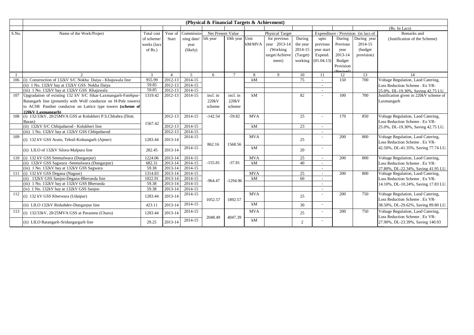|       |                                                                                  |                |                |                      | (Physical & Financial Targets & Achievment) |                |            |                        |                |                          |                     |                                     |                                        |
|-------|----------------------------------------------------------------------------------|----------------|----------------|----------------------|---------------------------------------------|----------------|------------|------------------------|----------------|--------------------------|---------------------|-------------------------------------|----------------------------------------|
|       |                                                                                  |                |                |                      |                                             |                |            |                        |                |                          |                     |                                     | (Rs. In Lacs)                          |
| S.No. | Name of the Work/Project                                                         | Total cost     | Year of        | Commissio-           | Net Present Value                           |                |            | <b>Physical Target</b> |                |                          |                     | Expenditure / Provision (in lacs of | Remarks and                            |
|       |                                                                                  | of scheme/     | Start          | ning date/ 5th year  |                                             | 10th year Unit |            | for previous           | During         | upto                     | During              | During year                         | (Justification of the Scheme)          |
|       |                                                                                  | works (lacs    |                | year                 |                                             |                | kM/MVA     | vear 2013-14           | the year       | previous                 | Previous            | 2014-15                             |                                        |
|       |                                                                                  | of $Rs.$ )     |                | (likely)             |                                             |                |            | (Working)              | 2014-15        | year start               | year                | (budget                             |                                        |
|       |                                                                                  |                |                |                      |                                             |                |            | target/Achieve         | (Target)       | Expend.                  | 2013-14             | provision)                          |                                        |
|       |                                                                                  |                |                |                      |                                             |                |            | ment)                  | working        | (01.04.13)               | Budget              |                                     |                                        |
|       |                                                                                  |                |                |                      |                                             |                |            |                        |                |                          | Provision           |                                     |                                        |
|       |                                                                                  |                |                |                      |                                             |                |            |                        |                |                          | D <sub>ovised</sub> |                                     |                                        |
|       | $\mathfrak{D}$                                                                   | 3              | $\overline{4}$ | $\sim$               | 6                                           | $\mathcal{I}$  | 8          | $\mathbf Q$            | 10             | 11                       | 12                  | 13                                  | 14                                     |
| 106   | (i) Construction of 132kV S/C Nokha Daiya - Khajuwala line                       | 955.99         | 2012-13        | 2014-15              |                                             |                | kM         |                        | 75             | $\sim$                   | 150                 | 700                                 | Voltage Regulation, Laod Catering,     |
|       | (ii) 1 No. 132kV bay at 132kV GSS Nokha Daiya                                    | 59.85<br>59.85 | 2012-13        | 2014-15              |                                             |                |            |                        |                | $\overline{\phantom{a}}$ |                     |                                     | Loss Reduction Scheme . Ex VR-         |
|       | (iii) 1 No. 132kV bay at 132kV GSS Khajuwala                                     |                | 2012-13        | 2014-15              |                                             |                | kM         |                        |                |                          | 100                 | 700                                 | 25.0%, DL-19.30%, Saving 42.75 LU.     |
| 107   | Upgradation of existing 132 kV S/C Sikar-Laxmangarh-Fatehpur-                    | 1319.42        | 2012-13        | 2014-15              | incl. in                                    | incl. in       |            |                        | 82             |                          |                     |                                     | Justification given in 220kV scheme of |
|       | Ratangarh line (presently with Wolf conductor on H-Pole towers)                  |                |                |                      | 220kV                                       | 220kV          |            |                        |                |                          |                     |                                     | Laxmangarh                             |
|       | to ACSR Panther conductor on Lattice type towers (scheme of                      |                |                |                      | scheme                                      | scheme         |            |                        |                |                          |                     |                                     |                                        |
| 108   | 220kV Laxmangarh)<br>(i) 132/33kV, 20/25MVA GSS at Kolukheri P.S.Chhabra (Distt. |                | 2012-13        | 2014-15              | $-142.54$                                   | $-59.82$       | <b>MVA</b> |                        | 25             | $\overline{\phantom{a}}$ | 170                 | 850                                 | Voltage Regulation, Laod Catering,     |
|       | Baran)                                                                           |                |                |                      |                                             |                |            |                        |                |                          |                     |                                     | Loss Reduction Scheme . Ex VR-         |
|       | (ii) 132kV S/C Chhipabarod - Kolukheri line                                      | 1567.42        | 2012-13        | 2014-15              |                                             |                | kM         |                        | 23             | $\sim$                   |                     |                                     | 25.0%, DL-19.30%, Saving 42.75 LU.     |
|       | (iii) 1 No. 132kV bay at 132kV GSS Chhipabarod                                   |                | 2012-13        | 2014-15              |                                             |                |            |                        |                |                          |                     |                                     |                                        |
| 109   |                                                                                  |                |                | 2014-15              |                                             |                | <b>MVA</b> |                        |                |                          | 200                 | 800                                 | Voltage Regulation, Laod Catering,     |
|       | (i) 132 kV GSS Arain, Tehsil-Kishangarh (Ajmer)                                  | 1283.44        | 2013-14        |                      |                                             |                |            |                        | 25             |                          |                     |                                     | Loss Reduction Scheme . Ex VR-         |
|       |                                                                                  |                |                | $201\overline{4-15}$ | 862.16                                      | 1568.56        | kM         |                        |                |                          |                     |                                     | 42.50%, DL-41.35%, Saving 77.74 LU.    |
|       | (ii) LILO of 132kV Silora-Malpura line                                           | 282.45         | 2013-14        |                      |                                             |                |            |                        | 20             |                          |                     |                                     |                                        |
| 110   | (i) 132 kV GSS Seemalwara (Dungarpur)                                            | 1224.06        | 2013-14        | 2014-15              |                                             |                | <b>MVA</b> |                        | 25             | $\sim$                   | 200                 | 800                                 | Voltage Regulation, Laod Catering,     |
|       | (ii) 132kV GSS Sagwara -Seemalwara (Dungarpur)                                   | 682.31         | 2013-14        | 2014-15              | $-155.81$                                   | $-37.81$       | kM         |                        | 40             | $\sim$                   |                     |                                     | Loss Reduction Scheme . Ex VR-         |
|       | (iii) 1 No. 132kV bay at 132kV GSS Sagwara                                       | 59.38          | 2013-14        | 2014-15              |                                             |                |            |                        |                |                          |                     |                                     | 27.80%, DL-22.34%, Saving 41.95 LU.    |
|       | 111 (i) 132 kV GSS Degana (Nagaur)                                               | 1314.83        | 2013-14        | 2014-15              |                                             |                | <b>MVA</b> |                        | 25             | $\sim$                   | 200                 | 800                                 | Voltage Regulation, Laod Catering,     |
|       | (ii) 132kV GSS Sanjoo-Degana-Bherunda line                                       | 1022.91        | 2013-14        | 2014-15              | $-964.47$                                   | $-1294.96$     | kM         |                        | 60             | $\overline{\phantom{a}}$ |                     |                                     | Loss Reduction Scheme . Ex VR-         |
|       | (iii) 1 No. 132kV bay at 132kV GSS Bherunda                                      | 59.38          | 2013-14        | 2014-15              |                                             |                |            |                        |                | $\overline{\phantom{a}}$ |                     |                                     | 14.10%, DL-10.24%, Saving 17.83 LU.    |
|       | (iv) 1 No. 132kV bay at 132kV GSS Sanjoo                                         | 59.38          | 2013-14        | 2014-15              |                                             |                |            |                        |                |                          |                     |                                     |                                        |
| 112   | (i) 132 kV GSS Kherwara (Udaipur)                                                | 1283.44        | 2013-14        | 2014-15              |                                             |                | <b>MVA</b> |                        | 25             |                          | 200                 | 750                                 | Voltage Regulation, Laod Catering,     |
|       |                                                                                  |                |                |                      | 1052.57                                     | 1892.57        |            |                        |                |                          |                     |                                     | Loss Reduction Scheme . Ex VR-         |
|       | (ii) LILO 132kV Rishabdev-Dungarpur line                                         | 423.11         | 2013-14        | 2014-15              |                                             |                | kM         |                        | 30             | $\sim$                   |                     |                                     | 38.50%, DL-29.62%, Saving 89.80 LU.    |
| 113   | (i) 132/33kV, 20/25MVA GSS at Parasneu (Churu)                                   | 1283.44        | 2013-14        | 2014-15              |                                             |                | <b>MVA</b> |                        | 25             |                          | 200                 | 750                                 | Voltage Regulation, Laod Catering,     |
|       |                                                                                  |                |                |                      | 2048.49                                     | 4047.39        |            |                        |                |                          |                     |                                     | Loss Reduction Scheme . Ex VR-         |
|       | (ii) LILO Ratangarh-Sridungargarh line                                           | 29.25          | 2013-14        | 2014-15              |                                             |                | kM         |                        | $\overline{2}$ |                          |                     |                                     | 27.90%, DL-23.39%, Saving 140.93       |
|       |                                                                                  |                |                |                      |                                             |                |            |                        |                |                          |                     |                                     |                                        |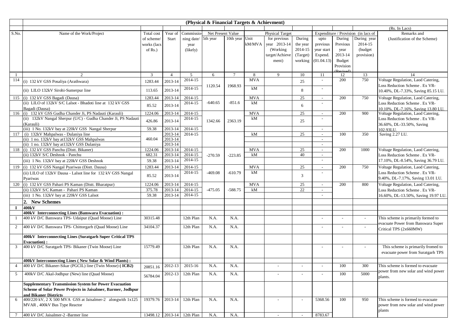|                |                                                                                     |             |                |                            | (Physical & Financial Targets & Achievment) |                 |            |                        |          |                          |           |                                     |                                                                         |
|----------------|-------------------------------------------------------------------------------------|-------------|----------------|----------------------------|---------------------------------------------|-----------------|------------|------------------------|----------|--------------------------|-----------|-------------------------------------|-------------------------------------------------------------------------|
|                |                                                                                     |             |                |                            |                                             |                 |            |                        |          |                          |           |                                     | (Rs. In Lacs)                                                           |
| S.No.          | Name of the Work/Project                                                            | Total cost  | Year of        | Commissio-                 | Net Present Value                           |                 |            | <b>Physical Target</b> |          |                          |           | Expenditure / Provision (in lacs of | Remarks and                                                             |
|                |                                                                                     | of scheme/  | <b>Start</b>   | ning date/                 | 5th year                                    | 10th year Unit  |            | for previous           | During   | upto                     | During    | During year                         | (Justification of the Scheme)                                           |
|                |                                                                                     | works (lacs |                | year                       |                                             |                 | kM/MVA     | year 2013-14           | the year | previous                 | Previous  | 2014-15                             |                                                                         |
|                |                                                                                     | of $Rs.$ )  |                | (likely)                   |                                             |                 |            | (Working)              | 2014-15  | year start               | year      | (budget)                            |                                                                         |
|                |                                                                                     |             |                |                            |                                             |                 |            | target/Achieve         | (Target) | Expend.                  | 2013-14   | provision)                          |                                                                         |
|                |                                                                                     |             |                |                            |                                             |                 |            | ment)                  | working  | (01.04.13)               | Budget    |                                     |                                                                         |
|                |                                                                                     |             |                |                            |                                             |                 |            |                        |          |                          | Provision |                                     |                                                                         |
| $\mathbf{1}$   | 2                                                                                   | 3           | $\overline{4}$ | 5                          | 6                                           | $7\phantom{.0}$ | 8          | 9                      | 10       | 11                       | 12        | 13                                  | 14                                                                      |
| 114            | (i) 132 kV GSS Posaliya (Arathwara)                                                 | 1283.44     | 2013-14        | 2014-15                    |                                             |                 | <b>MVA</b> |                        | 25       | $\sim$                   | 200       | 750                                 | Voltage Regulation, Laod Catering,                                      |
|                |                                                                                     |             |                |                            | 1120.54                                     | 1968.93         | kM         |                        |          |                          |           |                                     | Loss Reduction Scheme . Ex VR-                                          |
|                | (ii) LILO 132kV Sirohi-Sumerpur line                                                | 113.65      | 2013-14        | 2014-15                    |                                             |                 |            |                        | 8        | $\sim$                   |           |                                     | 10.40%, DL-7.33%, Saving 85.15 LU.                                      |
| 115            | (i) 132 kV GSS Bagadi (Dausa)                                                       | 1283.44     | 2013-14        | 2014-15                    |                                             |                 | <b>MVA</b> |                        | 25       | $\sim$                   | 200       | 750                                 | Voltage Regulation, Laod Catering,                                      |
|                | (ii) LILO of 132kV S/C Lalsot - Bhadoti line at 132 kV GSS                          | 85.52       | 2013-14        | 2014-15                    | $-640.65$                                   | $-851.6$        | kM         |                        | 6        |                          |           |                                     | Loss Reduction Scheme . Ex VR-                                          |
|                | Bagadi (Dausa)                                                                      |             |                |                            |                                             |                 |            |                        |          |                          |           |                                     | 10.10%, DL-7.16%, Saving 13.80 LU.                                      |
| 116            | (i) 132 kV GSS Gudha Chander Ji, PS Nadauti (Karauli)                               | 1224.06     | 2013-14        | 2014-15                    |                                             |                 | <b>MVA</b> |                        | 25       | $\sim$                   | 200       | 900                                 | Voltage Regulation, Laod Catering,                                      |
|                | (ii) 132kV Nangal Sherpur (U/C) - Gudha Chander Ji, PS Nadauti                      | 426.86      | 2013-14        | 2014-15                    | 1342.66                                     | 2363.19         | kM         |                        | 25       |                          |           |                                     | Loss Reduction Scheme . Ex VR-                                          |
|                | (Karauli)<br>(iii) 1 No. 132kV bay at 220kV GSS Nangal Sherpur                      | 59.38       | 2013-14        | 2014-15                    |                                             |                 |            |                        |          | $\overline{\phantom{a}}$ |           |                                     | 36.60%, DL-33.50%, Saving<br>102.93LU.                                  |
| 117            | (i) 132kV Mahpalwas - Dulaniya line                                                 |             | 2013-14        | 2014-15                    |                                             |                 | kM         |                        | 25       | $\overline{\phantom{a}}$ | 100       | 350                                 | Saving 2.27 LU.                                                         |
|                | (ii) 1 no. 132kV bay at 132kV GSS Mahpalwas                                         | 460.04      | 2013-14        |                            |                                             |                 |            |                        |          | $\sim$                   |           |                                     |                                                                         |
|                | (ii) 1 no. 132kV bay at 132kV GSS Dulaniya                                          |             | 2013-14        |                            |                                             |                 |            |                        |          | $\sim$                   |           |                                     |                                                                         |
| 118            | (i) 132 kV GSS Panchu (Distt. Bikaner)                                              | 1224.06     | 2013-14        | 2014-15                    |                                             |                 | <b>MVA</b> |                        | 25       | $\sim$                   | 200       | 1000                                | Voltage Regulation, Laod Catering,                                      |
|                | (ii) 132kV S/C Deshnok - Panchu                                                     | 682.31      | 2013-14        | 2014-15                    | $-270.59$                                   | $-223.85$       | kM         |                        | 40       | $\sim$                   |           |                                     | Loss Reduction Scheme . Ex VR-                                          |
|                | (iii) 1 No. 132kV bay at 220kV GSS Deshnok                                          | 59.38       | 2013-14        | 2014-15                    |                                             |                 |            |                        |          |                          |           |                                     | 17.10%, DL-8.54%, Saving 36.79 LU.                                      |
| 119            | (i) 132 kV GSS Nangal Pyariwas (Distt. Dausa)                                       | 1283.44     | 2013-14        | 2014-15                    |                                             |                 | <b>MVA</b> |                        | 25       | $\sim$                   | 200       | 750                                 | Voltage Regulation, Laod Catering,                                      |
|                | (ii) LILO of 132kV Dausa - Lalsot line for 132 kV GSS Nangal                        |             | 2013-14        | 2014-15                    | $-469.08$                                   | $-610.79$       | kM         |                        | 3        |                          |           |                                     | Loss Reduction Scheme . Ex VR-                                          |
|                | Pyariwas                                                                            | 85.52       |                |                            |                                             |                 |            |                        |          |                          |           |                                     | 9.40%, DL-7.17%, Saving 13.01 LU.                                       |
| 120            | (i) 132 kV GSS Pahari PS Kaman (Distt. Bharatpur)                                   | 1224.06     | 2013-14        | 2014-15                    |                                             |                 | <b>MVA</b> |                        | 25       | $\overline{\phantom{a}}$ | 200       | 800                                 | Voltage Regulation, Laod Catering,                                      |
|                | (ii) 132kV S/C Kaman - Pahari PS Kaman                                              | 375.78      | 2013-14        | 2014-15                    | $-475.05$                                   | $-588.75$       | kM         |                        | 22       | $\overline{\phantom{a}}$ |           |                                     | Loss Reduction Scheme . Ex VR-                                          |
|                | (iii) 1 No. 132kV bay at 220kV GSS Lalsot                                           | 59.38       | 2013-14        | 2014-15                    |                                             |                 |            |                        |          |                          |           |                                     | 16.60%, DL-13.50%, Saving 19.97 LU.                                     |
|                | 2. New Schemes                                                                      |             |                |                            |                                             |                 |            |                        |          |                          |           |                                     |                                                                         |
| 1              | 400kV                                                                               |             |                |                            |                                             |                 |            |                        |          |                          |           |                                     |                                                                         |
|                | 400kV Interconnecting Lines (Banswara Evacuation):                                  |             |                |                            |                                             |                 |            |                        |          |                          |           |                                     |                                                                         |
|                | 400 kV D/C Banswara TPS- Udaipur (Quad Moose) Line                                  | 30315.48    |                | 12th Plan                  | N.A.                                        | N.A.            |            |                        |          |                          |           |                                     | This scheme is primarily formed to                                      |
| $\overline{2}$ | 400 kV D/C Banswara TPS- Chittorgarh (Quad Moose) Line                              | 34104.37    |                | 12th Plan                  | N.A.                                        | N.A.            |            |                        |          |                          |           |                                     | evacuate Power from Banswara Super                                      |
|                |                                                                                     |             |                |                            |                                             |                 |            |                        |          |                          |           |                                     | Critical TPS (2x660MW)                                                  |
|                | 400kV Interconnecting Lines (Suratgarh Super Critical TPS                           |             |                |                            |                                             |                 |            |                        |          |                          |           |                                     |                                                                         |
|                | <b>Evacuation</b> ):<br>400 kV D/C Suratgarh TPS- Bikaner (Twin Moose) Line         |             |                |                            |                                             |                 |            |                        |          |                          |           |                                     |                                                                         |
| 3              |                                                                                     | 15779.49    |                | 12th Plan                  | N.A.                                        | N.A.            |            |                        |          |                          |           |                                     | This scheme is primarily fromed to<br>evacuate power from Suratgarh TPS |
|                |                                                                                     |             |                |                            |                                             |                 |            |                        |          |                          |           |                                     |                                                                         |
|                | 400kV Interconnecting Lines (New Solar & Wind Plants):                              |             |                |                            |                                             |                 |            |                        |          |                          |           |                                     |                                                                         |
| $\overline{4}$ | 400 kV D/C Bikaner-Sikar (PGCIL) line (Twin Moose) (ICB2)                           | 20851.16    | 2012-13        | 2015-16                    | N.A.                                        | N.A.            |            |                        |          |                          | 100       | 300                                 | This scheme is formed to evacuate                                       |
| 5              | 400kV D/C Akal-Jodhpur (New) line (Quad Moose)                                      | 56784.04    | $2012 - 13$    | 12th Plan                  | N.A.                                        | N.A.            |            |                        |          |                          | 100       | 5000                                | power from new solar and wind power                                     |
|                |                                                                                     |             |                |                            |                                             |                 |            |                        |          |                          |           |                                     | plants.                                                                 |
|                | <b>Supplementary Transmission System for Power Evacuation</b>                       |             |                |                            |                                             |                 |            |                        |          |                          |           |                                     |                                                                         |
|                | Scheme of Solar Power Projects in Jaisalmer, Barmer, Jodhpur                        |             |                |                            |                                             |                 |            |                        |          |                          |           |                                     |                                                                         |
| 6              | and Bikaner Districts<br>400/220 kV, 2 X 500 MVA GSS at Jaisalmer-2 alongwith 1x125 | 19379.76    | 2013-14        | 12th Plan                  | N.A.                                        | N.A.            |            |                        |          | 5368.56                  | 100       | 950                                 | This scheme is formed to evacuate                                       |
|                | MVAR, 400kV Bus Type Reactor                                                        |             |                |                            |                                             |                 |            |                        |          |                          |           |                                     | power from new solar and wind power                                     |
|                |                                                                                     |             |                |                            |                                             |                 |            |                        |          |                          |           |                                     | plants                                                                  |
|                | 400 kV D/C Jaisalmer-2 -Barmer line                                                 |             |                | 13498.12 2013-14 12th Plan | N.A.                                        | N.A.            |            |                        |          | 8783.67                  |           |                                     |                                                                         |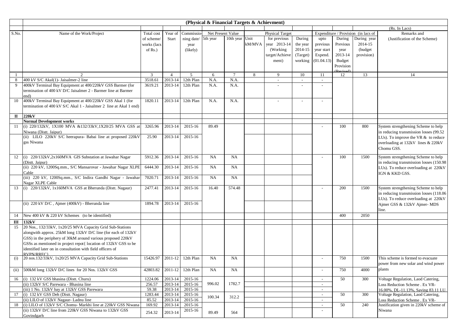|              |                                                                                                                                                                                                                                                                                                                                          |                                         |                               |                                | (Physical & Financial Targets & Achievment) |                |        |                                                                      |                                                      |                                                         |                                                              |                                                 |                                                                                                                                                                          |
|--------------|------------------------------------------------------------------------------------------------------------------------------------------------------------------------------------------------------------------------------------------------------------------------------------------------------------------------------------------|-----------------------------------------|-------------------------------|--------------------------------|---------------------------------------------|----------------|--------|----------------------------------------------------------------------|------------------------------------------------------|---------------------------------------------------------|--------------------------------------------------------------|-------------------------------------------------|--------------------------------------------------------------------------------------------------------------------------------------------------------------------------|
|              |                                                                                                                                                                                                                                                                                                                                          |                                         |                               |                                |                                             |                |        |                                                                      |                                                      |                                                         |                                                              |                                                 | (Rs. In Lacs)                                                                                                                                                            |
| S.No.        | Name of the Work/Project                                                                                                                                                                                                                                                                                                                 | Total cost                              | Year of                       | Commissio                      | Net Present Value                           |                |        | <b>Physical Target</b>                                               |                                                      |                                                         |                                                              | Expenditure / Provision (in lacs of             | Remarks and                                                                                                                                                              |
|              |                                                                                                                                                                                                                                                                                                                                          | of scheme/<br>vorks (lacs<br>of $Rs.$ ) | Start                         | ning date/<br>year<br>(likely) | 5th year                                    | 10th year Unit | kM/MVA | for previous<br>year 2013-14<br>(Working)<br>target/Achieve<br>ment) | During<br>the year<br>2014-15<br>(Target)<br>working | upto<br>previous<br>year start<br>Expend.<br>(01.04.13) | During<br>Previous<br>year<br>2013-14<br>Budget<br>Provision | During year<br>2014-15<br>(budget<br>provision) | (Justification of the Scheme)                                                                                                                                            |
|              |                                                                                                                                                                                                                                                                                                                                          |                                         |                               |                                |                                             |                |        |                                                                      |                                                      |                                                         |                                                              |                                                 |                                                                                                                                                                          |
|              | $\overline{2}$                                                                                                                                                                                                                                                                                                                           | $\mathbf{3}$                            | $\overline{4}$                | 5                              | 6                                           | $\tau$         | 8      | 9                                                                    | 10                                                   | 11                                                      | 12                                                           | 13                                              | 14                                                                                                                                                                       |
| 8            | 400 kV S/C Akal(1)- Jaisalmer-2 line                                                                                                                                                                                                                                                                                                     | 3518.61                                 | 2013-14                       | 12th Plan                      | N.A.                                        | N.A.           |        |                                                                      | $\sim$                                               |                                                         |                                                              |                                                 |                                                                                                                                                                          |
| 9<br>10      | 400kV Terminal Bay Equipment at 400/220kV GSS Barmer (for<br>termination of 400 kV D/C Jaisalmer 2 - Barmer line at Barmer<br>end)<br>400kV Terminal Bay Equipment at 400/220kV GSS Akal 1 (for                                                                                                                                          | 3619.21<br>1820.11                      | 2013-14<br>2013-14            | 12th Plan<br>12th Plan         | N.A.<br>N.A.                                | N.A.<br>N.A.   |        |                                                                      |                                                      |                                                         |                                                              |                                                 |                                                                                                                                                                          |
|              | termination of 400 kV S/C Akal 1 - Jaisalmer 2 line at Akal 1 end)                                                                                                                                                                                                                                                                       |                                         |                               |                                |                                             |                |        |                                                                      |                                                      |                                                         |                                                              |                                                 |                                                                                                                                                                          |
| $\mathbf{I}$ | 220kV                                                                                                                                                                                                                                                                                                                                    |                                         |                               |                                |                                             |                |        |                                                                      |                                                      |                                                         |                                                              |                                                 |                                                                                                                                                                          |
| -11          | <b>Normal Development works</b><br>(i) 220/132kV, 1X100 MVA &132/33kV,1X20/25 MVA GSS at<br>Niwana (Distt. Jaipur)<br>(ii) LILO 220kV S/C heerapura- Babai line at proposed 220kV<br>gss Niwana                                                                                                                                          | 3265.96<br>25.90                        | 2013-14<br>2013-14            | 2015-16<br>2015-16             | 89.49                                       |                |        |                                                                      |                                                      |                                                         | 100                                                          | 800                                             | System strengthening Scheme to help<br>in reducing transmission losses (99.52<br>LUs). To improve the VR & to reduce<br>overloading at 132kV lines & 220kV<br>Chomu GSS. |
| 12           | (i) 220/132kV,2x160MVA GIS Substation at Jawahar Nagar                                                                                                                                                                                                                                                                                   | 5912.36                                 | 2013-14                       | 2015-16                        | <b>NA</b>                                   | <b>NA</b>      |        |                                                                      |                                                      |                                                         | 100                                                          | 1500                                            | System strengthening Scheme to help                                                                                                                                      |
|              | (Distt. Jaipur)<br>(ii) 220 kV, 1200Sq.mm., S/C Mansarovar - Jawahar Nagar XLPE<br>Cable                                                                                                                                                                                                                                                 | 6444.30                                 | 2013-14                       | 2015-16                        | NA                                          | NA             |        |                                                                      |                                                      |                                                         |                                                              |                                                 | in reducing transmission losses (150.98)<br>LUs). To reduce overloading at 220kV<br>IGN & KKD GSS.                                                                       |
|              | (iii) 220 kV, 1200Sq.mm., S/C Indira Gandhi Nagar - Jawahar<br>Nagar XLPE Cable                                                                                                                                                                                                                                                          | 7020.71                                 | 2013-14                       | 2015-16                        | NA                                          | <b>NA</b>      |        |                                                                      |                                                      |                                                         |                                                              |                                                 |                                                                                                                                                                          |
| 13           | (i) 220/132kV, 1x160MVA GSS at Bherunda (Distt. Nagaur)<br>(ii) 220 kV D/C, Ajmer (400kV) - Bherunda line                                                                                                                                                                                                                                | 2477.41<br>1894.78                      | 2013-14<br>2013-14            | 2015-16<br>2015-16             | 16.40                                       | 574.48         |        |                                                                      |                                                      |                                                         | 200                                                          | 1500                                            | System strengthening Scheme to help<br>in reducing transmission losses (118.06<br>LUs). To reduce overloading at 220kV<br>Ajmer GSS & 132kV Ajmer-MDS                    |
| 14           | New 400 kV & 220 kV Schemes (to be identified)                                                                                                                                                                                                                                                                                           |                                         |                               |                                |                                             |                |        |                                                                      |                                                      |                                                         | 400                                                          | 2050                                            | line.                                                                                                                                                                    |
| Ш            | 132kV                                                                                                                                                                                                                                                                                                                                    |                                         |                               |                                |                                             |                |        |                                                                      |                                                      |                                                         |                                                              |                                                 |                                                                                                                                                                          |
| 15           | 20 Nos., 132/33kV, 1x20/25 MVA Capacity Grid Sub-Stations<br>alongwith approx. 25kM long 132kV D/C line (for each of 132kV<br>GSS) in the periphery of 30kM around various proposed 220kV<br>GSSs as mentioned in project repot{ location of 132kV GSS to be<br>identified later on in consultation with field officers of<br>RVPN/RREC1 |                                         |                               |                                |                                             |                |        |                                                                      |                                                      |                                                         |                                                              |                                                 |                                                                                                                                                                          |
| (i)          | 20 nos.132/33kV, 1x20/25 MVA Capacity Grid Sub-Stations                                                                                                                                                                                                                                                                                  | 15426.97                                | $2011 - 12$                   | 12th Plan                      | NA                                          | NA             |        |                                                                      |                                                      |                                                         | 750                                                          | 1500                                            | This scheme is formed to evacuate<br>power from new solar and wind power                                                                                                 |
|              | (ii) 500kM long 132kV D/C lines for 20 Nos. 132kV GSS                                                                                                                                                                                                                                                                                    |                                         |                               | 42803.82 2011-12 12th Plan     | NA                                          | <b>NA</b>      |        |                                                                      |                                                      |                                                         | 750                                                          | 4000                                            | plants                                                                                                                                                                   |
|              | 16 (i) 132 kV GSS bhasina (Distt. Churu)<br>(ii) 132kV S/C Parewara - Bhasina line<br>(iii) 1 No. 132kV bay at 132kV GSS Parewara                                                                                                                                                                                                        | 1224.06<br>256.57<br>59.38              | 2013-14<br>2013-14<br>2013-14 | 2015-16<br>2015-16<br>2015-16  | 996.02                                      | 1782.7         |        |                                                                      |                                                      | $\sim$<br>$\overline{\phantom{a}}$<br>$\sim$            | 50                                                           | 300                                             | Voltage Regulation, Laod Catering,<br>Loss Reduction Scheme . Ex VR-<br>16.00%, DL-11.13%, Saving 83.11 LU.                                                              |
| 17           | (i) 132 kV GSS Deh (Distt. Nagaur)<br>(ii) LILO of 132kV Nagaur- Ladnu line                                                                                                                                                                                                                                                              | 1283.44<br>85.52                        | 2013-14<br>2013-14            | 2015-16<br>2015-16             | 100.34                                      | 312.2          |        |                                                                      |                                                      | $\overline{\phantom{a}}$<br>$\sim$                      | 50                                                           | 300                                             | Voltage Regulation, Laod Catering,<br>Loss Reduction Scheme . Ex VR-                                                                                                     |
| 18           | (i) LILO of 132kV S/C Chomu- Markhi line at 220kV GSS Niwana<br>(ii) 132kV D/C line from 220kV GSS Niwana to 132kV GSS<br>Govindgarh                                                                                                                                                                                                     | 169.92<br>254.32                        | 2013-14<br>2013-14            | 2015-16<br>2015-16             | 89.49                                       | 564            |        |                                                                      |                                                      | $\overline{\phantom{a}}$                                | 50                                                           | 240                                             | Justification given in 220kV scheme of<br>Niwana                                                                                                                         |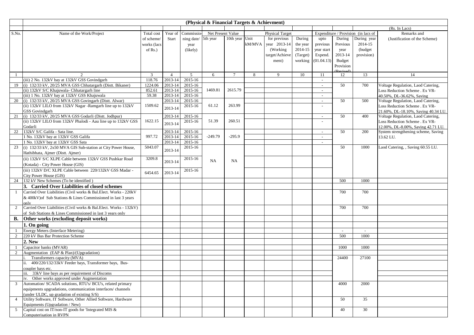|                |                                                                        |                          |                    |                            | (Physical & Financial Targets & Achievment) |                |        |                        |          |                          |               |                                     |                                     |
|----------------|------------------------------------------------------------------------|--------------------------|--------------------|----------------------------|---------------------------------------------|----------------|--------|------------------------|----------|--------------------------|---------------|-------------------------------------|-------------------------------------|
|                |                                                                        |                          |                    |                            |                                             |                |        |                        |          |                          | (Rs. In Lacs) |                                     |                                     |
| S.No.          | Name of the Work/Project                                               | Total cost               | Year of            | Commissio-                 | Net Present Value                           |                |        | <b>Physical Target</b> |          |                          |               | Expenditure / Provision (in lacs of | Remarks and                         |
|                |                                                                        | of scheme/               | Start              | ning date/ 5th year        |                                             | 10th year Unit |        | for previous           | During   | upto                     | During        | During year                         | (Justification of the Scheme)       |
|                |                                                                        | works (lacs              |                    | year                       |                                             |                | kM/MVA | year 2013-14           | the year | previous                 | Previous      | 2014-15                             |                                     |
|                |                                                                        | of $Rs.$ )               |                    | (likely)                   |                                             |                |        | (Working)              | 2014-15  | year start               | year          | (budget                             |                                     |
|                |                                                                        |                          |                    |                            |                                             |                |        | target/Achieve         | (Target) | Expend.                  | 2013-14       | provision)                          |                                     |
|                |                                                                        |                          |                    |                            |                                             |                |        | ment)                  | working  | (01.04.13)               | Budget        |                                     |                                     |
|                |                                                                        |                          |                    |                            |                                             |                |        |                        |          |                          | Provision     |                                     |                                     |
|                |                                                                        |                          |                    |                            |                                             |                |        |                        |          |                          |               |                                     |                                     |
|                | 2<br>(iii) 2 No. 132kV bay at 132kV GSS Govindgarh                     | $\overline{3}$<br>118.76 | $\overline{4}$     | $5\overline{)}$<br>2015-16 | 6                                           | $\tau$         | 8      | 9                      | 10       | 11                       | 12            | 13                                  | 14                                  |
| 19             | (i) 132/33 kV, 20/25 MVA GSS Chhatargarh (Distt. Bikaner)              | 1224.06                  | 2013-14<br>2013-14 | 2015-16                    |                                             |                |        |                        |          | $\sim$<br>$\sim$         | 50            | 700                                 | Voltage Regulation, Laod Catering,  |
|                | (ii) 132kV S/C Khajuwala- Chhatargarh line                             | 852.61                   | 2013-14            | 2015-16                    | 1469.81                                     | 2615.79        |        |                        |          | $\sim$                   |               |                                     | Loss Reduction Scheme . Ex VR-      |
|                | (iii) 1 No. 132kV bay at 132kV GSS Khajuwala                           | 59.38                    | 2013-14            | 2015-16                    |                                             |                |        |                        |          | $\overline{\phantom{a}}$ |               |                                     | 40.50%, DL-36.62%, Saving           |
| 20             | (i) 132/33 kV, 20/25 MVA GSS Govingarh (Distt. Alwar)                  |                          | 2013-14            | 2015-16                    |                                             |                |        |                        |          | $\overline{\phantom{a}}$ | 50            | 500                                 | Voltage Regulation, Laod Catering,  |
|                | (ii) 132kV LILO from 132kV Nagar -Ramgarh line up to 132kV             | 1509.62                  |                    | 2015-16                    | 61.12                                       | 263.99         |        |                        |          |                          |               |                                     | Loss Reduction Scheme . Ex VR-      |
|                | <b>GSS</b> Govindgarh                                                  |                          | 2013-14            |                            |                                             |                |        |                        |          |                          |               |                                     | 21.60%, DL-18.10%, Saving 40.34 LU. |
| 21             | (i) 132/33 kV, 20/25 MVA GSS Godarli (Distt. Jodhpur)                  |                          | 2013-14            | 2015-16                    |                                             |                |        |                        |          | $\overline{\phantom{a}}$ | 50            | 400                                 | Voltage Regulation, Laod Catering,  |
|                | (ii) 132kV LILO from 132kV Phalodi - Aau line up to 132kV GSS          | 1622.15                  |                    | 2015-16                    | 51.39                                       | 260.51         |        |                        |          |                          |               |                                     | Loss Reduction Scheme . Ex VR-      |
|                | Godarli                                                                |                          | 2013-14            |                            |                                             |                |        |                        |          |                          |               |                                     | 12.00%, DL-8.00%, Saving 42.71 LU.  |
| 22             | 132kV S/C Galifa - Sata line.                                          |                          | 2013-14            | 2015-16                    |                                             |                |        |                        |          | $\sim$                   | 50            | 200                                 | System strengthening scheme, Saving |
|                | 1 No. 132kV bay at 132kV GSS Galifa                                    | 997.72                   | 2013-14            | 2015-16                    | $-249.79$                                   | $-295.9$       |        |                        |          | $\sim$                   |               |                                     | 13.62 LU.                           |
|                | 1 No. 132kV bay at 132kV GSS Sata                                      |                          | 2013-14            | 2015-16                    |                                             |                |        |                        |          |                          |               |                                     |                                     |
| 23             | (i) 132/33 kV, 2x50 MVA GIS Sub-station at City Power House,           | 5043.07                  | 2013-14            | 2015-16                    |                                             |                |        |                        |          |                          | 50            | 1000                                | Laod Catering, , Saving 60.55 LU.   |
|                | Hathibhata, Ajmer (Distt. Ajmer)                                       |                          |                    |                            |                                             |                |        |                        |          |                          |               |                                     |                                     |
|                | (ii) 132kV S/C XLPE Cable between 132kV GSS Pushkar Road               | 3209.8                   | 2013-14            | 2015-16                    | NA                                          | <b>NA</b>      |        |                        |          |                          |               |                                     |                                     |
|                | (Kotada) - City Power House (GIS)                                      |                          |                    |                            |                                             |                |        |                        |          |                          |               |                                     |                                     |
|                | (iii) 132kV D/C XLPE Cable between 220/132kV GSS Madar -               | 6454.65                  | 2013-14            | 2015-16                    |                                             |                |        |                        |          |                          |               |                                     |                                     |
|                | City Power House (GIS)                                                 |                          |                    |                            |                                             |                |        |                        |          |                          |               |                                     |                                     |
| 24             | 132 kV New Schemes (To be identified)                                  |                          |                    |                            |                                             |                |        |                        |          |                          | 500           | 1000                                |                                     |
|                | 3. Carried Over Liabilities of closed schemes                          |                          |                    |                            |                                             |                |        |                        |          |                          |               |                                     |                                     |
|                | Carried Over Liabilities (Civil works & Bal.Elect. Works - 220kV       |                          |                    |                            |                                             |                |        |                        |          |                          | 700           | 700                                 |                                     |
|                | & 400kV) of Sub Stations & Lines Commissioned in last 3 years          |                          |                    |                            |                                             |                |        |                        |          |                          |               |                                     |                                     |
|                | only                                                                   |                          |                    |                            |                                             |                |        |                        |          |                          |               |                                     |                                     |
| 2              | Carried Over Liabilities (Civil works & Bal.Elect. Works - 132kV)      |                          |                    |                            |                                             |                |        |                        |          |                          | 700           | 700                                 |                                     |
|                | of Sub Stations & Lines Commissioned in last 3 years only              |                          |                    |                            |                                             |                |        |                        |          |                          |               |                                     |                                     |
| <b>B.</b>      | Other works (excluding deposit works)                                  |                          |                    |                            |                                             |                |        |                        |          |                          |               |                                     |                                     |
|                | 1. On going                                                            |                          |                    |                            |                                             |                |        |                        |          |                          |               |                                     |                                     |
|                | Energy Meters (Interface Metering)                                     |                          |                    |                            |                                             |                |        |                        |          |                          |               |                                     |                                     |
| 2              | 220 kV Bus Bar Protection Scheme                                       |                          |                    |                            |                                             |                |        |                        |          |                          | 500           | 1000                                |                                     |
|                | 2. New                                                                 |                          |                    |                            |                                             |                |        |                        |          |                          |               |                                     |                                     |
|                | Capacitor banks (MVAR)                                                 |                          |                    |                            |                                             |                |        |                        |          |                          | 1000          | 1000                                |                                     |
| 2              | Augmentation (EAP & Plan)/(Upgradation)                                |                          |                    |                            |                                             |                |        |                        |          |                          |               |                                     |                                     |
|                | Transformers capacity (MVA)                                            |                          |                    |                            |                                             |                |        |                        |          |                          | 24400         | 27100                               |                                     |
|                | ii. 400/220/132/33kV Feeder bays, Transformer bays, Bus-               |                          |                    |                            |                                             |                |        |                        |          |                          |               |                                     |                                     |
|                | coupler bays etc.<br>iii. 33kV line bays as per requirement of Discoms |                          |                    |                            |                                             |                |        |                        |          |                          |               |                                     |                                     |
|                | iv. Other works approved under Augmentation                            |                          |                    |                            |                                             |                |        |                        |          |                          |               |                                     |                                     |
| 3              | Automation/ SCADA solutions, RTU's/ BCU's, related primary             |                          |                    |                            |                                             |                |        |                        |          |                          | 4000          | 2000                                |                                     |
|                | equipments upgradations, communication interfaces/ channels            |                          |                    |                            |                                             |                |        |                        |          |                          |               |                                     |                                     |
|                | (under ULDC, up gradation of existing $S/S$ )                          |                          |                    |                            |                                             |                |        |                        |          |                          |               |                                     |                                     |
| $\overline{4}$ | Utility Software, IT Software, Other Allied Software, Hardware         |                          |                    |                            |                                             |                |        |                        |          |                          | 50            | 35                                  |                                     |
|                | Equipments (Upgradation / New)                                         |                          |                    |                            |                                             |                |        |                        |          |                          |               |                                     |                                     |
|                | Capital cost on IT/non-IT goods for 'Integrated MIS &                  |                          |                    |                            |                                             |                |        |                        |          |                          | 40            | 30                                  |                                     |
|                | Computerisation in RVPN                                                |                          |                    |                            |                                             |                |        |                        |          |                          |               |                                     |                                     |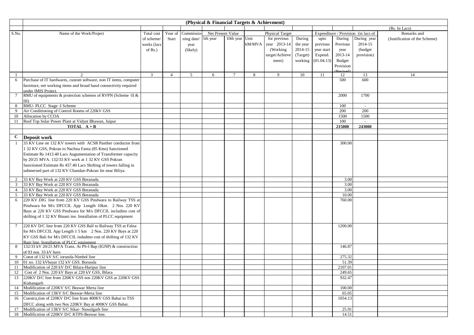|                |                                                                                                                        |                |                |                     | (Physical & Financial Targets & Achievment) |                 |        |                        |          |            |                 |                                     |                               |
|----------------|------------------------------------------------------------------------------------------------------------------------|----------------|----------------|---------------------|---------------------------------------------|-----------------|--------|------------------------|----------|------------|-----------------|-------------------------------------|-------------------------------|
|                |                                                                                                                        |                |                |                     |                                             |                 |        |                        |          |            |                 |                                     | (Rs. In Lacs)                 |
| S.No.          | Name of the Work/Project                                                                                               | Total cost     | Year of        | Commissio-          | Net Present Value                           |                 |        | <b>Physical Target</b> |          |            |                 | Expenditure / Provision (in lacs of | Remarks and                   |
|                |                                                                                                                        | of scheme/     | Start          | ning date/ 5th year |                                             | 10th year Unit  |        | for previous           | During   | upto       | During          | During year                         | (Justification of the Scheme) |
|                |                                                                                                                        | works (lacs    |                | year                |                                             |                 | kM/MVA | year 2013-14           | the year | previous   | Previous        | 2014-15                             |                               |
|                |                                                                                                                        | of $Rs.$ )     |                | (likely)            |                                             |                 |        | (Working)              | 2014-15  | year start | year            | (budget                             |                               |
|                |                                                                                                                        |                |                |                     |                                             |                 |        | target/Achieve         | (Target) | Expend.    | 2013-14         | provision)                          |                               |
|                |                                                                                                                        |                |                |                     |                                             |                 |        | ment)                  | working  | (01.04.13) | Budget          |                                     |                               |
|                |                                                                                                                        |                |                |                     |                                             |                 |        |                        |          |            | Provision       |                                     |                               |
|                |                                                                                                                        |                |                |                     |                                             |                 |        |                        |          |            |                 |                                     |                               |
| -1             | 2                                                                                                                      | $\overline{3}$ | $\overline{4}$ | 5                   | 6                                           | $7\phantom{.0}$ | 8      | 9                      | 10       | 11         | 12              | 13                                  | 14                            |
| 6              | Purchase of IT hardwares, custom software, non IT items, computer                                                      |                |                |                     |                                             |                 |        |                        |          |            | 500             | 600                                 |                               |
|                | furniture, net working items and broad band connectivity required                                                      |                |                |                     |                                             |                 |        |                        |          |            |                 |                                     |                               |
|                | under IMIS Project.<br>RMU of equipments & protection schemes of RVPN (Scheme -II &                                    |                |                |                     |                                             |                 |        |                        |          |            | 2000            | 1700                                |                               |
|                | $\text{III}$                                                                                                           |                |                |                     |                                             |                 |        |                        |          |            |                 |                                     |                               |
| 8              | RMU-PLCC Stage -I Scheme                                                                                               |                |                |                     |                                             |                 |        |                        |          |            | 100             | $\sim$                              |                               |
| 9              | Air Conditioning of Control Rooms of 220kV GSS                                                                         |                |                |                     |                                             |                 |        |                        |          |            | 200             | 200                                 |                               |
| 10             | Allocation by CCOA                                                                                                     |                |                |                     |                                             |                 |        |                        |          |            | 1500            | 1500                                |                               |
| 11             | Roof Top Solar Power Plant at Vidyut Bhawan, Jaipur                                                                    |                |                |                     |                                             |                 |        |                        |          |            | 100             | $\sim$                              |                               |
|                | <b>TOTAL</b> $A + B$                                                                                                   |                |                |                     |                                             |                 |        |                        |          |            | 215000          | 243000                              |                               |
|                |                                                                                                                        |                |                |                     |                                             |                 |        |                        |          |            |                 |                                     |                               |
| $\mathbf{C}$   | Deposit work                                                                                                           |                |                |                     |                                             |                 |        |                        |          |            |                 |                                     |                               |
| 1              | 33 KV Line on 132 KV towers with ACSR Panther conductor from                                                           |                |                |                     |                                             |                 |        |                        |          |            | 300.00          |                                     |                               |
|                | 1 32 KV GSS, Pokran to Nachna Fanta (85 Kms) Sanctioned                                                                |                |                |                     |                                             |                 |        |                        |          |            |                 |                                     |                               |
|                | Estimate Rs 1413.40 Lacs Augumentation of Transformer capacity                                                         |                |                |                     |                                             |                 |        |                        |          |            |                 |                                     |                               |
|                | by 20/25 MVA. 132/33 KV work at 1 32 KV GSS Pokran                                                                     |                |                |                     |                                             |                 |        |                        |          |            |                 |                                     |                               |
|                | Sanctioned Estimate Rs 457.40 Lacs Shifting of towers falling in                                                       |                |                |                     |                                             |                 |        |                        |          |            |                 |                                     |                               |
|                | submersed part of 132 KV Chandan-Pokran lin near Biliya.                                                               |                |                |                     |                                             |                 |        |                        |          |            |                 |                                     |                               |
|                |                                                                                                                        |                |                |                     |                                             |                 |        |                        |          |            |                 |                                     |                               |
| 2              | 33 KV Bay Work at 220 KV GSS Boranada                                                                                  |                |                |                     |                                             |                 |        |                        |          |            | 3.00            |                                     |                               |
| 3              | 33 KV Bay Work at 220 KV GSS Boranada                                                                                  |                |                |                     |                                             |                 |        |                        |          |            | 3.00            |                                     |                               |
| $\overline{4}$ | 33 KV Bay Work at 220 KV GSS Boranada                                                                                  |                |                |                     |                                             |                 |        |                        |          |            | 3.00            |                                     |                               |
| 5 <sup>5</sup> | 33 KV Bay Work at 220 KV GSS Boranada                                                                                  |                |                |                     |                                             |                 |        |                        |          |            | 10.00<br>760.00 |                                     |                               |
| 6              | 220 KV DIG line from 220 KV GSS Pindwara to Railway TSS at                                                             |                |                |                     |                                             |                 |        |                        |          |            |                 |                                     |                               |
|                | Pindwara for M/s DFCCIL App Length 10km. 2 Nos. 220 KV<br>Bays at 220 KV GSS Pindwara for M/s DFCCIL includino cost of |                |                |                     |                                             |                 |        |                        |          |            |                 |                                     |                               |
|                |                                                                                                                        |                |                |                     |                                             |                 |        |                        |          |            |                 |                                     |                               |
|                | shifting of 1 32 KV Binani ine. Installation of PLCC equipment                                                         |                |                |                     |                                             |                 |        |                        |          |            |                 |                                     |                               |
| 7              | 220 KV D/C line from 220 KV GSS Ball to Railway TSS at Falna                                                           |                |                |                     |                                             |                 |        |                        |          |            | 1200.00         |                                     |                               |
|                | for M/s DFCCIL App Length 1 5 km 2 Nos. 220 KV Bays at 220                                                             |                |                |                     |                                             |                 |        |                        |          |            |                 |                                     |                               |
|                | KV GSS Bali for M/s DFCCIL indudmo cost of shifting of 132 KV                                                          |                |                |                     |                                             |                 |        |                        |          |            |                 |                                     |                               |
|                | Rani line. Installation of PLCC equipment                                                                              |                |                |                     |                                             |                 |        |                        |          |            |                 |                                     |                               |
| 8              | 132/33 kV 20/25 MVA Trans. At PS-I Bap (IGNP) & construction                                                           |                |                |                     |                                             |                 |        |                        |          |            | 146.87          |                                     |                               |
|                | of 03 nos. 33 kV bays                                                                                                  |                |                |                     |                                             |                 |        |                        |          |            |                 |                                     |                               |
| 9              | Const of 132 kV S/C iorunda-Nimbol line                                                                                |                |                |                     |                                             |                 |        |                        |          |            | 275.32          |                                     |                               |
| 10             | 01 no. 132 kVbayat 132 kV GSS. Borunda                                                                                 |                |                |                     |                                             |                 |        |                        |          |            | 51.39           |                                     |                               |
| 11             | Modification of 220 kV D/C Bilara-Haripur line                                                                         |                |                |                     |                                             |                 |        |                        |          |            | 2107.01         |                                     |                               |
| 12             | Cost of 2 Nos. 220 kV Bays at 220 kV GSS, Bilara                                                                       |                |                |                     |                                             |                 |        |                        |          |            | 249.65          |                                     |                               |
| 13             | 220KV D/C line from 220KV GSS nos 220KV GSS at 220KV GSS                                                               |                |                |                     |                                             |                 |        |                        |          |            | 932.47          |                                     |                               |
|                | Kishangarh<br>14 Modification of 220KV S/C Beawar Merta line                                                           |                |                |                     |                                             |                 |        |                        |          |            | 100.00          |                                     |                               |
|                | 15 Modification of 13KV S/C Beawar-Merta line                                                                          |                |                |                     |                                             |                 |        |                        |          |            | 65.05           |                                     |                               |
|                | 16 Construction of 220KV D/C line from 400KV GSS Babai to TSS                                                          |                |                |                     |                                             |                 |        |                        |          |            | 1054.13         |                                     |                               |
|                | DFCC along with two Nos 220KV Bay at 400KV GSS Babai.                                                                  |                |                |                     |                                             |                 |        |                        |          |            |                 |                                     |                               |
| 17             | Modification of 13KV S/C Sikar- Nawalgarh line                                                                         |                |                |                     |                                             |                 |        |                        |          |            | 25.91           |                                     |                               |
| 18             | Modificstion of 220KV D/C KTPS-Beawar lme.                                                                             |                |                |                     |                                             |                 |        |                        |          |            | 14.51           |                                     |                               |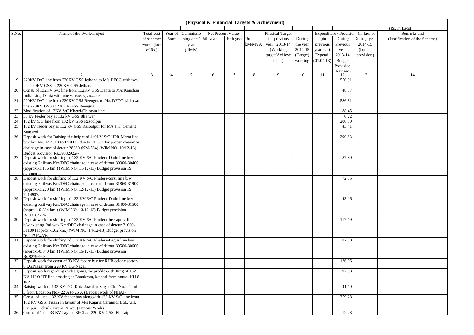|       |                                                                                                                     |                |                |            | (Physical & Financial Targets & Achievment) |                |        |                        |          |               |               |                                     |                               |
|-------|---------------------------------------------------------------------------------------------------------------------|----------------|----------------|------------|---------------------------------------------|----------------|--------|------------------------|----------|---------------|---------------|-------------------------------------|-------------------------------|
|       |                                                                                                                     |                |                |            |                                             |                |        |                        |          |               |               |                                     | (Rs. In Lacs)                 |
| S.No. | Name of the Work/Project                                                                                            | Total cost     | Year of        | Commissio- | Net Present Value                           |                |        | <b>Physical Target</b> |          |               |               | Expenditure / Provision (in lacs of | Remarks and                   |
|       |                                                                                                                     | of scheme/     | Start          | ning date/ | 5th year                                    | 10th year Unit |        | for previous           | During   | upto          | During        | During year                         | (Justification of the Scheme) |
|       |                                                                                                                     | works (lacs    |                | year       |                                             |                | kM/MVA | year 2013-14           | the year | previous      | Previous      | 2014-15                             |                               |
|       |                                                                                                                     | of $Rs.$ )     |                | (likely)   |                                             |                |        | (Working)              | 2014-15  | year start    | year          | (budget                             |                               |
|       |                                                                                                                     |                |                |            |                                             |                |        | target/Achieve         | (Target) | Expend.       | 2013-14       | provision)                          |                               |
|       |                                                                                                                     |                |                |            |                                             |                |        | ment)                  | working  | (01.04.13)    | <b>Budget</b> |                                     |                               |
|       |                                                                                                                     |                |                |            |                                             |                |        |                        |          |               | Provision     |                                     |                               |
|       |                                                                                                                     |                |                |            |                                             |                |        |                        |          |               |               |                                     |                               |
| -1    | $\overline{2}$                                                                                                      | $\overline{3}$ | $\overline{4}$ | 5          | 6                                           | $\tau$         | 8      | 9                      | 10       | <sup>11</sup> | 12            | 13                                  | 14                            |
| 19    | 220KV D/C line from 220KV GSS Jethana to M/s DFCC with two                                                          |                |                |            |                                             |                |        |                        |          |               | 550.91        |                                     |                               |
|       | nos 220KV GSS at 220KV GSS Jethana                                                                                  |                |                |            |                                             |                |        |                        |          |               |               |                                     |                               |
| 20    | Const, of 132KV S/C line from 132KV GSS Danta to M/s Kanchan                                                        |                |                |            |                                             |                |        |                        |          |               | 48.57         |                                     |                               |
| 21    | India Ltd., Danta with one No. 132KV Bayat Danta GSS.<br>220KV D/C line from 220KV GSS Reengus to M/s DFCC with two |                |                |            |                                             |                |        |                        |          |               | 586.81        |                                     |                               |
|       | nos 220KV GSS at 220KV GSS Reengus                                                                                  |                |                |            |                                             |                |        |                        |          |               |               |                                     |                               |
| 22    | Modification of 13KV S/C Khetri-Chirawa line.                                                                       |                |                |            |                                             |                |        |                        |          |               | 88.45         |                                     |                               |
| 23    | 33 kV feeder bay at 132 kV GSS Bhatwar                                                                              |                |                |            |                                             |                |        |                        |          |               | 0.22          |                                     |                               |
| 24    | 132 kV S/C line from 132 kV GSS Rasoolpur                                                                           |                |                |            |                                             |                |        |                        |          |               | 200.10        |                                     |                               |
| 25    | 132 kV feeder bay at 132 kV GSS Rasoolpur for M/s J.K. Cement                                                       |                |                |            |                                             |                |        |                        |          |               | 43.41         |                                     |                               |
|       | Mangrol                                                                                                             |                |                |            |                                             |                |        |                        |          |               |               |                                     |                               |
| 26    | Deposit work for Raising the height of 440KV S/C HPR-Merta line                                                     |                |                |            |                                             |                |        |                        |          |               | 390.83        |                                     |                               |
|       | $b/w$ loc. No. 142C+3 to 143D+3 due to DFCCI for proper clearance                                                   |                |                |            |                                             |                |        |                        |          |               |               |                                     |                               |
|       | chainage in case of detour 28360 (KM-564) (WIM NO. 10/12-13)                                                        |                |                |            |                                             |                |        |                        |          |               |               |                                     |                               |
|       | Budget provision Rs.39082922/-                                                                                      |                |                |            |                                             |                |        |                        |          |               |               |                                     |                               |
| 27    | Deposit work for shifting of 132 KV S/C Phulera-Dudu line b/w                                                       |                |                |            |                                             |                |        |                        |          |               | 87.80         |                                     |                               |
|       | existing Railway Km/DFC chainage in case of detour 30300-30400                                                      |                |                |            |                                             |                |        |                        |          |               |               |                                     |                               |
|       | (approx.-1.156 km.) (WIM NO. $11/12-13$ ) Budget provision Rs.                                                      |                |                |            |                                             |                |        |                        |          |               |               |                                     |                               |
|       | 8780000/-                                                                                                           |                |                |            |                                             |                |        |                        |          |               |               |                                     |                               |
| 28    | Deposit work for shifting of 132 KV S/C Phulera-Sirsi line b/w                                                      |                |                |            |                                             |                |        |                        |          |               | 72.15         |                                     |                               |
|       | existing Railway Km/DFC chainage in case of detour 31860-31900                                                      |                |                |            |                                             |                |        |                        |          |               |               |                                     |                               |
|       | (approx.-1.220 km.) (WIM NO. 12/12-13) Budget provision Rs.                                                         |                |                |            |                                             |                |        |                        |          |               |               |                                     |                               |
|       | 7214907/-                                                                                                           |                |                |            |                                             |                |        |                        |          |               |               |                                     |                               |
| 29    | Deposit work for shifting of 132 KV S/C Phulera-Dudu line b/w                                                       |                |                |            |                                             |                |        |                        |          |               | 43.16         |                                     |                               |
|       | existing Railway Km/DFC chainage in case of detour 31400-31500                                                      |                |                |            |                                             |                |        |                        |          |               |               |                                     |                               |
|       | (approx.-0.334 km.) (WIM NO. 13/12-13) Budget provision                                                             |                |                |            |                                             |                |        |                        |          |               |               |                                     |                               |
|       | Rs.4316422/-                                                                                                        |                |                |            |                                             |                |        |                        |          |               |               |                                     |                               |
| 30    | Deposit work for shifting of 132 KV S/C Phulera-heerapura line                                                      |                |                |            |                                             |                |        |                        |          |               | 117.19        |                                     |                               |
|       | b/w existing Railway Km/DFC chainage in case of detour 31000-                                                       |                |                |            |                                             |                |        |                        |          |               |               |                                     |                               |
|       | 31100 (approx.-1.62 km.) (WIM NO. 14/12-13) Budget provision<br>Rs.11719433/-                                       |                |                |            |                                             |                |        |                        |          |               |               |                                     |                               |
| 31    | Deposit work for shifting of 132 KV S/C Phulera-Bagru line b/w                                                      |                |                |            |                                             |                |        |                        |          |               | 82.80         |                                     |                               |
|       | existing Railway Km/DFC chainage in case of detour 30500-30600                                                      |                |                |            |                                             |                |        |                        |          |               |               |                                     |                               |
|       | (approx.-0.840 km.) (WIM NO. 15/12-13) Budget provision                                                             |                |                |            |                                             |                |        |                        |          |               |               |                                     |                               |
|       | Rs.8279694/-                                                                                                        |                |                |            |                                             |                |        |                        |          |               |               |                                     |                               |
| 32    | Deposit work for const of 33 KV feeder bay for RHB colony sector-                                                   |                |                |            |                                             |                |        |                        |          |               | 126.06        |                                     |                               |
|       | 8 I.G.Nagar from 220 KV I.G.Nagar                                                                                   |                |                |            |                                             |                |        |                        |          |               |               |                                     |                               |
| 33    | Deposit work regarding re-designing the profile & shifting of 132                                                   |                |                |            |                                             |                |        |                        |          |               | 97.98         |                                     |                               |
|       | KV LILO HT line crossing at Bhankrota, kothari farm house, NH-8                                                     |                |                |            |                                             |                |        |                        |          |               |               |                                     |                               |
|       | <b>JPR</b>                                                                                                          |                |                |            |                                             |                |        |                        |          |               |               |                                     |                               |
| 34    | Raising work of 132 KV D/C Kota-Jawahar Sagar Ckt. No.- 2 and                                                       |                |                |            |                                             |                |        |                        |          |               | 41.10         |                                     |                               |
|       | 3 from Location No.- 22 A to 25 A (Deposit work of NHAI)                                                            |                |                |            |                                             |                |        |                        |          |               |               |                                     |                               |
| 35    | Const. of 1 no. 132 KV feeder bay alongwith 132 KV S/C line from                                                    |                |                |            |                                             |                |        |                        |          |               | 359.28        |                                     |                               |
|       | 132 KV GSS, Tizara in favour of M/s Kajaria Ceramics Ltd., vill.                                                    |                |                |            |                                             |                |        |                        |          |               |               |                                     |                               |
|       | Gailpur, Tehsil- Tizara, Alwar (Deposit Work)                                                                       |                |                |            |                                             |                |        |                        |          |               |               |                                     |                               |
|       | 36 Const. of 1 no. 33 KV bay for BPCL at 220 KV GSS, Bharatpur                                                      |                |                |            |                                             |                |        |                        |          |               | 12.28         |                                     |                               |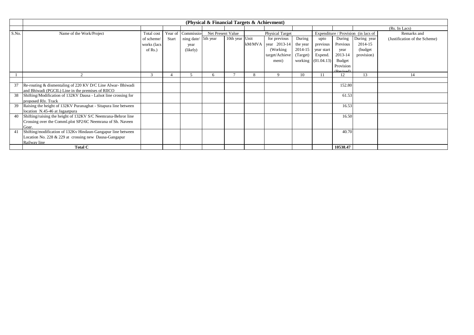| (Physical & Financial Targets & Achievment) |                                                                 |             |         |                     |                   |                |  |                        |          |                    |                           |                                     |                               |
|---------------------------------------------|-----------------------------------------------------------------|-------------|---------|---------------------|-------------------|----------------|--|------------------------|----------|--------------------|---------------------------|-------------------------------------|-------------------------------|
|                                             |                                                                 |             |         |                     |                   |                |  |                        |          |                    |                           |                                     | (Rs. In Lacs)                 |
| S.No.                                       | Name of the Work/Project                                        | Total cost  | Year of | Commissio-          | Net Present Value |                |  | <b>Physical Target</b> |          |                    |                           | Expenditure / Provision (in lacs of | Remarks and                   |
|                                             |                                                                 | of scheme/  | Start   | ning date/ 5th year |                   | 10th year Unit |  | for previous           | During   | upto               | During                    | During year                         | (Justification of the Scheme) |
|                                             |                                                                 | works (lacs |         | year                |                   |                |  | $kM/MVA$ year 2013-14  | the year | previous           | Previous                  | 2014-15                             |                               |
|                                             |                                                                 | of $Rs.$ )  |         | (likely)            |                   |                |  | (Working)              | 2014-15  | year start         | year                      | (budget)                            |                               |
|                                             |                                                                 |             |         |                     |                   |                |  | target/Achieve         | (Target) | Expend.            | 2013-14                   | provision)                          |                               |
|                                             |                                                                 |             |         |                     |                   |                |  | ment)                  |          | working (01.04.13) | Budget                    |                                     |                               |
|                                             |                                                                 |             |         |                     |                   |                |  |                        |          |                    | Provision                 |                                     |                               |
|                                             |                                                                 |             |         |                     |                   |                |  |                        |          |                    | $(D_{\alpha}, \ldots, A)$ |                                     |                               |
|                                             | $\Omega$                                                        | 3           |         |                     |                   |                |  | $\mathbf Q$            | 10       |                    | 12                        | 13                                  |                               |
|                                             |                                                                 |             |         |                     |                   |                |  |                        |          |                    |                           |                                     |                               |
| 37                                          | Re-routing & dismentaling of 220 KV D/C Line Alwar-Bhiwadi      |             |         |                     |                   |                |  |                        |          |                    | 152.80                    |                                     |                               |
|                                             | and Bhiwadi (PGCIL) Line in the premises of RIICO               |             |         |                     |                   |                |  |                        |          |                    |                           |                                     |                               |
| 38                                          | Shifting/Modification of 132KV Dausa - Lalsot line crossing for |             |         |                     |                   |                |  |                        |          |                    | 61.53                     |                                     |                               |
|                                             | proposed Rly. Track                                             |             |         |                     |                   |                |  |                        |          |                    |                           |                                     |                               |
| 39                                          | Raising the height of 132KV Puranaghat - Sitapura line between  |             |         |                     |                   |                |  |                        |          |                    | 16.53                     |                                     |                               |
|                                             | location N.45-46 at Jagaatpura                                  |             |         |                     |                   |                |  |                        |          |                    |                           |                                     |                               |
| 40                                          | Shifting/raising the height of 132KV S/C Neemrana-Behror line   |             |         |                     |                   |                |  |                        |          |                    | 16.50                     |                                     |                               |
|                                             | Crossing over the Comml.plot SP2/6C Neemrana of Sh. Naveen      |             |         |                     |                   |                |  |                        |          |                    |                           |                                     |                               |
|                                             | Goar.                                                           |             |         |                     |                   |                |  |                        |          |                    |                           |                                     |                               |
|                                             | Shifting/modification of 132Kv Hindaun-Gangapur line between    |             |         |                     |                   |                |  |                        |          |                    | 40.70                     |                                     |                               |
|                                             | Location No. 228 & 229 at crossing new Dausa-Gangapur           |             |         |                     |                   |                |  |                        |          |                    |                           |                                     |                               |
|                                             | Railway line                                                    |             |         |                     |                   |                |  |                        |          |                    |                           |                                     |                               |
|                                             | <b>Total C</b>                                                  |             |         |                     |                   |                |  |                        |          |                    | 10538.47                  |                                     |                               |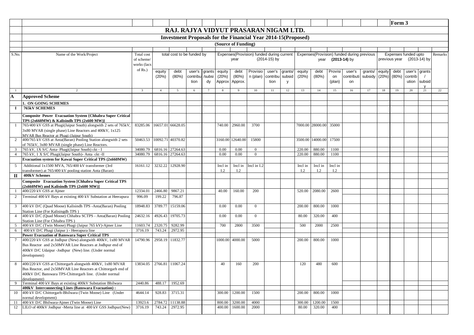|                 |                                                                                                                     |                            |                |                            |          |        |         |                     |                                                                       |              |         |                 |                  |         |                                            |         |        | Form 3        |                      |        |         |
|-----------------|---------------------------------------------------------------------------------------------------------------------|----------------------------|----------------|----------------------------|----------|--------|---------|---------------------|-----------------------------------------------------------------------|--------------|---------|-----------------|------------------|---------|--------------------------------------------|---------|--------|---------------|----------------------|--------|---------|
|                 |                                                                                                                     |                            |                |                            |          |        |         |                     | RAJ. RAJYA VIDYUT PRASARAN NIGAM LTD.                                 |              |         |                 |                  |         |                                            |         |        |               |                      |        |         |
|                 |                                                                                                                     |                            |                |                            |          |        |         |                     | <b>Investment Proposals for the Financial Year 2014-15 (Proposed)</b> |              |         |                 |                  |         |                                            |         |        |               |                      |        |         |
|                 |                                                                                                                     |                            |                |                            |          |        |         | (Source of Funding) |                                                                       |              |         |                 |                  |         |                                            |         |        |               |                      |        |         |
|                 |                                                                                                                     |                            |                |                            |          |        |         |                     |                                                                       |              |         |                 |                  |         |                                            |         |        |               |                      |        |         |
| S.No.           | Name of the Work/Project                                                                                            | Total cost                 |                | total cost to be funded by |          |        |         |                     | Expenses(Provision) funded during current                             |              |         |                 |                  |         | Expenses(Provision) funded during previous |         |        |               | Expenses funded upto |        | Remarks |
|                 |                                                                                                                     | of scheme/                 |                |                            |          |        |         | year                |                                                                       | (2014-15) by |         |                 | year             |         | $(2013-14)$ by                             |         |        | previous year | (2013-14) by         |        |         |
|                 |                                                                                                                     | works (lacs                |                |                            |          |        |         |                     |                                                                       |              |         |                 |                  |         |                                            |         |        |               |                      |        |         |
|                 |                                                                                                                     | of $Rs.$ )                 | equity         | debt                       | user's   | grants | equity  | debt                | Provisio                                                              | user's       | grants/ | equity          | debt             | Provisi | user's                                     | grants/ | equity | debt          | user's grants        |        |         |
|                 |                                                                                                                     |                            | (20%)          | (80%)                      | contribu | /subsi | (20%)   | $(80\%)$            | n (plan)                                                              | contribu     | subsid  | (20%)           | (80%)            | on      | contributi                                 | subsidy | (20%)  | (80%)         | contrib              |        |         |
|                 |                                                                                                                     |                            |                |                            | tion     | dy     | Approx  | Approx.             |                                                                       | tion         | y       |                 |                  | (plan)  | on                                         |         |        |               | ution                | subsid |         |
|                 |                                                                                                                     | 3                          | $\overline{4}$ | 5                          | -6       |        | 8       |                     | 10                                                                    | 11           | 12      | 13              | 14               | 15      | 16                                         | 17      | 18     | 19            | 20                   | 21     | 22      |
| A               | <b>Approved Scheme</b>                                                                                              |                            |                |                            |          |        |         |                     |                                                                       |              |         |                 |                  |         |                                            |         |        |               |                      |        |         |
|                 | 1. ON GOING SCHEMES                                                                                                 |                            |                |                            |          |        |         |                     |                                                                       |              |         |                 |                  |         |                                            |         |        |               |                      |        |         |
| Ι.              | <b>765kV SCHEMES</b>                                                                                                |                            |                |                            |          |        |         |                     |                                                                       |              |         |                 |                  |         |                                            |         |        |               |                      |        |         |
|                 | <b>Composite Power Evacuation System {Chhabra Super Critical</b>                                                    |                            |                |                            |          |        |         |                     |                                                                       |              |         |                 |                  |         |                                            |         |        |               |                      |        |         |
|                 | $TPS (2x660MW)$ & Kalisindh TPS $(2x600 MW)$ }                                                                      |                            |                |                            |          |        |         |                     |                                                                       |              |         |                 |                  |         |                                            |         |        |               |                      |        |         |
|                 | 765/400 kV GSS at Phagi(Jaipur South) alongwith 2 sets of 765kV,                                                    | 83285.06 16657.01 66628.05 |                |                            |          |        |         | 740.00 2960.00      | 3700                                                                  |              |         |                 | 7000.00 28000.00 | 35000   |                                            |         |        |               |                      |        |         |
|                 | 3x80 MVAR (single phase) Line Reactors and 400kV, 1x125                                                             |                            |                |                            |          |        |         |                     |                                                                       |              |         |                 |                  |         |                                            |         |        |               |                      |        |         |
|                 | MVAR Bus Reactor at Phagi (Jaipur South)                                                                            |                            |                | 10092.71 40370.82          |          |        |         |                     | 15800                                                                 |              |         |                 |                  | 17500   |                                            |         |        |               |                      |        |         |
|                 | 400/765 kV GSS at Anta(Baran) Pooling Station alongwith 2 sets<br>of 765kV, 3x80 MVAR (single phase) Line Reactors. | 50463.53                   |                |                            |          |        |         | 3160.00 12640.00    |                                                                       |              |         | 3500.00         | 14000.00         |         |                                            |         |        |               |                      |        |         |
| 3               | 765 kV, 1X S/C Anta- Phagi(Jaipur South) ckt - I                                                                    | 34080.79                   |                | 6816.16 27264.63           |          |        | 0.00    | 0.00                | $\overline{0}$                                                        |              |         | 220.00          | 880.00           | 1100    |                                            |         |        |               |                      |        |         |
| $\overline{4}$  | 765 kV, 1 X S/C Phagi(Jaipur South)- Anta ckt -II                                                                   | 34080.79                   |                | 6816.16 27264.63           |          |        | 0.00    | 0.00                | $\overline{0}$                                                        |              |         | 220.00          | 880.00           | 1100    |                                            |         |        |               |                      |        |         |
|                 | Evacuation system for Kawai Super Critical TPS (2x660MW)                                                            |                            |                |                            |          |        |         |                     |                                                                       |              |         |                 |                  |         |                                            |         |        |               |                      |        |         |
| 5               | Additional 1x1500 MVA, 765/400 kV transformer (3rd                                                                  | 16161.12                   |                | 3232.22 12928.90           |          |        | Incl in | Incl in             | Incl in I.2                                                           |              |         | Incl in         | Incl in          | Incl in |                                            |         |        |               |                      |        |         |
|                 | ransformer) at 765/400 kV pooling station Anta (Baran)                                                              |                            |                |                            |          |        | I.2     | I.2                 |                                                                       |              |         | I.2             | 1.2              | I.2     |                                            |         |        |               |                      |        |         |
| $\mathbf{I}$    | 400kV Schemes                                                                                                       |                            |                |                            |          |        |         |                     |                                                                       |              |         |                 |                  |         |                                            |         |        |               |                      |        |         |
|                 | <b>Composite</b> Evacuation System [Chhabra Super Critical TPS                                                      |                            |                |                            |          |        |         |                     |                                                                       |              |         |                 |                  |         |                                            |         |        |               |                      |        |         |
|                 | $(2x660MW)$ and Kalisindh TPS $(2x600MW)$ ]<br>400/220 kV GSS at Ajmer                                              | 12334.01                   | 2466.80        | 9867.21                    |          |        | 40.00   | 160.00              | 200                                                                   |              |         | 520.00          | 2080.00          | 2600    |                                            |         |        |               |                      |        |         |
| 2               | Terminal 400 kV Bays at existing 400 kV Substation at Heerapura                                                     | 996.09                     | 199.22         | 796.87                     |          |        |         |                     |                                                                       |              |         |                 |                  |         |                                            |         |        |               |                      |        |         |
|                 |                                                                                                                     |                            |                |                            |          |        |         |                     |                                                                       |              |         |                 |                  |         |                                            |         |        |               |                      |        |         |
| 3               | 400 kV D/C (Quad Moose) Kalisindh TPS -Anta(Baran) Pooling                                                          | 18948.83                   | 3789.77        | 15159.06                   |          |        | 0.00    | 0.00                | $\overline{0}$                                                        |              |         | 200.00          | 800.00           | 1000    |                                            |         |        |               |                      |        |         |
|                 | Station Line (For Kalisingdh TPS)                                                                                   |                            |                |                            |          |        |         |                     |                                                                       |              |         |                 |                  |         |                                            |         |        |               |                      |        |         |
| $\overline{4}$  | 400 kV D/C (Quad Moose) Chhabra SCTPS - Anta(Baran) Pooling<br>Station Line (For Chhabra TPS)                       | 24632.16                   | 4926.43        | 19705.73                   |          |        | 0.00    | 0.00                | $\theta$                                                              |              |         | 80.00           | 320.00           | 400     |                                            |         |        |               |                      |        |         |
| 5               | 400 kV D/C (Twin Moose) Phagi (Jaipur 765 kV)-Ajmer Line                                                            | 11603.74                   | 2320.75        | 9282.99                    |          |        | 700     | 2800                | 3500                                                                  |              |         | 500             | 2000             | 2500    |                                            |         |        |               |                      |        |         |
| 6               | 400 kV D/C Phagi (Jaipur) - Heerapura line                                                                          | 3716.19                    | 743.24         | 2972.95                    |          |        |         |                     |                                                                       |              |         |                 |                  |         |                                            |         |        |               |                      |        |         |
|                 | <b>Power Evacuation of Banswara Super Critical TPS</b>                                                              |                            |                |                            |          |        |         |                     |                                                                       |              |         |                 |                  |         |                                            |         |        |               |                      |        |         |
| $7\phantom{.0}$ | 400/220 kV GSS at Jodhpur (New) alongwith 400kV, 1x80 MVAR                                                          | 14790.96                   |                | 2958.19 11832.77           |          |        | 1000.00 | 4000.00             | 5000                                                                  |              |         | 200.00          | 800.00           | 1000    |                                            |         |        |               |                      |        |         |
|                 | Bus Reactor and 2x50MVAR Line Reactors at Jodhpur end of<br>400kV D/C Udaipur -Jodhpur (New) line. (Under normal    |                            |                |                            |          |        |         |                     |                                                                       |              |         |                 |                  |         |                                            |         |        |               |                      |        |         |
|                 | development)                                                                                                        |                            |                |                            |          |        |         |                     |                                                                       |              |         |                 |                  |         |                                            |         |        |               |                      |        |         |
|                 |                                                                                                                     |                            |                |                            |          |        |         |                     |                                                                       |              |         |                 |                  |         |                                            |         |        |               |                      |        |         |
| 8               | 400/220 kV GSS at Chittorgarh alongwith 400kV, 1x80 MVAR                                                            | 13834.05                   |                | 2766.81 11067.24           |          |        | 40      | 160                 | 200                                                                   |              |         | 120             | 480              | 600     |                                            |         |        |               |                      |        |         |
|                 | Bus Reactor, and 2x50MVAR Line Reactors at Chittorgarh end of                                                       |                            |                |                            |          |        |         |                     |                                                                       |              |         |                 |                  |         |                                            |         |        |               |                      |        |         |
|                 | 400kV D/C Banswara TPS-Chittorgarh line. (Under normal<br>levelopment)                                              |                            |                |                            |          |        |         |                     |                                                                       |              |         |                 |                  |         |                                            |         |        |               |                      |        |         |
| 9               | Terminal 400 kV Bays at existing 400kV Substation Bhilwara                                                          | 2440.86                    | 488.17         | 1952.69                    |          |        |         |                     |                                                                       |              |         |                 |                  |         |                                            |         |        |               |                      |        |         |
|                 | 400kV Interconnecting Lines (Banswara Evacuation):                                                                  |                            |                |                            |          |        |         |                     |                                                                       |              |         |                 |                  |         |                                            |         |        |               |                      |        |         |
| 10              | 400 kV D/C Chittorgarh-Bhilwara (Twin Moose) Line (Under                                                            | 4644.14                    | 928.83         | 3715.31                    |          |        | 300.00  | 1200.00             | 1500                                                                  |              |         | 200.00          | 800.00           | 1000    |                                            |         |        |               |                      |        |         |
|                 | normal development)<br>400 kV D/C Bhilwara-Ajmer (Twin Moose) Line                                                  | 13923.6                    |                | 2784.72 11138.88           |          |        | 800.00  | 3200.00             | 4000                                                                  |              |         |                 | 1200.00          | 1500    |                                            |         |        |               |                      |        |         |
| 11<br>12        | LILO of 400kV Jodhpur -Merta line at 400 kV GSS Jodhpur(New)                                                        | 3716.19                    | 743.24         | 2972.95                    |          |        | 400.00  | 1600.00             | 2000                                                                  |              |         | 300.00<br>80.00 | 320.00           | 400     |                                            |         |        |               |                      |        |         |
|                 |                                                                                                                     |                            |                |                            |          |        |         |                     |                                                                       |              |         |                 |                  |         |                                            |         |        |               |                      |        |         |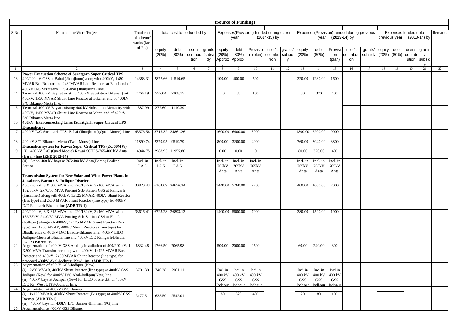|       | (Source of Funding)                                                                                                  |                          |                |                            |          |        |                      |                                           |                      |              |         |                                             |                      |                      |           |                      |        |                               |               |        |    |
|-------|----------------------------------------------------------------------------------------------------------------------|--------------------------|----------------|----------------------------|----------|--------|----------------------|-------------------------------------------|----------------------|--------------|---------|---------------------------------------------|----------------------|----------------------|-----------|----------------------|--------|-------------------------------|---------------|--------|----|
|       |                                                                                                                      |                          |                |                            |          |        |                      |                                           |                      |              |         |                                             |                      |                      |           |                      |        |                               |               |        |    |
| S.No. | Name of the Work/Project                                                                                             | Total cost               |                | total cost to be funded by |          |        |                      | Expenses(Provision) funded during current |                      |              |         | Expenses (Provision) funded during previous |                      |                      |           | Expenses funded upto |        | Remarks                       |               |        |    |
|       |                                                                                                                      | of scheme.               |                |                            |          |        |                      | year                                      |                      | (2014-15) by |         | $(2013-14)$ by<br>year                      |                      |                      |           |                      |        | previous year<br>(2013-14) by |               |        |    |
|       |                                                                                                                      | works (lac<br>of $Rs.$ ) |                |                            |          |        |                      |                                           |                      |              |         |                                             |                      |                      |           |                      |        |                               |               |        |    |
|       |                                                                                                                      |                          | equity         | debt                       | user's   | grants | equity               | debt                                      | Provisio             | user's       | grants/ | equity                                      | debt                 | Provisi              | user's    | grants/              | equity | debt                          | user's grants |        |    |
|       |                                                                                                                      |                          | (20%)          | (80%)                      | contribu | /subsi | (20%)                | (80%)                                     | n (plan)             | contribu     | subsid  | (20%)                                       | (80%)                | on                   | contribut | subsidy              | (20%)  | (80%)                         | contrib       |        |    |
|       |                                                                                                                      |                          |                |                            | tion     | dy     | Approx               | Approx.                                   |                      | tion         | y       |                                             |                      | (plan)               | on        |                      |        |                               | ution         | subsid |    |
|       | $\mathcal{L}$                                                                                                        | $\overline{3}$           | $\overline{4}$ | 5                          | 6        | $\tau$ | 8                    | 9                                         | 10                   | 11           | 12      | 13                                          | 14                   | 15                   | 16        | 17                   | 18     | 19                            | 20            | 21     | 22 |
|       | <b>Power Evacuation Scheme of Suratgarh Super Critical TPS</b>                                                       |                          |                |                            |          |        |                      |                                           |                      |              |         |                                             |                      |                      |           |                      |        |                               |               |        |    |
| 13    | 400/220 kV GSS at Babai (Jhunjhunu) alongwith 400kV, 1x80                                                            | 14388.31                 | 2877.66        | 11510.65                   |          |        | 100.00               | 400.00                                    | 500                  |              |         | 320.00                                      | 1280.00              | 1600                 |           |                      |        |                               |               |        |    |
|       | MVAR Bus Reactor and 2x80MVAR Line Reactors at Babai end of                                                          |                          |                |                            |          |        |                      |                                           |                      |              |         |                                             |                      |                      |           |                      |        |                               |               |        |    |
|       | 400kV D/C Suratgarh TPS-Babai (Jhunjhunu) line.                                                                      |                          |                |                            |          |        |                      |                                           |                      |              |         |                                             |                      |                      |           |                      |        |                               |               |        |    |
| 14    | Terminal 400 kV Bays at existing 400 kV Substation Bikaner (with                                                     | 2760.19                  | 552.04         | 2208.15                    |          |        | 20                   | 80                                        | 100                  |              |         | 80                                          | 320                  | 400                  |           |                      |        |                               |               |        |    |
|       | 400kV, 1x50 MVAR Shunt Line Reactor at Bikaner end of 400kV<br>S/C Bikaner-Merta line.)                              |                          |                |                            |          |        |                      |                                           |                      |              |         |                                             |                      |                      |           |                      |        |                               |               |        |    |
| 15    | Terminal 400 kV Bay at existing 400 kV Substation Mertacity with                                                     | 1387.99                  | 277.60         | 1110.39                    |          |        |                      |                                           |                      |              |         |                                             |                      |                      |           |                      |        |                               |               |        |    |
|       | 400kV, 1x50 MVAR Shunt Line Reactor at Merta end of 400kV                                                            |                          |                |                            |          |        |                      |                                           |                      |              |         |                                             |                      |                      |           |                      |        |                               |               |        |    |
|       | S/C Bikaner-Merta line.                                                                                              |                          |                |                            |          |        |                      |                                           |                      |              |         |                                             |                      |                      |           |                      |        |                               |               |        |    |
| 16    | 400kV Interconnecting Lines (Suratgarh Super Critical TPS                                                            |                          |                |                            |          |        |                      |                                           |                      |              |         |                                             |                      |                      |           |                      |        |                               |               |        |    |
| 17    | <b>Evacuation</b> ):<br>400 kV D/C Suratgarh TPS- Babai (Jhunjhunu) (Quad Moose) Line                                | 43576.58                 | 8715.32        | 34861.26                   |          |        | 1600.00              | 6400.00                                   | 8000                 |              |         | 1800.00                                     | 7200.00              | 9000                 |           |                      |        |                               |               |        |    |
|       |                                                                                                                      |                          |                |                            |          |        |                      |                                           |                      |              |         |                                             |                      |                      |           |                      |        |                               |               |        |    |
| 18    | 400 kV S/C Bikaner- Merta (Twin Moose) Line                                                                          | 11899.74                 | 2379.95        | 9519.79                    |          |        | 800.00               | 3200.00                                   | 4000                 |              |         | 760.00                                      | 3040.00              | 3800                 |           |                      |        |                               |               |        |    |
|       | Evacuation system for Kawai Super Critical TPS (2x660MW)                                                             |                          |                |                            |          |        |                      |                                           |                      |              |         |                                             |                      |                      |           |                      |        |                               |               |        |    |
| 19    | (i) 400 kV D/C (Quad Moose) Kawai SCTPS-765/400 kV Anta                                                              | 14944.75                 | 2988.95        | 11955.80                   |          |        | 0.00                 | 0.00                                      | $\Omega$             |              |         | 80.00                                       | 320.00               | 400                  |           |                      |        |                               |               |        |    |
|       | (Baran) line (RFD 2013-14)                                                                                           |                          |                |                            |          |        |                      |                                           |                      |              |         |                                             |                      |                      |           |                      |        |                               |               |        |    |
|       | (ii) $3 \text{ nos. } 400 \text{ kV}$ bays at $765/400 \text{ kV}$ Anta(Baran) Pooling                               | Incl. in                 | Incl. in       | Incl. in                   |          |        | Incl. in             | Incl. in                                  | Incl. in             |              |         | Incl. in                                    | Incl. in             | Incl. in             |           |                      |        |                               |               |        |    |
|       | Station                                                                                                              | I.A.5                    | I.A.5          | I.A.5                      |          |        | 765kV<br>Anta        | 765kV<br>Anta                             | 765kV<br>Anta        |              |         | 765kV<br>Anta                               | 765kV<br>Anta        | 765kV<br>Anta        |           |                      |        |                               |               |        |    |
|       | <b>Transmission System for New Solar and Wind Power Plants in</b>                                                    |                          |                |                            |          |        |                      |                                           |                      |              |         |                                             |                      |                      |           |                      |        |                               |               |        |    |
|       | Jaisalmer, Barmer & Jodhpur Districts                                                                                |                          |                |                            |          |        |                      |                                           |                      |              |         |                                             |                      |                      |           |                      |        |                               |               |        |    |
| 20    | 400/220 kV, 3 X 500 MVA and 220/132kV, 3x160 MVA with                                                                | 30820.43                 | 6164.09        | 24656.34                   |          |        | 1440.00              | 5760.00                                   | 7200                 |              |         | 400.00                                      | 1600.00              | 2000                 |           |                      |        |                               |               |        |    |
|       | 132/33kV, 2x40/50 MVA Pooling Sub-Station GSS at Ramgarh                                                             |                          |                |                            |          |        |                      |                                           |                      |              |         |                                             |                      |                      |           |                      |        |                               |               |        |    |
|       | (Jaisalmer) alongwith 400kV, 1x125 MVAR, 400kV Shunt Reactor                                                         |                          |                |                            |          |        |                      |                                           |                      |              |         |                                             |                      |                      |           |                      |        |                               |               |        |    |
|       | (Bus type) and 2x50 MVAR Shunt Reactor (line type) for 400kV<br>D/C Ramgarh-Bhadla line (ADB TR-1)                   |                          |                |                            |          |        |                      |                                           |                      |              |         |                                             |                      |                      |           |                      |        |                               |               |        |    |
| 21    | 400/220 kV, 3 X 315 MVA and 220/132kV, 3x160 MVA with                                                                | 33616.41                 |                | 6723.28 26893.13           |          |        | 1400.00              | 5600.00                                   | 7000                 |              |         | 380.00                                      | 1520.00              | 1900                 |           |                      |        |                               |               |        |    |
|       | 132/33kV, 2x40/50 MVA Pooling Sub-Station GSS at Bhadla                                                              |                          |                |                            |          |        |                      |                                           |                      |              |         |                                             |                      |                      |           |                      |        |                               |               |        |    |
|       | (Jodhpur) alongwith 400kV, 1x125 MVAR Shunt Reactor (Bus                                                             |                          |                |                            |          |        |                      |                                           |                      |              |         |                                             |                      |                      |           |                      |        |                               |               |        |    |
|       | type) and 4x50 MVAR, 400kV Shunt Reactors (Line type) for                                                            |                          |                |                            |          |        |                      |                                           |                      |              |         |                                             |                      |                      |           |                      |        |                               |               |        |    |
|       | Bhadla ends of 400kV D/C Bhadla-Bikaner line, 400kV LILO                                                             |                          |                |                            |          |        |                      |                                           |                      |              |         |                                             |                      |                      |           |                      |        |                               |               |        |    |
|       | Jodhpur-Merta at Bhadla line and 400kV D/C Ramgarh-Bhadla                                                            |                          |                |                            |          |        |                      |                                           |                      |              |         |                                             |                      |                      |           |                      |        |                               |               |        |    |
| 22    | $\lim_{\Delta}$ (ADR TD.1)<br>Augmentation of 400kV GSS Akal by installation of 400/220 kV, 1                        | 8832.48                  | 1766.50        | 7065.98                    |          |        | 500.00               | 2000.00                                   | 2500                 |              |         | 60.00                                       | 240.00               | 300                  |           |                      |        |                               |               |        |    |
|       | X500 MVA Transformer alongwith 400kV, 1x125 MVAR Bus                                                                 |                          |                |                            |          |        |                      |                                           |                      |              |         |                                             |                      |                      |           |                      |        |                               |               |        |    |
|       | Reactor and 400kV, 2x50 MVAR Shunt Reactor (line type) for                                                           |                          |                |                            |          |        |                      |                                           |                      |              |         |                                             |                      |                      |           |                      |        |                               |               |        |    |
|       | proposed 400kV Akal-Jodhpur (New) line. (ADB TR-1)                                                                   |                          |                |                            |          |        |                      |                                           |                      |              |         |                                             |                      |                      |           |                      |        |                               |               |        |    |
| 23    | Augmentation of 400kV GSS Jodhpur (New)                                                                              |                          |                |                            |          |        |                      |                                           |                      |              |         |                                             |                      |                      |           |                      |        |                               |               |        |    |
|       | (i) 2x50 MVAR, 400kV Shunt Reactor (line type) at 400kV GSS                                                          | 3701.39                  | 740.28         | 2961.11                    |          |        | Incl in              | Incl in                                   | Incl in              |              |         | Incl in                                     | Incl in              | Incl in              |           |                      |        |                               |               |        |    |
|       | Jodhpur (New) for 400kV D/C Akal-Jodhpur(New) line<br>(ii) 400kV bays at Jodhpur (New) for LILO of one ckt. of 400kV |                          |                |                            |          |        | 400 kV<br><b>GSS</b> | 400 kV<br><b>GSS</b>                      | 400 kV<br><b>GSS</b> |              |         | 400 kV<br><b>GSS</b>                        | 400 kV<br><b>GSS</b> | 400 kV<br><b>GSS</b> |           |                      |        |                               |               |        |    |
|       | D/C Raj West LTPS-Jodhpur line.                                                                                      |                          |                |                            |          |        | odhpur               | Jodhpur                                   | Jodhpur              |              |         | Jodhpu                                      | Jodhpur              | odhpu                |           |                      |        |                               |               |        |    |
| 24    | Augmentation at 400kV GSS Barmer                                                                                     |                          |                |                            |          |        |                      |                                           |                      |              |         |                                             |                      |                      |           |                      |        |                               |               |        |    |
|       | (i) 1x125 MVAR, 400kV Shunt Reactor (Bus type) at 400kV GSS                                                          | 3177.51                  | 635.50         | 2542.01                    |          |        | 80                   | 320                                       | 400                  |              |         | 20                                          | 80                   | 100                  |           |                      |        |                               |               |        |    |
|       | Barmer (ADB TR-1)                                                                                                    |                          |                |                            |          |        |                      |                                           |                      |              |         |                                             |                      |                      |           |                      |        |                               |               |        |    |
|       | (ii) 400kV bays for 400kV D/C Barmer-Bhinmal (PG) line                                                               |                          |                |                            |          |        |                      |                                           |                      |              |         |                                             |                      |                      |           |                      |        |                               |               |        |    |
|       | 25 Augmentation at 400kV GSS Bikaner                                                                                 |                          |                |                            |          |        |                      |                                           |                      |              |         |                                             |                      |                      |           |                      |        |                               |               |        |    |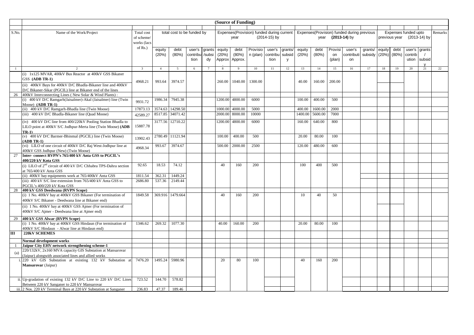|       | (Source of Funding)                                                         |                |                |                            |          |        |              |              |                                           |                |         |         |         |         |                                            |                     |        |               |                      |    |         |
|-------|-----------------------------------------------------------------------------|----------------|----------------|----------------------------|----------|--------|--------------|--------------|-------------------------------------------|----------------|---------|---------|---------|---------|--------------------------------------------|---------------------|--------|---------------|----------------------|----|---------|
|       |                                                                             |                |                |                            |          |        |              |              |                                           |                |         |         |         |         |                                            |                     |        |               |                      |    |         |
| S.No. | Name of the Work/Project                                                    | Total cost     |                | total cost to be funded by |          |        |              |              | Expenses(Provision) funded during current |                |         |         |         |         | Expenses(Provision) funded during previous |                     |        |               | Expenses funded upto |    | Remarks |
|       |                                                                             | of scheme/     |                |                            |          |        |              | year         |                                           | $(2014-15)$ by |         |         |         |         | year (2013-14) by                          |                     |        | previous year | (2013-14) by         |    |         |
|       |                                                                             | works (lacs    |                |                            |          |        |              |              |                                           |                |         |         |         |         |                                            |                     |        |               |                      |    |         |
|       |                                                                             | of $Rs.$ )     | equity         | debt                       | user's   | grants | equity       | debt         | Provisio                                  | user's         | grants/ | equity  | debt    | Provisi | user's                                     | grants/             | equity | debt          | user's grants        |    |         |
|       |                                                                             |                | (20%)          | (80%)                      | contribu | /subsi | (20%)        | (80%)        | n (plan)                                  | contribu       | subsid  | (20%)   | (80%)   | on      | contribut                                  | subsidy (20%) (80%) |        |               | contrib              |    |         |
|       |                                                                             |                |                |                            | tion     | dy     | Approx       | Approx       |                                           | tion           | y       |         |         | (plan)  | on                                         |                     |        |               | ution subsid         |    |         |
|       |                                                                             |                |                |                            |          |        |              |              |                                           |                |         |         |         |         |                                            |                     |        |               |                      |    |         |
|       |                                                                             | $\overline{3}$ | $\overline{4}$ | 5                          | 6        |        | $\mathbf{8}$ | $\mathbf{q}$ | 10                                        | 11             | 12      | 13      | 14      | 15      | 16                                         | 17                  | 18     | 19            | 20                   | 21 | 22      |
|       | (i) 1x125 MVAR, 400kV Bus Reactor at 400kV GSS Bikaner                      |                |                |                            |          |        |              |              |                                           |                |         |         |         |         |                                            |                     |        |               |                      |    |         |
|       | GSS (ADB TR-1)                                                              |                |                |                            |          |        |              |              |                                           |                |         |         |         |         |                                            |                     |        |               |                      |    |         |
|       | (ii) 400kV Bays for 400kV D/C Bhadla-Bikaner line and 400kV                 | 4968.21        | 993.64         | 3974.57                    |          |        | 260.00       | 1040.00      | 1300.00                                   |                |         | 40.00   | 160.00  | 200.00  |                                            |                     |        |               |                      |    |         |
|       | D/C Bikaner-Sikar (PGCIL) line at Bikaner end of the lines                  |                |                |                            |          |        |              |              |                                           |                |         |         |         |         |                                            |                     |        |               |                      |    |         |
| 26    | 400kV Interconnecting Lines (New Solar & Wind Plants):                      |                |                |                            |          |        |              |              |                                           |                |         |         |         |         |                                            |                     |        |               |                      |    |         |
|       | (i) 400 kV D/C Ramgarh(Jaisalmer)-Akal (Jaisalmer) line (Twin               |                | 1986.34        | 7945.38                    |          |        | 1200.00      | 4800.00      | 6000                                      |                |         | 100.00  | 400.00  | 500     |                                            |                     |        |               |                      |    |         |
|       | Moose) $(ADB TR-1)$                                                         | 9931.72        |                |                            |          |        |              |              |                                           |                |         |         |         |         |                                            |                     |        |               |                      |    |         |
|       | (ii) 400 kV D/C Ramgarh-Bhadla line (Twin Moose)                            | 17873.13       | 3574.63        | 14298.50                   |          |        | 1000.00      | 4000.00      | 5000                                      |                |         | 400.00  | 1600.00 | 2000    |                                            |                     |        |               |                      |    |         |
|       | (iii) 400 kV D/C Bhadla-Bikaner line (Quad Moose)                           | 42589.27       |                | 8517.85 34071.42           |          |        | 2000.00      | 8000.00      | 10000                                     |                |         | 1400.00 | 5600.00 | 7000    |                                            |                     |        |               |                      |    |         |
|       |                                                                             |                |                |                            |          |        |              |              |                                           |                |         |         |         |         |                                            |                     |        |               |                      |    |         |
|       | (iv) 400 kV D/C line from 400/220kV Pooling Station Bhadla to               | 15887.78       |                | 3177.56 12710.22           |          |        | 1200.00      | 4800.00      | 6000                                      |                |         | 160.00  | 640.00  | 800     |                                            |                     |        |               |                      |    |         |
|       | LILO point at 400kV S/C Jodhpur-Merta line (Twin Moose) (ADB                |                |                |                            |          |        |              |              |                                           |                |         |         |         |         |                                            |                     |        |               |                      |    |         |
|       | TR-1)<br>(v) 400 kV D/C Barmer-Bhinmal (PGCIL) line (Twin Moose)            |                |                | 2780.49 11121.94           |          |        | 100.00       | 400.00       | 500                                       |                |         | 20.00   | 80.00   | 100     |                                            |                     |        |               |                      |    |         |
|       | $(ADB TR-1)$                                                                | 13902.43       |                |                            |          |        |              |              |                                           |                |         |         |         |         |                                            |                     |        |               |                      |    |         |
|       | (vi) LILO of one circuit of 400kV D/C Raj West-Jodhpur line at              | 4968.34        | 993.67         | 3974.67                    |          |        | 500.00       | 2000.00      | 2500                                      |                |         | 120.00  | 480.00  | 600     |                                            |                     |        |               |                      |    |         |
|       | 400kV GSS Jodhpur (New) (Twin Moose)                                        |                |                |                            |          |        |              |              |                                           |                |         |         |         |         |                                            |                     |        |               |                      |    |         |
| 27    | Inter-connect RVPN's 765/400 kV Anta GSS to PGCIL's                         |                |                |                            |          |        |              |              |                                           |                |         |         |         |         |                                            |                     |        |               |                      |    |         |
|       | 400/220 kV Kota GSS                                                         |                |                |                            |          |        |              |              |                                           |                |         |         |         |         |                                            |                     |        |               |                      |    |         |
|       | (i) LILO of 2 <sup>nd</sup> circuit of 400 kV D/C Chhabra TPS-Dahra section | 92.65          | 18.53          | 74.12                      |          |        | 40           | 160          | 200                                       |                |         | 100     | 400     | 500     |                                            |                     |        |               |                      |    |         |
|       | at 765/400 kV Anta GSS                                                      |                |                |                            |          |        |              |              |                                           |                |         |         |         |         |                                            |                     |        |               |                      |    |         |
|       | (ii) 400kV bay equipments work at 765/400kV Anta GSS                        | 1811.54        | 362.31         | 1449.24                    |          |        |              |              |                                           |                |         |         |         |         |                                            |                     |        |               |                      |    |         |
|       | (iii) 400 kV S/C line extension from 765/400 kV Anta GSS to                 | 2686.80        | 537.36         | 2149.44                    |          |        |              |              |                                           |                |         |         |         |         |                                            |                     |        |               |                      |    |         |
|       | PGCIL's 400/220 kV Kota GSS                                                 |                |                |                            |          |        |              |              |                                           |                |         |         |         |         |                                            |                     |        |               |                      |    |         |
| 28    | 400 kV GSS Deedwana (RVPN Scope)                                            |                |                |                            |          |        |              |              |                                           |                |         |         |         |         |                                            |                     |        |               |                      |    |         |
|       | (i) 1 No. 400kV bay at 400kV GSS Bikaner (For termination of                | 1849.58        |                | 369.916 1479.664           |          |        | 40           | 160          | 200                                       |                |         | 10      | 40      | 50      |                                            |                     |        |               |                      |    |         |
|       | 400kV S/C Bikaner - Deedwana line at Bikaner end)                           |                |                |                            |          |        |              |              |                                           |                |         |         |         |         |                                            |                     |        |               |                      |    |         |
|       | (ii) 1 No. 400kV bay at 400kV GSS Ajmer (For termination of                 |                |                |                            |          |        |              |              |                                           |                |         |         |         |         |                                            |                     |        |               |                      |    |         |
|       | 400kV S/C Ajmer - Deedwana line at Ajmer end)                               |                |                |                            |          |        |              |              |                                           |                |         |         |         |         |                                            |                     |        |               |                      |    |         |
| 29    | 400 kV GSS Alwar (RVPN Scope)                                               |                |                |                            |          |        |              |              |                                           |                |         |         |         |         |                                            |                     |        |               |                      |    |         |
|       | (i) 1 No. 400kV bay at 400kV GSS Hindaun (For termination of                | 1346.62        | 269.32         | 1077.30                    |          |        | 40.00        | 160.00       | 200                                       |                |         | 20.00   | 80.00   | 100     |                                            |                     |        |               |                      |    |         |
|       | 400kV S/C Hindaun - Alwar line at Hindaun end)                              |                |                |                            |          |        |              |              |                                           |                |         |         |         |         |                                            |                     |        |               |                      |    |         |
| Ш     | <b>220kV SCHEMES</b>                                                        |                |                |                            |          |        |              |              |                                           |                |         |         |         |         |                                            |                     |        |               |                      |    |         |
|       | Normal development works                                                    |                |                |                            |          |        |              |              |                                           |                |         |         |         |         |                                            |                     |        |               |                      |    |         |
|       | Jaipur City EHV network strengthening scheme-1                              |                |                |                            |          |        |              |              |                                           |                |         |         |         |         |                                            |                     |        |               |                      |    |         |
|       | 220/132kV, 2x160 MVA capacity GIS Substation at Mansarovar                  |                |                |                            |          |        |              |              |                                           |                |         |         |         |         |                                            |                     |        |               |                      |    |         |
| (a)   | (Jaipur) alongwith associated lines and allied works                        |                |                |                            |          |        |              |              |                                           |                |         |         |         |         |                                            |                     |        |               |                      |    |         |
|       | 220 kV GIS Substation at existing 132 kV Substation at                      | 7476.20        | 1495.24        | 5980.96                    |          |        | 20           | 80           | 100                                       |                |         | 40      | 160     | 200     |                                            |                     |        |               |                      |    |         |
|       | Mansarovar (Jaipur)                                                         |                |                |                            |          |        |              |              |                                           |                |         |         |         |         |                                            |                     |        |               |                      |    |         |
|       |                                                                             |                |                |                            |          |        |              |              |                                           |                |         |         |         |         |                                            |                     |        |               |                      |    |         |
|       | ii. Up-gradation of existing 132 kV D/C Line to 220 kV D/C Lines            | 723.52         | 144.70         | 578.82                     |          |        |              |              |                                           |                |         |         |         |         |                                            |                     |        |               |                      |    |         |
|       | Between 220 kV Sanganer to 220 kV Mansarovar                                |                |                |                            |          |        |              |              |                                           |                |         |         |         |         |                                            |                     |        |               |                      |    |         |
|       | iii. 2 Nos. 220 kV Terminal Bays at 220 kV Substation at Sanganer           | 236.83         | 47.37          | 189.46                     |          |        |              |              |                                           |                |         |         |         |         |                                            |                     |        |               |                      |    |         |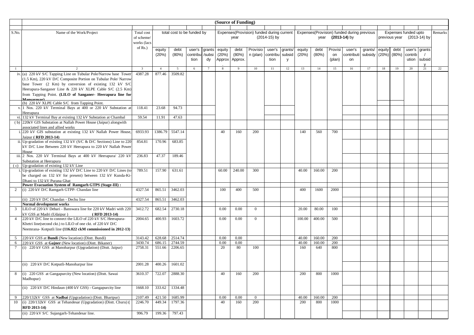| (Source of Funding) |                                                                                                                                                                                                                                                           |                           |                 |                            |                                   |              |                           |                          |                                           |                                   |              |                 |               |                         |                                            |                            |                      |               |                            |                    |         |
|---------------------|-----------------------------------------------------------------------------------------------------------------------------------------------------------------------------------------------------------------------------------------------------------|---------------------------|-----------------|----------------------------|-----------------------------------|--------------|---------------------------|--------------------------|-------------------------------------------|-----------------------------------|--------------|-----------------|---------------|-------------------------|--------------------------------------------|----------------------------|----------------------|---------------|----------------------------|--------------------|---------|
| S.No.               | Name of the Work/Project                                                                                                                                                                                                                                  | Total cost                |                 | total cost to be funded by |                                   |              |                           |                          | Expenses(Provision) funded during current |                                   |              |                 |               |                         | Expenses(Provision) funded during previous |                            | Expenses funded upto |               |                            |                    | Remarks |
|                     |                                                                                                                                                                                                                                                           | of scheme/<br>works (lacs |                 |                            |                                   |              |                           | year                     |                                           | (2014-15) by                      |              |                 | year          |                         | $(2013-14)$ by                             | previous year (2013-14) by |                      |               |                            |                    |         |
|                     |                                                                                                                                                                                                                                                           | of $Rs.$ )                | equity<br>(20%) | debt<br>(80%)              | user's<br>contribu /subsi<br>tion | grants<br>dy | equity<br>(20%)<br>Approx | debt<br>(80%)<br>Approx. | Provisio<br>n (plan)                      | user's<br>contribu subsid<br>tion | grants/<br>y | equity<br>(20%) | debt<br>(80%) | Provisi<br>on<br>(plan) | user's<br>contributi<br>on                 | grants/<br>subsidy (20%)   | equity               | debt<br>(80%) | user's<br>contrib<br>ution | grants<br>subsid   |         |
|                     |                                                                                                                                                                                                                                                           |                           | $\overline{4}$  | 5                          | 6                                 |              | 8                         | 9                        | 10                                        | 11                                | 12           | 13              | 14            | 15                      | 16                                         | 17                         | 18                   | 19            | 20                         | $\mathsf{v}$<br>21 | 22      |
|                     | iv. (a) 220 kV S/C Tapping Line on Tubular Pole/Narrow base Tower<br>(1.5 Km), 220 kV D/C Composite Portion on Tubular Pole/ Narrow<br>base Tower (2 Km) by conversion of existing 132 kV S/C<br>Heerapura-Sanganer Line & 220 kV XLPE Cable S/C (2.5 Km) | 4387.28                   | 877.46          | 3509.82                    |                                   |              |                           |                          |                                           |                                   |              |                 |               |                         |                                            |                            |                      |               |                            |                    |         |
|                     | from Tapping Point. (LILO of Sanganer- Heerapura line for                                                                                                                                                                                                 |                           |                 |                            |                                   |              |                           |                          |                                           |                                   |              |                 |               |                         |                                            |                            |                      |               |                            |                    |         |
|                     | Mancarovar)<br>(b) 220 kV XLPE Cable S/C from Tapping Point.                                                                                                                                                                                              |                           |                 |                            |                                   |              |                           |                          |                                           |                                   |              |                 |               |                         |                                            |                            |                      |               |                            |                    |         |
|                     | v. 1 Nos. 220 kV Terminal Bays at 400 or 220 kV Substation at<br>Heerapura                                                                                                                                                                                | 118.41                    | 23.68           | 94.73                      |                                   |              |                           |                          |                                           |                                   |              |                 |               |                         |                                            |                            |                      |               |                            |                    |         |
|                     | vi. 132 kV Terminal Bay at existing 132 kV Substation at Chambal                                                                                                                                                                                          | 59.54                     | 11.91           | 47.63                      |                                   |              |                           |                          |                                           |                                   |              |                 |               |                         |                                            |                            |                      |               |                            |                    |         |
|                     | (b) 220kV GIS Substation at Nallah Power House (Jaipur) alongwith<br>associated lines and allied works                                                                                                                                                    |                           |                 |                            |                                   |              |                           |                          |                                           |                                   |              |                 |               |                         |                                            |                            |                      |               |                            |                    |         |
|                     | i. 220 kV GIS substation at existing 132 kV Nallah Power House,<br>Jaipur (RFD 2013-14)                                                                                                                                                                   | 6933.93                   | 1386.79         | 5547.14                    |                                   |              | 40                        | 160                      | 200                                       |                                   |              | 140             | 560           | 700                     |                                            |                            |                      |               |                            |                    |         |
|                     | ii. Up-gradation of existing 132 kV ( $S/C & D/C$ Sections) Line to 220<br>kV D/C Line Between 220 kV Heerapura to 220 kV Nallah Power<br>House                                                                                                           | 854.81                    | 170.96          | 683.85                     |                                   |              |                           |                          |                                           |                                   |              |                 |               |                         |                                            |                            |                      |               |                            |                    |         |
| iii.                | 2 Nos. 220 kV Terminal Bays at 400 kV Heerapura/ 220 kV<br>Substation at Heerapura                                                                                                                                                                        | 236.83                    | 47.37           | 189.46                     |                                   |              |                           |                          |                                           |                                   |              |                 |               |                         |                                            |                            |                      |               |                            |                    |         |
| (c)                 | Up-gradation of existing 132 kV Line<br>Up-gradation of existing 132 kV D/C Line to 220 kV D/C Lines (to                                                                                                                                                  | 789.51                    | 157.90          | 631.61                     |                                   |              | 60.00                     | 240.00                   | 300                                       |                                   |              | 40.00           | 160.00        | 200                     |                                            |                            |                      |               |                            |                    |         |
|                     | be charged on 132 kV for present) between 132 kV Kunda-Ki-<br>Dhani to 132 kV Purana Ghat                                                                                                                                                                 |                           |                 |                            |                                   |              |                           |                          |                                           |                                   |              |                 |               |                         |                                            |                            |                      |               |                            |                    |         |
|                     | Power Evacuation System of Ramgarh GTPS (Stage-III) :<br>(i) 220 kV D/C Ramgarh GTPP- Chandan line                                                                                                                                                        | 4327.54                   | 865.51          | 3462.03                    |                                   |              | 100                       | 400                      | 500                                       |                                   |              | 400             | 1600          | 2000                    |                                            |                            |                      |               |                            |                    |         |
|                     | (ii) 220 kV D/C Chandan - Dechu line                                                                                                                                                                                                                      | 4327.54                   | 865.51          | 3462.03                    |                                   |              |                           |                          |                                           |                                   |              |                 |               |                         |                                            |                            |                      |               |                            |                    |         |
|                     | Normal development works                                                                                                                                                                                                                                  |                           |                 |                            |                                   |              |                           |                          |                                           |                                   |              |                 |               |                         |                                            |                            |                      |               |                            |                    |         |
| 3                   | LILO of 220 kV Debari - Banswara line for 220 kV Madri with 220<br>cV GSS at Madri (Udaipur)<br>$(RFD 2013-14)$                                                                                                                                           | 3412.72                   | 682.54          | 2730.18                    |                                   |              | 0.00                      | 0.00                     | $\overline{0}$                            |                                   |              | 20.00           | 80.00         | 100                     |                                            |                            |                      |               |                            |                    |         |
|                     | 220 kV D/C line to connect the LILO of 220 kV S/C Heerapura-<br>Khetri line(second ckt.) to LILO of one ckt. of 220 kV D/C<br>Neemrana- Kotputli line (116.822 ckM commissioned in 2012-13)                                                               | 2004.65                   | 400.93          | 1603.72                    |                                   |              | 0.00                      | 0.00                     | $\Omega$                                  |                                   |              | 100.00          | 400.00        | 500                     |                                            |                            |                      |               |                            |                    |         |
| 5                   | 220 kV GSS at Bundi (New location) (Distt. Bundi)                                                                                                                                                                                                         | 3143.42                   | 628.68          | 2514.74                    |                                   |              | 0.00                      | 0.00                     |                                           |                                   |              | 40.00           | 160.00        | 200                     |                                            |                            |                      |               |                            |                    |         |
| 6                   | 220 kV GSS at Gajner (New location) (Dist. Bikaner)                                                                                                                                                                                                       | 3430.74                   | 686.15          | 2744.59                    |                                   |              | 0.00                      | 0.00                     |                                           |                                   |              | 40.00           | 160.00        | 200                     |                                            |                            |                      |               |                            |                    |         |
| $7\phantom{.0}$     | (i) 220 kV GSS at Manoharpur (Upgradation) (Distt. Jaipur)                                                                                                                                                                                                | 2758.31                   | 551.66          | 2206.65                    |                                   |              | 20                        | 80                       | 100                                       |                                   |              | 160             | 640           | 800                     |                                            |                            |                      |               |                            |                    |         |
|                     | (ii) 220 kV D/C Kotputli-Manoharpur line                                                                                                                                                                                                                  | 2001.28                   | 400.26          | 1601.02                    |                                   |              |                           |                          |                                           |                                   |              |                 |               |                         |                                            |                            |                      |               |                            |                    |         |
|                     | (i) 220 GSS at Gangapurcity (New location) (Distt. Sawai<br>Madhopur)                                                                                                                                                                                     | 3610.37                   | 722.07          | 2888.30                    |                                   |              | 40                        | 160                      | 200                                       |                                   |              | 200             | 800           | 1000                    |                                            |                            |                      |               |                            |                    |         |
|                     | (ii) 220 kV D/C Hindaun (400 kV GSS) - Gangapurcity line                                                                                                                                                                                                  | 1668.10                   | 333.62          | 1334.48                    |                                   |              |                           |                          |                                           |                                   |              |                 |               |                         |                                            |                            |                      |               |                            |                    |         |
| -9                  | 220/132kV GSS at Nadbai (Upgradation) (Distt. Bhartpur)                                                                                                                                                                                                   | 2107.49                   | 421.50          | 1685.99                    |                                   |              | 0.00                      | 0.00                     | $\mathbf{0}$                              |                                   |              | 40.00           | 160.00        | 200                     |                                            |                            |                      |               |                            |                    |         |
| 10                  | (i) 220/132kV GSS at Tehandesar (Upgradation) (Distt. Churu) (<br>RFD 2013-14)                                                                                                                                                                            | 2246.70                   | 449.34          | 1797.36                    |                                   |              | 40                        | 160                      | 200                                       |                                   |              | 200             | 800           | 1000                    |                                            |                            |                      |               |                            |                    |         |
|                     | (ii) 220 kV S/C Sujangarh-Tehandesar line.                                                                                                                                                                                                                | 996.79                    | 199.36          | 797.43                     |                                   |              |                           |                          |                                           |                                   |              |                 |               |                         |                                            |                            |                      |               |                            |                    |         |